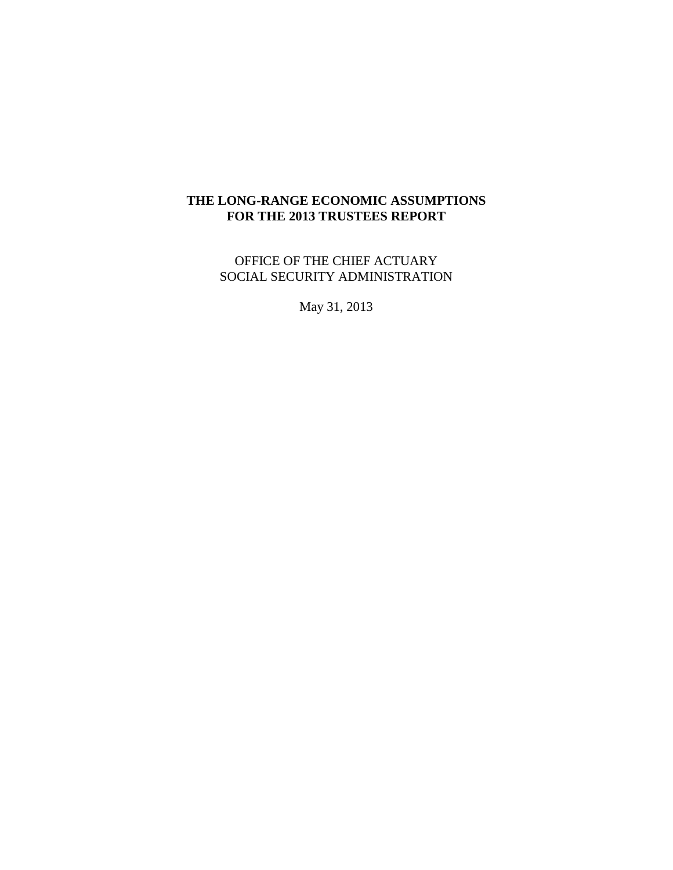# **THE LONG-RANGE ECONOMIC ASSUMPTIONS FOR THE 2013 TRUSTEES REPORT**

OFFICE OF THE CHIEF ACTUARY SOCIAL SECURITY ADMINISTRATION

May 31, 2013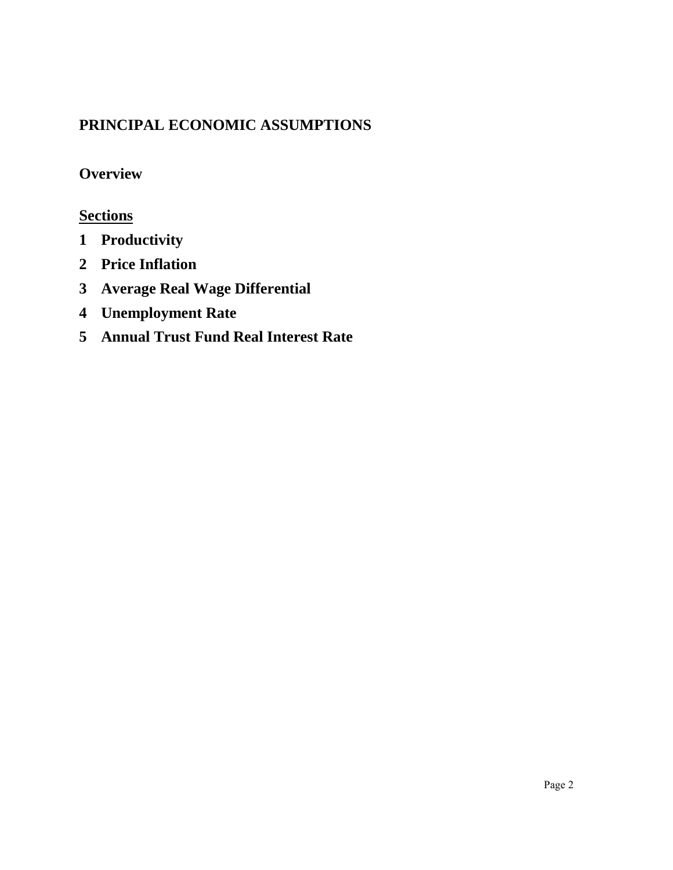# **PRINCIPAL ECONOMIC ASSUMPTIONS**

# **[Overview](#page-2-0)**

# **Sections**

- **1 [Productivity](#page-8-0)**
- **2 [Price Inflation](#page-24-0)**
- **3 [Average Real Wage Differential](#page-46-0)**
- **4 [Unemployment Rate](#page-62-0)**
- **5 [Annual Trust Fund Real Interest Rate](#page-67-0)**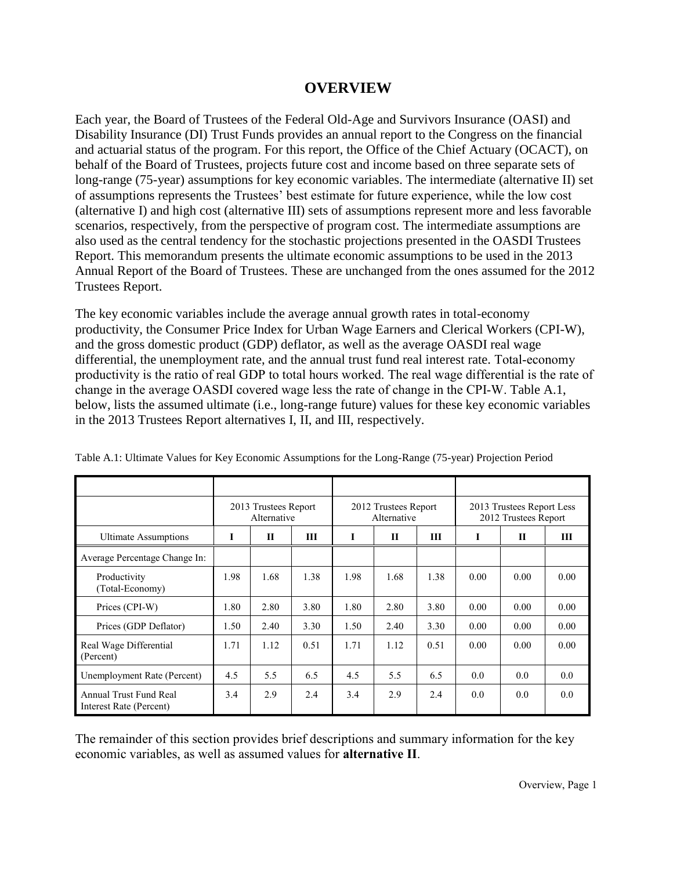# **OVERVIEW**

<span id="page-2-0"></span>Each year, the Board of Trustees of the Federal Old-Age and Survivors Insurance (OASI) and Disability Insurance (DI) Trust Funds provides an annual report to the Congress on the financial and actuarial status of the program. For this report, the Office of the Chief Actuary (OCACT), on behalf of the Board of Trustees, projects future cost and income based on three separate sets of long-range (75-year) assumptions for key economic variables. The intermediate (alternative II) set of assumptions represents the Trustees' best estimate for future experience, while the low cost (alternative I) and high cost (alternative III) sets of assumptions represent more and less favorable scenarios, respectively, from the perspective of program cost. The intermediate assumptions are also used as the central tendency for the stochastic projections presented in the OASDI Trustees Report. This memorandum presents the ultimate economic assumptions to be used in the 2013 Annual Report of the Board of Trustees. These are unchanged from the ones assumed for the 2012 Trustees Report.

The key economic variables include the average annual growth rates in total-economy productivity, the Consumer Price Index for Urban Wage Earners and Clerical Workers (CPI-W), and the gross domestic product (GDP) deflator, as well as the average OASDI real wage differential, the unemployment rate, and the annual trust fund real interest rate. Total-economy productivity is the ratio of real GDP to total hours worked. The real wage differential is the rate of change in the average OASDI covered wage less the rate of change in the CPI-W. Table A.1, below, lists the assumed ultimate (i.e., long-range future) values for these key economic variables in the 2013 Trustees Report alternatives I, II, and III, respectively.

|                                                   |      | 2013 Trustees Report<br>Alternative |      |      | 2012 Trustees Report<br>Alternative |      |      | 2013 Trustees Report Less<br>2012 Trustees Report |      |
|---------------------------------------------------|------|-------------------------------------|------|------|-------------------------------------|------|------|---------------------------------------------------|------|
| <b>Ultimate Assumptions</b>                       | I    | $\mathbf{H}$                        | Ш    | 1    | П                                   | Ш    | I    | $\mathbf H$                                       | Ш    |
| Average Percentage Change In:                     |      |                                     |      |      |                                     |      |      |                                                   |      |
| Productivity<br>(Total-Economy)                   | 1.98 | 1.68                                | 1.38 | 1.98 | 1.68                                | 1.38 | 0.00 | 0.00                                              | 0.00 |
| Prices (CPI-W)                                    | 1.80 | 2.80                                | 3.80 | 1.80 | 2.80                                | 3.80 | 0.00 | 0.00                                              | 0.00 |
| Prices (GDP Deflator)                             | 1.50 | 2.40                                | 3.30 | 1.50 | 2.40                                | 3.30 | 0.00 | 0.00                                              | 0.00 |
| Real Wage Differential<br>(Percent)               | 1.71 | 1.12                                | 0.51 | 1.71 | 1.12                                | 0.51 | 0.00 | 0.00                                              | 0.00 |
| Unemployment Rate (Percent)                       | 4.5  | 5.5                                 | 6.5  | 4.5  | 5.5                                 | 6.5  | 0.0  | 0.0                                               | 0.0  |
| Annual Trust Fund Real<br>Interest Rate (Percent) | 3.4  | 2.9                                 | 2.4  | 3.4  | 2.9                                 | 2.4  | 0.0  | 0.0                                               | 0.0  |

Table A.1: Ultimate Values for Key Economic Assumptions for the Long-Range (75-year) Projection Period

The remainder of this section provides brief descriptions and summary information for the key economic variables, as well as assumed values for **alternative II**.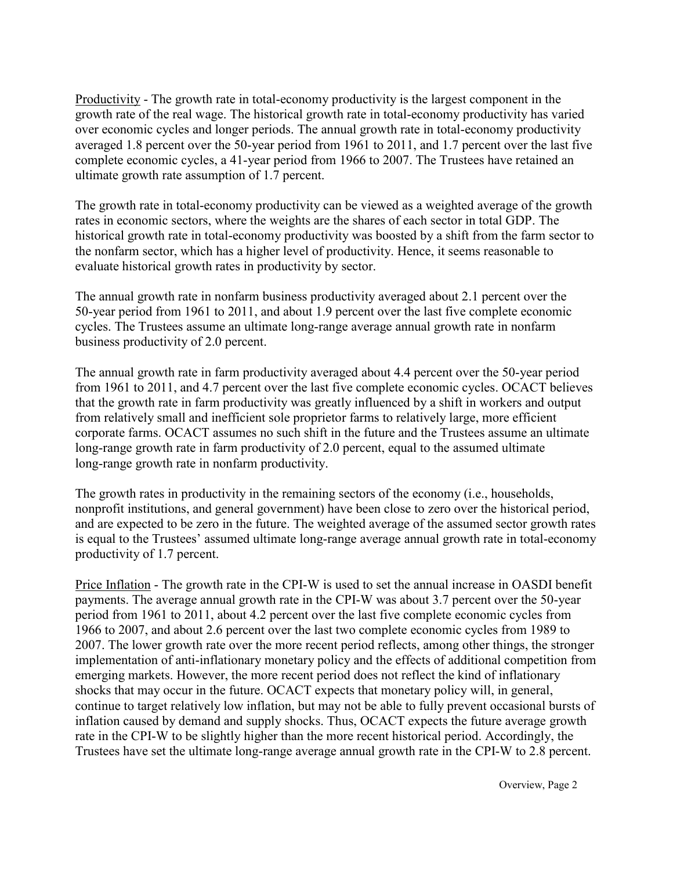Productivity - The growth rate in total-economy productivity is the largest component in the growth rate of the real wage. The historical growth rate in total-economy productivity has varied over economic cycles and longer periods. The annual growth rate in total-economy productivity averaged 1.8 percent over the 50-year period from 1961 to 2011, and 1.7 percent over the last five complete economic cycles, a 41-year period from 1966 to 2007. The Trustees have retained an ultimate growth rate assumption of 1.7 percent.

The growth rate in total-economy productivity can be viewed as a weighted average of the growth rates in economic sectors, where the weights are the shares of each sector in total GDP. The historical growth rate in total-economy productivity was boosted by a shift from the farm sector to the nonfarm sector, which has a higher level of productivity. Hence, it seems reasonable to evaluate historical growth rates in productivity by sector.

The annual growth rate in nonfarm business productivity averaged about 2.1 percent over the 50-year period from 1961 to 2011, and about 1.9 percent over the last five complete economic cycles. The Trustees assume an ultimate long-range average annual growth rate in nonfarm business productivity of 2.0 percent.

The annual growth rate in farm productivity averaged about 4.4 percent over the 50-year period from 1961 to 2011, and 4.7 percent over the last five complete economic cycles. OCACT believes that the growth rate in farm productivity was greatly influenced by a shift in workers and output from relatively small and inefficient sole proprietor farms to relatively large, more efficient corporate farms. OCACT assumes no such shift in the future and the Trustees assume an ultimate long-range growth rate in farm productivity of 2.0 percent, equal to the assumed ultimate long-range growth rate in nonfarm productivity.

The growth rates in productivity in the remaining sectors of the economy (i.e., households, nonprofit institutions, and general government) have been close to zero over the historical period, and are expected to be zero in the future. The weighted average of the assumed sector growth rates is equal to the Trustees' assumed ultimate long-range average annual growth rate in total-economy productivity of 1.7 percent.

Price Inflation - The growth rate in the CPI-W is used to set the annual increase in OASDI benefit payments. The average annual growth rate in the CPI-W was about 3.7 percent over the 50-year period from 1961 to 2011, about 4.2 percent over the last five complete economic cycles from 1966 to 2007, and about 2.6 percent over the last two complete economic cycles from 1989 to 2007. The lower growth rate over the more recent period reflects, among other things, the stronger implementation of anti-inflationary monetary policy and the effects of additional competition from emerging markets. However, the more recent period does not reflect the kind of inflationary shocks that may occur in the future. OCACT expects that monetary policy will, in general, continue to target relatively low inflation, but may not be able to fully prevent occasional bursts of inflation caused by demand and supply shocks. Thus, OCACT expects the future average growth rate in the CPI-W to be slightly higher than the more recent historical period. Accordingly, the Trustees have set the ultimate long-range average annual growth rate in the CPI-W to 2.8 percent.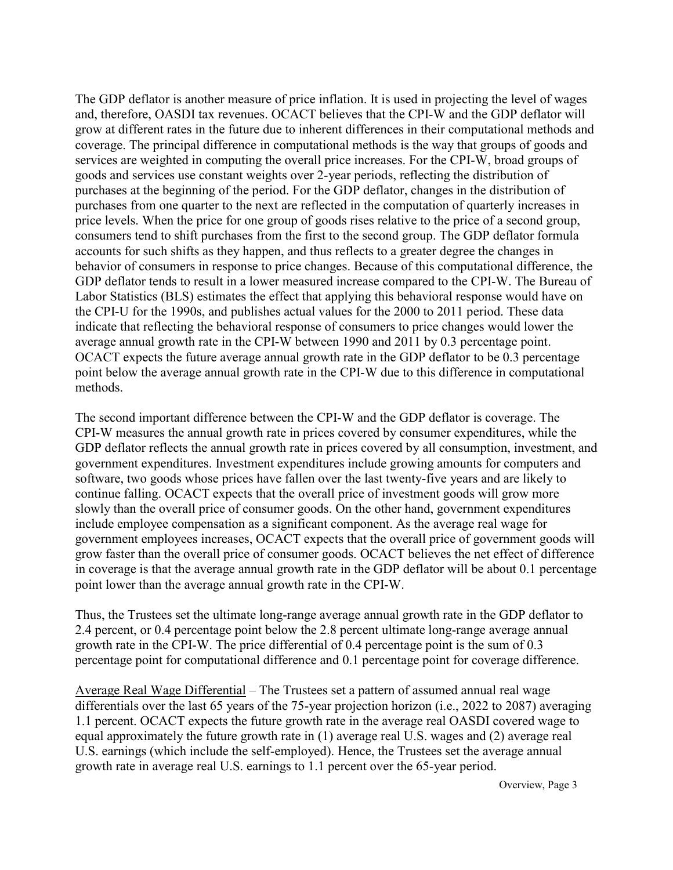The GDP deflator is another measure of price inflation. It is used in projecting the level of wages and, therefore, OASDI tax revenues. OCACT believes that the CPI-W and the GDP deflator will grow at different rates in the future due to inherent differences in their computational methods and coverage. The principal difference in computational methods is the way that groups of goods and services are weighted in computing the overall price increases. For the CPI-W, broad groups of goods and services use constant weights over 2-year periods, reflecting the distribution of purchases at the beginning of the period. For the GDP deflator, changes in the distribution of purchases from one quarter to the next are reflected in the computation of quarterly increases in price levels. When the price for one group of goods rises relative to the price of a second group, consumers tend to shift purchases from the first to the second group. The GDP deflator formula accounts for such shifts as they happen, and thus reflects to a greater degree the changes in behavior of consumers in response to price changes. Because of this computational difference, the GDP deflator tends to result in a lower measured increase compared to the CPI-W. The Bureau of Labor Statistics (BLS) estimates the effect that applying this behavioral response would have on the CPI-U for the 1990s, and publishes actual values for the 2000 to 2011 period. These data indicate that reflecting the behavioral response of consumers to price changes would lower the average annual growth rate in the CPI-W between 1990 and 2011 by 0.3 percentage point. OCACT expects the future average annual growth rate in the GDP deflator to be 0.3 percentage point below the average annual growth rate in the CPI-W due to this difference in computational methods.

The second important difference between the CPI-W and the GDP deflator is coverage. The CPI-W measures the annual growth rate in prices covered by consumer expenditures, while the GDP deflator reflects the annual growth rate in prices covered by all consumption, investment, and government expenditures. Investment expenditures include growing amounts for computers and software, two goods whose prices have fallen over the last twenty-five years and are likely to continue falling. OCACT expects that the overall price of investment goods will grow more slowly than the overall price of consumer goods. On the other hand, government expenditures include employee compensation as a significant component. As the average real wage for government employees increases, OCACT expects that the overall price of government goods will grow faster than the overall price of consumer goods. OCACT believes the net effect of difference in coverage is that the average annual growth rate in the GDP deflator will be about 0.1 percentage point lower than the average annual growth rate in the CPI-W.

Thus, the Trustees set the ultimate long-range average annual growth rate in the GDP deflator to 2.4 percent, or 0.4 percentage point below the 2.8 percent ultimate long-range average annual growth rate in the CPI-W. The price differential of 0.4 percentage point is the sum of 0.3 percentage point for computational difference and 0.1 percentage point for coverage difference.

Average Real Wage Differential – The Trustees set a pattern of assumed annual real wage differentials over the last 65 years of the 75-year projection horizon (i.e., 2022 to 2087) averaging 1.1 percent. OCACT expects the future growth rate in the average real OASDI covered wage to equal approximately the future growth rate in (1) average real U.S. wages and (2) average real U.S. earnings (which include the self-employed). Hence, the Trustees set the average annual growth rate in average real U.S. earnings to 1.1 percent over the 65-year period.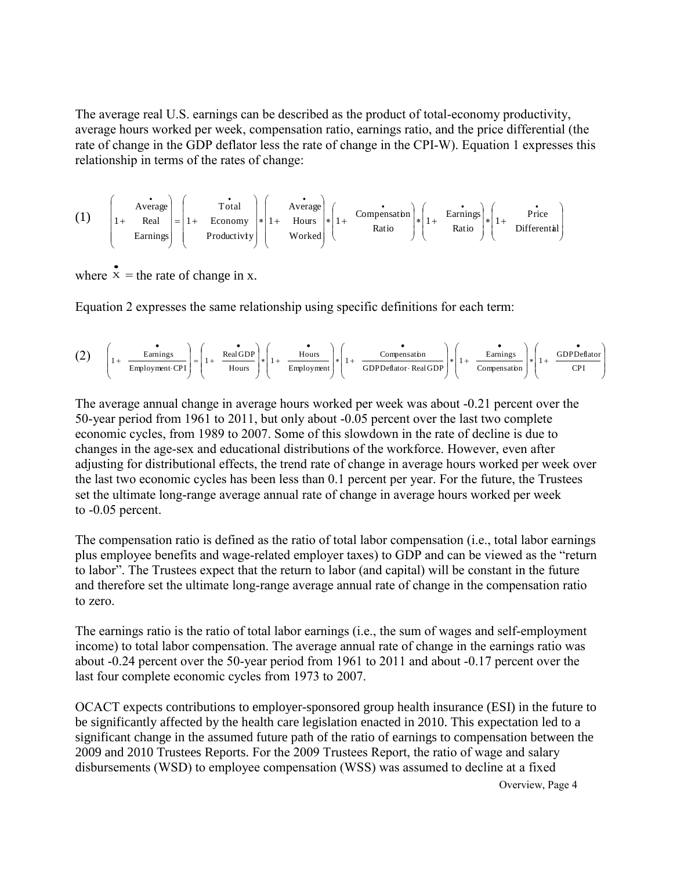The average real U.S. earnings can be described as the product of total-economy productivity, average hours worked per week, compensation ratio, earnings ratio, and the price differential (the rate of change in the GDP deflator less the rate of change in the CPI-W). Equation 1 expresses this relationship in terms of the rates of change:

| (1) | \n $\begin{pmatrix}\n \text{Average} \\ 1 + \text{ Real} \\ \text{Earning}\n \end{pmatrix}\n =\n \begin{pmatrix}\n \text{Total} \\ 1 + \text{ Economy} \\ \text{Productivity}\n \end{pmatrix}\n * \n \begin{pmatrix}\n \text{Average} \\ 1 + \text{Hours} \\ \text{Worked}\n \end{pmatrix}\n * \n \begin{pmatrix}\n \text{Comparison} \\ 1 + \text{Earnings} \\ \text{Ratio}\n \end{pmatrix}\n * \n \begin{pmatrix}\n \text{Earnings} \\ 1 + \text{Dirferential}\n \end{pmatrix}$ \n |
|-----|--------------------------------------------------------------------------------------------------------------------------------------------------------------------------------------------------------------------------------------------------------------------------------------------------------------------------------------------------------------------------------------------------------------------------------------------------------------------------------------|
|-----|--------------------------------------------------------------------------------------------------------------------------------------------------------------------------------------------------------------------------------------------------------------------------------------------------------------------------------------------------------------------------------------------------------------------------------------------------------------------------------------|

where  $x =$  $\bullet$ = the rate of change in x.

Equation 2 expresses the same relationship using specific definitions for each term:  
\n(2) 
$$
\left(1 + \frac{\epsilon_{\text{Farnings}}}{\epsilon_{\text{Employment}}}\right) = \left(1 + \frac{\epsilon_{\text{Real GDP}}}{\epsilon_{\text{Hours}}}\right) * \left(1 + \frac{\epsilon_{\text{Farnings}}}{\epsilon_{\text{imployment}}}\right) * \left(1 + \frac{\epsilon_{\text{Farnings}}}{\epsilon_{\text{DPDeflator}}}\right) * \left(1 + \frac{\epsilon_{\text{Farnings}}}{\epsilon_{\text{DPDeflator}}}\right) * \left(1 + \frac{\epsilon_{\text{Farnings}}}{\epsilon_{\text{DPDeflator}}}\right)
$$

The average annual change in average hours worked per week was about -0.21 percent over the 50-year period from 1961 to 2011, but only about -0.05 percent over the last two complete economic cycles, from 1989 to 2007. Some of this slowdown in the rate of decline is due to changes in the age-sex and educational distributions of the workforce. However, even after adjusting for distributional effects, the trend rate of change in average hours worked per week over the last two economic cycles has been less than 0.1 percent per year. For the future, the Trustees set the ultimate long-range average annual rate of change in average hours worked per week to -0.05 percent.

The compensation ratio is defined as the ratio of total labor compensation (i.e., total labor earnings plus employee benefits and wage-related employer taxes) to GDP and can be viewed as the "return to labor". The Trustees expect that the return to labor (and capital) will be constant in the future and therefore set the ultimate long-range average annual rate of change in the compensation ratio to zero.

The earnings ratio is the ratio of total labor earnings (i.e., the sum of wages and self-employment income) to total labor compensation. The average annual rate of change in the earnings ratio was about -0.24 percent over the 50-year period from 1961 to 2011 and about -0.17 percent over the last four complete economic cycles from 1973 to 2007.

OCACT expects contributions to employer-sponsored group health insurance (ESI) in the future to be significantly affected by the health care legislation enacted in 2010. This expectation led to a significant change in the assumed future path of the ratio of earnings to compensation between the 2009 and 2010 Trustees Reports. For the 2009 Trustees Report, the ratio of wage and salary disbursements (WSD) to employee compensation (WSS) was assumed to decline at a fixed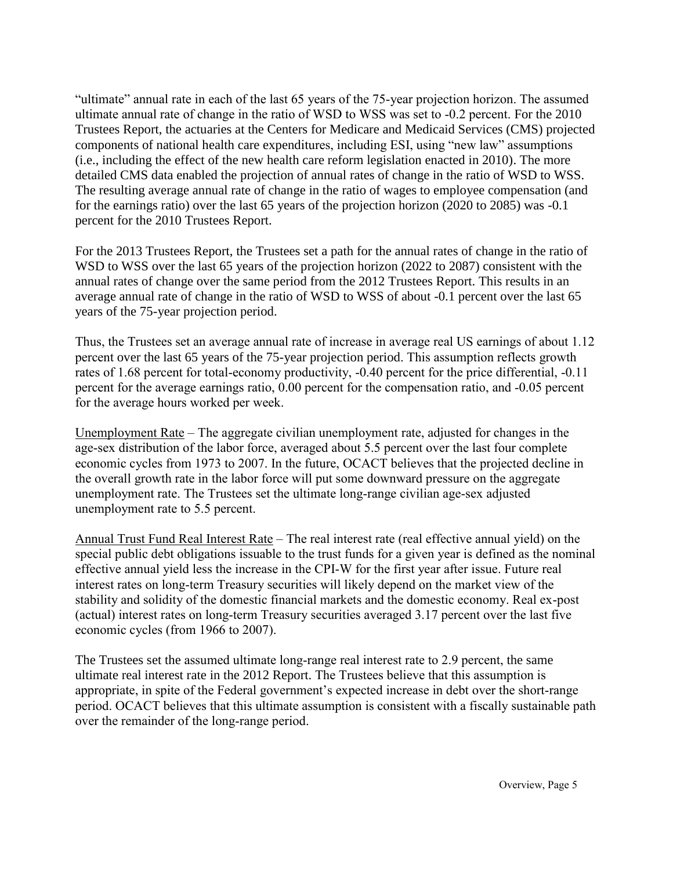"ultimate" annual rate in each of the last 65 years of the 75-year projection horizon. The assumed ultimate annual rate of change in the ratio of WSD to WSS was set to -0.2 percent. For the 2010 Trustees Report, the actuaries at the Centers for Medicare and Medicaid Services (CMS) projected components of national health care expenditures, including ESI, using "new law" assumptions (i.e., including the effect of the new health care reform legislation enacted in 2010). The more detailed CMS data enabled the projection of annual rates of change in the ratio of WSD to WSS. The resulting average annual rate of change in the ratio of wages to employee compensation (and for the earnings ratio) over the last 65 years of the projection horizon (2020 to 2085) was -0.1 percent for the 2010 Trustees Report.

For the 2013 Trustees Report, the Trustees set a path for the annual rates of change in the ratio of WSD to WSS over the last 65 years of the projection horizon (2022 to 2087) consistent with the annual rates of change over the same period from the 2012 Trustees Report. This results in an average annual rate of change in the ratio of WSD to WSS of about -0.1 percent over the last 65 years of the 75-year projection period.

Thus, the Trustees set an average annual rate of increase in average real US earnings of about 1.12 percent over the last 65 years of the 75-year projection period. This assumption reflects growth rates of 1.68 percent for total-economy productivity, -0.40 percent for the price differential, -0.11 percent for the average earnings ratio, 0.00 percent for the compensation ratio, and -0.05 percent for the average hours worked per week.

Unemployment Rate – The aggregate civilian unemployment rate, adjusted for changes in the age-sex distribution of the labor force, averaged about 5.5 percent over the last four complete economic cycles from 1973 to 2007. In the future, OCACT believes that the projected decline in the overall growth rate in the labor force will put some downward pressure on the aggregate unemployment rate. The Trustees set the ultimate long-range civilian age-sex adjusted unemployment rate to 5.5 percent.

Annual Trust Fund Real Interest Rate – The real interest rate (real effective annual yield) on the special public debt obligations issuable to the trust funds for a given year is defined as the nominal effective annual yield less the increase in the CPI-W for the first year after issue. Future real interest rates on long-term Treasury securities will likely depend on the market view of the stability and solidity of the domestic financial markets and the domestic economy. Real ex-post (actual) interest rates on long-term Treasury securities averaged 3.17 percent over the last five economic cycles (from 1966 to 2007).

The Trustees set the assumed ultimate long-range real interest rate to 2.9 percent, the same ultimate real interest rate in the 2012 Report. The Trustees believe that this assumption is appropriate, in spite of the Federal government's expected increase in debt over the short-range period. OCACT believes that this ultimate assumption is consistent with a fiscally sustainable path over the remainder of the long-range period.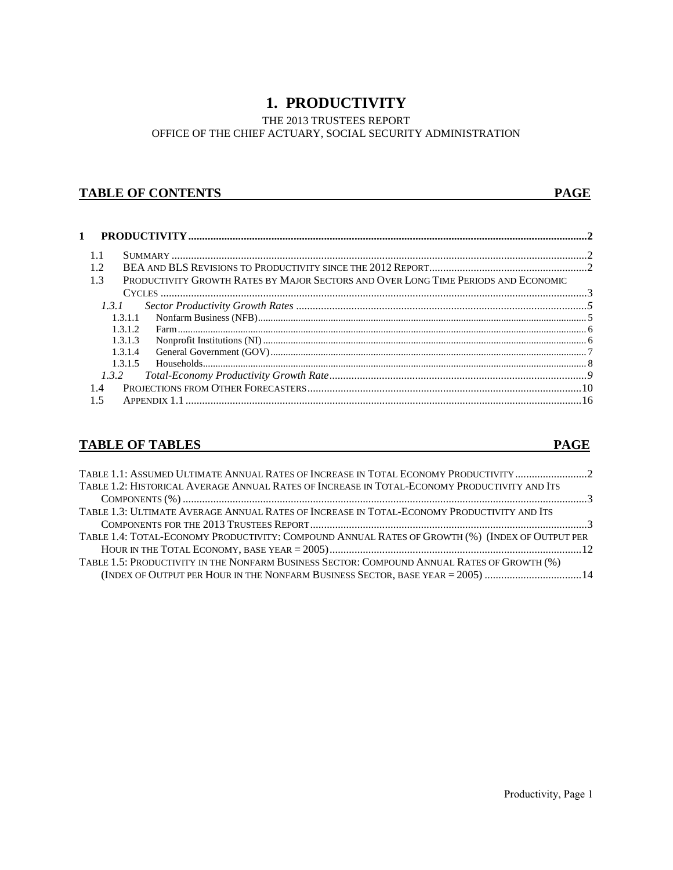# **1. PRODUCTIVITY**

THE 2013 TRUSTEES REPORT OFFICE OF THE CHIEF ACTUARY, SOCIAL SECURITY ADMINISTRATION

### **TABLE OF CONTENTS** PAGE

| 1.3   |         | PRODUCTIVITY GROWTH RATES BY MAJOR SECTORS AND OVER LONG TIME PERIODS AND ECONOMIC |  |
|-------|---------|------------------------------------------------------------------------------------|--|
|       |         |                                                                                    |  |
| 1.3.1 |         |                                                                                    |  |
|       | 1.3.1.1 |                                                                                    |  |
|       | 1.3.1.2 |                                                                                    |  |
|       | 1.3.1.3 | $\label{eq:nonprobit} {\rm Nonprofit\,Institutions (NI)}\,\\$                      |  |
|       | 1.3.1.4 |                                                                                    |  |
|       | 1.3.1.5 |                                                                                    |  |
| 1.3.2 |         |                                                                                    |  |
| 14    |         |                                                                                    |  |
|       |         |                                                                                    |  |

# **TABLE OF TABLES** PAGE

| TABLE 1.1: ASSUMED ULTIMATE ANNUAL RATES OF INCREASE IN TOTAL ECONOMY PRODUCTIVITY 2            |  |
|-------------------------------------------------------------------------------------------------|--|
| TABLE 1.2: HISTORICAL AVERAGE ANNUAL RATES OF INCREASE IN TOTAL-ECONOMY PRODUCTIVITY AND ITS    |  |
|                                                                                                 |  |
| TABLE 1.3: ULTIMATE AVERAGE ANNUAL RATES OF INCREASE IN TOTAL-ECONOMY PRODUCTIVITY AND ITS      |  |
|                                                                                                 |  |
| TABLE 1.4: TOTAL-ECONOMY PRODUCTIVITY: COMPOUND ANNUAL RATES OF GROWTH (%) (INDEX OF OUTPUT PER |  |
|                                                                                                 |  |
| TABLE 1.5: PRODUCTIVITY IN THE NONFARM BUSINESS SECTOR: COMPOUND ANNUAL RATES OF GROWTH (%)     |  |
| (INDEX OF OUTPUT PER HOUR IN THE NONFARM BUSINESS SECTOR, BASE YEAR = 2005)  14                 |  |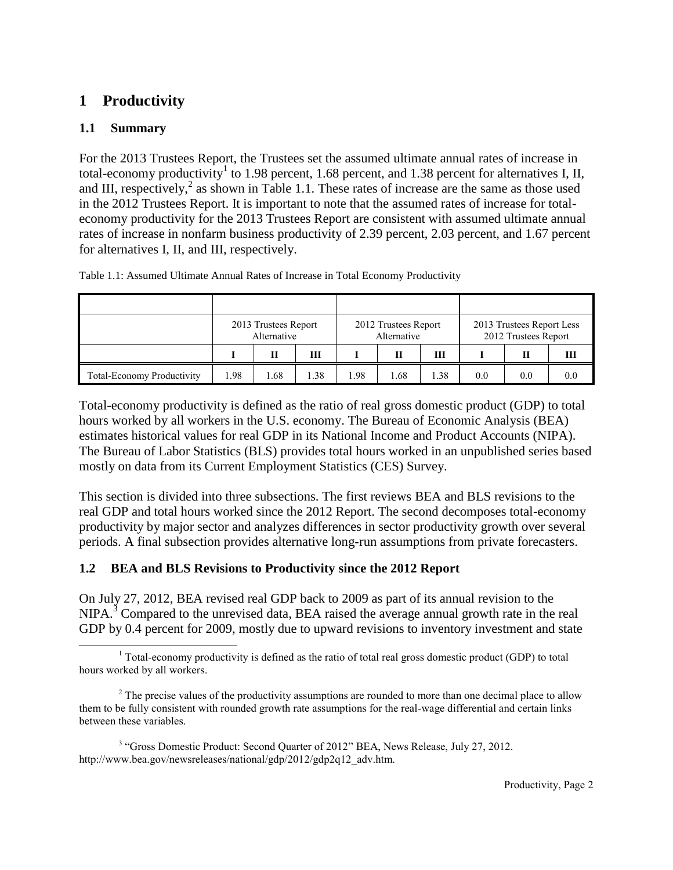# <span id="page-8-0"></span>**1 Productivity**

# **1.1 Summary**

For the 2013 Trustees Report, the Trustees set the assumed ultimate annual rates of increase in total-economy productivity<sup>1</sup> to 1.98 percent, 1.68 percent, and 1.38 percent for alternatives I, II, and III, respectively,<sup>2</sup> as shown in Table 1.1. These rates of increase are the same as those used in the 2012 Trustees Report. It is important to note that the assumed rates of increase for totaleconomy productivity for the 2013 Trustees Report are consistent with assumed ultimate annual rates of increase in nonfarm business productivity of 2.39 percent, 2.03 percent, and 1.67 percent for alternatives I, II, and III, respectively.

|                                   |      | 2013 Trustees Report<br>Alternative |     |     | 2012 Trustees Report<br>Alternative |      |     | 2013 Trustees Report Less<br>2012 Trustees Report |     |
|-----------------------------------|------|-------------------------------------|-----|-----|-------------------------------------|------|-----|---------------------------------------------------|-----|
|                                   |      | Н                                   | Ш   |     | П                                   | Ш    |     |                                                   | Ш   |
| <b>Total-Economy Productivity</b> | l.98 | .68                                 | .38 | .98 | .68                                 | 1.38 | 0.0 | 0.0                                               | 0.0 |

<span id="page-8-1"></span>Table 1.1: Assumed Ultimate Annual Rates of Increase in Total Economy Productivity

Total-economy productivity is defined as the ratio of real gross domestic product (GDP) to total hours worked by all workers in the U.S. economy. The Bureau of Economic Analysis (BEA) estimates historical values for real GDP in its National Income and Product Accounts (NIPA). The Bureau of Labor Statistics (BLS) provides total hours worked in an unpublished series based mostly on data from its Current Employment Statistics (CES) Survey.

This section is divided into three subsections. The first reviews BEA and BLS revisions to the real GDP and total hours worked since the 2012 Report. The second decomposes total-economy productivity by major sector and analyzes differences in sector productivity growth over several periods. A final subsection provides alternative long-run assumptions from private forecasters.

# **1.2 BEA and BLS Revisions to Productivity since the 2012 Report**

On July 27, 2012, BEA revised real GDP back to 2009 as part of its annual revision to the  $NIPA<sup>3</sup>$  Compared to the unrevised data, BEA raised the average annual growth rate in the real GDP by 0.4 percent for 2009, mostly due to upward revisions to inventory investment and state

l <sup>1</sup> Total-economy productivity is defined as the ratio of total real gross domestic product (GDP) to total hours worked by all workers.

<sup>&</sup>lt;sup>2</sup> The precise values of the productivity assumptions are rounded to more than one decimal place to allow them to be fully consistent with rounded growth rate assumptions for the real-wage differential and certain links between these variables.

<sup>&</sup>lt;sup>3</sup> "Gross Domestic Product: Second Quarter of 2012" BEA, News Release, July 27, 2012. http://www.bea.gov/newsreleases/national/gdp/2012/gdp2q12\_adv.htm.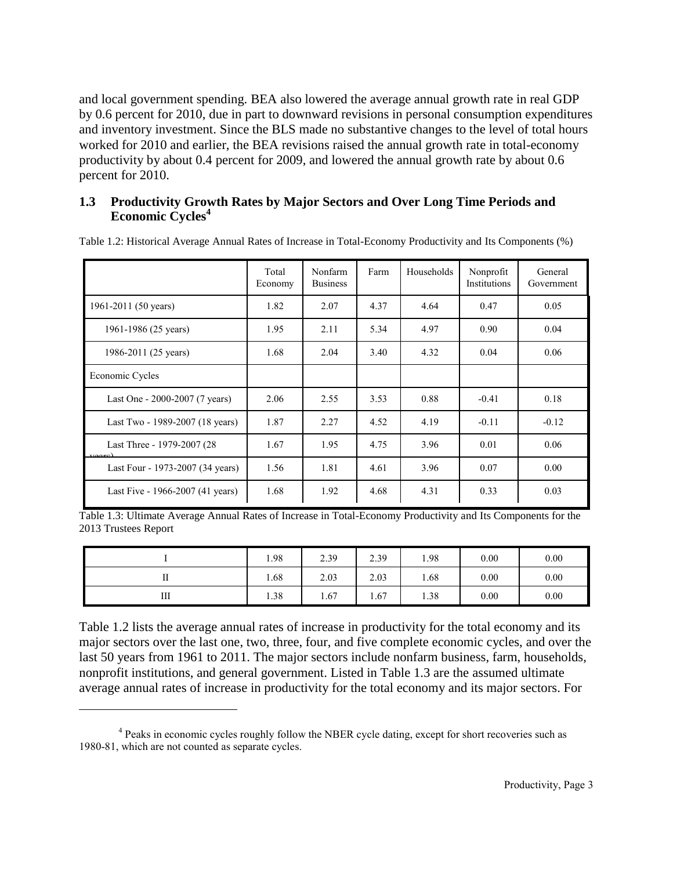and local government spending. BEA also lowered the average annual growth rate in real GDP by 0.6 percent for 2010, due in part to downward revisions in personal consumption expenditures and inventory investment. Since the BLS made no substantive changes to the level of total hours worked for 2010 and earlier, the BEA revisions raised the annual growth rate in total-economy productivity by about 0.4 percent for 2009, and lowered the annual growth rate by about 0.6 percent for 2010.

# **1.3 Productivity Growth Rates by Major Sectors and Over Long Time Periods and Economic Cycles<sup>4</sup>**

|                                                                             | Total<br>Economy | Nonfarm<br><b>Business</b> | Farm | Households | Nonprofit<br>Institutions | General<br>Government |
|-----------------------------------------------------------------------------|------------------|----------------------------|------|------------|---------------------------|-----------------------|
| 1961-2011 (50 years)                                                        | 1.82             | 2.07                       | 4.37 | 4.64       | 0.47                      | 0.05                  |
| 1961-1986 (25 years)                                                        | 1.95             | 2.11                       | 5.34 | 4.97       | 0.90                      | 0.04                  |
| 1986-2011 (25 years)                                                        | 1.68             | 2.04                       | 3.40 | 4.32       | 0.04                      | 0.06                  |
| Economic Cycles                                                             |                  |                            |      |            |                           |                       |
| Last One - 2000-2007 (7 years)                                              | 2.06             | 2.55                       | 3.53 | 0.88       | $-0.41$                   | 0.18                  |
| Last Two - 1989-2007 (18 years)                                             | 1.87             | 2.27                       | 4.52 | 4.19       | $-0.11$                   | $-0.12$               |
| Last Three - 1979-2007 (28)<br>$\mathbf{r} \cap \mathbf{r} \cap \mathbf{r}$ | 1.67             | 1.95                       | 4.75 | 3.96       | 0.01                      | 0.06                  |
| Last Four - 1973-2007 (34 years)                                            | 1.56             | 1.81                       | 4.61 | 3.96       | 0.07                      | 0.00                  |
| Last Five - 1966-2007 (41 years)                                            | 1.68             | 1.92                       | 4.68 | 4.31       | 0.33                      | 0.03                  |

<span id="page-9-0"></span>Table 1.2: Historical Average Annual Rates of Increase in Total-Economy Productivity and Its Components (%)

<span id="page-9-1"></span>Table 1.3: Ultimate Average Annual Rates of Increase in Total-Economy Productivity and Its Components for the 2013 Trustees Report

|    | 1.98 | 2.39 | 2.39 | 1.98 | 0.00 | 0.00 |
|----|------|------|------|------|------|------|
| 11 | 1.68 | 2.03 | 2.03 | 1.68 | 0.00 | 0.00 |
| Ш  | 1.38 | 1.67 | 1.67 | 1.38 | 0.00 | 0.00 |

Table 1.2 lists the average annual rates of increase in productivity for the total economy and its major sectors over the last one, two, three, four, and five complete economic cycles, and over the last 50 years from 1961 to 2011. The major sectors include nonfarm business, farm, households, nonprofit institutions, and general government. Listed in Table 1.3 are the assumed ultimate average annual rates of increase in productivity for the total economy and its major sectors. For

 $\overline{a}$ 

<sup>&</sup>lt;sup>4</sup> Peaks in economic cycles roughly follow the NBER cycle dating, except for short recoveries such as 1980-81, which are not counted as separate cycles.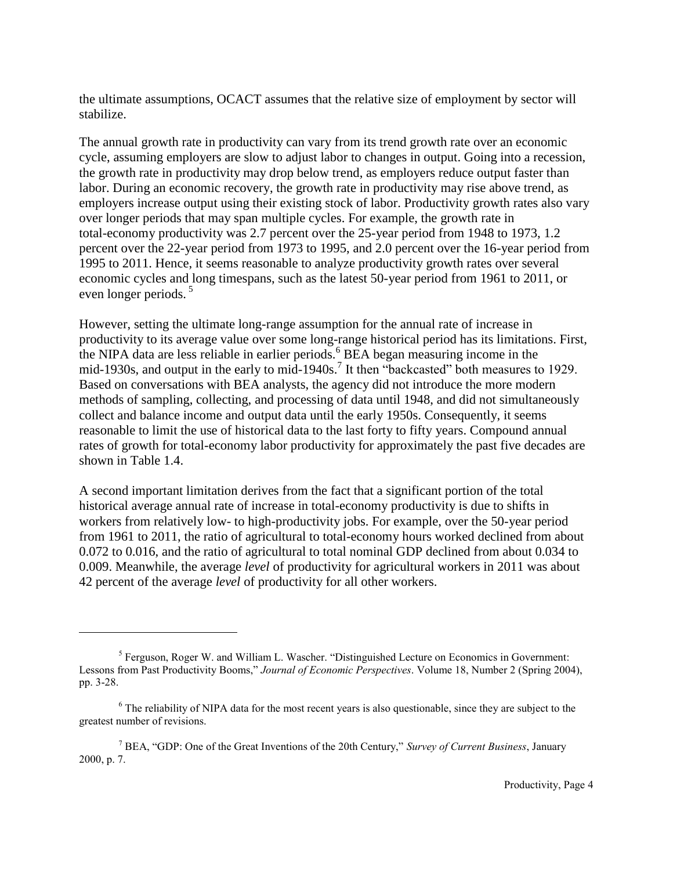the ultimate assumptions, OCACT assumes that the relative size of employment by sector will stabilize.

The annual growth rate in productivity can vary from its trend growth rate over an economic cycle, assuming employers are slow to adjust labor to changes in output. Going into a recession, the growth rate in productivity may drop below trend, as employers reduce output faster than labor. During an economic recovery, the growth rate in productivity may rise above trend, as employers increase output using their existing stock of labor. Productivity growth rates also vary over longer periods that may span multiple cycles. For example, the growth rate in total-economy productivity was 2.7 percent over the 25-year period from 1948 to 1973, 1.2 percent over the 22-year period from 1973 to 1995, and 2.0 percent over the 16-year period from 1995 to 2011. Hence, it seems reasonable to analyze productivity growth rates over several economic cycles and long timespans, such as the latest 50-year period from 1961 to 2011, or even longer periods.<sup>5</sup>

However, setting the ultimate long-range assumption for the annual rate of increase in productivity to its average value over some long-range historical period has its limitations. First, the NIPA data are less reliable in earlier periods. $6\overline{BE}$ A began measuring income in the mid-1930s, and output in the early to mid-1940s.<sup>7</sup> It then "backcasted" both measures to 1929. Based on conversations with BEA analysts, the agency did not introduce the more modern methods of sampling, collecting, and processing of data until 1948, and did not simultaneously collect and balance income and output data until the early 1950s. Consequently, it seems reasonable to limit the use of historical data to the last forty to fifty years. Compound annual rates of growth for total-economy labor productivity for approximately the past five decades are shown in Table 1.4.

A second important limitation derives from the fact that a significant portion of the total historical average annual rate of increase in total-economy productivity is due to shifts in workers from relatively low- to high-productivity jobs. For example, over the 50-year period from 1961 to 2011, the ratio of agricultural to total-economy hours worked declined from about 0.072 to 0.016, and the ratio of agricultural to total nominal GDP declined from about 0.034 to 0.009. Meanwhile, the average *level* of productivity for agricultural workers in 2011 was about 42 percent of the average *level* of productivity for all other workers.

l

<sup>&</sup>lt;sup>5</sup> Ferguson, Roger W. and William L. Wascher. "Distinguished Lecture on Economics in Government: Lessons from Past Productivity Booms," *Journal of Economic Perspectives*. Volume 18, Number 2 (Spring 2004), pp. 3-28.

<sup>&</sup>lt;sup>6</sup> The reliability of NIPA data for the most recent years is also questionable, since they are subject to the greatest number of revisions.

<sup>7</sup> BEA, "GDP: One of the Great Inventions of the 20th Century," *Survey of Current Business*, January 2000, p. 7.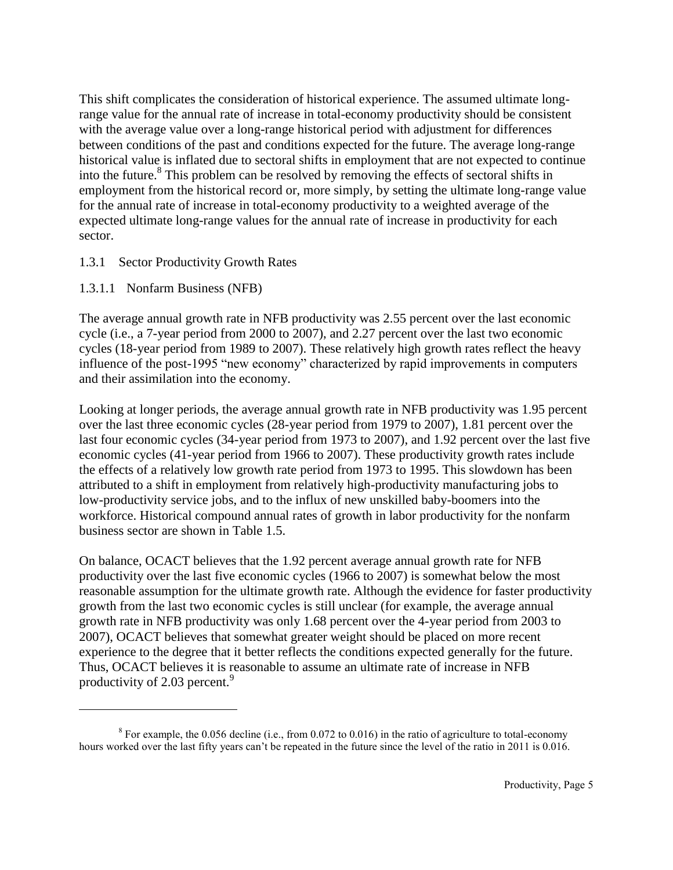This shift complicates the consideration of historical experience. The assumed ultimate longrange value for the annual rate of increase in total-economy productivity should be consistent with the average value over a long-range historical period with adjustment for differences between conditions of the past and conditions expected for the future. The average long-range historical value is inflated due to sectoral shifts in employment that are not expected to continue into the future.<sup>8</sup> This problem can be resolved by removing the effects of sectoral shifts in employment from the historical record or, more simply, by setting the ultimate long-range value for the annual rate of increase in total-economy productivity to a weighted average of the expected ultimate long-range values for the annual rate of increase in productivity for each sector.

- 1.3.1 Sector Productivity Growth Rates
- 1.3.1.1 Nonfarm Business (NFB)

 $\overline{a}$ 

The average annual growth rate in NFB productivity was 2.55 percent over the last economic cycle (i.e., a 7-year period from 2000 to 2007), and 2.27 percent over the last two economic cycles (18-year period from 1989 to 2007). These relatively high growth rates reflect the heavy influence of the post-1995 "new economy" characterized by rapid improvements in computers and their assimilation into the economy.

Looking at longer periods, the average annual growth rate in NFB productivity was 1.95 percent over the last three economic cycles (28-year period from 1979 to 2007), 1.81 percent over the last four economic cycles (34-year period from 1973 to 2007), and 1.92 percent over the last five economic cycles (41-year period from 1966 to 2007). These productivity growth rates include the effects of a relatively low growth rate period from 1973 to 1995. This slowdown has been attributed to a shift in employment from relatively high-productivity manufacturing jobs to low-productivity service jobs, and to the influx of new unskilled baby-boomers into the workforce. Historical compound annual rates of growth in labor productivity for the nonfarm business sector are shown in Table 1.5.

On balance, OCACT believes that the 1.92 percent average annual growth rate for NFB productivity over the last five economic cycles (1966 to 2007) is somewhat below the most reasonable assumption for the ultimate growth rate. Although the evidence for faster productivity growth from the last two economic cycles is still unclear (for example, the average annual growth rate in NFB productivity was only 1.68 percent over the 4-year period from 2003 to 2007), OCACT believes that somewhat greater weight should be placed on more recent experience to the degree that it better reflects the conditions expected generally for the future. Thus, OCACT believes it is reasonable to assume an ultimate rate of increase in NFB productivity of 2.03 percent.<sup>9</sup>

 $8$  For example, the 0.056 decline (i.e., from 0.072 to 0.016) in the ratio of agriculture to total-economy hours worked over the last fifty years can't be repeated in the future since the level of the ratio in 2011 is 0.016.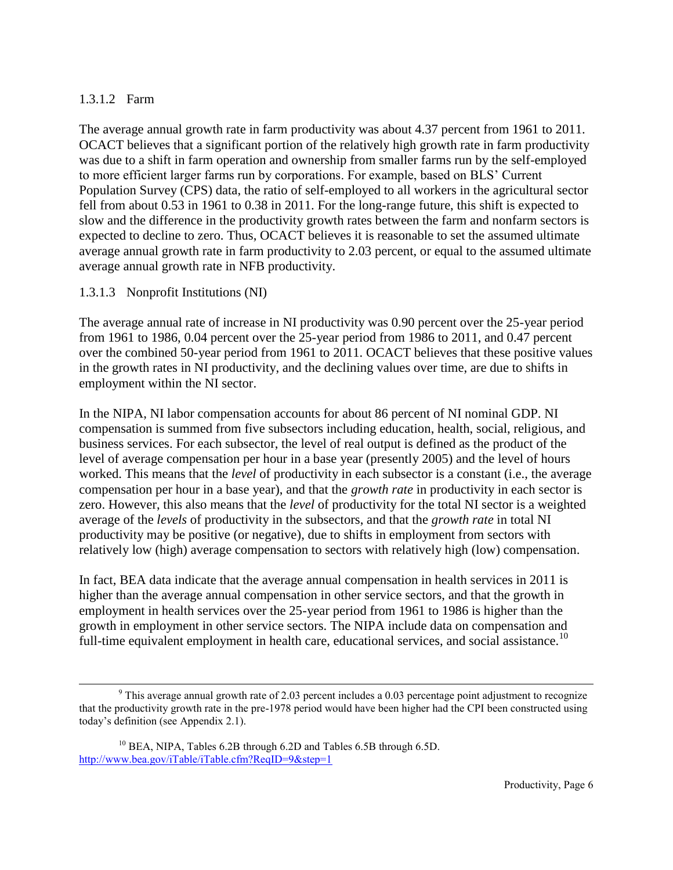# 1.3.1.2 Farm

 $\overline{a}$ 

The average annual growth rate in farm productivity was about 4.37 percent from 1961 to 2011. OCACT believes that a significant portion of the relatively high growth rate in farm productivity was due to a shift in farm operation and ownership from smaller farms run by the self-employed to more efficient larger farms run by corporations. For example, based on BLS' Current Population Survey (CPS) data, the ratio of self-employed to all workers in the agricultural sector fell from about 0.53 in 1961 to 0.38 in 2011. For the long-range future, this shift is expected to slow and the difference in the productivity growth rates between the farm and nonfarm sectors is expected to decline to zero. Thus, OCACT believes it is reasonable to set the assumed ultimate average annual growth rate in farm productivity to 2.03 percent, or equal to the assumed ultimate average annual growth rate in NFB productivity.

# 1.3.1.3 Nonprofit Institutions (NI)

The average annual rate of increase in NI productivity was 0.90 percent over the 25-year period from 1961 to 1986, 0.04 percent over the 25-year period from 1986 to 2011, and 0.47 percent over the combined 50-year period from 1961 to 2011. OCACT believes that these positive values in the growth rates in NI productivity, and the declining values over time, are due to shifts in employment within the NI sector.

In the NIPA, NI labor compensation accounts for about 86 percent of NI nominal GDP. NI compensation is summed from five subsectors including education, health, social, religious, and business services. For each subsector, the level of real output is defined as the product of the level of average compensation per hour in a base year (presently 2005) and the level of hours worked. This means that the *level* of productivity in each subsector is a constant (i.e., the average compensation per hour in a base year), and that the *growth rate* in productivity in each sector is zero. However, this also means that the *level* of productivity for the total NI sector is a weighted average of the *levels* of productivity in the subsectors, and that the *growth rate* in total NI productivity may be positive (or negative), due to shifts in employment from sectors with relatively low (high) average compensation to sectors with relatively high (low) compensation.

In fact, BEA data indicate that the average annual compensation in health services in 2011 is higher than the average annual compensation in other service sectors, and that the growth in employment in health services over the 25-year period from 1961 to 1986 is higher than the growth in employment in other service sectors. The NIPA include data on compensation and full-time equivalent employment in health care, educational services, and social assistance.<sup>10</sup>

<sup>&</sup>lt;sup>9</sup> This average annual growth rate of 2.03 percent includes a 0.03 percentage point adjustment to recognize that the productivity growth rate in the pre-1978 period would have been higher had the CPI been constructed using today's definition (see Appendix 2.1).

<sup>&</sup>lt;sup>10</sup> BEA, NIPA, Tables 6.2B through 6.2D and Tables 6.5B through 6.5D. <http://www.bea.gov/iTable/iTable.cfm?ReqID=9&step=1>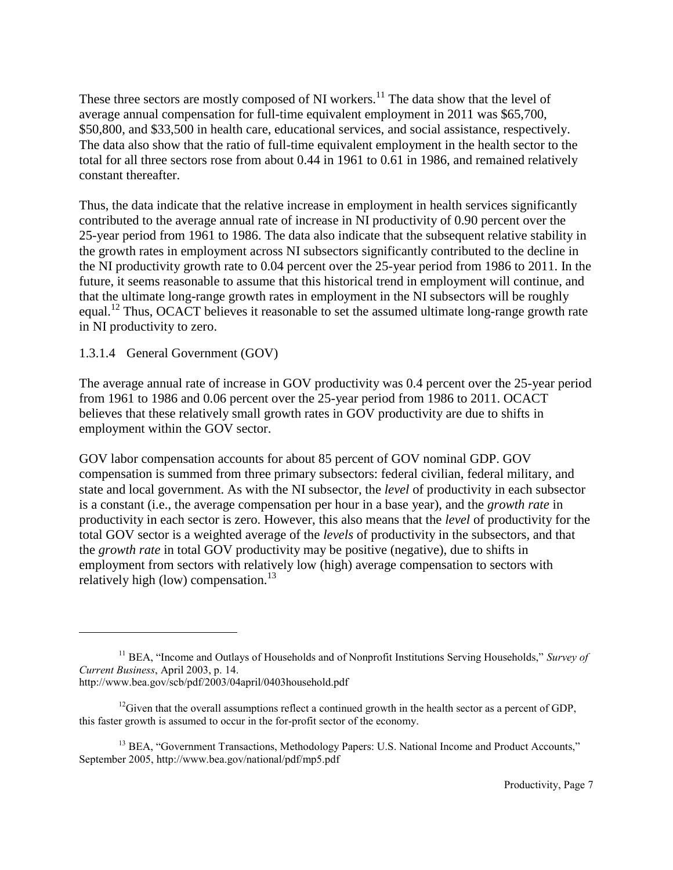These three sectors are mostly composed of NI workers.<sup>11</sup> The data show that the level of average annual compensation for full-time equivalent employment in 2011 was \$65,700, \$50,800, and \$33,500 in health care, educational services, and social assistance, respectively. The data also show that the ratio of full-time equivalent employment in the health sector to the total for all three sectors rose from about 0.44 in 1961 to 0.61 in 1986, and remained relatively constant thereafter.

Thus, the data indicate that the relative increase in employment in health services significantly contributed to the average annual rate of increase in NI productivity of 0.90 percent over the 25-year period from 1961 to 1986. The data also indicate that the subsequent relative stability in the growth rates in employment across NI subsectors significantly contributed to the decline in the NI productivity growth rate to 0.04 percent over the 25-year period from 1986 to 2011. In the future, it seems reasonable to assume that this historical trend in employment will continue, and that the ultimate long-range growth rates in employment in the NI subsectors will be roughly equal.<sup>12</sup> Thus, OCACT believes it reasonable to set the assumed ultimate long-range growth rate in NI productivity to zero.

## 1.3.1.4 General Government (GOV)

l

The average annual rate of increase in GOV productivity was 0.4 percent over the 25-year period from 1961 to 1986 and 0.06 percent over the 25-year period from 1986 to 2011. OCACT believes that these relatively small growth rates in GOV productivity are due to shifts in employment within the GOV sector.

GOV labor compensation accounts for about 85 percent of GOV nominal GDP. GOV compensation is summed from three primary subsectors: federal civilian, federal military, and state and local government. As with the NI subsector, the *level* of productivity in each subsector is a constant (i.e., the average compensation per hour in a base year), and the *growth rate* in productivity in each sector is zero. However, this also means that the *level* of productivity for the total GOV sector is a weighted average of the *levels* of productivity in the subsectors, and that the *growth rate* in total GOV productivity may be positive (negative), due to shifts in employment from sectors with relatively low (high) average compensation to sectors with relatively high (low) compensation. $13$ 

<sup>&</sup>lt;sup>11</sup> BEA, "Income and Outlays of Households and of Nonprofit Institutions Serving Households," *Survey of Current Business*, April 2003, p. 14. http://www.bea.gov/scb/pdf/2003/04april/0403household.pdf

<sup>&</sup>lt;sup>12</sup>Given that the overall assumptions reflect a continued growth in the health sector as a percent of GDP, this faster growth is assumed to occur in the for-profit sector of the economy.

<sup>&</sup>lt;sup>13</sup> BEA, "Government Transactions, Methodology Papers: U.S. National Income and Product Accounts," September 2005, http://www.bea.gov/national/pdf/mp5.pdf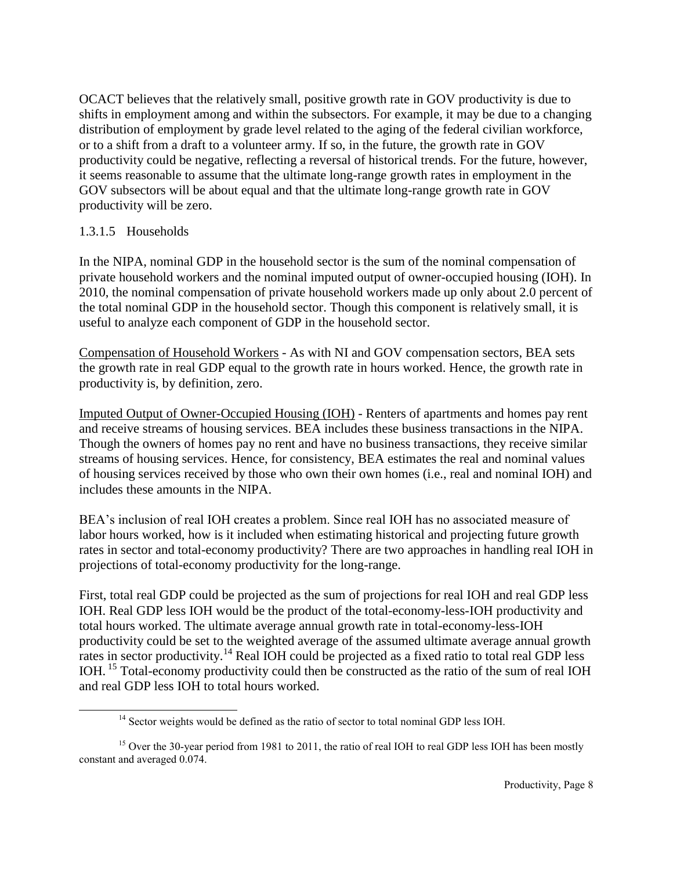OCACT believes that the relatively small, positive growth rate in GOV productivity is due to shifts in employment among and within the subsectors. For example, it may be due to a changing distribution of employment by grade level related to the aging of the federal civilian workforce, or to a shift from a draft to a volunteer army. If so, in the future, the growth rate in GOV productivity could be negative, reflecting a reversal of historical trends. For the future, however, it seems reasonable to assume that the ultimate long-range growth rates in employment in the GOV subsectors will be about equal and that the ultimate long-range growth rate in GOV productivity will be zero.

### 1.3.1.5 Households

 $\overline{a}$ 

In the NIPA, nominal GDP in the household sector is the sum of the nominal compensation of private household workers and the nominal imputed output of owner-occupied housing (IOH). In 2010, the nominal compensation of private household workers made up only about 2.0 percent of the total nominal GDP in the household sector. Though this component is relatively small, it is useful to analyze each component of GDP in the household sector.

Compensation of Household Workers - As with NI and GOV compensation sectors, BEA sets the growth rate in real GDP equal to the growth rate in hours worked. Hence, the growth rate in productivity is, by definition, zero.

Imputed Output of Owner-Occupied Housing (IOH) - Renters of apartments and homes pay rent and receive streams of housing services. BEA includes these business transactions in the NIPA. Though the owners of homes pay no rent and have no business transactions, they receive similar streams of housing services. Hence, for consistency, BEA estimates the real and nominal values of housing services received by those who own their own homes (i.e., real and nominal IOH) and includes these amounts in the NIPA.

BEA's inclusion of real IOH creates a problem. Since real IOH has no associated measure of labor hours worked, how is it included when estimating historical and projecting future growth rates in sector and total-economy productivity? There are two approaches in handling real IOH in projections of total-economy productivity for the long-range.

First, total real GDP could be projected as the sum of projections for real IOH and real GDP less IOH. Real GDP less IOH would be the product of the total-economy-less-IOH productivity and total hours worked. The ultimate average annual growth rate in total-economy-less-IOH productivity could be set to the weighted average of the assumed ultimate average annual growth rates in sector productivity.<sup>14</sup> Real IOH could be projected as a fixed ratio to total real GDP less IOH. <sup>15</sup> Total-economy productivity could then be constructed as the ratio of the sum of real IOH and real GDP less IOH to total hours worked.

<sup>&</sup>lt;sup>14</sup> Sector weights would be defined as the ratio of sector to total nominal GDP less IOH.

<sup>&</sup>lt;sup>15</sup> Over the 30-year period from 1981 to 2011, the ratio of real IOH to real GDP less IOH has been mostly constant and averaged 0.074.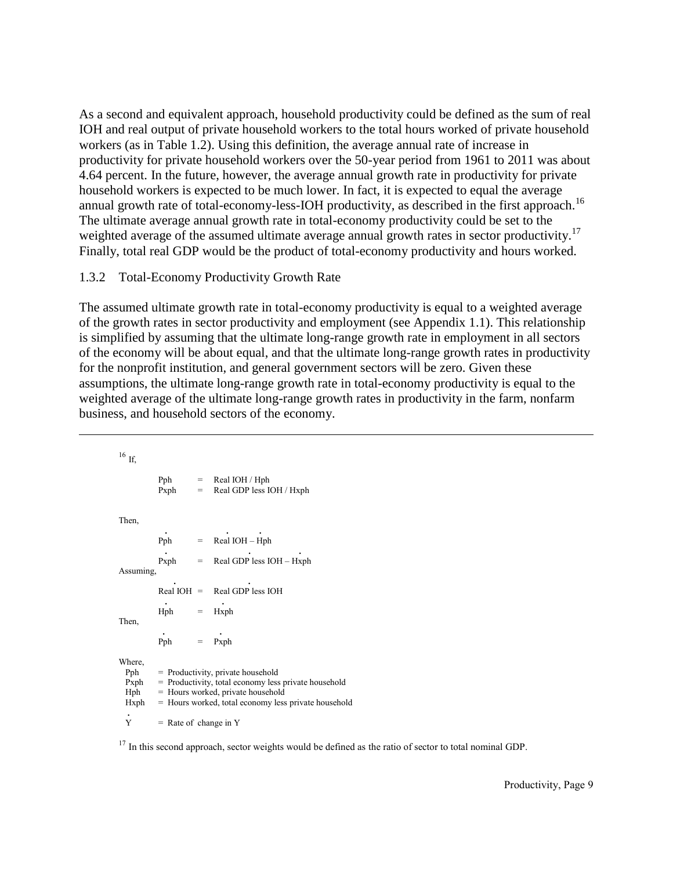As a second and equivalent approach, household productivity could be defined as the sum of real IOH and real output of private household workers to the total hours worked of private household workers (as in Table 1.2). Using this definition, the average annual rate of increase in productivity for private household workers over the 50-year period from 1961 to 2011 was about 4.64 percent. In the future, however, the average annual growth rate in productivity for private household workers is expected to be much lower. In fact, it is expected to equal the average annual growth rate of total-economy-less-IOH productivity, as described in the first approach.<sup>16</sup> The ultimate average annual growth rate in total-economy productivity could be set to the weighted average of the assumed ultimate average annual growth rates in sector productivity.<sup>17</sup> Finally, total real GDP would be the product of total-economy productivity and hours worked.

## 1.3.2 Total-Economy Productivity Growth Rate

 $\overline{a}$ 

The assumed ultimate growth rate in total-economy productivity is equal to a weighted average of the growth rates in sector productivity and employment (see Appendix 1.1). This relationship is simplified by assuming that the ultimate long-range growth rate in employment in all sectors of the economy will be about equal, and that the ultimate long-range growth rates in productivity for the nonprofit institution, and general government sectors will be zero. Given these assumptions, the ultimate long-range growth rate in total-economy productivity is equal to the weighted average of the ultimate long-range growth rates in productivity in the farm, nonfarm business, and household sectors of the economy.

 $16$  If Pph  $=$  Real IOH / Hph  $Pxph = Real GDP less IOH / Hxph$ Then, **. . .** Pph  $=$  Real IOH – Hph **. . .** Pxph = Real GDP less IOH – Hxph Assuming, **. .** Real IOH =  $Real GDP$  less IOH **. .**  $Hph = Hxph$ Then, **. .** Pph = Pxph Where,  $Pph = Productivity, private household  
\nPxbh = Productivity. total economy less$  $=$  Productivity, total economy less private household  $Hph =$  Hours worked, private household<br> $Hxph =$  Hours worked, total economy less  $=$  Hours worked, total economy less private household **.**  $\dot{Y}$  = Rate of change in Y

 $17$  In this second approach, sector weights would be defined as the ratio of sector to total nominal GDP.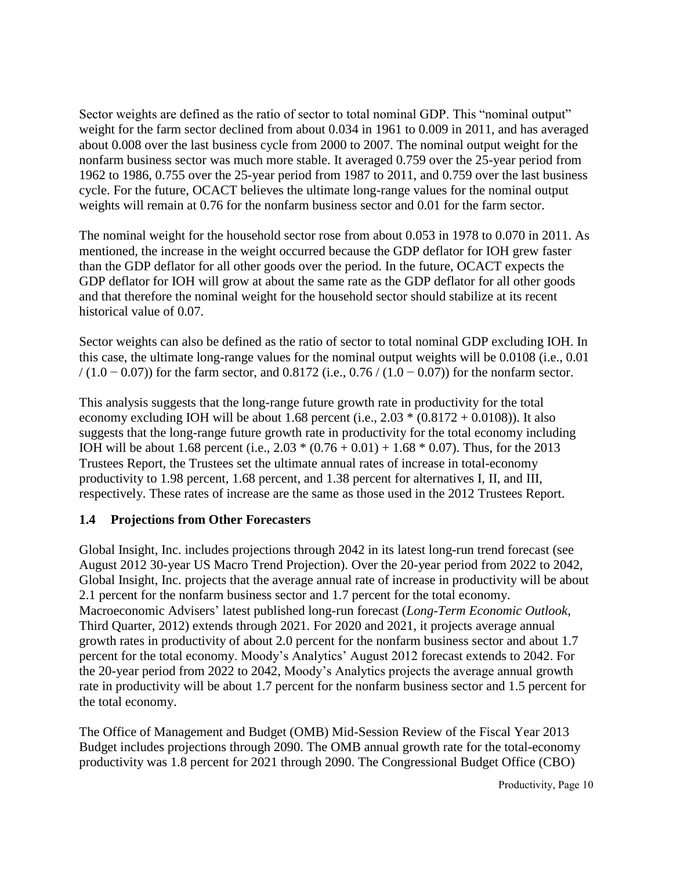Sector weights are defined as the ratio of sector to total nominal GDP. This "nominal output" weight for the farm sector declined from about 0.034 in 1961 to 0.009 in 2011, and has averaged about 0.008 over the last business cycle from 2000 to 2007. The nominal output weight for the nonfarm business sector was much more stable. It averaged 0.759 over the 25-year period from 1962 to 1986, 0.755 over the 25-year period from 1987 to 2011, and 0.759 over the last business cycle. For the future, OCACT believes the ultimate long-range values for the nominal output weights will remain at 0.76 for the nonfarm business sector and 0.01 for the farm sector.

The nominal weight for the household sector rose from about 0.053 in 1978 to 0.070 in 2011. As mentioned, the increase in the weight occurred because the GDP deflator for IOH grew faster than the GDP deflator for all other goods over the period. In the future, OCACT expects the GDP deflator for IOH will grow at about the same rate as the GDP deflator for all other goods and that therefore the nominal weight for the household sector should stabilize at its recent historical value of 0.07.

Sector weights can also be defined as the ratio of sector to total nominal GDP excluding IOH. In this case, the ultimate long-range values for the nominal output weights will be 0.0108 (i.e., 0.01  $/(1.0 - 0.07)$ ) for the farm sector, and 0.8172 (i.e., 0.76  $/(1.0 - 0.07)$ ) for the nonfarm sector.

This analysis suggests that the long-range future growth rate in productivity for the total economy excluding IOH will be about 1.68 percent (i.e.,  $2.03 * (0.8172 + 0.0108)$ ). It also suggests that the long-range future growth rate in productivity for the total economy including IOH will be about 1.68 percent (i.e.,  $2.03 * (0.76 + 0.01) + 1.68 * 0.07$ ). Thus, for the 2013 Trustees Report, the Trustees set the ultimate annual rates of increase in total-economy productivity to 1.98 percent, 1.68 percent, and 1.38 percent for alternatives I, II, and III, respectively. These rates of increase are the same as those used in the 2012 Trustees Report.

# **1.4 Projections from Other Forecasters**

Global Insight, Inc. includes projections through 2042 in its latest long-run trend forecast (see August 2012 30-year US Macro Trend Projection). Over the 20-year period from 2022 to 2042, Global Insight, Inc. projects that the average annual rate of increase in productivity will be about 2.1 percent for the nonfarm business sector and 1.7 percent for the total economy. Macroeconomic Advisers' latest published long-run forecast (*Long-Term Economic Outlook*, Third Quarter, 2012) extends through 2021. For 2020 and 2021, it projects average annual growth rates in productivity of about 2.0 percent for the nonfarm business sector and about 1.7 percent for the total economy. Moody's Analytics' August 2012 forecast extends to 2042. For the 20-year period from 2022 to 2042, Moody's Analytics projects the average annual growth rate in productivity will be about 1.7 percent for the nonfarm business sector and 1.5 percent for the total economy.

The Office of Management and Budget (OMB) Mid-Session Review of the Fiscal Year 2013 Budget includes projections through 2090. The OMB annual growth rate for the total-economy productivity was 1.8 percent for 2021 through 2090. The Congressional Budget Office (CBO)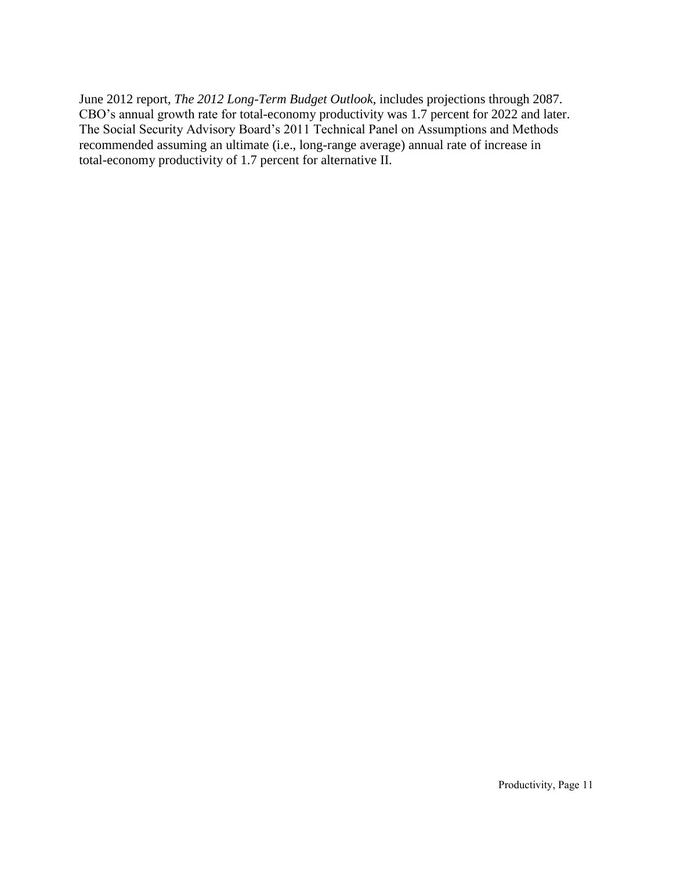June 2012 report, *The 2012 Long-Term Budget Outlook*, includes projections through 2087. CBO's annual growth rate for total-economy productivity was 1.7 percent for 2022 and later. The Social Security Advisory Board's 2011 Technical Panel on Assumptions and Methods recommended assuming an ultimate (i.e., long-range average) annual rate of increase in total-economy productivity of 1.7 percent for alternative II.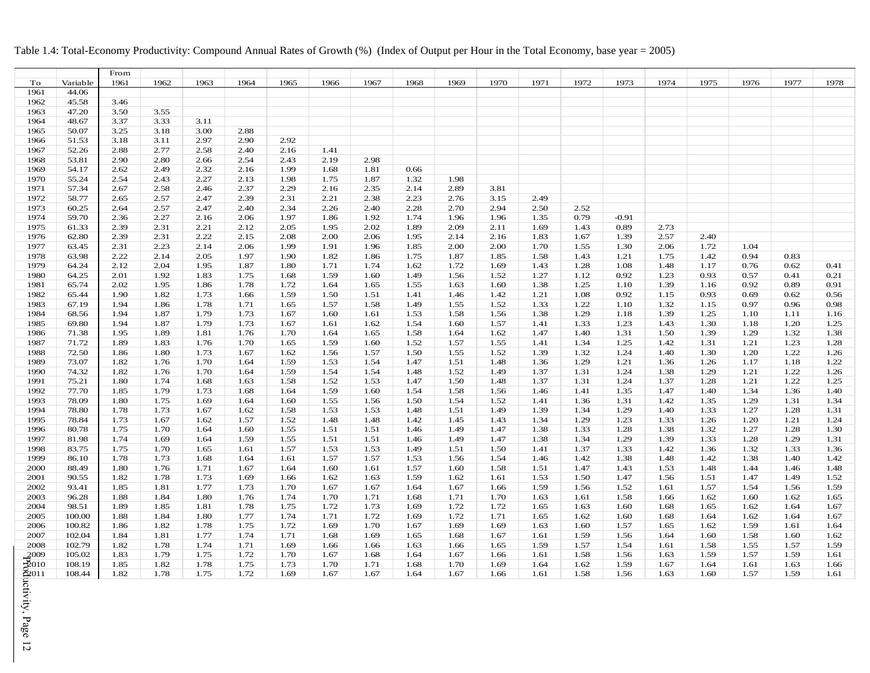#### Table 1.4: Total-Economy Productivity: Compound Annual Rates of Growth (%) (Index of Output per Hour in the Total Economy, base year = 2005)

<span id="page-18-0"></span>

|                                                                                                                                                                                                                                                                                                                                                                   |          | From |      |      |      |      |      |      |      |      |      |      |      |         |      |      |      |      |      |
|-------------------------------------------------------------------------------------------------------------------------------------------------------------------------------------------------------------------------------------------------------------------------------------------------------------------------------------------------------------------|----------|------|------|------|------|------|------|------|------|------|------|------|------|---------|------|------|------|------|------|
| To                                                                                                                                                                                                                                                                                                                                                                | Variable | 1961 | 1962 | 1963 | 1964 | 1965 | 1966 | 1967 | 1968 | 1969 | 1970 | 1971 | 1972 | 1973    | 1974 | 1975 | 1976 | 1977 | 1978 |
| 1961                                                                                                                                                                                                                                                                                                                                                              | 44.06    |      |      |      |      |      |      |      |      |      |      |      |      |         |      |      |      |      |      |
| 1962                                                                                                                                                                                                                                                                                                                                                              | 45.58    | 3.46 |      |      |      |      |      |      |      |      |      |      |      |         |      |      |      |      |      |
| 1963                                                                                                                                                                                                                                                                                                                                                              | 47.20    | 3.50 | 3.55 |      |      |      |      |      |      |      |      |      |      |         |      |      |      |      |      |
| 1964                                                                                                                                                                                                                                                                                                                                                              | 48.67    | 3.37 | 3.33 | 3.11 |      |      |      |      |      |      |      |      |      |         |      |      |      |      |      |
| 1965                                                                                                                                                                                                                                                                                                                                                              | 50.07    | 3.25 | 3.18 | 3.00 | 2.88 |      |      |      |      |      |      |      |      |         |      |      |      |      |      |
| 1966                                                                                                                                                                                                                                                                                                                                                              | 51.53    | 3.18 | 3.11 | 2.97 | 2.90 | 2.92 |      |      |      |      |      |      |      |         |      |      |      |      |      |
| 1967                                                                                                                                                                                                                                                                                                                                                              | 52.26    | 2.88 | 2.77 | 2.58 | 2.40 | 2.16 | 1.41 |      |      |      |      |      |      |         |      |      |      |      |      |
| 1968                                                                                                                                                                                                                                                                                                                                                              | 53.81    | 2.90 | 2.80 | 2.66 | 2.54 | 2.43 | 2.19 | 2.98 |      |      |      |      |      |         |      |      |      |      |      |
| 1969                                                                                                                                                                                                                                                                                                                                                              | 54.17    | 2.62 | 2.49 | 2.32 | 2.16 | 1.99 | 1.68 | 1.81 | 0.66 |      |      |      |      |         |      |      |      |      |      |
| 1970                                                                                                                                                                                                                                                                                                                                                              | 55.24    | 2.54 | 2.43 | 2.27 | 2.13 | 1.98 | 1.75 | 1.87 | 1.32 | 1.98 |      |      |      |         |      |      |      |      |      |
| 1971                                                                                                                                                                                                                                                                                                                                                              | 57.34    | 2.67 | 2.58 | 2.46 | 2.37 | 2.29 | 2.16 | 2.35 | 2.14 | 2.89 | 3.81 |      |      |         |      |      |      |      |      |
| 1972                                                                                                                                                                                                                                                                                                                                                              | 58.77    | 2.65 | 2.57 | 2.47 | 2.39 | 2.31 | 2.21 | 2.38 | 2.23 | 2.76 | 3.15 | 2.49 |      |         |      |      |      |      |      |
| 1973                                                                                                                                                                                                                                                                                                                                                              | 60.25    | 2.64 | 2.57 | 2.47 | 2.40 | 2.34 | 2.26 | 2.40 | 2.28 | 2.70 | 2.94 | 2.50 | 2.52 |         |      |      |      |      |      |
| 1974                                                                                                                                                                                                                                                                                                                                                              | 59.70    | 2.36 | 2.27 | 2.16 | 2.06 | 1.97 | 1.86 | 1.92 | 1.74 | 1.96 | 1.96 | 1.35 | 0.79 | $-0.91$ |      |      |      |      |      |
| 1975                                                                                                                                                                                                                                                                                                                                                              | 61.33    | 2.39 | 2.31 | 2.21 | 2.12 | 2.05 | 1.95 | 2.02 | 1.89 | 2.09 | 2.11 | 1.69 | 1.43 | 0.89    | 2.73 |      |      |      |      |
| 1976                                                                                                                                                                                                                                                                                                                                                              | 62.80    | 2.39 | 2.31 | 2.22 | 2.15 | 2.08 | 2.00 | 2.06 | 1.95 | 2.14 | 2.16 | 1.83 | 1.67 | 1.39    | 2.57 | 2.40 |      |      |      |
| 1977                                                                                                                                                                                                                                                                                                                                                              | 63.45    | 2.31 | 2.23 | 2.14 | 2.06 | 1.99 | 1.91 | 1.96 | 1.85 | 2.00 | 2.00 | 1.70 | 1.55 | 1.30    | 2.06 | 1.72 | 1.04 |      |      |
| 1978                                                                                                                                                                                                                                                                                                                                                              | 63.98    | 2.22 | 2.14 | 2.05 | 1.97 | 1.90 | 1.82 | 1.86 | 1.75 | 1.87 | 1.85 | 1.58 | 1.43 | 1.21    | 1.75 | 1.42 | 0.94 | 0.83 |      |
| 1979                                                                                                                                                                                                                                                                                                                                                              | 64.24    | 2.12 | 2.04 | 1.95 | 1.87 | 1.80 | 1.71 | 1.74 | 1.62 | 1.72 | 1.69 | 1.43 | 1.28 | 1.08    | 1.48 | 1.17 | 0.76 | 0.62 | 0.41 |
|                                                                                                                                                                                                                                                                                                                                                                   |          |      |      |      |      |      |      |      |      |      |      |      |      |         |      |      | 0.57 |      |      |
| 1980                                                                                                                                                                                                                                                                                                                                                              | 64.25    | 2.01 | 1.92 | 1.83 | 1.75 | 1.68 | 1.59 | 1.60 | 1.49 | 1.56 | 1.52 | 1.27 | 1.12 | 0.92    | 1.23 | 0.93 | 0.92 | 0.41 | 0.21 |
| 1981                                                                                                                                                                                                                                                                                                                                                              | 65.74    | 2.02 | 1.95 | 1.86 | 1.78 | 1.72 | 1.64 | 1.65 | 1.55 | 1.63 | 1.60 | 1.38 | 1.25 | 1.10    | 1.39 | 1.16 |      | 0.89 | 0.91 |
| 1982                                                                                                                                                                                                                                                                                                                                                              | 65.44    | 1.90 | 1.82 | 1.73 | 1.66 | 1.59 | 1.50 | 1.51 | 1.41 | 1.46 | 1.42 | 1.21 | 1.08 | 0.92    | 1.15 | 0.93 | 0.69 | 0.62 | 0.56 |
| 1983                                                                                                                                                                                                                                                                                                                                                              | 67.19    | 1.94 | 1.86 | 1.78 | 1.71 | 1.65 | 1.57 | 1.58 | 1.49 | 1.55 | 1.52 | 1.33 | 1.22 | 1.10    | 1.32 | 1.15 | 0.97 | 0.96 | 0.98 |
| 1984                                                                                                                                                                                                                                                                                                                                                              | 68.56    | 1.94 | 1.87 | 1.79 | 1.73 | 1.67 | 1.60 | 1.61 | 1.53 | 1.58 | 1.56 | 1.38 | 1.29 | 1.18    | 1.39 | 1.25 | 1.10 | 1.11 | 1.16 |
| 1985                                                                                                                                                                                                                                                                                                                                                              | 69.80    | 1.94 | 1.87 | 1.79 | 1.73 | 1.67 | 1.61 | 1.62 | 1.54 | 1.60 | 1.57 | 1.41 | 1.33 | 1.23    | 1.43 | 1.30 | 1.18 | 1.20 | 1.25 |
| 1986                                                                                                                                                                                                                                                                                                                                                              | 71.38    | 1.95 | 1.89 | 1.81 | 1.76 | 1.70 | 1.64 | 1.65 | 1.58 | 1.64 | 1.62 | 1.47 | 1.40 | 1.31    | 1.50 | 1.39 | 1.29 | 1.32 | 1.38 |
| 1987                                                                                                                                                                                                                                                                                                                                                              | 71.72    | 1.89 | 1.83 | 1.76 | 1.70 | 1.65 | 1.59 | 1.60 | 1.52 | 1.57 | 1.55 | 1.41 | 1.34 | 1.25    | 1.42 | 1.31 | 1.21 | 1.23 | 1.28 |
| 1988                                                                                                                                                                                                                                                                                                                                                              | 72.50    | 1.86 | 1.80 | 1.73 | 1.67 | 1.62 | 1.56 | 1.57 | 1.50 | 1.55 | 1.52 | 1.39 | 1.32 | 1.24    | 1.40 | 1.30 | 1.20 | 1.22 | 1.26 |
| 1989                                                                                                                                                                                                                                                                                                                                                              | 73.07    | 1.82 | 1.76 | 1.70 | 1.64 | 1.59 | 1.53 | 1.54 | 1.47 | 1.51 | 1.48 | 1.36 | 1.29 | 1.21    | 1.36 | 1.26 | 1.17 | 1.18 | 1.22 |
| 1990                                                                                                                                                                                                                                                                                                                                                              | 74.32    | 1.82 | 1.76 | 1.70 | 1.64 | 1.59 | 1.54 | 1.54 | 1.48 | 1.52 | 1.49 | 1.37 | 1.31 | 1.24    | 1.38 | 1.29 | 1.21 | 1.22 | 1.26 |
| 1991                                                                                                                                                                                                                                                                                                                                                              | 75.21    | 1.80 | 1.74 | 1.68 | 1.63 | 1.58 | 1.52 | 1.53 | 1.47 | 1.50 | 1.48 | 1.37 | 1.31 | 1.24    | 1.37 | 1.28 | 1.21 | 1.22 | 1.25 |
| 1992                                                                                                                                                                                                                                                                                                                                                              | 77.70    | 1.85 | 1.79 | 1.73 | 1.68 | 1.64 | 1.59 | 1.60 | 1.54 | 1.58 | 1.56 | 1.46 | 1.41 | 1.35    | 1.47 | 1.40 | 1.34 | 1.36 | 1.40 |
| 1993                                                                                                                                                                                                                                                                                                                                                              | 78.09    | 1.80 | 1.75 | 1.69 | 1.64 | 1.60 | 1.55 | 1.56 | 1.50 | 1.54 | 1.52 | 1.41 | 1.36 | 1.31    | 1.42 | 1.35 | 1.29 | 1.31 | 1.34 |
| 1994                                                                                                                                                                                                                                                                                                                                                              | 78.80    | 1.78 | 1.73 | 1.67 | 1.62 | 1.58 | 1.53 | 1.53 | 1.48 | 1.51 | 1.49 | 1.39 | 1.34 | 1.29    | 1.40 | 1.33 | 1.27 | 1.28 | 1.31 |
| 1995                                                                                                                                                                                                                                                                                                                                                              | 78.84    | 1.73 | 1.67 | 1.62 | 1.57 | 1.52 | 1.48 | 1.48 | 1.42 | 1.45 | 1.43 | 1.34 | 1.29 | 1.23    | 1.33 | 1.26 | 1.20 | 1.21 | 1.24 |
| 1996                                                                                                                                                                                                                                                                                                                                                              | 80.78    | 1.75 | 1.70 | 1.64 | 1.60 | 1.55 | 1.51 | 1.51 | 1.46 | 1.49 | 1.47 | 1.38 | 1.33 | 1.28    | 1.38 | 1.32 | 1.27 | 1.28 | 1.30 |
| 1997                                                                                                                                                                                                                                                                                                                                                              | 81.98    | 1.74 | 1.69 | 1.64 | 1.59 | 1.55 | 1.51 | 1.51 | 1.46 | 1.49 | 1.47 | 1.38 | 1.34 | 1.29    | 1.39 | 1.33 | 1.28 | 1.29 | 1.31 |
| 1998                                                                                                                                                                                                                                                                                                                                                              | 83.75    | 1.75 | 1.70 | 1.65 | 1.61 | 1.57 | 1.53 | 1.53 | 1.49 | 1.51 | 1.50 | 1.41 | 1.37 | 1.33    | 1.42 | 1.36 | 1.32 | 1.33 | 1.36 |
| 1999                                                                                                                                                                                                                                                                                                                                                              | 86.10    | 1.78 | 1.73 | 1.68 | 1.64 | 1.61 | 1.57 | 1.57 | 1.53 | 1.56 | 1.54 | 1.46 | 1.42 | 1.38    | 1.48 | 1.42 | 1.38 | 1.40 | 1.42 |
| 2000                                                                                                                                                                                                                                                                                                                                                              | 88.49    | 1.80 | 1.76 | 1.71 | 1.67 | 1.64 | 1.60 | 1.61 | 1.57 | 1.60 | 1.58 | 1.51 | 1.47 | 1.43    | 1.53 | 1.48 | 1.44 | 1.46 | 1.48 |
| 2001                                                                                                                                                                                                                                                                                                                                                              | 90.55    | 1.82 | 1.78 | 1.73 | 1.69 | 1.66 | 1.62 | 1.63 | 1.59 | 1.62 | 1.61 | 1.53 | 1.50 | 1.47    | 1.56 | 1.51 | 1.47 | 1.49 | 1.52 |
| 2002                                                                                                                                                                                                                                                                                                                                                              | 93.41    | 1.85 | 1.81 | 1.77 | 1.73 | 1.70 | 1.67 | 1.67 | 1.64 | 1.67 | 1.66 | 1.59 | 1.56 | 1.52    | 1.61 | 1.57 | 1.54 | 1.56 | 1.59 |
| 2003                                                                                                                                                                                                                                                                                                                                                              | 96.28    | 1.88 | 1.84 | 1.80 | 1.76 | 1.74 | 1.70 | 1.71 | 1.68 | 1.71 | 1.70 | 1.63 | 1.61 | 1.58    | 1.66 | 1.62 | 1.60 | 1.62 | 1.65 |
| 2004                                                                                                                                                                                                                                                                                                                                                              | 98.51    | 1.89 | 1.85 | 1.81 | 1.78 | 1.75 | 1.72 | 1.73 | 1.69 | 1.72 | 1.72 | 1.65 | 1.63 | 1.60    | 1.68 | 1.65 | 1.62 | 1.64 | 1.67 |
| 2005                                                                                                                                                                                                                                                                                                                                                              | 100.00   | 1.88 | 1.84 | 1.80 | 1.77 | 1.74 | 1.71 | 1.72 | 1.69 | 1.72 | 1.71 | 1.65 | 1.62 | 1.60    | 1.68 | 1.64 | 1.62 | 1.64 | 1.67 |
| 2006                                                                                                                                                                                                                                                                                                                                                              | 100.82   | 1.86 | 1.82 | 1.78 | 1.75 | 1.72 | 1.69 | 1.70 | 1.67 | 1.69 | 1.69 | 1.63 | 1.60 | 1.57    | 1.65 | 1.62 | 1.59 | 1.61 | 1.64 |
| 2007                                                                                                                                                                                                                                                                                                                                                              | 102.04   | 1.84 | 1.81 | 1.77 | 1.74 | 1.71 | 1.68 | 1.69 | 1.65 | 1.68 | 1.67 | 1.61 | 1.59 | 1.56    | 1.64 | 1.60 | 1.58 | 1.60 | 1.62 |
| 2008                                                                                                                                                                                                                                                                                                                                                              | 102.79   | 1.82 | 1.78 | 1.74 | 1.71 | 1.69 | 1.66 | 1.66 | 1.63 | 1.66 | 1.65 | 1.59 | 1.57 | 1.54    | 1.61 | 1.58 | 1.55 | 1.57 | 1.59 |
| 2009                                                                                                                                                                                                                                                                                                                                                              | 105.02   | 1.83 | 1.79 | 1.75 | 1.72 | 1.70 | 1.67 | 1.68 | 1.64 | 1.67 | 1.66 | 1.61 | 1.58 | 1.56    | 1.63 | 1.59 | 1.57 | 1.59 | 1.61 |
|                                                                                                                                                                                                                                                                                                                                                                   | 108.19   | 1.85 | 1.82 | 1.78 | 1.75 | 1.73 | 1.70 | 1.71 | 1.68 | 1.70 | 1.69 | 1.64 | 1.62 | 1.59    | 1.67 | 1.64 | 1.61 | 1.63 | 1.66 |
|                                                                                                                                                                                                                                                                                                                                                                   | 108.44   | 1.82 | 1.78 | 1.75 | 1.72 | 1.69 | 1.67 | 1.67 | 1.64 | 1.67 | 1.66 | 1.61 | 1.58 | 1.56    | 1.63 | 1.60 | 1.57 | 1.59 | 1.61 |
|                                                                                                                                                                                                                                                                                                                                                                   |          |      |      |      |      |      |      |      |      |      |      |      |      |         |      |      |      |      |      |
|                                                                                                                                                                                                                                                                                                                                                                   |          |      |      |      |      |      |      |      |      |      |      |      |      |         |      |      |      |      |      |
|                                                                                                                                                                                                                                                                                                                                                                   |          |      |      |      |      |      |      |      |      |      |      |      |      |         |      |      |      |      |      |
|                                                                                                                                                                                                                                                                                                                                                                   |          |      |      |      |      |      |      |      |      |      |      |      |      |         |      |      |      |      |      |
|                                                                                                                                                                                                                                                                                                                                                                   |          |      |      |      |      |      |      |      |      |      |      |      |      |         |      |      |      |      |      |
| $\frac{1}{2}$<br>$\frac{1}{2}$<br>$\frac{1}{2}$<br>$\frac{1}{2}$<br>$\frac{1}{2}$<br>$\frac{1}{2}$<br>$\frac{1}{2}$<br>$\frac{1}{2}$<br>$\frac{1}{2}$<br>$\frac{1}{2}$<br>$\frac{1}{2}$<br>$\frac{1}{2}$<br>$\frac{1}{2}$<br>$\frac{1}{2}$<br>$\frac{1}{2}$<br>$\frac{1}{2}$<br>$\frac{1}{2}$<br>$\frac{1}{2}$<br>$\frac{1}{2}$<br>$\frac{1}{2}$<br>$\frac{1}{2}$ |          |      |      |      |      |      |      |      |      |      |      |      |      |         |      |      |      |      |      |
| $\overline{5}$                                                                                                                                                                                                                                                                                                                                                    |          |      |      |      |      |      |      |      |      |      |      |      |      |         |      |      |      |      |      |
|                                                                                                                                                                                                                                                                                                                                                                   |          |      |      |      |      |      |      |      |      |      |      |      |      |         |      |      |      |      |      |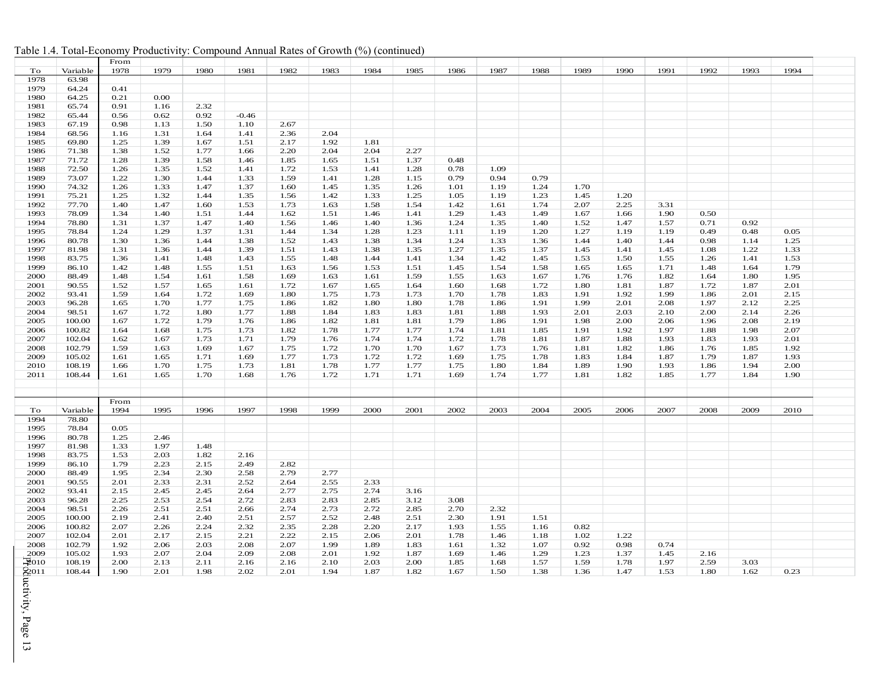|                            |                  | From         |              |              |              |              |              |              |              |              |              |              |      |      |      |      |      |      |  |
|----------------------------|------------------|--------------|--------------|--------------|--------------|--------------|--------------|--------------|--------------|--------------|--------------|--------------|------|------|------|------|------|------|--|
| To                         | Variable         | 1978         | 1979         | 1980         | 1981         | 1982         | 1983         | 1984         | 1985         | 1986         | 1987         | 1988         | 1989 | 1990 | 1991 | 1992 | 1993 | 1994 |  |
| 1978                       | 63.98            |              |              |              |              |              |              |              |              |              |              |              |      |      |      |      |      |      |  |
| 1979                       | 64.24            | 0.41         |              |              |              |              |              |              |              |              |              |              |      |      |      |      |      |      |  |
| 1980                       | 64.25            | 0.21         | 0.00         |              |              |              |              |              |              |              |              |              |      |      |      |      |      |      |  |
| 1981                       | 65.74            | 0.91         | 1.16         | 2.32         |              |              |              |              |              |              |              |              |      |      |      |      |      |      |  |
| 1982                       | 65.44            | 0.56         | 0.62         | 0.92         | $-0.46$      |              |              |              |              |              |              |              |      |      |      |      |      |      |  |
| 1983                       | 67.19            | 0.98         | 1.13         | 1.50         | 1.10         | 2.67         |              |              |              |              |              |              |      |      |      |      |      |      |  |
| 1984                       | 68.56            | 1.16         | 1.31         | 1.64         | 1.41         | 2.36         | 2.04         |              |              |              |              |              |      |      |      |      |      |      |  |
| 1985                       | 69.80            | 1.25         | 1.39         | 1.67         | 1.51         | 2.17         | 1.92         | 1.81         |              |              |              |              |      |      |      |      |      |      |  |
| 1986                       | 71.38            | 1.38         | 1.52         | 1.77         | 1.66         | 2.20         | 2.04         | 2.04         | 2.27         |              |              |              |      |      |      |      |      |      |  |
| 1987                       | 71.72            | 1.28         | 1.39         | 1.58         | 1.46         | 1.85         | 1.65         | 1.51         | 1.37         | 0.48         |              |              |      |      |      |      |      |      |  |
| 1988                       | 72.50            | 1.26         | 1.35         | 1.52         | 1.41         | 1.72         | 1.53         | 1.41         | 1.28         | 0.78         | 1.09         |              |      |      |      |      |      |      |  |
| 1989                       | 73.07            | 1.22         | 1.30         | 1.44         | 1.33         | 1.59         | 1.41         | 1.28         | 1.15         | 0.79         | 0.94         | 0.79         |      |      |      |      |      |      |  |
| 1990                       | 74.32            | 1.26         | 1.33         | 1.47         | 1.37         | 1.60         | 1.45         | 1.35         | 1.26         | 1.01         | 1.19         | 1.24         | 1.70 |      |      |      |      |      |  |
| 1991                       | 75.21            | 1.25         | 1.32         | 1.44         | 1.35         | 1.56         | 1.42         | 1.33         | 1.25         | 1.05         | 1.19         | 1.23         | 1.45 | 1.20 |      |      |      |      |  |
| 1992                       | 77.70            | 1.40         | 1.47         | 1.60         | 1.53         | 1.73         | 1.63         | 1.58         | 1.54         | 1.42         | 1.61         | 1.74         | 2.07 | 2.25 | 3.31 |      |      |      |  |
| 1993                       | 78.09            | 1.34         | 1.40         | 1.51         | 1.44         | 1.62         | 1.51         | 1.46         | 1.41         | 1.29         | 1.43         | 1.49         | 1.67 | 1.66 | 1.90 | 0.50 |      |      |  |
| 1994                       | 78.80            | 1.31         | 1.37         | 1.47         | 1.40         | 1.56         | 1.46         | 1.40         | 1.36         | 1.24         | 1.35         | 1.40         | 1.52 | 1.47 | 1.57 | 0.71 | 0.92 |      |  |
| 1995                       | 78.84            | 1.24         | 1.29         | 1.37         | 1.31         | 1.44         | 1.34         | 1.28         | 1.23         | 1.11         | 1.19         | 1.20         | 1.27 | 1.19 | 1.19 | 0.49 | 0.48 | 0.05 |  |
| 1996                       | 80.78            | 1.30         | 1.36         | 1.44         | 1.38         | 1.52         | 1.43         | 1.38         | 1.34         | 1.24         | 1.33         | 1.36         | 1.44 | 1.40 | 1.44 | 0.98 | 1.14 | 1.25 |  |
| 1997                       | 81.98            | 1.31         | 1.36         | 1.44         | 1.39         | 1.51         | 1.43         | 1.38         | 1.35         | 1.27         | 1.35         | 1.37         | 1.45 | 1.41 | 1.45 | 1.08 | 1.22 | 1.33 |  |
| 1998                       | 83.75            | 1.36         | 1.41         | 1.48         | 1.43         | 1.55         | 1.48         | 1.44         | 1.41         | 1.34         | 1.42         | 1.45         | 1.53 | 1.50 | 1.55 | 1.26 | 1.41 | 1.53 |  |
| 1999                       | 86.10            | 1.42         | 1.48         | 1.55         | 1.51         | 1.63         | 1.56         | 1.53         | 1.51         | 1.45         | 1.54         | 1.58         | 1.65 | 1.65 | 1.71 | 1.48 | 1.64 | 1.79 |  |
| 2000                       | 88.49            | 1.48         | 1.54         | 1.61         | 1.58         | 1.69         | 1.63         | 1.61         | 1.59         | 1.55         | 1.63         | 1.67         | 1.76 | 1.76 | 1.82 | 1.64 | 1.80 | 1.95 |  |
| 2001                       | 90.55            | 1.52         | 1.57         | 1.65         | 1.61         | 1.72         | 1.67         | 1.65         | 1.64         | 1.60         | 1.68         | 1.72         | 1.80 | 1.81 | 1.87 | 1.72 | 1.87 | 2.01 |  |
| 2002                       | 93.41            | 1.59         | 1.64         | 1.72         | 1.69         | 1.80         | 1.75         | 1.73         | 1.73         | 1.70         | 1.78         | 1.83         | 1.91 | 1.92 | 1.99 | 1.86 | 2.01 | 2.15 |  |
| 2003                       | 96.28            | 1.65         | 1.70         | 1.77         | 1.75         | 1.86         | 1.82         | 1.80         | 1.80         | 1.78         | 1.86         | 1.91         | 1.99 | 2.01 | 2.08 | 1.97 | 2.12 | 2.25 |  |
| 2004                       | 98.51            | 1.67         | 1.72         | 1.80         | 1.77         | 1.88         | 1.84         | 1.83         | 1.83         | 1.81         | 1.88         | 1.93         | 2.01 | 2.03 | 2.10 | 2.00 | 2.14 | 2.26 |  |
| 2005                       | 100.00           | 1.67         | 1.72         | 1.79         | 1.76         | 1.86         | 1.82         | 1.81         | 1.81         | 1.79         | 1.86         | 1.91         | 1.98 | 2.00 | 2.06 | 1.96 | 2.08 | 2.19 |  |
| 2006                       | 100.82           | 1.64         | 1.68         | 1.75         | 1.73         | 1.82         | 1.78         | 1.77         | 1.77         | 1.74         | 1.81         | 1.85         | 1.91 | 1.92 | 1.97 | 1.88 | 1.98 | 2.07 |  |
| 2007                       | 102.04           | 1.62         | 1.67         | 1.73         | 1.71         | 1.79         | 1.76         | 1.74         | 1.74         | 1.72         | 1.78         | 1.81         | 1.87 | 1.88 | 1.93 | 1.83 | 1.93 | 2.01 |  |
| 2008                       | 102.79           | 1.59         | 1.63         | 1.69         | 1.67         | 1.75         | 1.72         | 1.70         | 1.70         | 1.67         | 1.73         | 1.76         | 1.81 | 1.82 | 1.86 | 1.76 | 1.85 | 1.92 |  |
| 2009                       | 105.02           | 1.61         | 1.65         | 1.71         | 1.69         | 1.77         | 1.73         | 1.72         | 1.72         | 1.69         | 1.75         | 1.78         | 1.83 | 1.84 | 1.87 | 1.79 | 1.87 | 1.93 |  |
| 2010                       | 108.19           | 1.66         | 1.70         | 1.75         | 1.73         | 1.81         | 1.78         | 1.77         | 1.77         | 1.75         | 1.80         | 1.84         | 1.89 | 1.90 | 1.93 | 1.86 | 1.94 | 2.00 |  |
| 2011                       | 108.44           |              | 1.65         | 1.70         | 1.68         | 1.76         | 1.72         | 1.71         | 1.71         | 1.69         | 1.74         | 1.77         | 1.81 | 1.82 | 1.85 | 1.77 | 1.84 | 1.90 |  |
|                            |                  | 1.61         |              |              |              |              |              |              |              |              |              |              |      |      |      |      |      |      |  |
|                            |                  |              |              |              |              |              |              |              |              |              |              |              |      |      |      |      |      |      |  |
|                            |                  | From         |              |              |              |              |              |              |              |              |              |              |      |      |      |      |      |      |  |
| To                         | Variable         | 1994         | 1995         | 1996         | 1997         | 1998         | 1999         | 2000         | 2001         | 2002         | 2003         | 2004         | 2005 | 2006 | 2007 | 2008 | 2009 | 2010 |  |
| 1994                       | 78.80            |              |              |              |              |              |              |              |              |              |              |              |      |      |      |      |      |      |  |
| 1995                       | 78.84            | 0.05         |              |              |              |              |              |              |              |              |              |              |      |      |      |      |      |      |  |
| 1996                       | 80.78            | 1.25         | 2.46         |              |              |              |              |              |              |              |              |              |      |      |      |      |      |      |  |
| 1997                       | 81.98            | 1.33         | 1.97         | 1.48         |              |              |              |              |              |              |              |              |      |      |      |      |      |      |  |
| 1998                       | 83.75            | 1.53         | 2.03         | 1.82         | 2.16         |              |              |              |              |              |              |              |      |      |      |      |      |      |  |
| 1999                       | 86.10            | 1.79         | 2.23         | 2.15         | 2.49         | 2.82         |              |              |              |              |              |              |      |      |      |      |      |      |  |
| 2000                       | 88.49            | 1.95         | 2.34         | 2.30         | 2.58         | 2.79         | 2.77         |              |              |              |              |              |      |      |      |      |      |      |  |
| 2001                       | 90.55            | 2.01         | 2.33         | 2.31         | 2.52         | 2.64         | 2.55         | 2.33         |              |              |              |              |      |      |      |      |      |      |  |
| 2002                       | 93.41            | 2.15         | 2.45         | 2.45         | 2.64         | 2.77         | 2.75         | 2.74         | 3.16         |              |              |              |      |      |      |      |      |      |  |
| 2003                       | 96.28            | 2.25         | 2.53         | 2.54         | 2.72         | 2.83         | 2.83         | 2.85         | 3.12         | 3.08         |              |              |      |      |      |      |      |      |  |
| 2004                       | 98.51            | 2.26         | 2.51         | 2.51         | 2.66         | 2.74         | 2.73         | 2.72         | 2.85         | 2.70         | 2.32         |              |      |      |      |      |      |      |  |
| 2005                       | 100.00           | 2.19         | 2.41         | 2.40         | 2.51         | 2.57         | 2.52         | 2.48         | 2.51         | 2.30         | 1.91         | 1.51         |      |      |      |      |      |      |  |
|                            |                  |              |              |              |              |              |              |              |              |              |              |              | 0.82 |      |      |      |      |      |  |
| 2006<br>2007               | 100.82<br>102.04 | 2.07         | 2.26         | 2.24<br>2.15 | 2.32<br>2.21 | 2.35<br>2.22 | 2.28<br>2.15 | 2.20<br>2.06 | 2.17<br>2.01 | 1.93         | 1.55         | 1.16<br>1.18 | 1.02 | 1.22 |      |      |      |      |  |
| 2008                       | 102.79           | 2.01<br>1.92 | 2.17<br>2.06 | 2.03         | 2.08         | 2.07         | 1.99         | 1.89         | 1.83         | 1.78<br>1.61 | 1.46<br>1.32 | 1.07         | 0.92 | 0.98 | 0.74 |      |      |      |  |
|                            |                  |              |              |              |              |              |              |              |              |              |              |              |      |      |      |      |      |      |  |
| 2009<br>$\mathfrak{D}$ 010 | 105.02           | 1.93         | 2.07         | 2.04<br>2.11 | 2.09         | 2.08         | 2.01         | 1.92<br>2.03 | 1.87         | 1.69         | 1.46         | 1.29         | 1.23 | 1.37 | 1.45 | 2.16 |      |      |  |
|                            | 108.19           | 2.00         | 2.13         |              | 2.16         | 2.16         | 2.10         |              | 2.00         | 1.85         | 1.68         | 1.57         | 1.59 | 1.78 | 1.97 | 2.59 | 3.03 |      |  |
| 2011                       | 108.44           | 1.90         | 2.01         | 1.98         | 2.02         | 2.01         | 1.94         | 1.87         | 1.82         | 1.67         | 1.50         | 1.38         | 1.36 | 1.47 | 1.53 | 1.80 | 1.62 | 0.23 |  |

#### Table 1.4. Total-Economy Productivity: Compound Annual Rates of Growth (%) (continued)

Productivity, Page 13 luctivity, Page 13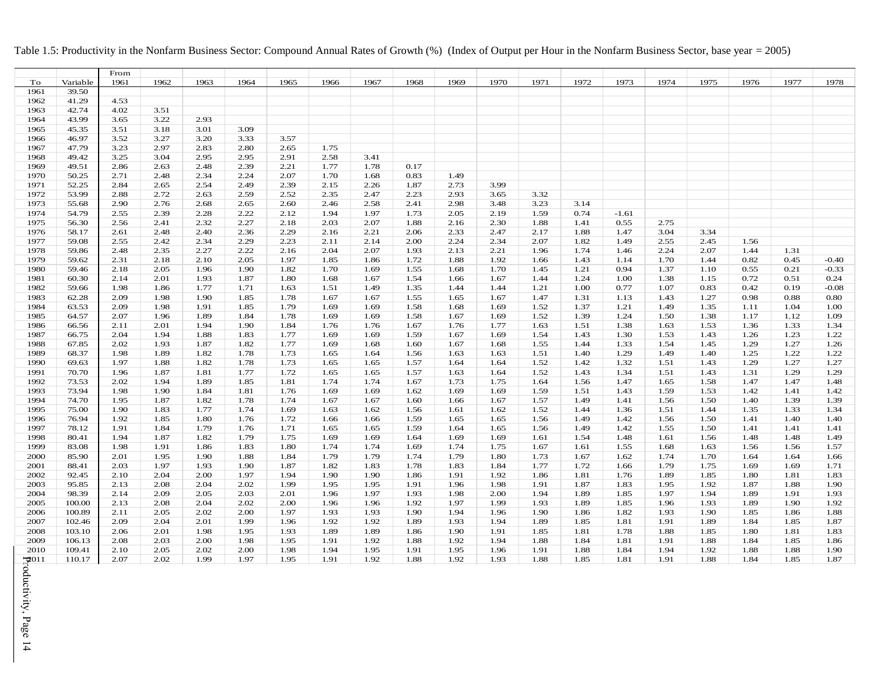#### Table 1.5: Productivity in the Nonfarm Business Sector: Compound Annual Rates of Growth (%) (Index of Output per Hour in the Nonfarm Business Sector, base year = 2005)

<span id="page-20-0"></span>

|         |          | From |      |      |      |      |      |      |      |      |      |      |      |         |      |      |      |      |         |
|---------|----------|------|------|------|------|------|------|------|------|------|------|------|------|---------|------|------|------|------|---------|
| To      | Variable | 1961 | 1962 | 1963 | 1964 | 1965 | 1966 | 1967 | 1968 | 1969 | 1970 | 1971 | 1972 | 1973    | 1974 | 1975 | 1976 | 1977 | 1978    |
| 1961    | 39.50    |      |      |      |      |      |      |      |      |      |      |      |      |         |      |      |      |      |         |
| 1962    | 41.29    | 4.53 |      |      |      |      |      |      |      |      |      |      |      |         |      |      |      |      |         |
| 1963    | 42.74    | 4.02 | 3.51 |      |      |      |      |      |      |      |      |      |      |         |      |      |      |      |         |
| 1964    | 43.99    | 3.65 | 3.22 | 2.93 |      |      |      |      |      |      |      |      |      |         |      |      |      |      |         |
| 1965    | 45.35    | 3.51 | 3.18 | 3.01 | 3.09 |      |      |      |      |      |      |      |      |         |      |      |      |      |         |
| 1966    | 46.97    | 3.52 | 3.27 | 3.20 | 3.33 | 3.57 |      |      |      |      |      |      |      |         |      |      |      |      |         |
| 1967    | 47.79    | 3.23 | 2.97 | 2.83 | 2.80 | 2.65 | 1.75 |      |      |      |      |      |      |         |      |      |      |      |         |
| 1968    | 49.42    | 3.25 | 3.04 | 2.95 | 2.95 | 2.91 | 2.58 | 3.41 |      |      |      |      |      |         |      |      |      |      |         |
| 1969    | 49.51    |      |      | 2.48 | 2.39 | 2.21 |      |      | 0.17 |      |      |      |      |         |      |      |      |      |         |
|         |          | 2.86 | 2.63 |      |      |      | 1.77 | 1.78 |      |      |      |      |      |         |      |      |      |      |         |
| 1970    | 50.25    | 2.71 | 2.48 | 2.34 | 2.24 | 2.07 | 1.70 | 1.68 | 0.83 | 1.49 |      |      |      |         |      |      |      |      |         |
| 1971    | 52.25    | 2.84 | 2.65 | 2.54 | 2.49 | 2.39 | 2.15 | 2.26 | 1.87 | 2.73 | 3.99 |      |      |         |      |      |      |      |         |
| 1972    | 53.99    | 2.88 | 2.72 | 2.63 | 2.59 | 2.52 | 2.35 | 2.47 | 2.23 | 2.93 | 3.65 | 3.32 |      |         |      |      |      |      |         |
| 1973    | 55.68    | 2.90 | 2.76 | 2.68 | 2.65 | 2.60 | 2.46 | 2.58 | 2.41 | 2.98 | 3.48 | 3.23 | 3.14 |         |      |      |      |      |         |
| 1974    | 54.79    | 2.55 | 2.39 | 2.28 | 2.22 | 2.12 | 1.94 | 1.97 | 1.73 | 2.05 | 2.19 | 1.59 | 0.74 | $-1.61$ |      |      |      |      |         |
| 1975    | 56.30    | 2.56 | 2.41 | 2.32 | 2.27 | 2.18 | 2.03 | 2.07 | 1.88 | 2.16 | 2.30 | 1.88 | 1.41 | 0.55    | 2.75 |      |      |      |         |
| 1976    | 58.17    | 2.61 | 2.48 | 2.40 | 2.36 | 2.29 | 2.16 | 2.21 | 2.06 | 2.33 | 2.47 | 2.17 | 1.88 | 1.47    | 3.04 | 3.34 |      |      |         |
| 1977    | 59.08    | 2.55 | 2.42 | 2.34 | 2.29 | 2.23 | 2.11 | 2.14 | 2.00 | 2.24 | 2.34 | 2.07 | 1.82 | 1.49    | 2.55 | 2.45 | 1.56 |      |         |
| 1978    | 59.86    | 2.48 | 2.35 | 2.27 | 2.22 | 2.16 | 2.04 | 2.07 | 1.93 | 2.13 | 2.21 | 1.96 | 1.74 | 1.46    | 2.24 | 2.07 | 1.44 | 1.31 |         |
| 1979    | 59.62    | 2.31 | 2.18 | 2.10 | 2.05 | 1.97 | 1.85 | 1.86 | 1.72 | 1.88 | 1.92 | 1.66 | 1.43 | 1.14    | 1.70 | 1.44 | 0.82 | 0.45 | $-0.40$ |
| 1980    | 59.46    | 2.18 | 2.05 | 1.96 | 1.90 | 1.82 | 1.70 | 1.69 | 1.55 | 1.68 | 1.70 | 1.45 | 1.21 | 0.94    | 1.37 | 1.10 | 0.55 | 0.21 | $-0.33$ |
| 1981    | 60.30    | 2.14 | 2.01 | 1.93 | 1.87 | 1.80 | 1.68 | 1.67 | 1.54 | 1.66 | 1.67 | 1.44 | 1.24 | 1.00    | 1.38 | 1.15 | 0.72 | 0.51 | 0.24    |
| 1982    | 59.66    | 1.98 | 1.86 | 1.77 | 1.71 | 1.63 | 1.51 | 1.49 | 1.35 | 1.44 | 1.44 | 1.21 | 1.00 | 0.77    | 1.07 | 0.83 | 0.42 | 0.19 | $-0.08$ |
| 1983    | 62.28    | 2.09 | 1.98 | 1.90 | 1.85 | 1.78 | 1.67 | 1.67 | 1.55 | 1.65 | 1.67 | 1.47 | 1.31 | 1.13    | 1.43 | 1.27 | 0.98 | 0.88 | 0.80    |
| 1984    | 63.53    | 2.09 | 1.98 | 1.91 | 1.85 | 1.79 | 1.69 | 1.69 | 1.58 | 1.68 | 1.69 | 1.52 | 1.37 | 1.21    | 1.49 | 1.35 | 1.11 | 1.04 | 1.00    |
| 1985    | 64.57    | 2.07 | 1.96 | 1.89 | 1.84 | 1.78 | 1.69 | 1.69 | 1.58 | 1.67 | 1.69 | 1.52 | 1.39 | 1.24    | 1.50 | 1.38 | 1.17 | 1.12 | 1.09    |
| 1986    | 66.56    | 2.11 | 2.01 | 1.94 | 1.90 | 1.84 | 1.76 | 1.76 | 1.67 | 1.76 | 1.77 | 1.63 | 1.51 | 1.38    | 1.63 | 1.53 | 1.36 | 1.33 | 1.34    |
| 1987    | 66.75    | 2.04 | 1.94 | 1.88 | 1.83 | 1.77 | 1.69 | 1.69 | 1.59 | 1.67 | 1.69 | 1.54 | 1.43 | 1.30    | 1.53 | 1.43 | 1.26 | 1.23 | 1.22    |
| 1988    | 67.85    | 2.02 | 1.93 | 1.87 | 1.82 | 1.77 | 1.69 | 1.68 | 1.60 | 1.67 | 1.68 | 1.55 | 1.44 | 1.33    | 1.54 | 1.45 | 1.29 | 1.27 | 1.26    |
| 1989    | 68.37    | 1.98 | 1.89 | 1.82 | 1.78 | 1.73 | 1.65 | 1.64 | 1.56 | 1.63 | 1.63 | 1.51 | 1.40 | 1.29    | 1.49 | 1.40 | 1.25 | 1.22 | 1.22    |
| 1990    | 69.63    | 1.97 | 1.88 | 1.82 | 1.78 | 1.73 | 1.65 | 1.65 | 1.57 | 1.64 | 1.64 | 1.52 | 1.42 | 1.32    | 1.51 | 1.43 | 1.29 | 1.27 | 1.27    |
| 1991    | 70.70    | 1.96 | 1.87 | 1.81 | 1.77 | 1.72 | 1.65 | 1.65 | 1.57 | 1.63 | 1.64 | 1.52 | 1.43 | 1.34    | 1.51 | 1.43 | 1.31 | 1.29 | 1.29    |
| 1992    | 73.53    | 2.02 | 1.94 | 1.89 | 1.85 | 1.81 | 1.74 | 1.74 | 1.67 | 1.73 | 1.75 | 1.64 | 1.56 | 1.47    | 1.65 | 1.58 | 1.47 | 1.47 | 1.48    |
| 1993    | 73.94    | 1.98 | 1.90 | 1.84 | 1.81 | 1.76 | 1.69 | 1.69 | 1.62 | 1.69 | 1.69 | 1.59 | 1.51 | 1.43    | 1.59 | 1.53 | 1.42 | 1.41 | 1.42    |
| 1994    | 74.70    | 1.95 | 1.87 | 1.82 | 1.78 | 1.74 | 1.67 | 1.67 | 1.60 | 1.66 | 1.67 | 1.57 | 1.49 | 1.41    | 1.56 | 1.50 | 1.40 | 1.39 | 1.39    |
| 1995    | 75.00    | 1.90 | 1.83 | 1.77 | 1.74 | 1.69 | 1.63 | 1.62 | 1.56 | 1.61 | 1.62 | 1.52 | 1.44 | 1.36    | 1.51 | 1.44 | 1.35 | 1.33 | 1.34    |
| 1996    | 76.94    | 1.92 | 1.85 | 1.80 | 1.76 | 1.72 | 1.66 | 1.66 | 1.59 | 1.65 | 1.65 | 1.56 | 1.49 | 1.42    | 1.56 | 1.50 | 1.41 | 1.40 | 1.40    |
| 1997    | 78.12    | 1.91 | 1.84 | 1.79 | 1.76 | 1.71 | 1.65 | 1.65 | 1.59 | 1.64 | 1.65 | 1.56 | 1.49 | 1.42    | 1.55 | 1.50 | 1.41 | 1.41 | 1.41    |
| 1998    | 80.41    | 1.94 | 1.87 | 1.82 | 1.79 | 1.75 | 1.69 | 1.69 | 1.64 | 1.69 | 1.69 | 1.61 | 1.54 | 1.48    | 1.61 | 1.56 | 1.48 | 1.48 | 1.49    |
| 1999    | 83.08    | 1.98 | 1.91 | 1.86 | 1.83 | 1.80 | 1.74 | 1.74 | 1.69 | 1.74 | 1.75 | 1.67 | 1.61 | 1.55    | 1.68 | 1.63 | 1.56 | 1.56 | 1.57    |
| 2000    | 85.90    | 2.01 | 1.95 | 1.90 | 1.88 | 1.84 | 1.79 | 1.79 | 1.74 | 1.79 | 1.80 | 1.73 | 1.67 | 1.62    | 1.74 | 1.70 | 1.64 | 1.64 | 1.66    |
| 2001    | 88.41    | 2.03 | 1.97 | 1.93 | 1.90 | 1.87 | 1.82 | 1.83 | 1.78 | 1.83 | 1.84 | 1.77 | 1.72 | 1.66    | 1.79 | 1.75 | 1.69 | 1.69 | 1.71    |
|         |          |      |      |      | 1.97 | 1.94 |      |      |      |      | 1.92 |      |      |         |      |      |      |      |         |
| 2002    | 92.45    | 2.10 | 2.04 | 2.00 |      |      | 1.90 | 1.90 | 1.86 | 1.91 |      | 1.86 | 1.81 | 1.76    | 1.89 | 1.85 | 1.80 | 1.81 | 1.83    |
| 2003    | 95.85    | 2.13 | 2.08 | 2.04 | 2.02 | 1.99 | 1.95 | 1.95 | 1.91 | 1.96 | 1.98 | 1.91 | 1.87 | 1.83    | 1.95 | 1.92 | 1.87 | 1.88 | 1.90    |
| 2004    | 98.39    | 2.14 | 2.09 | 2.05 | 2.03 | 2.01 | 1.96 | 1.97 | 1.93 | 1.98 | 2.00 | 1.94 | 1.89 | 1.85    | 1.97 | 1.94 | 1.89 | 1.91 | 1.93    |
| 2005    | 100.00   | 2.13 | 2.08 | 2.04 | 2.02 | 2.00 | 1.96 | 1.96 | 1.92 | 1.97 | 1.99 | 1.93 | 1.89 | 1.85    | 1.96 | 1.93 | 1.89 | 1.90 | 1.92    |
| 2006    | 100.89   | 2.11 | 2.05 | 2.02 | 2.00 | 1.97 | 1.93 | 1.93 | 1.90 | 1.94 | 1.96 | 1.90 | 1.86 | 1.82    | 1.93 | 1.90 | 1.85 | 1.86 | 1.88    |
| 2007    | 102.46   | 2.09 | 2.04 | 2.01 | 1.99 | 1.96 | 1.92 | 1.92 | 1.89 | 1.93 | 1.94 | 1.89 | 1.85 | 1.81    | 1.91 | 1.89 | 1.84 | 1.85 | 1.87    |
| 2008    | 103.10   | 2.06 | 2.01 | 1.98 | 1.95 | 1.93 | 1.89 | 1.89 | 1.86 | 1.90 | 1.91 | 1.85 | 1.81 | 1.78    | 1.88 | 1.85 | 1.80 | 1.81 | 1.83    |
| 2009    | 106.13   | 2.08 | 2.03 | 2.00 | 1.98 | 1.95 | 1.91 | 1.92 | 1.88 | 1.92 | 1.94 | 1.88 | 1.84 | 1.81    | 1.91 | 1.88 | 1.84 | 1.85 | 1.86    |
| 2010    | 109.41   | 2.10 | 2.05 | 2.02 | 2.00 | 1.98 | 1.94 | 1.95 | 1.91 | 1.95 | 1.96 | 1.91 | 1.88 | 1.84    | 1.94 | 1.92 | 1.88 | 1.88 | 1.90    |
| $-2011$ | 110.17   | 2.07 | 2.02 | 1.99 | 1.97 | 1.95 | 1.91 | 1.92 | 1.88 | 1.92 | 1.93 | 1.88 | 1.85 | 1.81    | 1.91 | 1.88 | 1.84 | 1.85 | 1.87    |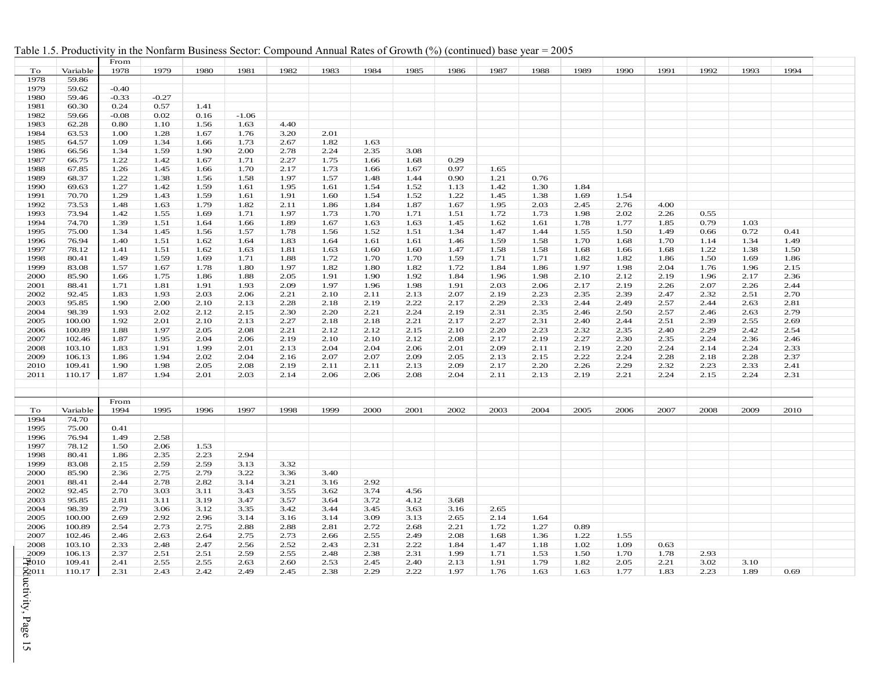|  | Table 1.5. Productivity in the Nonfarm Business Sector: Compound Annual Rates of Growth (%) (continued) base year = 2005 |  |  |  |  |  |  |  |  |
|--|--------------------------------------------------------------------------------------------------------------------------|--|--|--|--|--|--|--|--|
|--|--------------------------------------------------------------------------------------------------------------------------|--|--|--|--|--|--|--|--|

|                      |          | From         |              |      |              |      |      |      |      |      |      |      |      |      |      |      |      |      |  |
|----------------------|----------|--------------|--------------|------|--------------|------|------|------|------|------|------|------|------|------|------|------|------|------|--|
| To                   | Variable | 1978         | 1979         | 1980 | 1981         | 1982 | 1983 | 1984 | 1985 | 1986 | 1987 | 1988 | 1989 | 1990 | 1991 | 1992 | 1993 | 1994 |  |
| 1978                 | 59.86    |              |              |      |              |      |      |      |      |      |      |      |      |      |      |      |      |      |  |
| 1979                 | 59.62    | $-0.40$      |              |      |              |      |      |      |      |      |      |      |      |      |      |      |      |      |  |
| 1980                 | 59.46    | $-0.33$      | $-0.27$      |      |              |      |      |      |      |      |      |      |      |      |      |      |      |      |  |
| 1981                 | 60.30    | 0.24         | 0.57         | 1.41 |              |      |      |      |      |      |      |      |      |      |      |      |      |      |  |
| 1982                 | 59.66    | $-0.08$      | 0.02         | 0.16 | $-1.06$      |      |      |      |      |      |      |      |      |      |      |      |      |      |  |
| 1983                 | 62.28    | 0.80         | 1.10         | 1.56 | 1.63         | 4.40 |      |      |      |      |      |      |      |      |      |      |      |      |  |
| 1984                 |          |              |              | 1.67 |              | 3.20 | 2.01 |      |      |      |      |      |      |      |      |      |      |      |  |
| 1985                 | 63.53    | 1.00<br>1.09 | 1.28<br>1.34 | 1.66 | 1.76<br>1.73 | 2.67 | 1.82 | 1.63 |      |      |      |      |      |      |      |      |      |      |  |
|                      | 64.57    |              |              |      |              |      | 2.24 |      |      |      |      |      |      |      |      |      |      |      |  |
| 1986                 | 66.56    | 1.34         | 1.59         | 1.90 | 2.00         | 2.78 |      | 2.35 | 3.08 |      |      |      |      |      |      |      |      |      |  |
| 1987                 | 66.75    | 1.22         | 1.42         | 1.67 | 1.71         | 2.27 | 1.75 | 1.66 | 1.68 | 0.29 |      |      |      |      |      |      |      |      |  |
| 1988                 | 67.85    | 1.26         | 1.45         | 1.66 | 1.70         | 2.17 | 1.73 | 1.66 | 1.67 | 0.97 | 1.65 |      |      |      |      |      |      |      |  |
| 1989                 | 68.37    | 1.22         | 1.38         | 1.56 | 1.58         | 1.97 | 1.57 | 1.48 | 1.44 | 0.90 | 1.21 | 0.76 |      |      |      |      |      |      |  |
| 1990                 | 69.63    | 1.27         | 1.42         | 1.59 | 1.61         | 1.95 | 1.61 | 1.54 | 1.52 | 1.13 | 1.42 | 1.30 | 1.84 |      |      |      |      |      |  |
| 1991                 | 70.70    | 1.29         | 1.43         | 1.59 | 1.61         | 1.91 | 1.60 | 1.54 | 1.52 | 1.22 | 1.45 | 1.38 | 1.69 | 1.54 |      |      |      |      |  |
| 1992                 | 73.53    | 1.48         | 1.63         | 1.79 | 1.82         | 2.11 | 1.86 | 1.84 | 1.87 | 1.67 | 1.95 | 2.03 | 2.45 | 2.76 | 4.00 |      |      |      |  |
| 1993                 | 73.94    | 1.42         | 1.55         | 1.69 | 1.71         | 1.97 | 1.73 | 1.70 | 1.71 | 1.51 | 1.72 | 1.73 | 1.98 | 2.02 | 2.26 | 0.55 |      |      |  |
| 1994                 | 74.70    | 1.39         | 1.51         | 1.64 | 1.66         | 1.89 | 1.67 | 1.63 | 1.63 | 1.45 | 1.62 | 1.61 | 1.78 | 1.77 | 1.85 | 0.79 | 1.03 |      |  |
| 1995                 | 75.00    | 1.34         | 1.45         | 1.56 | 1.57         | 1.78 | 1.56 | 1.52 | 1.51 | 1.34 | 1.47 | 1.44 | 1.55 | 1.50 | 1.49 | 0.66 | 0.72 | 0.41 |  |
| 1996                 | 76.94    | 1.40         | 1.51         | 1.62 | 1.64         | 1.83 | 1.64 | 1.61 | 1.61 | 1.46 | 1.59 | 1.58 | 1.70 | 1.68 | 1.70 | 1.14 | 1.34 | 1.49 |  |
| 1997                 | 78.12    | 1.41         | 1.51         | 1.62 | 1.63         | 1.81 | 1.63 | 1.60 | 1.60 | 1.47 | 1.58 | 1.58 | 1.68 | 1.66 | 1.68 | 1.22 | 1.38 | 1.50 |  |
| 1998                 | 80.41    | 1.49         | 1.59         | 1.69 | 1.71         | 1.88 | 1.72 | 1.70 | 1.70 | 1.59 | 1.71 | 1.71 | 1.82 | 1.82 | 1.86 | 1.50 | 1.69 | 1.86 |  |
| 1999                 | 83.08    | 1.57         | 1.67         | 1.78 | 1.80         | 1.97 | 1.82 | 1.80 | 1.82 | 1.72 | 1.84 | 1.86 | 1.97 | 1.98 | 2.04 | 1.76 | 1.96 | 2.15 |  |
| 2000                 | 85.90    | 1.66         | 1.75         | 1.86 | 1.88         | 2.05 | 1.91 | 1.90 | 1.92 | 1.84 | 1.96 | 1.98 | 2.10 | 2.12 | 2.19 | 1.96 | 2.17 | 2.36 |  |
| 2001                 | 88.41    | 1.71         | 1.81         | 1.91 | 1.93         | 2.09 | 1.97 | 1.96 | 1.98 | 1.91 | 2.03 | 2.06 | 2.17 | 2.19 | 2.26 | 2.07 | 2.26 | 2.44 |  |
| 2002                 | 92.45    | 1.83         | 1.93         | 2.03 | 2.06         | 2.21 | 2.10 | 2.11 | 2.13 | 2.07 | 2.19 | 2.23 | 2.35 | 2.39 | 2.47 | 2.32 | 2.51 | 2.70 |  |
| 2003                 | 95.85    | 1.90         | 2.00         | 2.10 | 2.13         | 2.28 | 2.18 | 2.19 | 2.22 | 2.17 | 2.29 | 2.33 | 2.44 | 2.49 | 2.57 | 2.44 | 2.63 | 2.81 |  |
| 2004                 | 98.39    | 1.93         | 2.02         | 2.12 | 2.15         | 2.30 | 2.20 | 2.21 | 2.24 | 2.19 | 2.31 | 2.35 | 2.46 | 2.50 | 2.57 | 2.46 | 2.63 | 2.79 |  |
| 2005                 | 100.00   | 1.92         | 2.01         | 2.10 | 2.13         | 2.27 | 2.18 | 2.18 | 2.21 | 2.17 | 2.27 | 2.31 | 2.40 | 2.44 | 2.51 | 2.39 | 2.55 | 2.69 |  |
| 2006                 | 100.89   | 1.88         | 1.97         | 2.05 | 2.08         | 2.21 | 2.12 | 2.12 | 2.15 | 2.10 | 2.20 | 2.23 | 2.32 | 2.35 | 2.40 | 2.29 | 2.42 | 2.54 |  |
| 2007                 | 102.46   | 1.87         | 1.95         | 2.04 | 2.06         | 2.19 | 2.10 | 2.10 | 2.12 | 2.08 | 2.17 | 2.19 | 2.27 | 2.30 | 2.35 | 2.24 | 2.36 | 2.46 |  |
| 2008                 | 103.10   | 1.83         | 1.91         | 1.99 | 2.01         | 2.13 | 2.04 | 2.04 | 2.06 | 2.01 | 2.09 | 2.11 | 2.19 | 2.20 | 2.24 | 2.14 | 2.24 | 2.33 |  |
| 2009                 | 106.13   | 1.86         | 1.94         | 2.02 | 2.04         | 2.16 | 2.07 | 2.07 | 2.09 | 2.05 | 2.13 | 2.15 | 2.22 | 2.24 | 2.28 | 2.18 | 2.28 | 2.37 |  |
| 2010                 | 109.41   | 1.90         | 1.98         | 2.05 | 2.08         | 2.19 | 2.11 | 2.11 | 2.13 | 2.09 | 2.17 | 2.20 | 2.26 | 2.29 | 2.32 | 2.23 | 2.33 | 2.41 |  |
| 2011                 | 110.17   | 1.87         | 1.94         | 2.01 | 2.03         | 2.14 | 2.06 | 2.06 | 2.08 | 2.04 | 2.11 | 2.13 | 2.19 | 2.21 | 2.24 | 2.15 | 2.24 | 2.31 |  |
|                      |          |              |              |      |              |      |      |      |      |      |      |      |      |      |      |      |      |      |  |
|                      |          |              |              |      |              |      |      |      |      |      |      |      |      |      |      |      |      |      |  |
|                      |          | From         |              |      |              |      |      |      |      |      |      |      |      |      |      |      |      |      |  |
| To                   | Variable | 1994         | 1995         | 1996 | 1997         | 1998 | 1999 | 2000 | 2001 | 2002 | 2003 | 2004 | 2005 | 2006 | 2007 | 2008 | 2009 | 2010 |  |
| 1994                 | 74.70    |              |              |      |              |      |      |      |      |      |      |      |      |      |      |      |      |      |  |
| 1995                 | 75.00    | 0.41         |              |      |              |      |      |      |      |      |      |      |      |      |      |      |      |      |  |
| 1996                 | 76.94    | 1.49         | 2.58         |      |              |      |      |      |      |      |      |      |      |      |      |      |      |      |  |
| 1997                 | 78.12    | 1.50         | 2.06         | 1.53 |              |      |      |      |      |      |      |      |      |      |      |      |      |      |  |
|                      |          |              |              | 2.23 |              |      |      |      |      |      |      |      |      |      |      |      |      |      |  |
| 1998                 | 80.41    | 1.86         | 2.35         |      | 2.94         |      |      |      |      |      |      |      |      |      |      |      |      |      |  |
| 1999<br>2000         | 83.08    | 2.15<br>2.36 | 2.59         | 2.59 | 3.13         | 3.32 | 3.40 |      |      |      |      |      |      |      |      |      |      |      |  |
|                      | 85.90    |              | 2.75         | 2.79 | 3.22         | 3.36 |      |      |      |      |      |      |      |      |      |      |      |      |  |
| 2001                 | 88.41    | 2.44         | 2.78         | 2.82 | 3.14         | 3.21 | 3.16 | 2.92 |      |      |      |      |      |      |      |      |      |      |  |
| 2002                 | 92.45    | 2.70         | 3.03         | 3.11 | 3.43         | 3.55 | 3.62 | 3.74 | 4.56 |      |      |      |      |      |      |      |      |      |  |
| 2003                 | 95.85    | 2.81         | 3.11         | 3.19 | 3.47         | 3.57 | 3.64 | 3.72 | 4.12 | 3.68 |      |      |      |      |      |      |      |      |  |
| 2004                 | 98.39    | 2.79         | 3.06         | 3.12 | 3.35         | 3.42 | 3.44 | 3.45 | 3.63 | 3.16 | 2.65 |      |      |      |      |      |      |      |  |
| 2005                 | 100.00   | 2.69         | 2.92         | 2.96 | 3.14         | 3.16 | 3.14 | 3.09 | 3.13 | 2.65 | 2.14 | 1.64 |      |      |      |      |      |      |  |
| 2006                 | 100.89   | 2.54         | 2.73         | 2.75 | 2.88         | 2.88 | 2.81 | 2.72 | 2.68 | 2.21 | 1.72 | 1.27 | 0.89 |      |      |      |      |      |  |
| 2007                 | 102.46   | 2.46         | 2.63         | 2.64 | 2.75         | 2.73 | 2.66 | 2.55 | 2.49 | 2.08 | 1.68 | 1.36 | 1.22 | 1.55 |      |      |      |      |  |
| 2008                 | 103.10   | 2.33         | 2.48         | 2.47 | 2.56         | 2.52 | 2.43 | 2.31 | 2.22 | 1.84 | 1.47 | 1.18 | 1.02 | 1.09 | 0.63 |      |      |      |  |
| 2009                 | 106.13   | 2.37         | 2.51         | 2.51 | 2.59         | 2.55 | 2.48 | 2.38 | 2.31 | 1.99 | 1.71 | 1.53 | 1.50 | 1.70 | 1.78 | 2.93 |      |      |  |
| $\mathfrak{P}_{010}$ | 109.41   | 2.41         | 2.55         | 2.55 | 2.63         | 2.60 | 2.53 | 2.45 | 2.40 | 2.13 | 1.91 | 1.79 | 1.82 | 2.05 | 2.21 | 3.02 | 3.10 |      |  |
| 2011                 | 110.17   | 2.31         | 2.43         | 2.42 | 2.49         | 2.45 | 2.38 | 2.29 | 2.22 | 1.97 | 1.76 | 1.63 | 1.63 | 1.77 | 1.83 | 2.23 | 1.89 | 0.69 |  |
| Ξ.                   |          |              |              |      |              |      |      |      |      |      |      |      |      |      |      |      |      |      |  |

Productivity, Page 15 ictivity, Page 15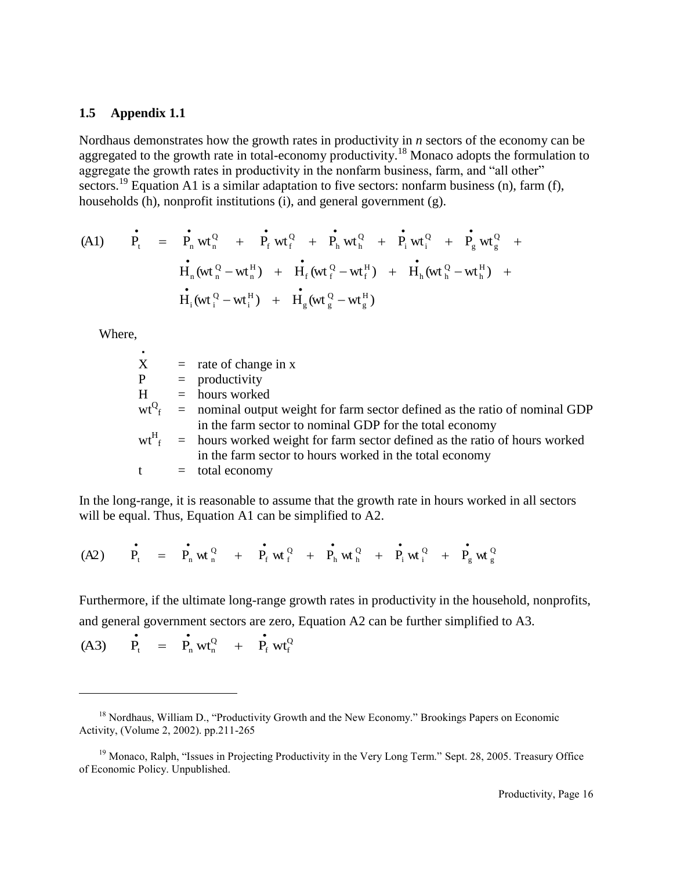#### **1.5 Appendix 1.1**

Nordhaus demonstrates how the growth rates in productivity in *n* sectors of the economy can be aggregated to the growth rate in total-economy productivity.<sup>18</sup> Monaco adopts the formulation to aggregate the growth rates in productivity in the nonfarm business, farm, and "all other" sectors.<sup>19</sup> Equation A1 is a similar adaptation to five sectors: nonfarm business (n), farm (f), households  $(h)$ , nonprofit institutions  $(i)$ , and general government  $(g)$ .

(A1) 
$$
\vec{P}_t = \vec{P}_n wt_n^Q + \vec{P}_f wt_f^Q + \vec{P}_h wt_h^Q + \vec{P}_i wt_i^Q + \vec{P}_g wt_g^Q + \vec{H}_n (wt_n^Q - wt_n^H) + \vec{H}_f (wt_f^Q - wt_f^H) + \vec{H}_h (wt_n^Q - wt_h^H) + \vec{H}_g (wt_g^Q - wt_g^H)
$$

Where,

l

| ٠ |                                                                                                   |
|---|---------------------------------------------------------------------------------------------------|
| X | $=$ rate of change in x                                                                           |
| P | $=$ productivity                                                                                  |
| H | $=$ hours worked                                                                                  |
|   | $wt^{Q}$ <sub>f</sub> = nominal output weight for farm sector defined as the ratio of nominal GDP |
|   | in the farm sector to nominal GDP for the total economy                                           |
|   | $wt_{f}^{H}$ = hours worked weight for farm sector defined as the ratio of hours worked           |
|   | in the farm sector to hours worked in the total economy                                           |
|   | $=$ total economy                                                                                 |

In the long-range, it is reasonable to assume that the growth rate in hours worked in all sectors will be equal. Thus, Equation A1 can be simplified to A2.

$$
(A2) \qquad \dot{P_{t}} = \qquad \dot{P_{n}} \le^{Q}_{n} \le^{Q}_{n} + \qquad \dot{P_{f}} \le^{Q}_{f} + \qquad \dot{P_{n}} \le^{Q}_{n} + \qquad \dot{P_{i}} \le^{Q}_{n} + \qquad \dot{P_{g}} \le^{Q}_{g}
$$

Furthermore, if the ultimate long-range growth rates in productivity in the household, nonprofits, and general government sectors are zero, Equation A2 can be further simplified to A3.

$$
(A3) \qquad \dot{P_t} = \dot{P_n} wt_n^Q + \dot{P_f} wt_f^Q
$$

<sup>&</sup>lt;sup>18</sup> Nordhaus, William D., "Productivity Growth and the New Economy." Brookings Papers on Economic Activity, (Volume 2, 2002). pp.211-265

<sup>&</sup>lt;sup>19</sup> Monaco, Ralph, "Issues in Projecting Productivity in the Very Long Term." Sept. 28, 2005. Treasury Office of Economic Policy. Unpublished.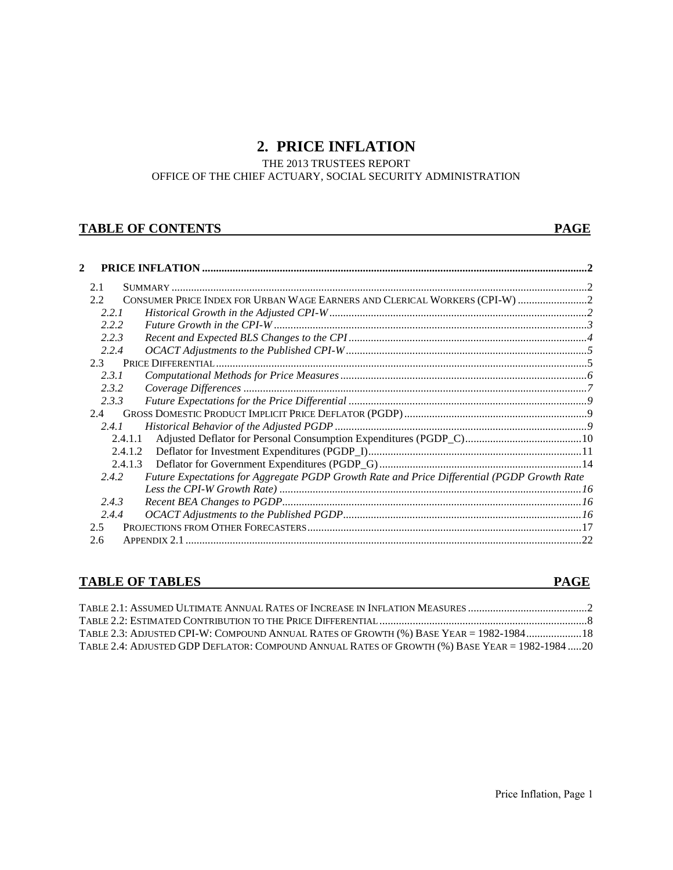# **2. PRICE INFLATION**

THE 2013 TRUSTEES REPORT

OFFICE OF THE CHIEF ACTUARY, SOCIAL SECURITY ADMINISTRATION

# **TABLE OF CONTENTS** PAGE

| 2             |                                                                                             |  |
|---------------|---------------------------------------------------------------------------------------------|--|
| 2.1           |                                                                                             |  |
| 2.2           | CONSUMER PRICE INDEX FOR URBAN WAGE EARNERS AND CLERICAL WORKERS (CPI-W)  2                 |  |
| 2.2.1         |                                                                                             |  |
| 2.2.2         |                                                                                             |  |
| 2.2.3         |                                                                                             |  |
| 2.2.4         |                                                                                             |  |
| $2.3 -$       |                                                                                             |  |
| 2.3.1         |                                                                                             |  |
| 2.3.2         |                                                                                             |  |
| 2.3.3         |                                                                                             |  |
| 2.4           |                                                                                             |  |
| 2.4.1         |                                                                                             |  |
|               | 2.4.1.1                                                                                     |  |
|               | 2.4.1.2                                                                                     |  |
|               | 2.4.1.3                                                                                     |  |
| 2.4.2         | Future Expectations for Aggregate PGDP Growth Rate and Price Differential (PGDP Growth Rate |  |
|               |                                                                                             |  |
| 2.4.3         |                                                                                             |  |
| 2.4.4         |                                                                                             |  |
| $2.5^{\circ}$ |                                                                                             |  |
| 2.6           |                                                                                             |  |

# **TABLE OF TABLES** PAGE

| TABLE 2.3: ADJUSTED CPI-W: COMPOUND ANNUAL RATES OF GROWTH (%) BASE YEAR = 1982-1984 18        |  |
|------------------------------------------------------------------------------------------------|--|
| TABLE 2.4: ADJUSTED GDP DEFLATOR: COMPOUND ANNUAL RATES OF GROWTH (%) BASE YEAR = 1982-1984 20 |  |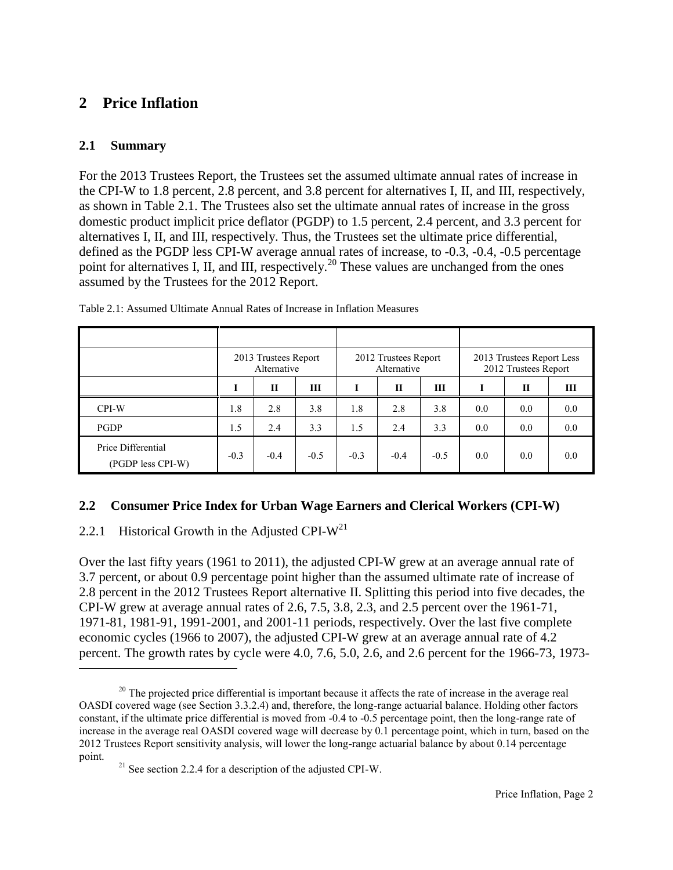# <span id="page-24-0"></span>**2 Price Inflation**

# **2.1 Summary**

l

For the 2013 Trustees Report, the Trustees set the assumed ultimate annual rates of increase in the CPI-W to 1.8 percent, 2.8 percent, and 3.8 percent for alternatives I, II, and III, respectively, as shown in Table 2.1. The Trustees also set the ultimate annual rates of increase in the gross domestic product implicit price deflator (PGDP) to 1.5 percent, 2.4 percent, and 3.3 percent for alternatives I, II, and III, respectively. Thus, the Trustees set the ultimate price differential, defined as the PGDP less CPI-W average annual rates of increase, to -0.3, -0.4, -0.5 percentage point for alternatives I, II, and III, respectively.<sup>20</sup> These values are unchanged from the ones assumed by the Trustees for the 2012 Report.

|                                         | 2013 Trustees Report<br>Alternative |        |        | 2012 Trustees Report<br>Alternative |        |        | 2013 Trustees Report Less<br>2012 Trustees Report |     |     |
|-----------------------------------------|-------------------------------------|--------|--------|-------------------------------------|--------|--------|---------------------------------------------------|-----|-----|
|                                         |                                     | П      | Ш      |                                     | П      | Ш      |                                                   | П   | Ш   |
| CPI-W                                   | 1.8                                 | 2.8    | 3.8    | 1.8                                 | 2.8    | 3.8    | 0.0                                               | 0.0 | 0.0 |
| <b>PGDP</b>                             | 1.5                                 | 2.4    | 3.3    | 1.5                                 | 2.4    | 3.3    | 0.0                                               | 0.0 | 0.0 |
| Price Differential<br>(PGDP less CPI-W) | $-0.3$                              | $-0.4$ | $-0.5$ | $-0.3$                              | $-0.4$ | $-0.5$ | 0.0                                               | 0.0 | 0.0 |

Table 2.1: Assumed Ultimate Annual Rates of Increase in Inflation Measures

# **2.2 Consumer Price Index for Urban Wage Earners and Clerical Workers (CPI-W)**

# 2.2.1 Historical Growth in the Adjusted CPI- $W^{21}$

Over the last fifty years (1961 to 2011), the adjusted CPI-W grew at an average annual rate of 3.7 percent, or about 0.9 percentage point higher than the assumed ultimate rate of increase of 2.8 percent in the 2012 Trustees Report alternative II. Splitting this period into five decades, the CPI-W grew at average annual rates of 2.6, 7.5, 3.8, 2.3, and 2.5 percent over the 1961-71, 1971-81, 1981-91, 1991-2001, and 2001-11 periods, respectively. Over the last five complete economic cycles (1966 to 2007), the adjusted CPI-W grew at an average annual rate of 4.2 percent. The growth rates by cycle were 4.0, 7.6, 5.0, 2.6, and 2.6 percent for the 1966-73, 1973-

<sup>&</sup>lt;sup>20</sup> The projected price differential is important because it affects the rate of increase in the average real OASDI covered wage (see Section 3.3.2.4) and, therefore, the long-range actuarial balance. Holding other factors constant, if the ultimate price differential is moved from -0.4 to -0.5 percentage point, then the long-range rate of increase in the average real OASDI covered wage will decrease by 0.1 percentage point, which in turn, based on the 2012 Trustees Report sensitivity analysis, will lower the long-range actuarial balance by about 0.14 percentage point.

 $21$  See section 2.2.4 for a description of the adjusted CPI-W.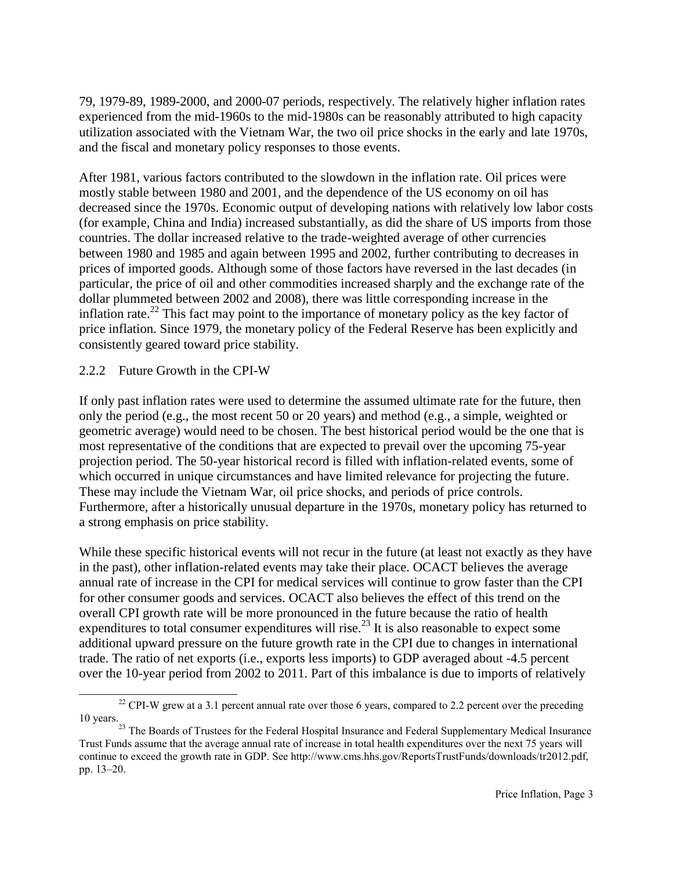79, 1979-89, 1989-2000, and 2000-07 periods, respectively. The relatively higher inflation rates experienced from the mid-1960s to the mid-1980s can be reasonably attributed to high capacity utilization associated with the Vietnam War, the two oil price shocks in the early and late 1970s, and the fiscal and monetary policy responses to those events.

After 1981, various factors contributed to the slowdown in the inflation rate. Oil prices were mostly stable between 1980 and 2001, and the dependence of the US economy on oil has decreased since the 1970s. Economic output of developing nations with relatively low labor costs (for example, China and India) increased substantially, as did the share of US imports from those countries. The dollar increased relative to the trade-weighted average of other currencies between 1980 and 1985 and again between 1995 and 2002, further contributing to decreases in prices of imported goods. Although some of those factors have reversed in the last decades (in particular, the price of oil and other commodities increased sharply and the exchange rate of the dollar plummeted between 2002 and 2008), there was little corresponding increase in the inflation rate.<sup>22</sup> This fact may point to the importance of monetary policy as the key factor of price inflation. Since 1979, the monetary policy of the Federal Reserve has been explicitly and consistently geared toward price stability.

## 2.2.2 Future Growth in the CPI-W

If only past inflation rates were used to determine the assumed ultimate rate for the future, then only the period (e.g., the most recent 50 or 20 years) and method (e.g., a simple, weighted or geometric average) would need to be chosen. The best historical period would be the one that is most representative of the conditions that are expected to prevail over the upcoming 75-year projection period. The 50-year historical record is filled with inflation-related events, some of which occurred in unique circumstances and have limited relevance for projecting the future. These may include the Vietnam War, oil price shocks, and periods of price controls. Furthermore, after a historically unusual departure in the 1970s, monetary policy has returned to a strong emphasis on price stability.

While these specific historical events will not recur in the future (at least not exactly as they have in the past), other inflation-related events may take their place. OCACT believes the average annual rate of increase in the CPI for medical services will continue to grow faster than the CPI for other consumer goods and services. OCACT also believes the effect of this trend on the overall CPI growth rate will be more pronounced in the future because the ratio of health expenditures to total consumer expenditures will rise.<sup>23</sup> It is also reasonable to expect some additional upward pressure on the future growth rate in the CPI due to changes in international trade. The ratio of net exports (i.e., exports less imports) to GDP averaged about -4.5 percent over the 10-year period from 2002 to 2011. Part of this imbalance is due to imports of relatively

 $\overline{a}$  $22$  CPI-W grew at a 3.1 percent annual rate over those 6 years, compared to 2.2 percent over the preceding 10 years.

<sup>&</sup>lt;sup>23</sup> The Boards of Trustees for the Federal Hospital Insurance and Federal Supplementary Medical Insurance Trust Funds assume that the average annual rate of increase in total health expenditures over the next 75 years will continue to exceed the growth rate in GDP. See http://www.cms.hhs.gov/ReportsTrustFunds/downloads/tr2012.pdf, pp. 13–20.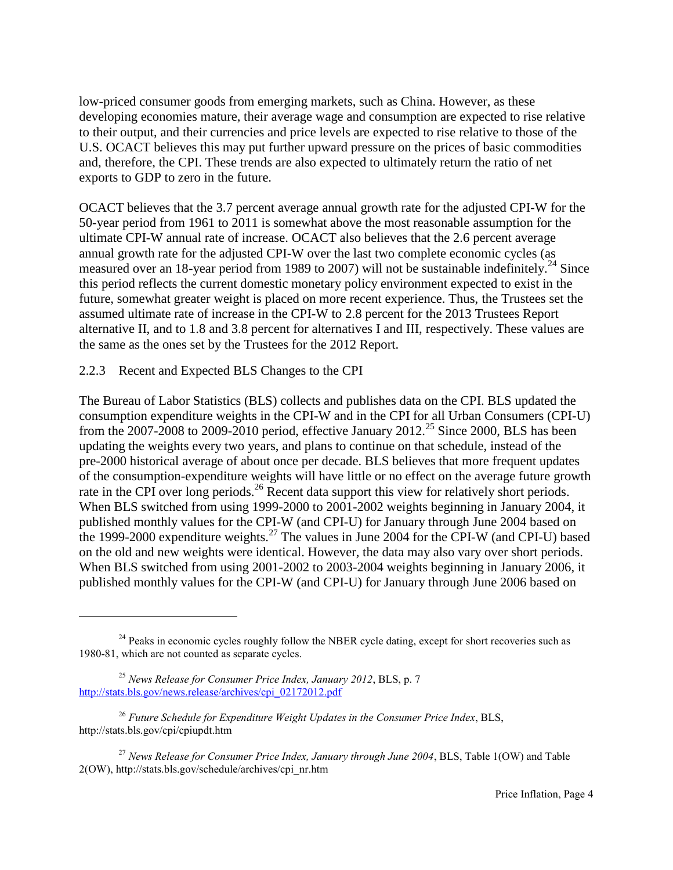low-priced consumer goods from emerging markets, such as China. However, as these developing economies mature, their average wage and consumption are expected to rise relative to their output, and their currencies and price levels are expected to rise relative to those of the U.S. OCACT believes this may put further upward pressure on the prices of basic commodities and, therefore, the CPI. These trends are also expected to ultimately return the ratio of net exports to GDP to zero in the future.

OCACT believes that the 3.7 percent average annual growth rate for the adjusted CPI-W for the 50-year period from 1961 to 2011 is somewhat above the most reasonable assumption for the ultimate CPI-W annual rate of increase. OCACT also believes that the 2.6 percent average annual growth rate for the adjusted CPI-W over the last two complete economic cycles (as measured over an 18-year period from 1989 to 2007) will not be sustainable indefinitely.<sup>24</sup> Since this period reflects the current domestic monetary policy environment expected to exist in the future, somewhat greater weight is placed on more recent experience. Thus, the Trustees set the assumed ultimate rate of increase in the CPI-W to 2.8 percent for the 2013 Trustees Report alternative II, and to 1.8 and 3.8 percent for alternatives I and III, respectively. These values are the same as the ones set by the Trustees for the 2012 Report.

## 2.2.3 Recent and Expected BLS Changes to the CPI

The Bureau of Labor Statistics (BLS) collects and publishes data on the CPI. BLS updated the consumption expenditure weights in the CPI-W and in the CPI for all Urban Consumers (CPI-U) from the 2007-2008 to 2009-2010 period, effective January 2012.<sup>25</sup> Since 2000, BLS has been updating the weights every two years, and plans to continue on that schedule, instead of the pre-2000 historical average of about once per decade. BLS believes that more frequent updates of the consumption-expenditure weights will have little or no effect on the average future growth rate in the CPI over long periods.<sup>26</sup> Recent data support this view for relatively short periods. When BLS switched from using 1999-2000 to 2001-2002 weights beginning in January 2004, it published monthly values for the CPI-W (and CPI-U) for January through June 2004 based on the 1999-2000 expenditure weights.<sup>27</sup> The values in June 2004 for the CPI-W (and CPI-U) based on the old and new weights were identical. However, the data may also vary over short periods. When BLS switched from using 2001-2002 to 2003-2004 weights beginning in January 2006, it published monthly values for the CPI-W (and CPI-U) for January through June 2006 based on

 $\overline{a}$ 

<sup>&</sup>lt;sup>24</sup> Peaks in economic cycles roughly follow the NBER cycle dating, except for short recoveries such as 1980-81, which are not counted as separate cycles.

<sup>25</sup> *News Release for Consumer Price Index, January 2012*, BLS, p. 7 [http://stats.bls.gov/news.release/archives/cpi\\_02172012.pdf](http://stats.bls.gov/news.release/archives/cpi_02172012.pdf)

<sup>26</sup> *Future Schedule for Expenditure Weight Updates in the Consumer Price Index*, BLS, http://stats.bls.gov/cpi/cpiupdt.htm

<sup>27</sup> *News Release for Consumer Price Index, January through June 2004*, BLS, Table 1(OW) and Table 2(OW), http://stats.bls.gov/schedule/archives/cpi\_nr.htm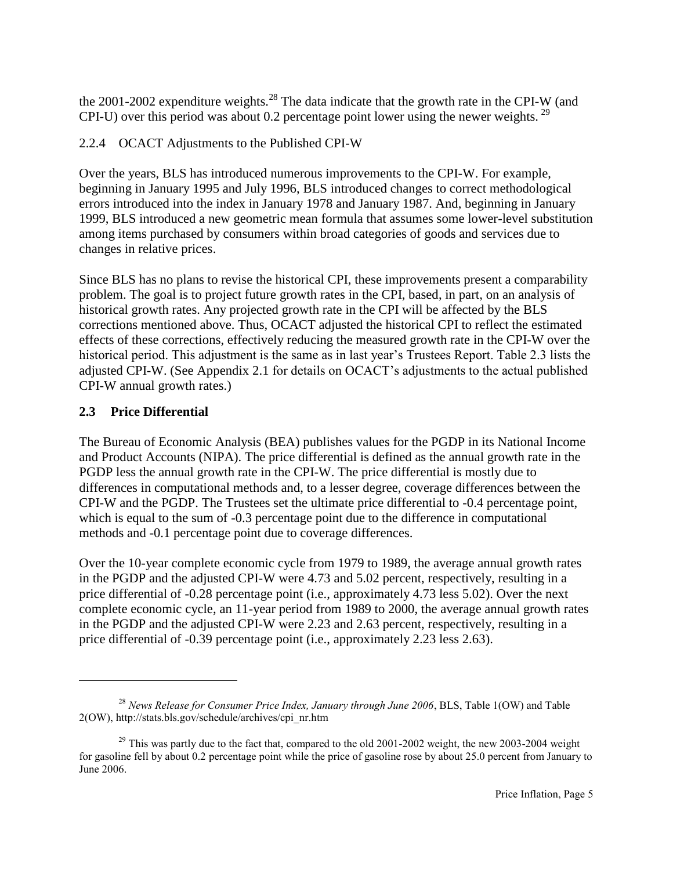the  $2001-2002$  expenditure weights.<sup>28</sup> The data indicate that the growth rate in the CPI-W (and CPI-U) over this period was about 0.2 percentage point lower using the newer weights.  $^{29}$ 

# 2.2.4 OCACT Adjustments to the Published CPI-W

Over the years, BLS has introduced numerous improvements to the CPI-W. For example, beginning in January 1995 and July 1996, BLS introduced changes to correct methodological errors introduced into the index in January 1978 and January 1987. And, beginning in January 1999, BLS introduced a new geometric mean formula that assumes some lower-level substitution among items purchased by consumers within broad categories of goods and services due to changes in relative prices.

Since BLS has no plans to revise the historical CPI, these improvements present a comparability problem. The goal is to project future growth rates in the CPI, based, in part, on an analysis of historical growth rates. Any projected growth rate in the CPI will be affected by the BLS corrections mentioned above. Thus, OCACT adjusted the historical CPI to reflect the estimated effects of these corrections, effectively reducing the measured growth rate in the CPI-W over the historical period. This adjustment is the same as in last year's Trustees Report. Table 2.3 lists the adjusted CPI-W. (See Appendix 2.1 for details on OCACT's adjustments to the actual published CPI-W annual growth rates.)

# **2.3 Price Differential**

 $\overline{a}$ 

The Bureau of Economic Analysis (BEA) publishes values for the PGDP in its National Income and Product Accounts (NIPA). The price differential is defined as the annual growth rate in the PGDP less the annual growth rate in the CPI-W. The price differential is mostly due to differences in computational methods and, to a lesser degree, coverage differences between the CPI-W and the PGDP. The Trustees set the ultimate price differential to -0.4 percentage point, which is equal to the sum of  $-0.3$  percentage point due to the difference in computational methods and -0.1 percentage point due to coverage differences.

Over the 10-year complete economic cycle from 1979 to 1989, the average annual growth rates in the PGDP and the adjusted CPI-W were 4.73 and 5.02 percent, respectively, resulting in a price differential of -0.28 percentage point (i.e., approximately 4.73 less 5.02). Over the next complete economic cycle, an 11-year period from 1989 to 2000, the average annual growth rates in the PGDP and the adjusted CPI-W were 2.23 and 2.63 percent, respectively, resulting in a price differential of -0.39 percentage point (i.e., approximately 2.23 less 2.63).

<sup>28</sup> *News Release for Consumer Price Index, January through June 2006*, BLS, Table 1(OW) and Table 2(OW), http://stats.bls.gov/schedule/archives/cpi\_nr.htm

<sup>&</sup>lt;sup>29</sup> This was partly due to the fact that, compared to the old 2001-2002 weight, the new 2003-2004 weight for gasoline fell by about 0.2 percentage point while the price of gasoline rose by about 25.0 percent from January to June 2006.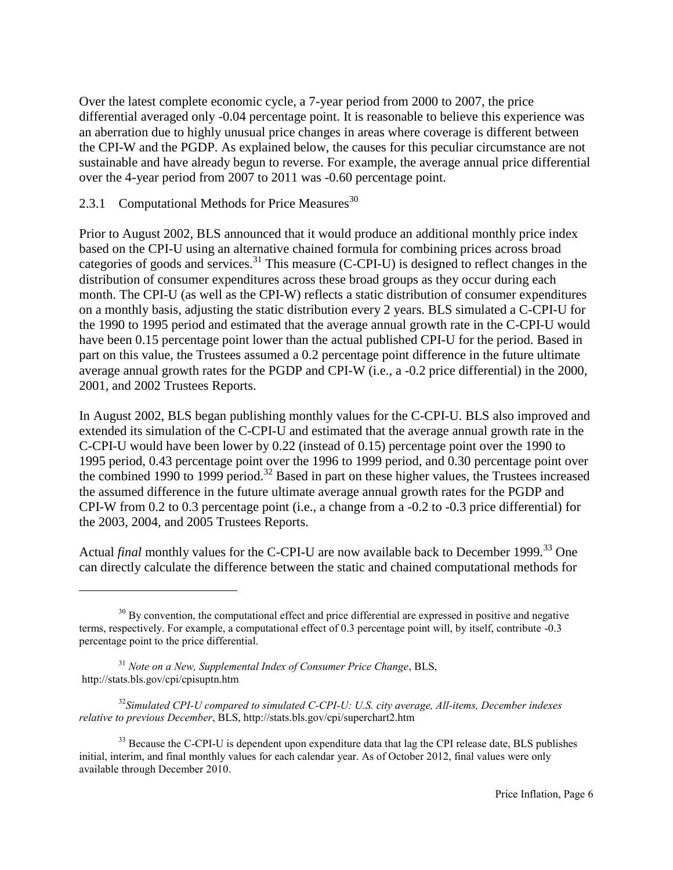Over the latest complete economic cycle, a 7-year period from 2000 to 2007, the price differential averaged only -0.04 percentage point. It is reasonable to believe this experience was an aberration due to highly unusual price changes in areas where coverage is different between the CPI-W and the PGDP. As explained below, the causes for this peculiar circumstance are not sustainable and have already begun to reverse. For example, the average annual price differential over the 4-year period from 2007 to 2011 was -0.60 percentage point.

### 2.3.1 Computational Methods for Price Measures $30$

Prior to August 2002, BLS announced that it would produce an additional monthly price index based on the CPI-U using an alternative chained formula for combining prices across broad categories of goods and services.<sup>31</sup> This measure (C-CPI-U) is designed to reflect changes in the distribution of consumer expenditures across these broad groups as they occur during each month. The CPI-U (as well as the CPI-W) reflects a static distribution of consumer expenditures on a monthly basis, adjusting the static distribution every 2 years. BLS simulated a C-CPI-U for the 1990 to 1995 period and estimated that the average annual growth rate in the C-CPI-U would have been 0.15 percentage point lower than the actual published CPI-U for the period. Based in part on this value, the Trustees assumed a 0.2 percentage point difference in the future ultimate average annual growth rates for the PGDP and CPI-W (i.e., a -0.2 price differential) in the 2000, 2001, and 2002 Trustees Reports.

In August 2002, BLS began publishing monthly values for the C-CPI-U. BLS also improved and extended its simulation of the C-CPI-U and estimated that the average annual growth rate in the C-CPI-U would have been lower by 0.22 (instead of 0.15) percentage point over the 1990 to 1995 period, 0.43 percentage point over the 1996 to 1999 period, and 0.30 percentage point over the combined 1990 to 1999 period.<sup>32</sup> Based in part on these higher values, the Trustees increased the assumed difference in the future ultimate average annual growth rates for the PGDP and CPI-W from 0.2 to 0.3 percentage point (i.e., a change from a -0.2 to -0.3 price differential) for the 2003, 2004, and 2005 Trustees Reports.

Actual *final* monthly values for the C-CPI-U are now available back to December 1999.<sup>33</sup> One can directly calculate the difference between the static and chained computational methods for

 $\overline{a}$ 

<sup>&</sup>lt;sup>30</sup> By convention, the computational effect and price differential are expressed in positive and negative terms, respectively. For example, a computational effect of 0.3 percentage point will, by itself, contribute -0.3 percentage point to the price differential.

<sup>31</sup> *Note on a New, Supplemental Index of Consumer Price Change*, BLS, http://stats.bls.gov/cpi/cpisuptn.htm

<sup>32</sup>*Simulated CPI-U compared to simulated C-CPI-U: U.S. city average, All-items, December indexes relative to previous December*, BLS, http://stats.bls.gov/cpi/superchart2.htm

<sup>&</sup>lt;sup>33</sup> Because the C-CPI-U is dependent upon expenditure data that lag the CPI release date, BLS publishes initial, interim, and final monthly values for each calendar year. As of October 2012, final values were only available through December 2010.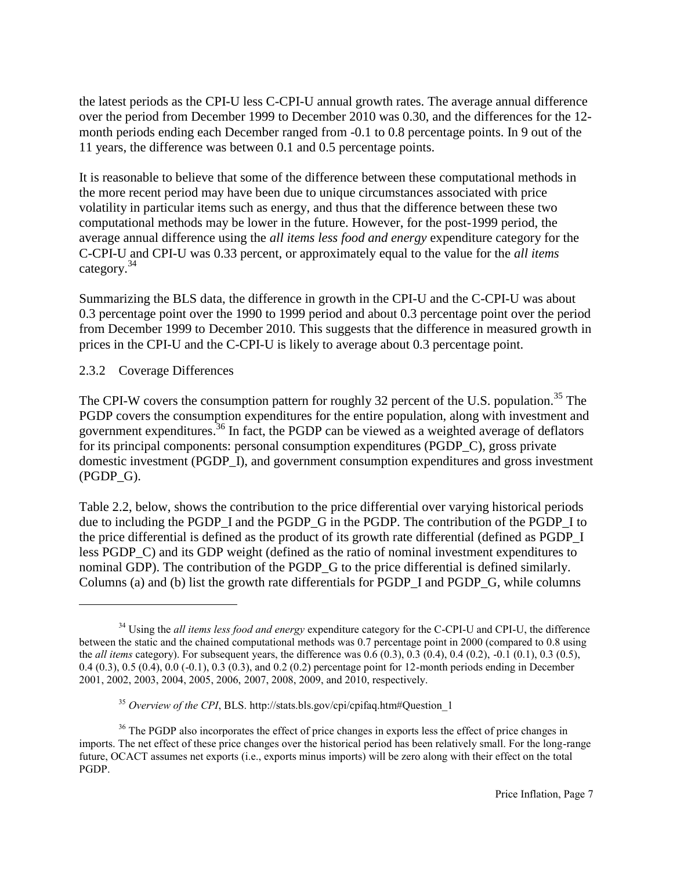the latest periods as the CPI-U less C-CPI-U annual growth rates. The average annual difference over the period from December 1999 to December 2010 was 0.30, and the differences for the 12 month periods ending each December ranged from -0.1 to 0.8 percentage points. In 9 out of the 11 years, the difference was between 0.1 and 0.5 percentage points.

It is reasonable to believe that some of the difference between these computational methods in the more recent period may have been due to unique circumstances associated with price volatility in particular items such as energy, and thus that the difference between these two computational methods may be lower in the future. However, for the post-1999 period, the average annual difference using the *all items less food and energy* expenditure category for the C-CPI-U and CPI-U was 0.33 percent, or approximately equal to the value for the *all items* category.<sup>34</sup>

Summarizing the BLS data, the difference in growth in the CPI-U and the C-CPI-U was about 0.3 percentage point over the 1990 to 1999 period and about 0.3 percentage point over the period from December 1999 to December 2010. This suggests that the difference in measured growth in prices in the CPI-U and the C-CPI-U is likely to average about 0.3 percentage point.

## 2.3.2 Coverage Differences

 $\overline{a}$ 

The CPI-W covers the consumption pattern for roughly 32 percent of the U.S. population.<sup>35</sup> The PGDP covers the consumption expenditures for the entire population, along with investment and government expenditures.<sup>36</sup> In fact, the PGDP can be viewed as a weighted average of deflators for its principal components: personal consumption expenditures (PGDP\_C), gross private domestic investment (PGDP\_I), and government consumption expenditures and gross investment (PGDP\_G).

Table 2.2, below, shows the contribution to the price differential over varying historical periods due to including the PGDP\_I and the PGDP\_G in the PGDP. The contribution of the PGDP\_I to the price differential is defined as the product of its growth rate differential (defined as PGDP\_I less PGDP\_C) and its GDP weight (defined as the ratio of nominal investment expenditures to nominal GDP). The contribution of the PGDP\_G to the price differential is defined similarly. Columns (a) and (b) list the growth rate differentials for PGDP\_I and PGDP\_G, while columns

<sup>34</sup> Using the *all items less food and energy* expenditure category for the C-CPI-U and CPI-U, the difference between the static and the chained computational methods was 0.7 percentage point in 2000 (compared to 0.8 using the *all items* category). For subsequent years, the difference was 0.6 (0.3), 0.3 (0.4), 0.4 (0.2), -0.1 (0.1), 0.3 (0.5), 0.4 (0.3), 0.5 (0.4), 0.0 (-0.1), 0.3 (0.3), and 0.2 (0.2) percentage point for 12-month periods ending in December 2001, 2002, 2003, 2004, 2005, 2006, 2007, 2008, 2009, and 2010, respectively.

<sup>&</sup>lt;sup>35</sup> *Overview of the CPI*, BLS. http://stats.bls.gov/cpi/cpifaq.htm#Question 1

<sup>&</sup>lt;sup>36</sup> The PGDP also incorporates the effect of price changes in exports less the effect of price changes in imports. The net effect of these price changes over the historical period has been relatively small. For the long-range future, OCACT assumes net exports (i.e., exports minus imports) will be zero along with their effect on the total PGDP.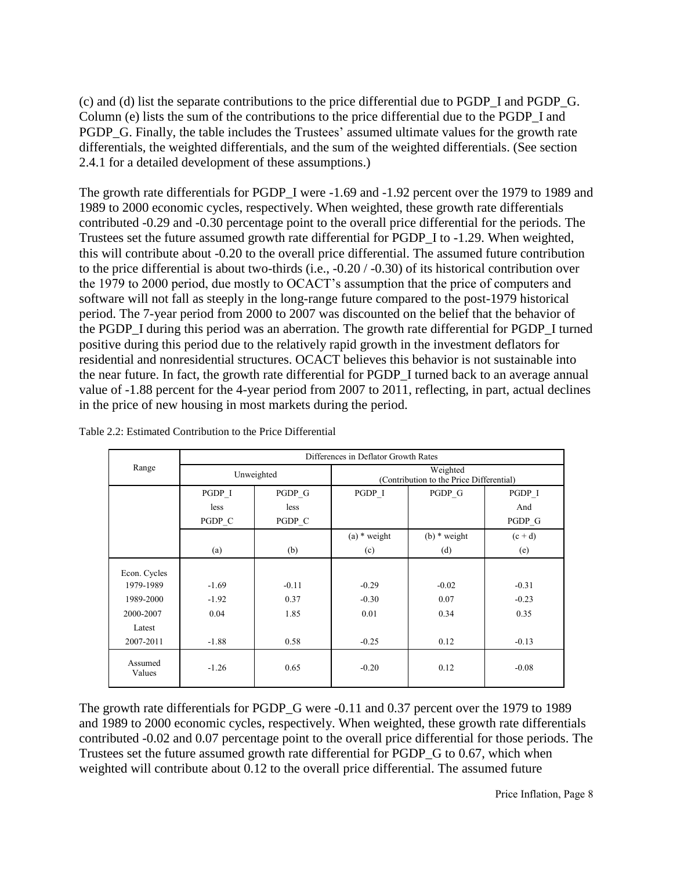(c) and (d) list the separate contributions to the price differential due to PGDP\_I and PGDP\_G. Column (e) lists the sum of the contributions to the price differential due to the PGDP\_I and PGDP\_G. Finally, the table includes the Trustees' assumed ultimate values for the growth rate differentials, the weighted differentials, and the sum of the weighted differentials. (See section 2.4.1 for a detailed development of these assumptions.)

The growth rate differentials for PGDP\_I were -1.69 and -1.92 percent over the 1979 to 1989 and 1989 to 2000 economic cycles, respectively. When weighted, these growth rate differentials contributed -0.29 and -0.30 percentage point to the overall price differential for the periods. The Trustees set the future assumed growth rate differential for PGDP\_I to -1.29. When weighted, this will contribute about -0.20 to the overall price differential. The assumed future contribution to the price differential is about two-thirds (i.e., -0.20 / -0.30) of its historical contribution over the 1979 to 2000 period, due mostly to OCACT's assumption that the price of computers and software will not fall as steeply in the long-range future compared to the post-1979 historical period. The 7-year period from 2000 to 2007 was discounted on the belief that the behavior of the PGDP\_I during this period was an aberration. The growth rate differential for PGDP\_I turned positive during this period due to the relatively rapid growth in the investment deflators for residential and nonresidential structures. OCACT believes this behavior is not sustainable into the near future. In fact, the growth rate differential for PGDP\_I turned back to an average annual value of -1.88 percent for the 4-year period from 2007 to 2011, reflecting, in part, actual declines in the price of new housing in most markets during the period.

|                                                               | Differences in Deflator Growth Rates |                         |                                                      |                         |                            |  |  |
|---------------------------------------------------------------|--------------------------------------|-------------------------|------------------------------------------------------|-------------------------|----------------------------|--|--|
| Range                                                         |                                      | Unweighted              | Weighted<br>(Contribution to the Price Differential) |                         |                            |  |  |
|                                                               | PGDP_G<br>PGDP I                     |                         | PGDP I                                               | PGDP G                  | PGDP I                     |  |  |
|                                                               | less                                 | less                    |                                                      |                         | And                        |  |  |
|                                                               | PGDP C                               | PGDP C                  |                                                      |                         | PGDP G                     |  |  |
|                                                               |                                      |                         | $(a)$ * weight                                       | $(b)$ * weight          | $(c + d)$                  |  |  |
|                                                               | (a)                                  | (b)                     | (c)                                                  | (d)                     | (e)                        |  |  |
| Econ. Cycles<br>1979-1989<br>1989-2000<br>2000-2007<br>Latest | $-1.69$<br>$-1.92$<br>0.04           | $-0.11$<br>0.37<br>1.85 | $-0.29$<br>$-0.30$<br>0.01                           | $-0.02$<br>0.07<br>0.34 | $-0.31$<br>$-0.23$<br>0.35 |  |  |
| 2007-2011                                                     | $-1.88$                              | 0.58                    | $-0.25$                                              | 0.12                    | $-0.13$                    |  |  |
| Assumed<br>Values                                             | $-1.26$                              | 0.65                    | $-0.20$                                              | 0.12                    | $-0.08$                    |  |  |

Table 2.2: Estimated Contribution to the Price Differential

The growth rate differentials for PGDP G were -0.11 and 0.37 percent over the 1979 to 1989 and 1989 to 2000 economic cycles, respectively. When weighted, these growth rate differentials contributed -0.02 and 0.07 percentage point to the overall price differential for those periods. The Trustees set the future assumed growth rate differential for PGDP\_G to 0.67, which when weighted will contribute about 0.12 to the overall price differential. The assumed future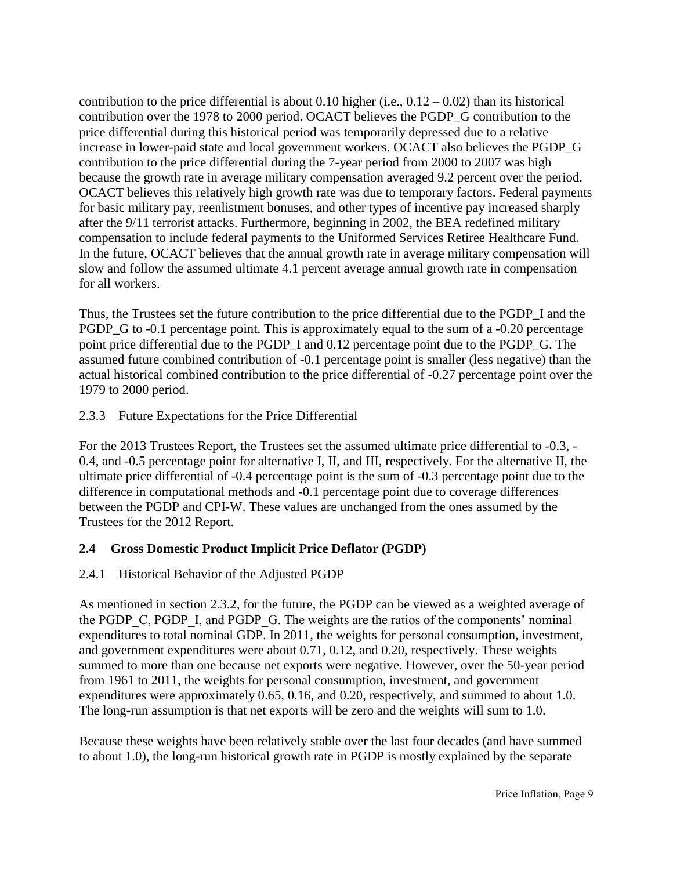contribution to the price differential is about 0.10 higher (i.e.,  $0.12 - 0.02$ ) than its historical contribution over the 1978 to 2000 period. OCACT believes the PGDP\_G contribution to the price differential during this historical period was temporarily depressed due to a relative increase in lower-paid state and local government workers. OCACT also believes the PGDP\_G contribution to the price differential during the 7-year period from 2000 to 2007 was high because the growth rate in average military compensation averaged 9.2 percent over the period. OCACT believes this relatively high growth rate was due to temporary factors. Federal payments for basic military pay, reenlistment bonuses, and other types of incentive pay increased sharply after the 9/11 terrorist attacks. Furthermore, beginning in 2002, the BEA redefined military compensation to include federal payments to the Uniformed Services Retiree Healthcare Fund. In the future, OCACT believes that the annual growth rate in average military compensation will slow and follow the assumed ultimate 4.1 percent average annual growth rate in compensation for all workers.

Thus, the Trustees set the future contribution to the price differential due to the PGDP\_I and the PGDP\_G to -0.1 percentage point. This is approximately equal to the sum of a -0.20 percentage point price differential due to the PGDP\_I and 0.12 percentage point due to the PGDP\_G. The assumed future combined contribution of -0.1 percentage point is smaller (less negative) than the actual historical combined contribution to the price differential of -0.27 percentage point over the 1979 to 2000 period.

# 2.3.3 Future Expectations for the Price Differential

For the 2013 Trustees Report, the Trustees set the assumed ultimate price differential to -0.3, - 0.4, and -0.5 percentage point for alternative I, II, and III, respectively. For the alternative II, the ultimate price differential of -0.4 percentage point is the sum of -0.3 percentage point due to the difference in computational methods and -0.1 percentage point due to coverage differences between the PGDP and CPI-W. These values are unchanged from the ones assumed by the Trustees for the 2012 Report.

# **2.4 Gross Domestic Product Implicit Price Deflator (PGDP)**

# 2.4.1 Historical Behavior of the Adjusted PGDP

As mentioned in section 2.3.2, for the future, the PGDP can be viewed as a weighted average of the PGDP C, PGDP I, and PGDP G. The weights are the ratios of the components' nominal expenditures to total nominal GDP. In 2011, the weights for personal consumption, investment, and government expenditures were about 0.71, 0.12, and 0.20, respectively. These weights summed to more than one because net exports were negative. However, over the 50-year period from 1961 to 2011, the weights for personal consumption, investment, and government expenditures were approximately 0.65, 0.16, and 0.20, respectively, and summed to about 1.0. The long-run assumption is that net exports will be zero and the weights will sum to 1.0.

Because these weights have been relatively stable over the last four decades (and have summed to about 1.0), the long-run historical growth rate in PGDP is mostly explained by the separate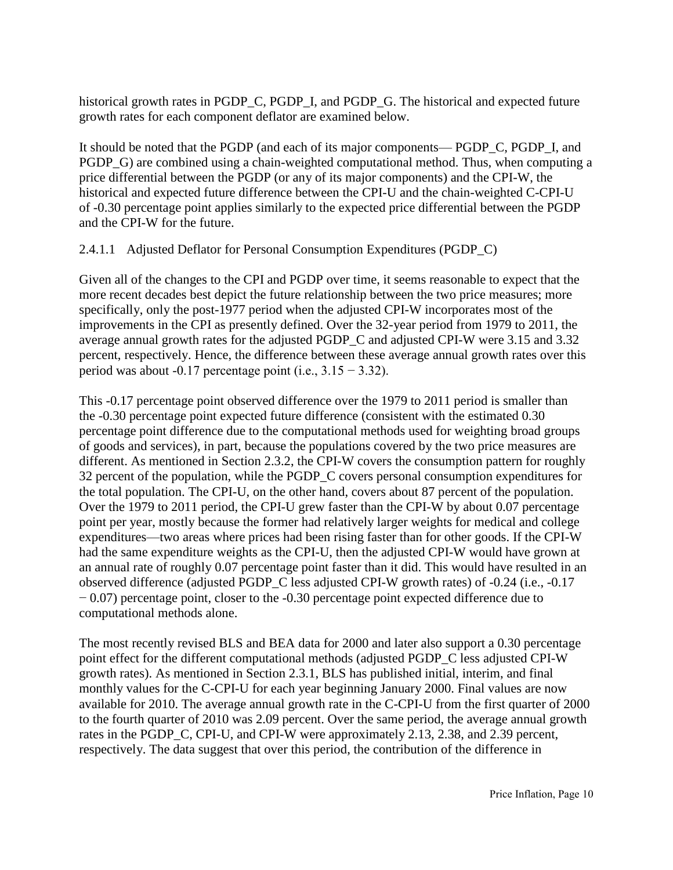historical growth rates in PGDP\_C, PGDP\_I, and PGDP\_G. The historical and expected future growth rates for each component deflator are examined below.

It should be noted that the PGDP (and each of its major components— PGDP\_C, PGDP\_I, and PGDP\_G) are combined using a chain-weighted computational method. Thus, when computing a price differential between the PGDP (or any of its major components) and the CPI-W, the historical and expected future difference between the CPI-U and the chain-weighted C-CPI-U of -0.30 percentage point applies similarly to the expected price differential between the PGDP and the CPI-W for the future.

# 2.4.1.1 Adjusted Deflator for Personal Consumption Expenditures (PGDP\_C)

Given all of the changes to the CPI and PGDP over time, it seems reasonable to expect that the more recent decades best depict the future relationship between the two price measures; more specifically, only the post-1977 period when the adjusted CPI-W incorporates most of the improvements in the CPI as presently defined. Over the 32-year period from 1979 to 2011, the average annual growth rates for the adjusted PGDP\_C and adjusted CPI-W were 3.15 and 3.32 percent, respectively. Hence, the difference between these average annual growth rates over this period was about -0.17 percentage point (i.e.,  $3.15 - 3.32$ ).

This -0.17 percentage point observed difference over the 1979 to 2011 period is smaller than the -0.30 percentage point expected future difference (consistent with the estimated 0.30 percentage point difference due to the computational methods used for weighting broad groups of goods and services), in part, because the populations covered by the two price measures are different. As mentioned in Section 2.3.2, the CPI-W covers the consumption pattern for roughly 32 percent of the population, while the PGDP\_C covers personal consumption expenditures for the total population. The CPI-U, on the other hand, covers about 87 percent of the population. Over the 1979 to 2011 period, the CPI-U grew faster than the CPI-W by about 0.07 percentage point per year, mostly because the former had relatively larger weights for medical and college expenditures—two areas where prices had been rising faster than for other goods. If the CPI-W had the same expenditure weights as the CPI-U, then the adjusted CPI-W would have grown at an annual rate of roughly 0.07 percentage point faster than it did. This would have resulted in an observed difference (adjusted PGDP\_C less adjusted CPI-W growth rates) of -0.24 (i.e., -0.17 − 0.07) percentage point, closer to the -0.30 percentage point expected difference due to computational methods alone.

The most recently revised BLS and BEA data for 2000 and later also support a 0.30 percentage point effect for the different computational methods (adjusted PGDP\_C less adjusted CPI-W growth rates). As mentioned in Section 2.3.1, BLS has published initial, interim, and final monthly values for the C-CPI-U for each year beginning January 2000. Final values are now available for 2010. The average annual growth rate in the C-CPI-U from the first quarter of 2000 to the fourth quarter of 2010 was 2.09 percent. Over the same period, the average annual growth rates in the PGDP\_C, CPI-U, and CPI-W were approximately 2.13, 2.38, and 2.39 percent, respectively. The data suggest that over this period, the contribution of the difference in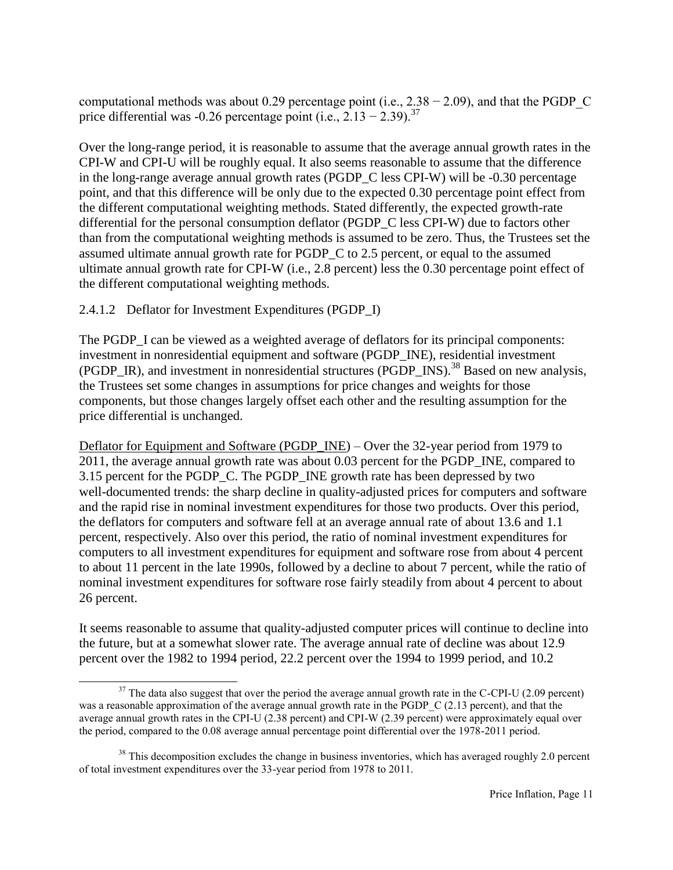computational methods was about 0.29 percentage point (i.e.,  $2.38 - 2.09$ ), and that the PGDP C price differential was -0.26 percentage point (i.e.,  $2.13 - 2.39$ ).<sup>37</sup>

Over the long-range period, it is reasonable to assume that the average annual growth rates in the CPI-W and CPI-U will be roughly equal. It also seems reasonable to assume that the difference in the long-range average annual growth rates (PGDP\_C less CPI-W) will be -0.30 percentage point, and that this difference will be only due to the expected 0.30 percentage point effect from the different computational weighting methods. Stated differently, the expected growth-rate differential for the personal consumption deflator (PGDP\_C less CPI-W) due to factors other than from the computational weighting methods is assumed to be zero. Thus, the Trustees set the assumed ultimate annual growth rate for PGDP\_C to 2.5 percent, or equal to the assumed ultimate annual growth rate for CPI-W (i.e., 2.8 percent) less the 0.30 percentage point effect of the different computational weighting methods.

2.4.1.2 Deflator for Investment Expenditures (PGDP\_I)

l

The PGDP I can be viewed as a weighted average of deflators for its principal components: investment in nonresidential equipment and software (PGDP\_INE), residential investment (PGDP\_IR), and investment in nonresidential structures (PGDP\_INS).<sup>38</sup> Based on new analysis, the Trustees set some changes in assumptions for price changes and weights for those components, but those changes largely offset each other and the resulting assumption for the price differential is unchanged.

Deflator for Equipment and Software (PGDP\_INE) – Over the 32-year period from 1979 to 2011, the average annual growth rate was about 0.03 percent for the PGDP\_INE, compared to 3.15 percent for the PGDP\_C. The PGDP\_INE growth rate has been depressed by two well-documented trends: the sharp decline in quality-adjusted prices for computers and software and the rapid rise in nominal investment expenditures for those two products. Over this period, the deflators for computers and software fell at an average annual rate of about 13.6 and 1.1 percent, respectively. Also over this period, the ratio of nominal investment expenditures for computers to all investment expenditures for equipment and software rose from about 4 percent to about 11 percent in the late 1990s, followed by a decline to about 7 percent, while the ratio of nominal investment expenditures for software rose fairly steadily from about 4 percent to about 26 percent.

It seems reasonable to assume that quality-adjusted computer prices will continue to decline into the future, but at a somewhat slower rate. The average annual rate of decline was about 12.9 percent over the 1982 to 1994 period, 22.2 percent over the 1994 to 1999 period, and 10.2

 $37$  The data also suggest that over the period the average annual growth rate in the C-CPI-U (2.09 percent) was a reasonable approximation of the average annual growth rate in the PGDP\_C (2.13 percent), and that the average annual growth rates in the CPI-U (2.38 percent) and CPI-W (2.39 percent) were approximately equal over the period, compared to the 0.08 average annual percentage point differential over the 1978-2011 period.

 $38$  This decomposition excludes the change in business inventories, which has averaged roughly 2.0 percent of total investment expenditures over the 33-year period from 1978 to 2011.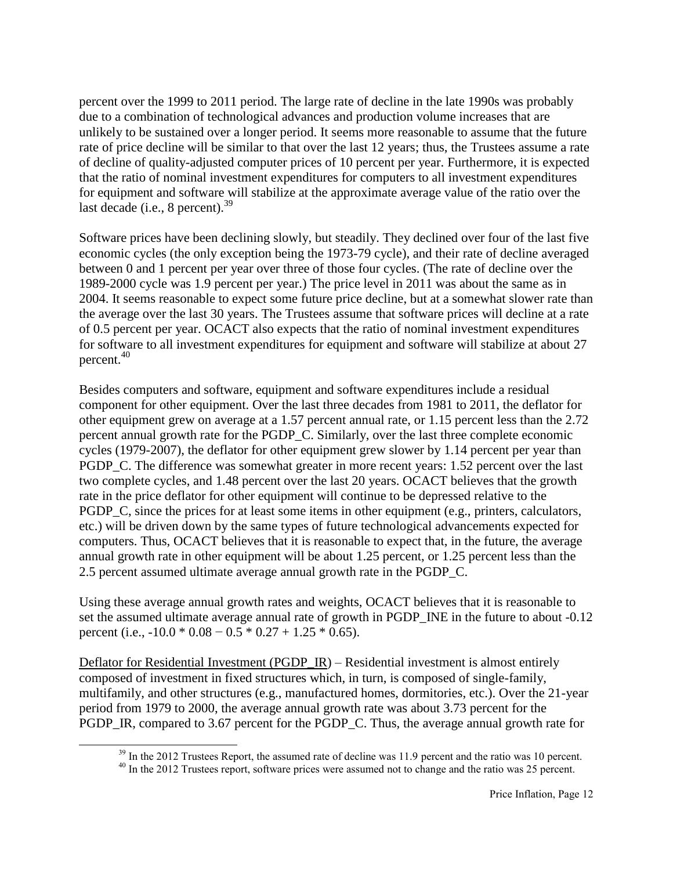percent over the 1999 to 2011 period. The large rate of decline in the late 1990s was probably due to a combination of technological advances and production volume increases that are unlikely to be sustained over a longer period. It seems more reasonable to assume that the future rate of price decline will be similar to that over the last 12 years; thus, the Trustees assume a rate of decline of quality-adjusted computer prices of 10 percent per year. Furthermore, it is expected that the ratio of nominal investment expenditures for computers to all investment expenditures for equipment and software will stabilize at the approximate average value of the ratio over the last decade (i.e., 8 percent). $39$ 

Software prices have been declining slowly, but steadily. They declined over four of the last five economic cycles (the only exception being the 1973-79 cycle), and their rate of decline averaged between 0 and 1 percent per year over three of those four cycles. (The rate of decline over the 1989-2000 cycle was 1.9 percent per year.) The price level in 2011 was about the same as in 2004. It seems reasonable to expect some future price decline, but at a somewhat slower rate than the average over the last 30 years. The Trustees assume that software prices will decline at a rate of 0.5 percent per year. OCACT also expects that the ratio of nominal investment expenditures for software to all investment expenditures for equipment and software will stabilize at about 27 percent. 40

Besides computers and software, equipment and software expenditures include a residual component for other equipment. Over the last three decades from 1981 to 2011, the deflator for other equipment grew on average at a 1.57 percent annual rate, or 1.15 percent less than the 2.72 percent annual growth rate for the PGDP\_C. Similarly, over the last three complete economic cycles (1979-2007), the deflator for other equipment grew slower by 1.14 percent per year than PGDP\_C. The difference was somewhat greater in more recent years: 1.52 percent over the last two complete cycles, and 1.48 percent over the last 20 years. OCACT believes that the growth rate in the price deflator for other equipment will continue to be depressed relative to the PGDP\_C, since the prices for at least some items in other equipment (e.g., printers, calculators, etc.) will be driven down by the same types of future technological advancements expected for computers. Thus, OCACT believes that it is reasonable to expect that, in the future, the average annual growth rate in other equipment will be about 1.25 percent, or 1.25 percent less than the 2.5 percent assumed ultimate average annual growth rate in the PGDP\_C.

Using these average annual growth rates and weights, OCACT believes that it is reasonable to set the assumed ultimate average annual rate of growth in PGDP INE in the future to about -0.12 percent (i.e.,  $-10.0 * 0.08 - 0.5 * 0.27 + 1.25 * 0.65$ ).

Deflator for Residential Investment (PGDP\_IR) – Residential investment is almost entirely composed of investment in fixed structures which, in turn, is composed of single-family, multifamily, and other structures (e.g., manufactured homes, dormitories, etc.). Over the 21-year period from 1979 to 2000, the average annual growth rate was about 3.73 percent for the PGDP\_IR, compared to 3.67 percent for the PGDP\_C. Thus, the average annual growth rate for

 $\overline{a}$ 

<sup>&</sup>lt;sup>39</sup> In the 2012 Trustees Report, the assumed rate of decline was 11.9 percent and the ratio was 10 percent.

<sup>&</sup>lt;sup>40</sup> In the 2012 Trustees report, software prices were assumed not to change and the ratio was 25 percent.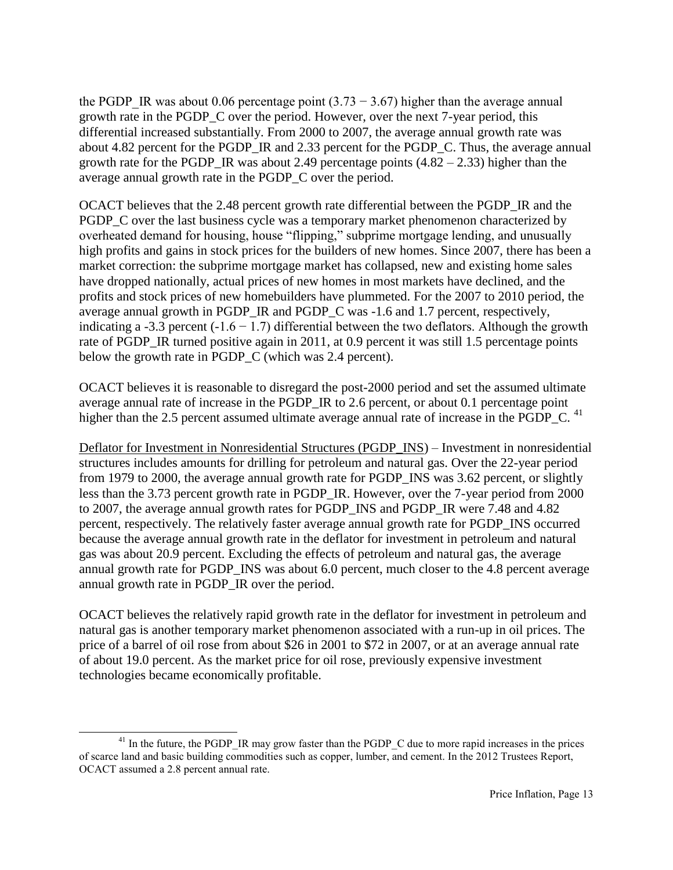the PGDP IR was about 0.06 percentage point  $(3.73 - 3.67)$  higher than the average annual growth rate in the PGDP\_C over the period. However, over the next 7-year period, this differential increased substantially. From 2000 to 2007, the average annual growth rate was about 4.82 percent for the PGDP\_IR and 2.33 percent for the PGDP\_C. Thus, the average annual growth rate for the PGDP\_IR was about 2.49 percentage points  $(4.82 - 2.33)$  higher than the average annual growth rate in the PGDP\_C over the period.

OCACT believes that the 2.48 percent growth rate differential between the PGDP\_IR and the PGDP C over the last business cycle was a temporary market phenomenon characterized by overheated demand for housing, house "flipping," subprime mortgage lending, and unusually high profits and gains in stock prices for the builders of new homes. Since 2007, there has been a market correction: the subprime mortgage market has collapsed, new and existing home sales have dropped nationally, actual prices of new homes in most markets have declined, and the profits and stock prices of new homebuilders have plummeted. For the 2007 to 2010 period, the average annual growth in PGDP\_IR and PGDP\_C was -1.6 and 1.7 percent, respectively, indicating a -3.3 percent (-1.6 – 1.7) differential between the two deflators. Although the growth rate of PGDP\_IR turned positive again in 2011, at 0.9 percent it was still 1.5 percentage points below the growth rate in PGDP\_C (which was 2.4 percent).

OCACT believes it is reasonable to disregard the post-2000 period and set the assumed ultimate average annual rate of increase in the PGDP\_IR to 2.6 percent, or about 0.1 percentage point higher than the 2.5 percent assumed ultimate average annual rate of increase in the PGDP  $C$ . <sup>41</sup>

Deflator for Investment in Nonresidential Structures (PGDP\_INS) – Investment in nonresidential structures includes amounts for drilling for petroleum and natural gas. Over the 22-year period from 1979 to 2000, the average annual growth rate for PGDP\_INS was 3.62 percent, or slightly less than the 3.73 percent growth rate in PGDP\_IR. However, over the 7-year period from 2000 to 2007, the average annual growth rates for PGDP\_INS and PGDP\_IR were 7.48 and 4.82 percent, respectively. The relatively faster average annual growth rate for PGDP\_INS occurred because the average annual growth rate in the deflator for investment in petroleum and natural gas was about 20.9 percent. Excluding the effects of petroleum and natural gas, the average annual growth rate for PGDP\_INS was about 6.0 percent, much closer to the 4.8 percent average annual growth rate in PGDP\_IR over the period.

OCACT believes the relatively rapid growth rate in the deflator for investment in petroleum and natural gas is another temporary market phenomenon associated with a run-up in oil prices. The price of a barrel of oil rose from about \$26 in 2001 to \$72 in 2007, or at an average annual rate of about 19.0 percent. As the market price for oil rose, previously expensive investment technologies became economically profitable.

 $\overline{a}$ <sup>41</sup> In the future, the PGDP\_IR may grow faster than the PGDP\_C due to more rapid increases in the prices of scarce land and basic building commodities such as copper, lumber, and cement. In the 2012 Trustees Report, OCACT assumed a 2.8 percent annual rate.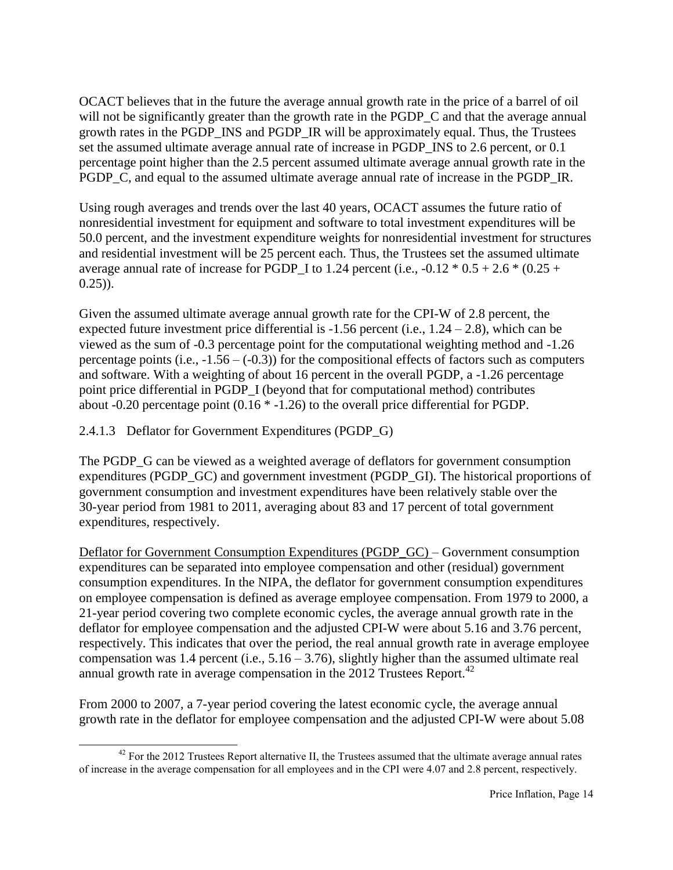OCACT believes that in the future the average annual growth rate in the price of a barrel of oil will not be significantly greater than the growth rate in the PGDP C and that the average annual growth rates in the PGDP\_INS and PGDP\_IR will be approximately equal. Thus, the Trustees set the assumed ultimate average annual rate of increase in PGDP\_INS to 2.6 percent, or 0.1 percentage point higher than the 2.5 percent assumed ultimate average annual growth rate in the PGDP\_C, and equal to the assumed ultimate average annual rate of increase in the PGDP\_IR.

Using rough averages and trends over the last 40 years, OCACT assumes the future ratio of nonresidential investment for equipment and software to total investment expenditures will be 50.0 percent, and the investment expenditure weights for nonresidential investment for structures and residential investment will be 25 percent each. Thus, the Trustees set the assumed ultimate average annual rate of increase for PGDP I to 1.24 percent (i.e.,  $-0.12 * 0.5 + 2.6 * (0.25 + 1.6)$  $(0.25)$ ).

Given the assumed ultimate average annual growth rate for the CPI-W of 2.8 percent, the expected future investment price differential is  $-1.56$  percent (i.e.,  $1.24 - 2.8$ ), which can be viewed as the sum of -0.3 percentage point for the computational weighting method and -1.26 percentage points (i.e.,  $-1.56 - (-0.3)$ ) for the compositional effects of factors such as computers and software. With a weighting of about 16 percent in the overall PGDP, a -1.26 percentage point price differential in PGDP\_I (beyond that for computational method) contributes about -0.20 percentage point (0.16 \* -1.26) to the overall price differential for PGDP.

2.4.1.3 Deflator for Government Expenditures (PGDP\_G)

The PGDP G can be viewed as a weighted average of deflators for government consumption expenditures (PGDP\_GC) and government investment (PGDP\_GI). The historical proportions of government consumption and investment expenditures have been relatively stable over the 30-year period from 1981 to 2011, averaging about 83 and 17 percent of total government expenditures, respectively.

Deflator for Government Consumption Expenditures (PGDP\_GC) – Government consumption expenditures can be separated into employee compensation and other (residual) government consumption expenditures. In the NIPA, the deflator for government consumption expenditures on employee compensation is defined as average employee compensation. From 1979 to 2000, a 21-year period covering two complete economic cycles, the average annual growth rate in the deflator for employee compensation and the adjusted CPI-W were about 5.16 and 3.76 percent, respectively. This indicates that over the period, the real annual growth rate in average employee compensation was 1.4 percent (i.e.,  $5.16 - 3.76$ ), slightly higher than the assumed ultimate real annual growth rate in average compensation in the  $2012$  Trustees Report.<sup>42</sup>

From 2000 to 2007, a 7-year period covering the latest economic cycle, the average annual growth rate in the deflator for employee compensation and the adjusted CPI-W were about 5.08

 $\overline{a}$  $42$  For the 2012 Trustees Report alternative II, the Trustees assumed that the ultimate average annual rates of increase in the average compensation for all employees and in the CPI were 4.07 and 2.8 percent, respectively.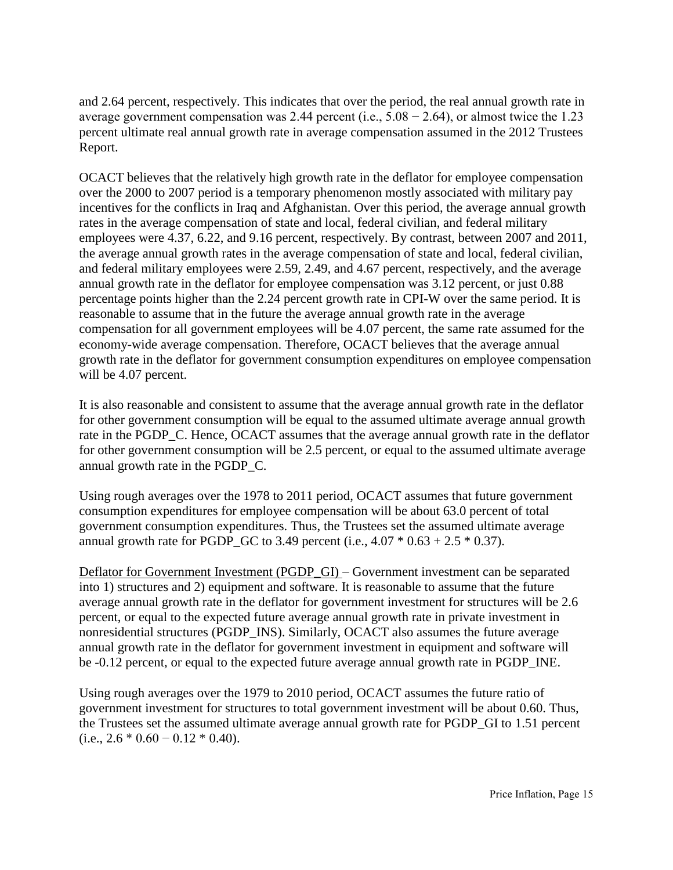and 2.64 percent, respectively. This indicates that over the period, the real annual growth rate in average government compensation was 2.44 percent (i.e.,  $5.08 - 2.64$ ), or almost twice the 1.23 percent ultimate real annual growth rate in average compensation assumed in the 2012 Trustees Report.

OCACT believes that the relatively high growth rate in the deflator for employee compensation over the 2000 to 2007 period is a temporary phenomenon mostly associated with military pay incentives for the conflicts in Iraq and Afghanistan. Over this period, the average annual growth rates in the average compensation of state and local, federal civilian, and federal military employees were 4.37, 6.22, and 9.16 percent, respectively. By contrast, between 2007 and 2011, the average annual growth rates in the average compensation of state and local, federal civilian, and federal military employees were 2.59, 2.49, and 4.67 percent, respectively, and the average annual growth rate in the deflator for employee compensation was 3.12 percent, or just 0.88 percentage points higher than the 2.24 percent growth rate in CPI-W over the same period. It is reasonable to assume that in the future the average annual growth rate in the average compensation for all government employees will be 4.07 percent, the same rate assumed for the economy-wide average compensation. Therefore, OCACT believes that the average annual growth rate in the deflator for government consumption expenditures on employee compensation will be 4.07 percent.

It is also reasonable and consistent to assume that the average annual growth rate in the deflator for other government consumption will be equal to the assumed ultimate average annual growth rate in the PGDP\_C. Hence, OCACT assumes that the average annual growth rate in the deflator for other government consumption will be 2.5 percent, or equal to the assumed ultimate average annual growth rate in the PGDP\_C.

Using rough averages over the 1978 to 2011 period, OCACT assumes that future government consumption expenditures for employee compensation will be about 63.0 percent of total government consumption expenditures. Thus, the Trustees set the assumed ultimate average annual growth rate for PGDP\_GC to 3.49 percent (i.e.,  $4.07 * 0.63 + 2.5 * 0.37$ ).

Deflator for Government Investment (PGDP\_GI) – Government investment can be separated into 1) structures and 2) equipment and software. It is reasonable to assume that the future average annual growth rate in the deflator for government investment for structures will be 2.6 percent, or equal to the expected future average annual growth rate in private investment in nonresidential structures (PGDP\_INS). Similarly, OCACT also assumes the future average annual growth rate in the deflator for government investment in equipment and software will be -0.12 percent, or equal to the expected future average annual growth rate in PGDP\_INE.

Using rough averages over the 1979 to 2010 period, OCACT assumes the future ratio of government investment for structures to total government investment will be about 0.60. Thus, the Trustees set the assumed ultimate average annual growth rate for PGDP\_GI to 1.51 percent  $(i.e., 2.6 * 0.60 - 0.12 * 0.40).$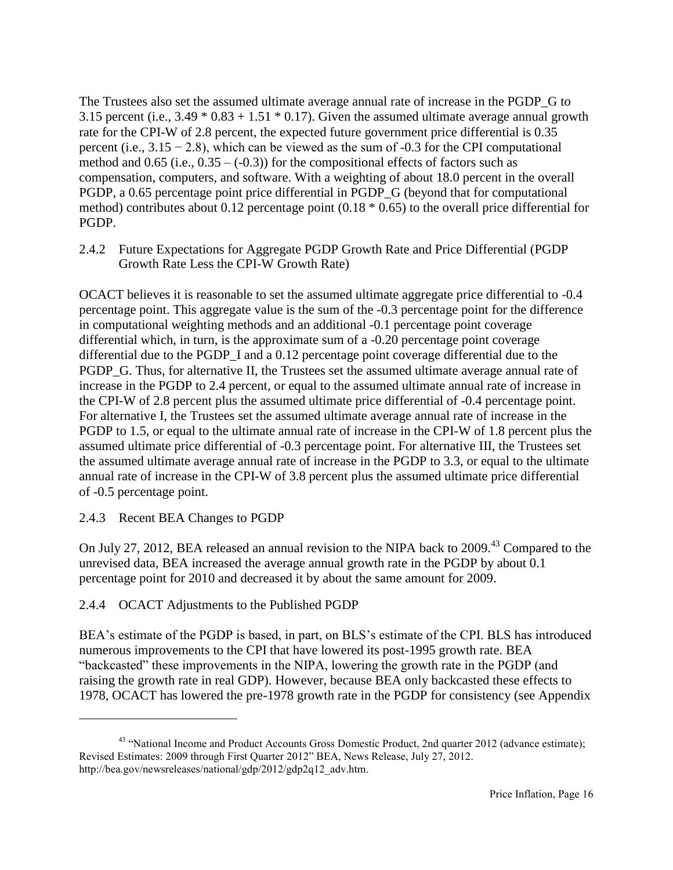The Trustees also set the assumed ultimate average annual rate of increase in the PGDP\_G to 3.15 percent (i.e.,  $3.49 * 0.83 + 1.51 * 0.17$ ). Given the assumed ultimate average annual growth rate for the CPI-W of 2.8 percent, the expected future government price differential is 0.35 percent (i.e.,  $3.15 - 2.8$ ), which can be viewed as the sum of -0.3 for the CPI computational method and  $0.65$  (i.e.,  $0.35 - (-0.3)$ ) for the compositional effects of factors such as compensation, computers, and software. With a weighting of about 18.0 percent in the overall PGDP, a 0.65 percentage point price differential in PGDP\_G (beyond that for computational method) contributes about 0.12 percentage point (0.18 \* 0.65) to the overall price differential for PGDP.

2.4.2 Future Expectations for Aggregate PGDP Growth Rate and Price Differential (PGDP Growth Rate Less the CPI-W Growth Rate)

OCACT believes it is reasonable to set the assumed ultimate aggregate price differential to -0.4 percentage point. This aggregate value is the sum of the -0.3 percentage point for the difference in computational weighting methods and an additional -0.1 percentage point coverage differential which, in turn, is the approximate sum of a -0.20 percentage point coverage differential due to the PGDP\_I and a 0.12 percentage point coverage differential due to the PGDP G. Thus, for alternative II, the Trustees set the assumed ultimate average annual rate of increase in the PGDP to 2.4 percent, or equal to the assumed ultimate annual rate of increase in the CPI-W of 2.8 percent plus the assumed ultimate price differential of -0.4 percentage point. For alternative I, the Trustees set the assumed ultimate average annual rate of increase in the PGDP to 1.5, or equal to the ultimate annual rate of increase in the CPI-W of 1.8 percent plus the assumed ultimate price differential of -0.3 percentage point. For alternative III, the Trustees set the assumed ultimate average annual rate of increase in the PGDP to 3.3, or equal to the ultimate annual rate of increase in the CPI-W of 3.8 percent plus the assumed ultimate price differential of -0.5 percentage point.

#### 2.4.3 Recent BEA Changes to PGDP

 $\overline{a}$ 

On July 27, 2012, BEA released an annual revision to the NIPA back to 2009.<sup>43</sup> Compared to the unrevised data, BEA increased the average annual growth rate in the PGDP by about 0.1 percentage point for 2010 and decreased it by about the same amount for 2009.

#### 2.4.4 OCACT Adjustments to the Published PGDP

BEA's estimate of the PGDP is based, in part, on BLS's estimate of the CPI. BLS has introduced numerous improvements to the CPI that have lowered its post-1995 growth rate. BEA "backcasted" these improvements in the NIPA, lowering the growth rate in the PGDP (and raising the growth rate in real GDP). However, because BEA only backcasted these effects to 1978, OCACT has lowered the pre-1978 growth rate in the PGDP for consistency (see Appendix

<sup>&</sup>lt;sup>43</sup> "National Income and Product Accounts Gross Domestic Product, 2nd quarter 2012 (advance estimate); Revised Estimates: 2009 through First Quarter 2012" BEA, News Release, July 27, 2012. http://bea.gov/newsreleases/national/gdp/2012/gdp2q12\_adv.htm.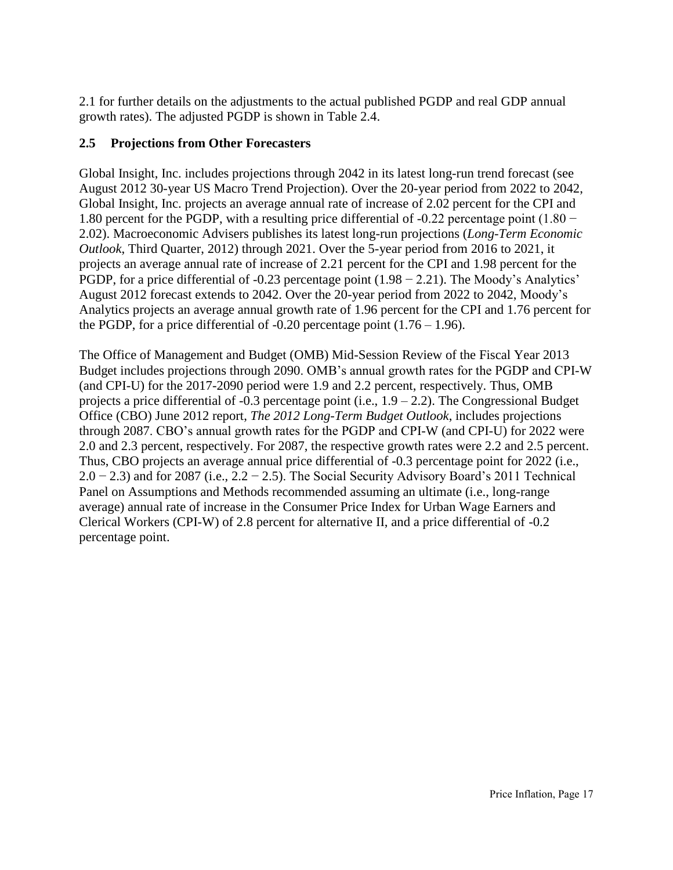2.1 for further details on the adjustments to the actual published PGDP and real GDP annual growth rates). The adjusted PGDP is shown in Table 2.4.

#### **2.5 Projections from Other Forecasters**

Global Insight, Inc. includes projections through 2042 in its latest long-run trend forecast (see August 2012 30-year US Macro Trend Projection). Over the 20-year period from 2022 to 2042, Global Insight, Inc. projects an average annual rate of increase of 2.02 percent for the CPI and 1.80 percent for the PGDP, with a resulting price differential of -0.22 percentage point (1.80 − 2.02). Macroeconomic Advisers publishes its latest long-run projections (*Long-Term Economic Outlook*, Third Quarter, 2012) through 2021. Over the 5-year period from 2016 to 2021, it projects an average annual rate of increase of 2.21 percent for the CPI and 1.98 percent for the PGDP, for a price differential of -0.23 percentage point (1.98 – 2.21). The Moody's Analytics' August 2012 forecast extends to 2042. Over the 20-year period from 2022 to 2042, Moody's Analytics projects an average annual growth rate of 1.96 percent for the CPI and 1.76 percent for the PGDP, for a price differential of  $-0.20$  percentage point  $(1.76 - 1.96)$ .

The Office of Management and Budget (OMB) Mid-Session Review of the Fiscal Year 2013 Budget includes projections through 2090. OMB's annual growth rates for the PGDP and CPI-W (and CPI-U) for the 2017-2090 period were 1.9 and 2.2 percent, respectively. Thus, OMB projects a price differential of  $-0.3$  percentage point (i.e.,  $1.9 - 2.2$ ). The Congressional Budget Office (CBO) June 2012 report, *The 2012 Long-Term Budget Outlook*, includes projections through 2087. CBO's annual growth rates for the PGDP and CPI-W (and CPI-U) for 2022 were 2.0 and 2.3 percent, respectively. For 2087, the respective growth rates were 2.2 and 2.5 percent. Thus, CBO projects an average annual price differential of -0.3 percentage point for 2022 (i.e.,  $2.0 - 2.3$ ) and for 2087 (i.e.,  $2.2 - 2.5$ ). The Social Security Advisory Board's 2011 Technical Panel on Assumptions and Methods recommended assuming an ultimate (i.e., long-range average) annual rate of increase in the Consumer Price Index for Urban Wage Earners and Clerical Workers (CPI-W) of 2.8 percent for alternative II, and a price differential of -0.2 percentage point.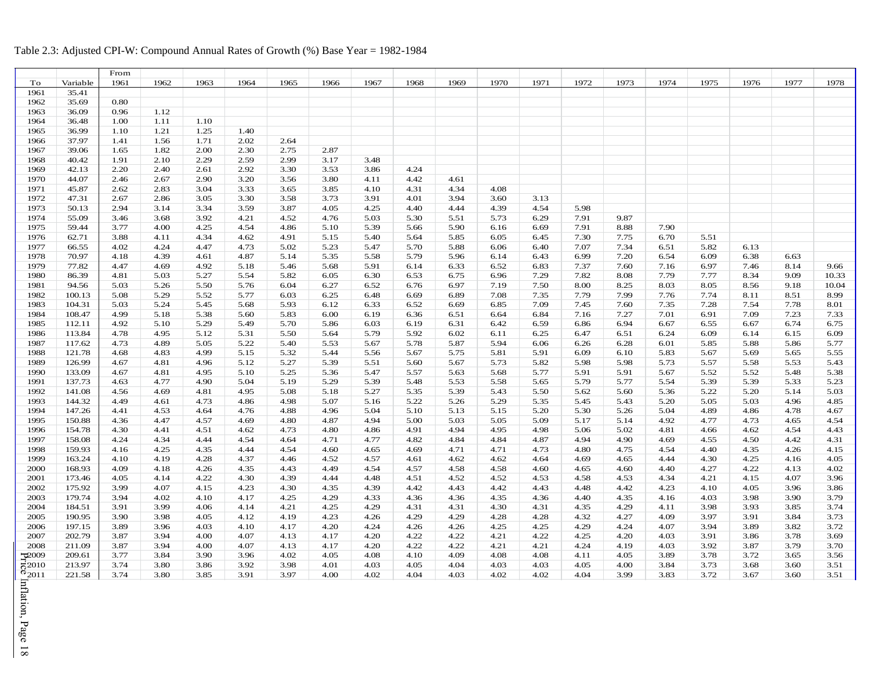## Table 2.3: Adjusted CPI-W: Compound Annual Rates of Growth (%) Base Year = 1982-1984

|                    |          | From |      |      |      |      |      |      |      |      |      |      |      |      |      |      |      |      |       |
|--------------------|----------|------|------|------|------|------|------|------|------|------|------|------|------|------|------|------|------|------|-------|
| To                 | Variable | 1961 | 1962 | 1963 | 1964 | 1965 | 1966 | 1967 | 1968 | 1969 | 1970 | 1971 | 1972 | 1973 | 1974 | 1975 | 1976 | 1977 | 1978  |
| 1961               | 35.41    |      |      |      |      |      |      |      |      |      |      |      |      |      |      |      |      |      |       |
| 1962               | 35.69    | 0.80 |      |      |      |      |      |      |      |      |      |      |      |      |      |      |      |      |       |
| 1963               | 36.09    | 0.96 | 1.12 |      |      |      |      |      |      |      |      |      |      |      |      |      |      |      |       |
| 1964               | 36.48    | 1.00 | 1.11 | 1.10 |      |      |      |      |      |      |      |      |      |      |      |      |      |      |       |
| 1965               | 36.99    | 1.10 | 1.21 | 1.25 | 1.40 |      |      |      |      |      |      |      |      |      |      |      |      |      |       |
| 1966               | 37.97    | 1.41 | 1.56 | 1.71 | 2.02 | 2.64 |      |      |      |      |      |      |      |      |      |      |      |      |       |
| 1967               | 39.06    | 1.65 | 1.82 | 2.00 | 2.30 | 2.75 | 2.87 |      |      |      |      |      |      |      |      |      |      |      |       |
| 1968               | 40.42    | 1.91 | 2.10 | 2.29 | 2.59 | 2.99 | 3.17 | 3.48 |      |      |      |      |      |      |      |      |      |      |       |
| 1969               | 42.13    | 2.20 | 2.40 | 2.61 | 2.92 | 3.30 | 3.53 | 3.86 | 4.24 |      |      |      |      |      |      |      |      |      |       |
| 1970               | 44.07    | 2.46 | 2.67 | 2.90 | 3.20 | 3.56 | 3.80 | 4.11 | 4.42 | 4.61 |      |      |      |      |      |      |      |      |       |
| 1971               | 45.87    | 2.62 | 2.83 | 3.04 | 3.33 | 3.65 | 3.85 | 4.10 | 4.31 | 4.34 | 4.08 |      |      |      |      |      |      |      |       |
| 1972               | 47.31    | 2.67 | 2.86 | 3.05 | 3.30 | 3.58 | 3.73 | 3.91 | 4.01 | 3.94 | 3.60 | 3.13 |      |      |      |      |      |      |       |
| 1973               | 50.13    | 2.94 | 3.14 | 3.34 | 3.59 | 3.87 | 4.05 | 4.25 | 4.40 | 4.44 | 4.39 | 4.54 | 5.98 |      |      |      |      |      |       |
|                    |          |      |      |      |      |      |      |      |      |      |      |      |      |      |      |      |      |      |       |
| 1974               | 55.09    | 3.46 | 3.68 | 3.92 | 4.21 | 4.52 | 4.76 | 5.03 | 5.30 | 5.51 | 5.73 | 6.29 | 7.91 | 9.87 |      |      |      |      |       |
| 1975               | 59.44    | 3.77 | 4.00 | 4.25 | 4.54 | 4.86 | 5.10 | 5.39 | 5.66 | 5.90 | 6.16 | 6.69 | 7.91 | 8.88 | 7.90 |      |      |      |       |
| 1976               | 62.71    | 3.88 | 4.11 | 4.34 | 4.62 | 4.91 | 5.15 | 5.40 | 5.64 | 5.85 | 6.05 | 6.45 | 7.30 | 7.75 | 6.70 | 5.51 |      |      |       |
| 1977               | 66.55    | 4.02 | 4.24 | 4.47 | 4.73 | 5.02 | 5.23 | 5.47 | 5.70 | 5.88 | 6.06 | 6.40 | 7.07 | 7.34 | 6.51 | 5.82 | 6.13 |      |       |
| 1978               | 70.97    | 4.18 | 4.39 | 4.61 | 4.87 | 5.14 | 5.35 | 5.58 | 5.79 | 5.96 | 6.14 | 6.43 | 6.99 | 7.20 | 6.54 | 6.09 | 6.38 | 6.63 |       |
| 1979               | 77.82    | 4.47 | 4.69 | 4.92 | 5.18 | 5.46 | 5.68 | 5.91 | 6.14 | 6.33 | 6.52 | 6.83 | 7.37 | 7.60 | 7.16 | 6.97 | 7.46 | 8.14 | 9.66  |
| 1980               | 86.39    | 4.81 | 5.03 | 5.27 | 5.54 | 5.82 | 6.05 | 6.30 | 6.53 | 6.75 | 6.96 | 7.29 | 7.82 | 8.08 | 7.79 | 7.77 | 8.34 | 9.09 | 10.33 |
| 1981               | 94.56    | 5.03 | 5.26 | 5.50 | 5.76 | 6.04 | 6.27 | 6.52 | 6.76 | 6.97 | 7.19 | 7.50 | 8.00 | 8.25 | 8.03 | 8.05 | 8.56 | 9.18 | 10.04 |
| 1982               | 100.13   | 5.08 | 5.29 | 5.52 | 5.77 | 6.03 | 6.25 | 6.48 | 6.69 | 6.89 | 7.08 | 7.35 | 7.79 | 7.99 | 7.76 | 7.74 | 8.11 | 8.51 | 8.99  |
| 1983               | 104.31   | 5.03 | 5.24 | 5.45 | 5.68 | 5.93 | 6.12 | 6.33 | 6.52 | 6.69 | 6.85 | 7.09 | 7.45 | 7.60 | 7.35 | 7.28 | 7.54 | 7.78 | 8.01  |
| 1984               | 108.47   | 4.99 | 5.18 | 5.38 | 5.60 | 5.83 | 6.00 | 6.19 | 6.36 | 6.51 | 6.64 | 6.84 | 7.16 | 7.27 | 7.01 | 6.91 | 7.09 | 7.23 | 7.33  |
| 1985               | 112.11   | 4.92 | 5.10 | 5.29 | 5.49 | 5.70 | 5.86 | 6.03 | 6.19 | 6.31 | 6.42 | 6.59 | 6.86 | 6.94 | 6.67 | 6.55 | 6.67 | 6.74 | 6.75  |
| 1986               | 113.84   | 4.78 | 4.95 | 5.12 | 5.31 | 5.50 | 5.64 | 5.79 | 5.92 | 6.02 | 6.11 | 6.25 | 6.47 | 6.51 | 6.24 | 6.09 | 6.14 | 6.15 | 6.09  |
| 1987               | 117.62   | 4.73 | 4.89 | 5.05 | 5.22 | 5.40 | 5.53 | 5.67 | 5.78 | 5.87 | 5.94 | 6.06 | 6.26 | 6.28 | 6.01 | 5.85 | 5.88 | 5.86 | 5.77  |
| 1988               | 121.78   | 4.68 | 4.83 | 4.99 | 5.15 | 5.32 | 5.44 | 5.56 | 5.67 | 5.75 | 5.81 | 5.91 | 6.09 | 6.10 | 5.83 | 5.67 | 5.69 | 5.65 | 5.55  |
| 1989               | 126.99   | 4.67 | 4.81 | 4.96 | 5.12 | 5.27 | 5.39 | 5.51 | 5.60 | 5.67 | 5.73 | 5.82 | 5.98 | 5.98 | 5.73 | 5.57 | 5.58 | 5.53 | 5.43  |
| 1990               | 133.09   | 4.67 | 4.81 | 4.95 | 5.10 | 5.25 | 5.36 | 5.47 | 5.57 | 5.63 | 5.68 | 5.77 | 5.91 | 5.91 | 5.67 | 5.52 | 5.52 | 5.48 | 5.38  |
| 1991               | 137.73   | 4.63 | 4.77 | 4.90 | 5.04 | 5.19 | 5.29 | 5.39 | 5.48 | 5.53 | 5.58 | 5.65 | 5.79 | 5.77 | 5.54 | 5.39 | 5.39 | 5.33 | 5.23  |
| 1992               | 141.08   | 4.56 | 4.69 | 4.81 | 4.95 | 5.08 | 5.18 | 5.27 | 5.35 | 5.39 | 5.43 | 5.50 | 5.62 | 5.60 | 5.36 | 5.22 | 5.20 | 5.14 | 5.03  |
| 1993               | 144.32   | 4.49 | 4.61 | 4.73 | 4.86 | 4.98 | 5.07 | 5.16 | 5.22 | 5.26 | 5.29 | 5.35 | 5.45 | 5.43 | 5.20 | 5.05 | 5.03 | 4.96 | 4.85  |
| 1994               | 147.26   | 4.41 | 4.53 | 4.64 | 4.76 | 4.88 | 4.96 | 5.04 | 5.10 | 5.13 | 5.15 | 5.20 | 5.30 | 5.26 | 5.04 | 4.89 | 4.86 | 4.78 | 4.67  |
| 1995               | 150.88   | 4.36 | 4.47 | 4.57 | 4.69 | 4.80 | 4.87 | 4.94 | 5.00 | 5.03 | 5.05 | 5.09 | 5.17 | 5.14 | 4.92 | 4.77 | 4.73 | 4.65 | 4.54  |
| 1996               | 154.78   | 4.30 | 4.41 | 4.51 | 4.62 | 4.73 | 4.80 | 4.86 | 4.91 | 4.94 | 4.95 | 4.98 | 5.06 | 5.02 | 4.81 | 4.66 | 4.62 | 4.54 | 4.43  |
| 1997               | 158.08   | 4.24 | 4.34 | 4.44 | 4.54 | 4.64 | 4.71 | 4.77 | 4.82 | 4.84 | 4.84 | 4.87 | 4.94 | 4.90 | 4.69 | 4.55 | 4.50 | 4.42 | 4.31  |
| 1998               | 159.93   | 4.16 | 4.25 | 4.35 | 4.44 | 4.54 | 4.60 | 4.65 | 4.69 | 4.71 | 4.71 | 4.73 | 4.80 | 4.75 | 4.54 | 4.40 | 4.35 | 4.26 | 4.15  |
| 1999               | 163.24   | 4.10 | 4.19 | 4.28 | 4.37 | 4.46 | 4.52 | 4.57 | 4.61 | 4.62 | 4.62 | 4.64 | 4.69 | 4.65 | 4.44 | 4.30 | 4.25 | 4.16 | 4.05  |
| 2000               | 168.93   | 4.09 | 4.18 | 4.26 | 4.35 | 4.43 | 4.49 | 4.54 | 4.57 | 4.58 | 4.58 | 4.60 | 4.65 | 4.60 | 4.40 | 4.27 | 4.22 | 4.13 | 4.02  |
| 2001               | 173.46   | 4.05 | 4.14 | 4.22 | 4.30 | 4.39 | 4.44 | 4.48 | 4.51 | 4.52 | 4.52 | 4.53 | 4.58 | 4.53 | 4.34 | 4.21 | 4.15 | 4.07 | 3.96  |
| 2002               | 175.92   | 3.99 | 4.07 | 4.15 | 4.23 | 4.30 | 4.35 | 4.39 | 4.42 | 4.43 | 4.42 | 4.43 | 4.48 | 4.42 | 4.23 | 4.10 | 4.05 | 3.96 | 3.86  |
| 2003               | 179.74   | 3.94 | 4.02 | 4.10 | 4.17 | 4.25 | 4.29 | 4.33 | 4.36 | 4.36 | 4.35 | 4.36 | 4.40 | 4.35 | 4.16 | 4.03 | 3.98 | 3.90 | 3.79  |
| 2004               | 184.51   | 3.91 | 3.99 | 4.06 | 4.14 | 4.21 | 4.25 | 4.29 | 4.31 | 4.31 | 4.30 | 4.31 | 4.35 | 4.29 | 4.11 | 3.98 | 3.93 | 3.85 | 3.74  |
| 2005               | 190.95   | 3.90 | 3.98 | 4.05 | 4.12 | 4.19 | 4.23 | 4.26 | 4.29 | 4.29 | 4.28 | 4.28 | 4.32 | 4.27 | 4.09 | 3.97 | 3.91 | 3.84 | 3.73  |
| 2006               | 197.15   | 3.89 | 3.96 | 4.03 | 4.10 | 4.17 | 4.20 | 4.24 | 4.26 | 4.26 | 4.25 | 4.25 | 4.29 | 4.24 | 4.07 | 3.94 | 3.89 | 3.82 | 3.72  |
| 2007               | 202.79   | 3.87 | 3.94 | 4.00 | 4.07 | 4.13 | 4.17 | 4.20 | 4.22 | 4.22 | 4.21 | 4.22 | 4.25 | 4.20 | 4.03 | 3.91 | 3.86 | 3.78 | 3.69  |
| 2008               | 211.09   | 3.87 | 3.94 | 4.00 | 4.07 | 4.13 | 4.17 | 4.20 | 4.22 | 4.22 | 4.21 | 4.21 | 4.24 | 4.19 | 4.03 | 3.92 | 3.87 | 3.79 | 3.70  |
| $\mathcal{D}009$   | 209.61   | 3.77 | 3.84 | 3.90 | 3.96 | 4.02 | 4.05 | 4.08 | 4.10 | 4.09 | 4.08 | 4.08 | 4.11 | 4.05 | 3.89 | 3.78 | 3.72 | 3.65 | 3.56  |
| $\overline{6}2010$ | 213.97   | 3.74 | 3.80 | 3.86 | 3.92 | 3.98 | 4.01 | 4.03 | 4.05 | 4.04 | 4.03 | 4.03 | 4.05 | 4.00 | 3.84 | 3.73 | 3.68 | 3.60 | 3.51  |
| $^{\circ}2011$     | 221.58   | 3.74 | 3.80 | 3.85 | 3.91 | 3.97 | 4.00 | 4.02 | 4.04 | 4.03 | 4.02 | 4.02 | 4.04 | 3.99 | 3.83 | 3.72 | 3.67 | 3.60 | 3.51  |
|                    |          |      |      |      |      |      |      |      |      |      |      |      |      |      |      |      |      |      |       |

Price Inflation, Page 18 Inflation, Page 18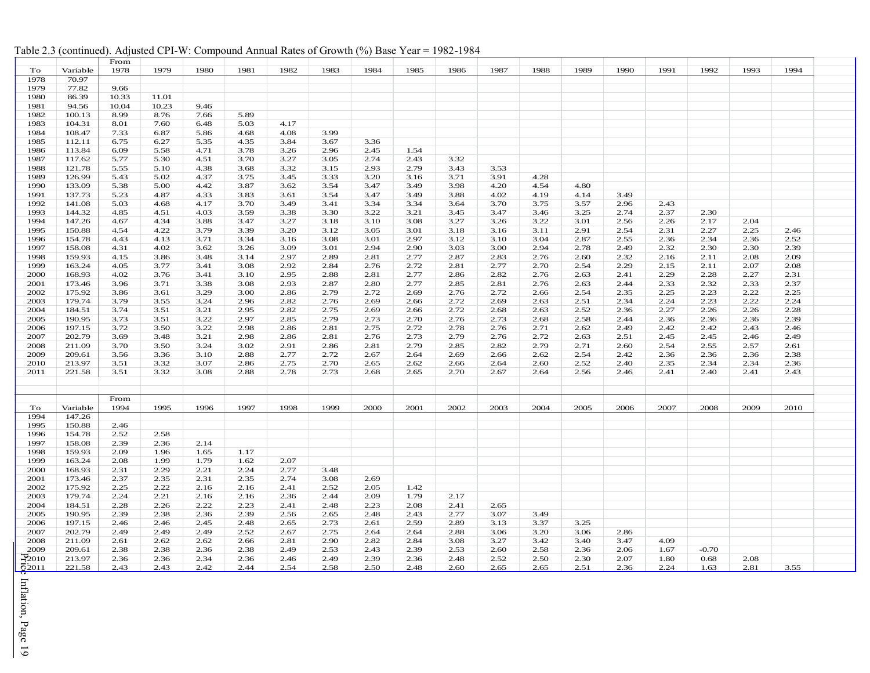|                     |                  | From         |              |              |              |      |      |              |      |      |      |      |      |      |      |         |      |      |  |
|---------------------|------------------|--------------|--------------|--------------|--------------|------|------|--------------|------|------|------|------|------|------|------|---------|------|------|--|
| To                  | Variable         | 1978         | 1979         | 1980         | 1981         | 1982 | 1983 | 1984         | 1985 | 1986 | 1987 | 1988 | 1989 | 1990 | 1991 | 1992    | 1993 | 1994 |  |
| 1978                | 70.97            |              |              |              |              |      |      |              |      |      |      |      |      |      |      |         |      |      |  |
| 1979                | 77.82            | 9.66         |              |              |              |      |      |              |      |      |      |      |      |      |      |         |      |      |  |
| 1980                | 86.39            | 10.33        | 11.01        |              |              |      |      |              |      |      |      |      |      |      |      |         |      |      |  |
| 1981                | 94.56            | 10.04        | 10.23        | 9.46         |              |      |      |              |      |      |      |      |      |      |      |         |      |      |  |
| 1982                | 100.13           | 8.99         | 8.76         | 7.66         | 5.89         |      |      |              |      |      |      |      |      |      |      |         |      |      |  |
| 1983                | 104.31           | 8.01         | 7.60         | 6.48         | 5.03         | 4.17 |      |              |      |      |      |      |      |      |      |         |      |      |  |
| 1984                | 108.47           | 7.33         | 6.87         | 5.86         | 4.68         | 4.08 | 3.99 |              |      |      |      |      |      |      |      |         |      |      |  |
| 1985                | 112.11           | 6.75         | 6.27         | 5.35         | 4.35         | 3.84 | 3.67 | 3.36         |      |      |      |      |      |      |      |         |      |      |  |
| 1986                | 113.84           | 6.09         | 5.58         | 4.71         | 3.78         | 3.26 | 2.96 | 2.45         | 1.54 |      |      |      |      |      |      |         |      |      |  |
| 1987                | 117.62           | 5.77         | 5.30         | 4.51         | 3.70         | 3.27 | 3.05 | 2.74         | 2.43 | 3.32 |      |      |      |      |      |         |      |      |  |
| 1988                | 121.78           | 5.55         | 5.10         | 4.38         | 3.68         | 3.32 | 3.15 | 2.93         | 2.79 | 3.43 | 3.53 |      |      |      |      |         |      |      |  |
| 1989                | 126.99           |              |              |              |              | 3.45 |      |              |      |      | 3.91 |      |      |      |      |         |      |      |  |
|                     |                  | 5.43         | 5.02         | 4.37         | 3.75         |      | 3.33 | 3.20         | 3.16 | 3.71 |      | 4.28 | 4.80 |      |      |         |      |      |  |
| 1990                | 133.09           | 5.38         | 5.00         | 4.42         | 3.87         | 3.62 | 3.54 | 3.47         | 3.49 | 3.98 | 4.20 | 4.54 |      |      |      |         |      |      |  |
| 1991                | 137.73           | 5.23         | 4.87         | 4.33         | 3.83         | 3.61 | 3.54 | 3.47         | 3.49 | 3.88 | 4.02 | 4.19 | 4.14 | 3.49 |      |         |      |      |  |
| 1992                | 141.08           | 5.03         | 4.68         | 4.17         | 3.70         | 3.49 | 3.41 | 3.34         | 3.34 | 3.64 | 3.70 | 3.75 | 3.57 | 2.96 | 2.43 |         |      |      |  |
| 1993                | 144.32           | 4.85         | 4.51         | 4.03         | 3.59         | 3.38 | 3.30 | 3.22         | 3.21 | 3.45 | 3.47 | 3.46 | 3.25 | 2.74 | 2.37 | 2.30    |      |      |  |
| 1994                | 147.26           | 4.67         | 4.34         | 3.88         | 3.47         | 3.27 | 3.18 | 3.10         | 3.08 | 3.27 | 3.26 | 3.22 | 3.01 | 2.56 | 2.26 | 2.17    | 2.04 |      |  |
| 1995                | 150.88           | 4.54         | 4.22         | 3.79         | 3.39         | 3.20 | 3.12 | 3.05         | 3.01 | 3.18 | 3.16 | 3.11 | 2.91 | 2.54 | 2.31 | 2.27    | 2.25 | 2.46 |  |
| 1996                | 154.78           | 4.43         | 4.13         | 3.71         | 3.34         | 3.16 | 3.08 | 3.01         | 2.97 | 3.12 | 3.10 | 3.04 | 2.87 | 2.55 | 2.36 | 2.34    | 2.36 | 2.52 |  |
| 1997                | 158.08           | 4.31         | 4.02         | 3.62         | 3.26         | 3.09 | 3.01 | 2.94         | 2.90 | 3.03 | 3.00 | 2.94 | 2.78 | 2.49 | 2.32 | 2.30    | 2.30 | 2.39 |  |
| 1998                | 159.93           | 4.15         | 3.86         | 3.48         | 3.14         | 2.97 | 2.89 | 2.81         | 2.77 | 2.87 | 2.83 | 2.76 | 2.60 | 2.32 | 2.16 | 2.11    | 2.08 | 2.09 |  |
| 1999                | 163.24           | 4.05         | 3.77         | 3.41         | 3.08         | 2.92 | 2.84 | 2.76         | 2.72 | 2.81 | 2.77 | 2.70 | 2.54 | 2.29 | 2.15 | 2.11    | 2.07 | 2.08 |  |
| 2000                | 168.93           | 4.02         | 3.76         | 3.41         | 3.10         | 2.95 | 2.88 | 2.81         | 2.77 | 2.86 | 2.82 | 2.76 | 2.63 | 2.41 | 2.29 | 2.28    | 2.27 | 2.31 |  |
| 2001                | 173.46           | 3.96         | 3.71         | 3.38         | 3.08         | 2.93 | 2.87 | 2.80         | 2.77 | 2.85 | 2.81 | 2.76 | 2.63 | 2.44 | 2.33 | 2.32    | 2.33 | 2.37 |  |
| 2002                | 175.92           | 3.86         | 3.61         | 3.29         | 3.00         | 2.86 | 2.79 | 2.72         | 2.69 | 2.76 | 2.72 | 2.66 | 2.54 | 2.35 | 2.25 | 2.23    | 2.22 | 2.25 |  |
| 2003                | 179.74           | 3.79         | 3.55         | 3.24         | 2.96         | 2.82 | 2.76 | 2.69         | 2.66 | 2.72 | 2.69 | 2.63 | 2.51 | 2.34 | 2.24 | 2.23    | 2.22 | 2.24 |  |
| 2004                | 184.51           | 3.74         | 3.51         | 3.21         | 2.95         | 2.82 | 2.75 | 2.69         | 2.66 | 2.72 | 2.68 | 2.63 | 2.52 | 2.36 | 2.27 | 2.26    | 2.26 | 2.28 |  |
| 2005                | 190.95           | 3.73         | 3.51         | 3.22         | 2.97         | 2.85 | 2.79 | 2.73         | 2.70 | 2.76 | 2.73 | 2.68 | 2.58 | 2.44 | 2.36 | 2.36    | 2.36 | 2.39 |  |
| 2006                | 197.15           | 3.72         | 3.50         | 3.22         | 2.98         | 2.86 | 2.81 | 2.75         | 2.72 | 2.78 | 2.76 | 2.71 | 2.62 | 2.49 | 2.42 | 2.42    | 2.43 | 2.46 |  |
| 2007                | 202.79           | 3.69         | 3.48         | 3.21         | 2.98         | 2.86 | 2.81 | 2.76         | 2.73 | 2.79 | 2.76 | 2.72 | 2.63 | 2.51 | 2.45 | 2.45    | 2.46 | 2.49 |  |
| 2008                | 211.09           | 3.70         | 3.50         | 3.24         | 3.02         | 2.91 | 2.86 | 2.81         | 2.79 | 2.85 | 2.82 | 2.79 | 2.71 | 2.60 | 2.54 | 2.55    | 2.57 | 2.61 |  |
| 2009                | 209.61           | 3.56         | 3.36         | 3.10         | 2.88         | 2.77 | 2.72 | 2.67         | 2.64 | 2.69 | 2.66 | 2.62 | 2.54 | 2.42 | 2.36 | 2.36    | 2.36 | 2.38 |  |
| 2010                | 213.97           | 3.51         | 3.32         | 3.07         | 2.86         | 2.75 | 2.70 | 2.65         | 2.62 | 2.66 | 2.64 | 2.60 | 2.52 | 2.40 | 2.35 | 2.34    | 2.34 | 2.36 |  |
| 2011                | 221.58           | 3.51         | 3.32         | 3.08         | 2.88         | 2.78 | 2.73 | 2.68         | 2.65 | 2.70 | 2.67 | 2.64 | 2.56 | 2.46 | 2.41 | 2.40    | 2.41 | 2.43 |  |
|                     |                  |              |              |              |              |      |      |              |      |      |      |      |      |      |      |         |      |      |  |
|                     |                  |              |              |              |              |      |      |              |      |      |      |      |      |      |      |         |      |      |  |
|                     |                  | From         |              | 1996         | 1997         | 1998 |      |              |      |      |      |      |      |      |      |         |      |      |  |
| To                  | Variable         | 1994         | 1995         |              |              |      | 1999 | 2000         | 2001 | 2002 | 2003 | 2004 | 2005 | 2006 | 2007 | 2008    | 2009 | 2010 |  |
| 1994                | 147.26           |              |              |              |              |      |      |              |      |      |      |      |      |      |      |         |      |      |  |
| 1995                | 150.88           | 2.46         |              |              |              |      |      |              |      |      |      |      |      |      |      |         |      |      |  |
| 1996<br>1997        | 154.78           | 2.52         | 2.58         |              |              |      |      |              |      |      |      |      |      |      |      |         |      |      |  |
| 1998                | 158.08<br>159.93 | 2.39<br>2.09 | 2.36<br>1.96 | 2.14<br>1.65 | 1.17         |      |      |              |      |      |      |      |      |      |      |         |      |      |  |
| 1999                | 163.24           | 2.08         | 1.99         | 1.79         | 1.62         | 2.07 |      |              |      |      |      |      |      |      |      |         |      |      |  |
| 2000                | 168.93           | 2.31         | 2.29         | 2.21         | 2.24         | 2.77 | 3.48 |              |      |      |      |      |      |      |      |         |      |      |  |
|                     |                  |              |              |              |              | 2.74 | 3.08 |              |      |      |      |      |      |      |      |         |      |      |  |
| 2001<br>2002        | 173.46<br>175.92 | 2.37<br>2.25 | 2.35<br>2.22 | 2.31<br>2.16 | 2.35<br>2.16 | 2.41 | 2.52 | 2.69<br>2.05 | 1.42 |      |      |      |      |      |      |         |      |      |  |
| 2003                | 179.74           | 2.24         | 2.21         | 2.16         | 2.16         | 2.36 | 2.44 | 2.09         | 1.79 | 2.17 |      |      |      |      |      |         |      |      |  |
| 2004                | 184.51           | 2.28         | 2.26         | 2.22         | 2.23         | 2.41 | 2.48 | 2.23         | 2.08 | 2.41 | 2.65 |      |      |      |      |         |      |      |  |
| 2005                | 190.95           | 2.39         | 2.38         | 2.36         | 2.39         | 2.56 | 2.65 | 2.48         | 2.43 | 2.77 | 3.07 | 3.49 |      |      |      |         |      |      |  |
| 2006                | 197.15           | 2.46         | 2.46         | 2.45         | 2.48         | 2.65 | 2.73 | 2.61         | 2.59 | 2.89 | 3.13 | 3.37 | 3.25 |      |      |         |      |      |  |
| 2007                | 202.79           | 2.49         | 2.49         | 2.49         | 2.52         | 2.67 | 2.75 | 2.64         | 2.64 | 2.88 | 3.06 | 3.20 | 3.06 | 2.86 |      |         |      |      |  |
| 2008                | 211.09           | 2.61         | 2.62         | 2.62         | 2.66         | 2.81 | 2.90 | 2.82         | 2.84 | 3.08 | 3.27 | 3.42 | 3.40 | 3.47 | 4.09 |         |      |      |  |
| 2009                | 209.61           | 2.38         | 2.38         | 2.36         | 2.38         | 2.49 | 2.53 | 2.43         | 2.39 | 2.53 | 2.60 | 2.58 | 2.36 | 2.06 | 1.67 | $-0.70$ |      |      |  |
| $\mathbb{F}_{2010}$ | 213.97           | 2.36         | 2.36         | 2.34         | 2.36         | 2.46 | 2.49 | 2.39         | 2.36 | 2.48 | 2.52 | 2.50 | 2.30 | 2.07 | 1.80 | 0.68    | 2.08 |      |  |
| $\overline{6}2011$  | 221.58           | 2.43         | 2.43         | 2.42         | 2.44         | 2.54 | 2.58 | 2.50         | 2.48 | 2.60 | 2.65 | 2.65 | 2.51 | 2.36 | 2.24 | 1.63    | 2.81 | 3.55 |  |
|                     |                  |              |              |              |              |      |      |              |      |      |      |      |      |      |      |         |      |      |  |

#### Table 2.3 (continued). Adjusted CPI-W: Compound Annual Rates of Growth (%) Base Year = 1982-1984

Price Inflation, Page 19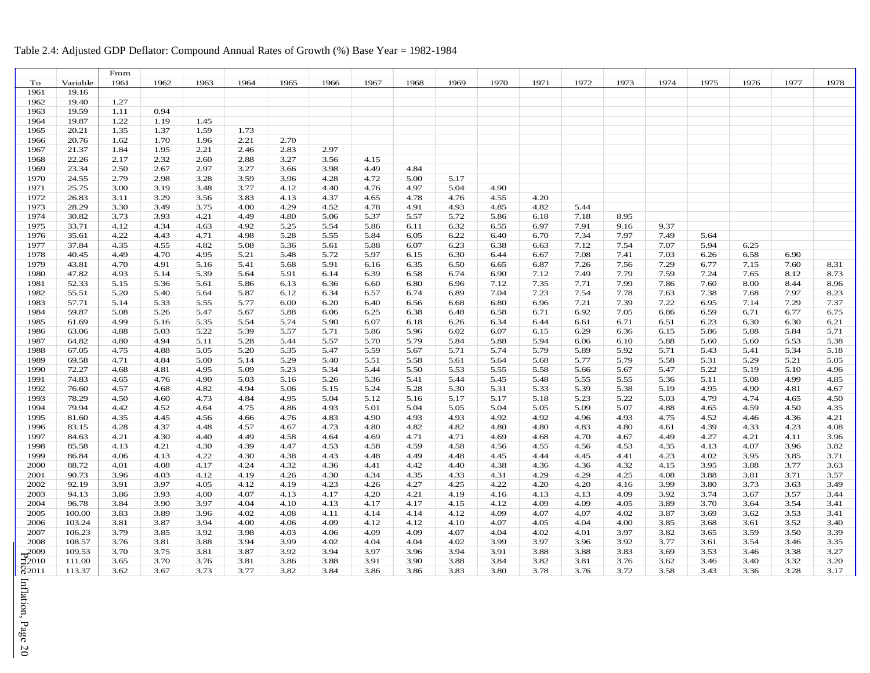#### Price Inflation, Page 20 From To Variable 1961 1962 1963 1964 1965 1966 1967 1968 1969 1970 1971 1972 1973 1974 1975 1976 1977 1978 1961 19.16 1962 19.40 1.27<br>1963 19.59 1.11 19.59 1.11 0.94 1964 19.87 1.22 1.19 1.45 1965 20.21 1.35 1.37 1.59 1.73 1966 20.76 1.62 1.70 1.96 2.21 2.70 1967 21.37 1.84 1.95 2.21 2.46 2.83 2.97 1968 22.26 2.17 2.32 2.60 2.88 3.27 3.56 4.15 23.34 2.50 2.67 2.97 3.27 3.66 3.98 4.49 4.84 24.55 2.79 2.98 3.28 3.59 3.96 4.28 4.72 5.00 5.17 1971 25.75 3.00 3.19 3.48 3.77 4.12 4.40 4.76 4.97 5.04 4.90 26.83 3.11 3.29 3.56 3.83 4.13 4.37 4.65 4.78 4.76 4.55 4.20 28.29 3.30 3.49 3.75 4.00 4.29 4.52 4.78 4.91 4.93 4.85 4.82 5.44 30.82 3.73 3.93 4.21 4.49 4.80 5.06 5.37 5.57 5.72 5.86 6.18 7.18 8.95 1975 33.71 4.12 4.34 4.63 4.92 5.25 5.54 5.86 6.11 6.32 6.55 6.97 7.91 9.16 9.37 35.61 4.22 4.43 4.71 4.98 5.28 5.55 5.84 6.05 6.22 6.40 6.70 7.34 7.97 7.49 5.64 37.84 4.35 4.55 4.82 5.08 5.36 5.61 5.88 6.07 6.23 6.38 6.63 7.12 7.54 7.07 5.94 6.25 40.45 4.49 4.70 4.95 5.21 5.48 5.72 5.97 6.15 6.30 6.44 6.67 7.08 7.41 7.03 6.26 6.58 6.90 43.81 4.70 4.91 5.16 5.41 5.68 5.91 6.16 6.35 6.50 6.65 6.87 7.26 7.56 7.29 6.77 7.15 7.60 8.31 47.82 4.93 5.14 5.39 5.64 5.91 6.14 6.39 6.58 6.74 6.90 7.12 7.49 7.79 7.59 7.24 7.65 8.12 8.73 52.33 5.15 5.36 5.61 5.86 6.13 6.36 6.60 6.80 6.96 7.12 7.35 7.71 7.99 7.86 7.60 8.00 8.44 8.96 55.51 5.20 5.40 5.64 5.87 6.12 6.34 6.57 6.74 6.89 7.04 7.23 7.54 7.78 7.63 7.38 7.68 7.97 8.23 57.71 5.14 5.33 5.55 5.77 6.00 6.20 6.40 6.56 6.68 6.80 6.96 7.21 7.39 7.22 6.95 7.14 7.29 7.37 59.87 5.08 5.26 5.47 5.67 5.88 6.06 6.25 6.38 6.48 6.58 6.71 6.92 7.05 6.86 6.59 6.71 6.77 6.75 61.69 4.99 5.16 5.35 5.54 5.74 5.90 6.07 6.18 6.26 6.34 6.44 6.61 6.71 6.51 6.23 6.30 6.30 6.21 63.06 4.88 5.03 5.22 5.39 5.57 5.71 5.86 5.96 6.02 6.07 6.15 6.29 6.36 6.15 5.86 5.88 5.84 5.71 64.82 4.80 4.94 5.11 5.28 5.44 5.57 5.70 5.79 5.84 5.88 5.94 6.06 6.10 5.88 5.60 5.60 5.53 5.38 67.05 4.75 4.88 5.05 5.20 5.35 5.47 5.59 5.67 5.71 5.74 5.79 5.89 5.92 5.71 5.43 5.41 5.34 5.18 69.58 4.71 4.84 5.00 5.14 5.29 5.40 5.51 5.58 5.61 5.64 5.68 5.77 5.79 5.58 5.31 5.29 5.21 5.05 72.27 4.68 4.81 4.95 5.09 5.23 5.34 5.44 5.50 5.53 5.55 5.58 5.66 5.67 5.47 5.22 5.19 5.10 4.96 74.83 4.65 4.76 4.90 5.03 5.16 5.26 5.36 5.41 5.44 5.45 5.48 5.55 5.55 5.36 5.11 5.08 4.99 4.85 76.60 4.57 4.68 4.82 4.94 5.06 5.15 5.24 5.28 5.30 5.31 5.33 5.39 5.38 5.19 4.95 4.90 4.81 4.67 1993 78.29 4.50 4.60 4.73 4.84 4.95 5.04 5.12 5.16 5.17 5.17 5.18 5.23 5.22 5.03 4.79 4.74 4.65 4.50 79.94 4.42 4.52 4.64 4.75 4.86 4.93 5.01 5.04 5.05 5.04 5.05 5.09 5.07 4.88 4.65 4.59 4.50 4.35 81.60 4.35 4.45 4.56 4.66 4.76 4.83 4.90 4.93 4.93 4.92 4.92 4.96 4.93 4.75 4.52 4.46 4.36 4.21 83.15 4.28 4.37 4.48 4.57 4.67 4.73 4.80 4.82 4.82 4.80 4.80 4.83 4.80 4.61 4.39 4.33 4.23 4.08 84.63 4.21 4.30 4.40 4.49 4.58 4.64 4.69 4.71 4.71 4.69 4.68 4.70 4.67 4.49 4.27 4.21 4.11 3.96 85.58 4.13 4.21 4.30 4.39 4.47 4.53 4.58 4.59 4.58 4.56 4.55 4.56 4.53 4.35 4.13 4.07 3.96 3.82 86.84 4.06 4.13 4.22 4.30 4.38 4.43 4.48 4.49 4.48 4.45 4.44 4.45 4.41 4.23 4.02 3.95 3.85 3.71 88.72 4.01 4.08 4.17 4.24 4.32 4.36 4.41 4.42 4.40 4.38 4.36 4.36 4.32 4.15 3.95 3.88 3.77 3.63 90.73 3.96 4.03 4.12 4.19 4.26 4.30 4.34 4.35 4.33 4.31 4.29 4.29 4.25 4.08 3.88 3.81 3.71 3.57 92.19 3.91 3.97 4.05 4.12 4.19 4.23 4.26 4.27 4.25 4.22 4.20 4.20 4.16 3.99 3.80 3.73 3.63 3.49 94.13 3.86 3.93 4.00 4.07 4.13 4.17 4.20 4.21 4.19 4.16 4.13 4.13 4.09 3.92 3.74 3.67 3.57 3.44 96.78 3.84 3.90 3.97 4.04 4.10 4.13 4.17 4.17 4.15 4.12 4.09 4.09 4.05 3.89 3.70 3.64 3.54 3.41 100.00 3.83 3.89 3.96 4.02 4.08 4.11 4.14 4.14 4.12 4.09 4.07 4.07 4.02 3.87 3.69 3.62 3.53 3.41 103.24 3.81 3.87 3.94 4.00 4.06 4.09 4.12 4.12 4.10 4.07 4.05 4.04 4.00 3.85 3.68 3.61 3.52 3.40 106.23 3.79 3.85 3.92 3.98 4.03 4.06 4.09 4.09 4.07 4.04 4.02 4.01 3.97 3.82 3.65 3.59 3.50 3.39 108.57 3.76 3.81 3.88 3.94 3.99 4.02 4.04 4.04 4.02 3.99 3.97 3.96 3.92 3.77 3.61 3.54 3.46 3.35 109.53 3.70 3.75 3.81 3.87 3.92 3.94 3.97 3.96 3.94 3.91 3.88 3.88 3.83 3.69 3.53 3.46 3.38 3.27 111.00 3.65 3.70 3.76 3.81 3.86 3.88 3.91 3.90 3.88 3.84 3.82 3.81 3.76 3.62 3.46 3.40 3.32 3.20 113.37 3.62 3.67 3.73 3.77 3.82 3.84 3.86 3.86 3.83 3.80 3.78 3.76 3.72 3.58 3.43 3.36 3.28 3.17

#### Table 2.4: Adjusted GDP Deflator: Compound Annual Rates of Growth (%) Base Year = 1982-1984

Inflation, Page

 $\overline{0}$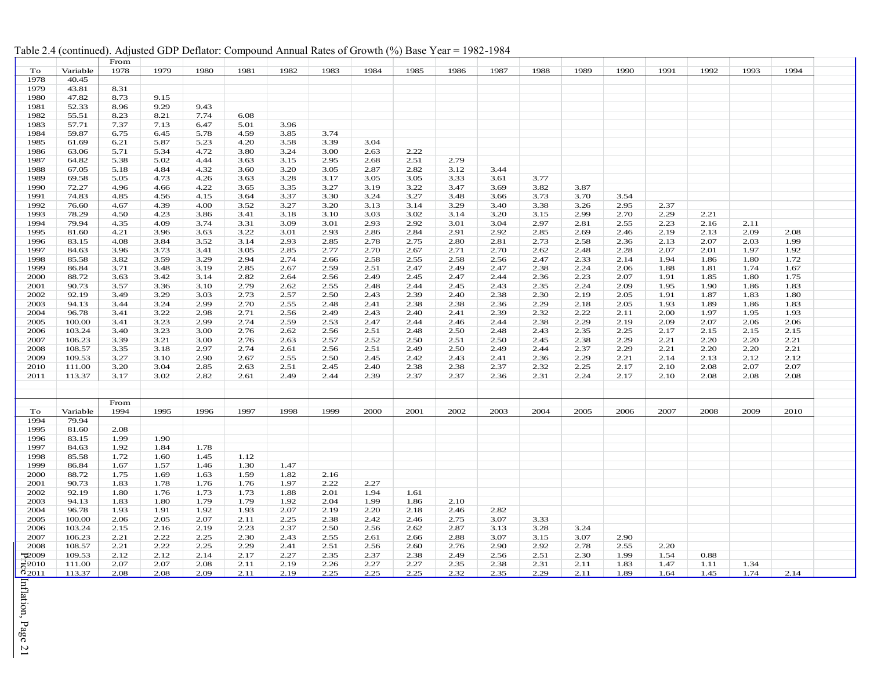| Table 2.4 (continued). Adjusted GDP Deflator: Compound Annual Rates of Growth (%) Base Year = 1982-1984 |  |  |  |  |  |  |  |
|---------------------------------------------------------------------------------------------------------|--|--|--|--|--|--|--|
|---------------------------------------------------------------------------------------------------------|--|--|--|--|--|--|--|

| To<br>Variable<br>1978<br>1979<br>1980<br>1981<br>1982<br>1983<br>1984<br>1985<br>1986<br>1987<br>1988<br>1989<br>1990<br>1991<br>1992<br>1993<br>1994<br>1978<br>40.45<br>1979<br>43.81<br>8.31<br>47.82<br>8.73<br>9.15<br>1980<br>9.29<br>1981<br>52.33<br>8.96<br>9.43<br>7.74<br>1982<br>55.51<br>8.23<br>8.21<br>6.08<br>3.96<br>1983<br>57.71<br>7.37<br>7.13<br>6.47<br>5.01<br>59.87<br>3.85<br>3.74<br>1984<br>6.75<br>6.45<br>5.78<br>4.59<br>1985<br>61.69<br>6.21<br>5.87<br>5.23<br>4.20<br>3.58<br>3.39<br>3.04<br>5.34<br>4.72<br>3.80<br>3.24<br>2.22<br>1986<br>63.06<br>5.71<br>3.00<br>2.63<br>1987<br>64.82<br>5.38<br>5.02<br>4.44<br>3.63<br>3.15<br>2.95<br>2.68<br>2.51<br>2.79<br>3.20<br>3.44<br>1988<br>67.05<br>5.18<br>4.84<br>4.32<br>3.60<br>3.05<br>2.87<br>2.82<br>3.12<br>1989<br>5.05<br>4.73<br>4.26<br>3.63<br>3.28<br>3.17<br>3.05<br>3.05<br>3.33<br>3.61<br>3.77<br>69.58<br>4.22<br>1990<br>72.27<br>4.66<br>3.65<br>3.35<br>3.27<br>3.19<br>3.22<br>3.47<br>3.69<br>3.82<br>3.87<br>4.96<br>3.30<br>3.70<br>1991<br>74.83<br>4.56<br>4.15<br>3.64<br>3.37<br>3.24<br>3.27<br>3.48<br>3.66<br>3.73<br>3.54<br>4.85<br>1992<br>4.39<br>4.00<br>3.52<br>3.27<br>3.20<br>3.13<br>3.14<br>3.29<br>3.40<br>3.38<br>2.95<br>2.37<br>76.60<br>4.67<br>3.26<br>1993<br>78.29<br>4.50<br>4.23<br>3.86<br>3.41<br>3.18<br>3.10<br>3.03<br>3.02<br>3.14<br>3.20<br>3.15<br>2.99<br>2.70<br>2.29<br>2.21<br>4.09<br>3.74<br>3.31<br>3.09<br>3.01<br>2.93<br>3.04<br>2.97<br>2.81<br>2.55<br>2.23<br>2.16<br>1994<br>79.94<br>4.35<br>2.92<br>3.01<br>2.11<br>1995<br>3.96<br>3.63<br>3.22<br>3.01<br>2.93<br>2.86<br>2.84<br>2.91<br>2.92<br>2.85<br>2.69<br>2.46<br>2.19<br>2.13<br>2.09<br>2.08<br>81.60<br>4.21<br>3.52<br>2.93<br>2.07<br>1996<br>83.15<br>4.08<br>3.84<br>3.14<br>2.85<br>2.78<br>2.75<br>2.80<br>2.81<br>2.73<br>2.58<br>2.36<br>2.13<br>2.03<br>1.99<br>1997<br>3.73<br>3.41<br>3.05<br>2.85<br>2.77<br>2.70<br>2.71<br>2.70<br>2.62<br>2.48<br>2.28<br>2.07<br>2.01<br>1.97<br>1.92<br>84.63<br>3.96<br>2.67<br>2.94<br>2.33<br>1998<br>85.58<br>3.82<br>3.59<br>3.29<br>2.74<br>2.66<br>2.58<br>2.55<br>2.58<br>2.56<br>2.47<br>2.14<br>1.94<br>1.86<br>1.80<br>1.72<br>1999<br>3.71<br>3.48<br>3.19<br>2.85<br>2.67<br>2.59<br>2.51<br>2.47<br>2.49<br>2.47<br>2.38<br>2.24<br>2.06<br>1.88<br>1.74<br>1.67<br>86.84<br>1.81<br>2000<br>88.72<br>3.42<br>2.82<br>2.64<br>2.56<br>2.49<br>2.47<br>2.44<br>2.36<br>2.23<br>2.07<br>1.91<br>1.85<br>1.80<br>1.75<br>3.63<br>3.14<br>2.45<br>2.79<br>2.62<br>2.24<br>2001<br>90.73<br>3.57<br>3.36<br>3.10<br>2.55<br>2.48<br>2.44<br>2.43<br>2.35<br>2.09<br>1.95<br>1.90<br>1.83<br>2.45<br>1.86<br>3.29<br>2.73<br>2.57<br>2.50<br>2002<br>92.19<br>3.49<br>3.03<br>2.43<br>2.39<br>2.40<br>2.38<br>2.30<br>2.19<br>2.05<br>1.91<br>1.87<br>1.83<br>1.80<br>2.99<br>2003<br>3.24<br>2.70<br>2.55<br>2.48<br>2.41<br>2.38<br>2.38<br>2.36<br>2.29<br>2.18<br>2.05<br>1.93<br>1.89<br>1.83<br>94.13<br>3.44<br>1.86<br>2.71<br>2.22<br>2.00<br>2004<br>96.78<br>3.41<br>3.22<br>2.98<br>2.56<br>2.49<br>2.43<br>2.40<br>2.41<br>2.39<br>2.32<br>2.11<br>1.97<br>1.95<br>1.93<br>2.74<br>2005<br>100.00<br>3.41<br>3.23<br>2.99<br>2.59<br>2.53<br>2.47<br>2.44<br>2.46<br>2.44<br>2.38<br>2.29<br>2.19<br>2.09<br>2.07<br>2.06<br>2.06<br>103.24<br>3.23<br>3.00<br>2.76<br>2.62<br>2.56<br>2.51<br>2.50<br>2.43<br>2.35<br>2.25<br>2.17<br>2.15<br>2.15<br>2.15<br>2006<br>3.40<br>2.48<br>2.48<br>3.21<br>2.57<br>2.52<br>2.29<br>2.21<br>2.21<br>2007<br>106.23<br>3.39<br>3.00<br>2.76<br>2.63<br>2.50<br>2.51<br>2.50<br>2.45<br>2.38<br>2.20<br>2.20<br>3.35<br>3.18<br>2.97<br>2.74<br>2.61<br>2.56<br>2.51<br>2.49<br>2.50<br>2.49<br>2.44<br>2.37<br>2.29<br>2.21<br>2.20<br>2.20<br>2.21<br>2008<br>108.57<br>2.67<br>2009<br>109.53<br>3.27<br>3.10<br>2.90<br>2.55<br>2.50<br>2.45<br>2.42<br>2.41<br>2.36<br>2.29<br>2.21<br>2.14<br>2.13<br>2.12<br>2.12<br>2.43<br>3.04<br>2.25<br>2.07<br>2010<br>111.00<br>3.20<br>2.85<br>2.63<br>2.51<br>2.45<br>2.40<br>2.38<br>2.38<br>2.37<br>2.32<br>2.17<br>2.10<br>2.08<br>2.07<br>3.02<br>2.82<br>2.49<br>2.24<br>2.08<br>2011<br>113.37<br>3.17<br>2.61<br>2.44<br>2.39<br>2.37<br>2.37<br>2.36<br>2.31<br>2.17<br>2.10<br>2.08<br>2.08<br>From<br>1994<br>1995<br>1996<br>1997<br>1998<br>1999<br>2000<br>2001<br>2002<br>2003<br>2004<br>2005<br>2006<br>2007<br>2008<br>2009<br>2010<br>To<br>Variable<br>1994<br>79.94<br>1995<br>2.08<br>81.60<br>1996<br>83.15<br>1.99<br>1.90<br>1997<br>1.92<br>1.84<br>1.78<br>84.63<br>1998<br>85.58<br>1.72<br>1.60<br>1.45<br>1.12<br>1.30<br>1.47<br>1999<br>1.67<br>1.57<br>1.46<br>86.84<br>1.69<br>1.82<br>2000<br>88.72<br>1.75<br>1.63<br>1.59<br>2.16<br>1.78<br>1.76<br>1.76<br>1.97<br>2.22<br>2.27<br>2001<br>90.73<br>1.83<br>2002<br>92.19<br>1.80<br>1.76<br>1.73<br>1.73<br>1.88<br>2.01<br>1.94<br>1.61<br>2003<br>94.13<br>1.83<br>1.80<br>1.79<br>1.79<br>1.92<br>2.04<br>1.99<br>1.86<br>2.10<br>1.91<br>1.92<br>1.93<br>2.07<br>2004<br>96.78<br>1.93<br>2.19<br>2.20<br>2.18<br>2.46<br>2.82<br>2.05<br>2.07<br>2.11<br>2.25<br>3.33<br>2005<br>100.00<br>2.06<br>2.38<br>2.42<br>2.46<br>2.75<br>3.07<br>2.23<br>2.37<br>2006<br>103.24<br>2.15<br>2.16<br>2.19<br>2.50<br>2.56<br>2.62<br>2.87<br>3.13<br>3.28<br>3.24<br>2.22<br>2.25<br>2.30<br>2.43<br>2.55<br>3.07<br>3.07<br>2.90<br>2007<br>106.23<br>2.21<br>2.61<br>2.66<br>2.88<br>3.15<br>2.22<br>2.25<br>2.29<br>2.41<br>2.51<br>2.56<br>2.90<br>2.92<br>2.78<br>2.55<br>2.20<br>2008<br>108.57<br>2.21<br>2.60<br>2.76<br>109.53<br>2.12<br>2.14<br>2.17<br>2.27<br>2.35<br>2.56<br>2.30<br>1.99<br>1.54<br>0.88<br><b>0009</b><br>2.12<br>2.37<br>2.38<br>2.49<br>2.51<br>72010<br>2.07<br>2.07<br>2.08<br>2.11<br>2.19<br>2.26<br>2.27<br>2.38<br>2.31<br>2.11<br>1.83<br>1.47<br>111.00<br>2.27<br>2.35<br>1.34<br>1.11<br>02011<br>113.37<br>2.08<br>2.08<br>2.09<br>2.11<br>2.19<br>2.25<br>2.25<br>2.35<br>2.29<br>2.11<br>1.89<br>2.25<br>2.32<br>1.64<br>1.45<br>1.74<br>2.14 |  | From |  |  |  |  |  |  |  |  |  |
|-------------------------------------------------------------------------------------------------------------------------------------------------------------------------------------------------------------------------------------------------------------------------------------------------------------------------------------------------------------------------------------------------------------------------------------------------------------------------------------------------------------------------------------------------------------------------------------------------------------------------------------------------------------------------------------------------------------------------------------------------------------------------------------------------------------------------------------------------------------------------------------------------------------------------------------------------------------------------------------------------------------------------------------------------------------------------------------------------------------------------------------------------------------------------------------------------------------------------------------------------------------------------------------------------------------------------------------------------------------------------------------------------------------------------------------------------------------------------------------------------------------------------------------------------------------------------------------------------------------------------------------------------------------------------------------------------------------------------------------------------------------------------------------------------------------------------------------------------------------------------------------------------------------------------------------------------------------------------------------------------------------------------------------------------------------------------------------------------------------------------------------------------------------------------------------------------------------------------------------------------------------------------------------------------------------------------------------------------------------------------------------------------------------------------------------------------------------------------------------------------------------------------------------------------------------------------------------------------------------------------------------------------------------------------------------------------------------------------------------------------------------------------------------------------------------------------------------------------------------------------------------------------------------------------------------------------------------------------------------------------------------------------------------------------------------------------------------------------------------------------------------------------------------------------------------------------------------------------------------------------------------------------------------------------------------------------------------------------------------------------------------------------------------------------------------------------------------------------------------------------------------------------------------------------------------------------------------------------------------------------------------------------------------------------------------------------------------------------------------------------------------------------------------------------------------------------------------------------------------------------------------------------------------------------------------------------------------------------------------------------------------------------------------------------------------------------------------------------------------------------------------------------------------------------------------------------------------------------------------------------------------------------------------------------------------------------------------------------------------------------------------------------------------------------------------------------------------------------------------------------------------------------------------------------------------------------------------------------------------------------------------------------------------------------------------------------------------------------------------------------------------------------------------------------------------------------------------------------------------------------------------------------------------------------------------------------------------------------------------------------------------------------------------------------------------------------------------------------------------------------------------------------------------------------------------------------------------------------------------------------------------------------------------------------------------------------------------------------------------------------------------------------------------------------------------------------------------------------------------------------------------------------------------------------------------------------------------------------------------------------------------------------------------------------------------------------------------------------------------------------------------------------------------------------------------------------------------------------------------------------------------------------------------------------------------------------------------------------------------------------------------------------------------------------------------------------------------|--|------|--|--|--|--|--|--|--|--|--|
|                                                                                                                                                                                                                                                                                                                                                                                                                                                                                                                                                                                                                                                                                                                                                                                                                                                                                                                                                                                                                                                                                                                                                                                                                                                                                                                                                                                                                                                                                                                                                                                                                                                                                                                                                                                                                                                                                                                                                                                                                                                                                                                                                                                                                                                                                                                                                                                                                                                                                                                                                                                                                                                                                                                                                                                                                                                                                                                                                                                                                                                                                                                                                                                                                                                                                                                                                                                                                                                                                                                                                                                                                                                                                                                                                                                                                                                                                                                                                                                                                                                                                                                                                                                                                                                                                                                                                                                                                                                                                                                                                                                                                                                                                                                                                                                                                                                                                                                                                                                                                                                                                                                                                                                                                                                                                                                                                                                                                                                                                                                                                                                                                                                                                                                                                                                                                                                                                                                                                                                                                                                                                     |  |      |  |  |  |  |  |  |  |  |  |
|                                                                                                                                                                                                                                                                                                                                                                                                                                                                                                                                                                                                                                                                                                                                                                                                                                                                                                                                                                                                                                                                                                                                                                                                                                                                                                                                                                                                                                                                                                                                                                                                                                                                                                                                                                                                                                                                                                                                                                                                                                                                                                                                                                                                                                                                                                                                                                                                                                                                                                                                                                                                                                                                                                                                                                                                                                                                                                                                                                                                                                                                                                                                                                                                                                                                                                                                                                                                                                                                                                                                                                                                                                                                                                                                                                                                                                                                                                                                                                                                                                                                                                                                                                                                                                                                                                                                                                                                                                                                                                                                                                                                                                                                                                                                                                                                                                                                                                                                                                                                                                                                                                                                                                                                                                                                                                                                                                                                                                                                                                                                                                                                                                                                                                                                                                                                                                                                                                                                                                                                                                                                                     |  |      |  |  |  |  |  |  |  |  |  |
|                                                                                                                                                                                                                                                                                                                                                                                                                                                                                                                                                                                                                                                                                                                                                                                                                                                                                                                                                                                                                                                                                                                                                                                                                                                                                                                                                                                                                                                                                                                                                                                                                                                                                                                                                                                                                                                                                                                                                                                                                                                                                                                                                                                                                                                                                                                                                                                                                                                                                                                                                                                                                                                                                                                                                                                                                                                                                                                                                                                                                                                                                                                                                                                                                                                                                                                                                                                                                                                                                                                                                                                                                                                                                                                                                                                                                                                                                                                                                                                                                                                                                                                                                                                                                                                                                                                                                                                                                                                                                                                                                                                                                                                                                                                                                                                                                                                                                                                                                                                                                                                                                                                                                                                                                                                                                                                                                                                                                                                                                                                                                                                                                                                                                                                                                                                                                                                                                                                                                                                                                                                                                     |  |      |  |  |  |  |  |  |  |  |  |
|                                                                                                                                                                                                                                                                                                                                                                                                                                                                                                                                                                                                                                                                                                                                                                                                                                                                                                                                                                                                                                                                                                                                                                                                                                                                                                                                                                                                                                                                                                                                                                                                                                                                                                                                                                                                                                                                                                                                                                                                                                                                                                                                                                                                                                                                                                                                                                                                                                                                                                                                                                                                                                                                                                                                                                                                                                                                                                                                                                                                                                                                                                                                                                                                                                                                                                                                                                                                                                                                                                                                                                                                                                                                                                                                                                                                                                                                                                                                                                                                                                                                                                                                                                                                                                                                                                                                                                                                                                                                                                                                                                                                                                                                                                                                                                                                                                                                                                                                                                                                                                                                                                                                                                                                                                                                                                                                                                                                                                                                                                                                                                                                                                                                                                                                                                                                                                                                                                                                                                                                                                                                                     |  |      |  |  |  |  |  |  |  |  |  |
|                                                                                                                                                                                                                                                                                                                                                                                                                                                                                                                                                                                                                                                                                                                                                                                                                                                                                                                                                                                                                                                                                                                                                                                                                                                                                                                                                                                                                                                                                                                                                                                                                                                                                                                                                                                                                                                                                                                                                                                                                                                                                                                                                                                                                                                                                                                                                                                                                                                                                                                                                                                                                                                                                                                                                                                                                                                                                                                                                                                                                                                                                                                                                                                                                                                                                                                                                                                                                                                                                                                                                                                                                                                                                                                                                                                                                                                                                                                                                                                                                                                                                                                                                                                                                                                                                                                                                                                                                                                                                                                                                                                                                                                                                                                                                                                                                                                                                                                                                                                                                                                                                                                                                                                                                                                                                                                                                                                                                                                                                                                                                                                                                                                                                                                                                                                                                                                                                                                                                                                                                                                                                     |  |      |  |  |  |  |  |  |  |  |  |
|                                                                                                                                                                                                                                                                                                                                                                                                                                                                                                                                                                                                                                                                                                                                                                                                                                                                                                                                                                                                                                                                                                                                                                                                                                                                                                                                                                                                                                                                                                                                                                                                                                                                                                                                                                                                                                                                                                                                                                                                                                                                                                                                                                                                                                                                                                                                                                                                                                                                                                                                                                                                                                                                                                                                                                                                                                                                                                                                                                                                                                                                                                                                                                                                                                                                                                                                                                                                                                                                                                                                                                                                                                                                                                                                                                                                                                                                                                                                                                                                                                                                                                                                                                                                                                                                                                                                                                                                                                                                                                                                                                                                                                                                                                                                                                                                                                                                                                                                                                                                                                                                                                                                                                                                                                                                                                                                                                                                                                                                                                                                                                                                                                                                                                                                                                                                                                                                                                                                                                                                                                                                                     |  |      |  |  |  |  |  |  |  |  |  |
|                                                                                                                                                                                                                                                                                                                                                                                                                                                                                                                                                                                                                                                                                                                                                                                                                                                                                                                                                                                                                                                                                                                                                                                                                                                                                                                                                                                                                                                                                                                                                                                                                                                                                                                                                                                                                                                                                                                                                                                                                                                                                                                                                                                                                                                                                                                                                                                                                                                                                                                                                                                                                                                                                                                                                                                                                                                                                                                                                                                                                                                                                                                                                                                                                                                                                                                                                                                                                                                                                                                                                                                                                                                                                                                                                                                                                                                                                                                                                                                                                                                                                                                                                                                                                                                                                                                                                                                                                                                                                                                                                                                                                                                                                                                                                                                                                                                                                                                                                                                                                                                                                                                                                                                                                                                                                                                                                                                                                                                                                                                                                                                                                                                                                                                                                                                                                                                                                                                                                                                                                                                                                     |  |      |  |  |  |  |  |  |  |  |  |
|                                                                                                                                                                                                                                                                                                                                                                                                                                                                                                                                                                                                                                                                                                                                                                                                                                                                                                                                                                                                                                                                                                                                                                                                                                                                                                                                                                                                                                                                                                                                                                                                                                                                                                                                                                                                                                                                                                                                                                                                                                                                                                                                                                                                                                                                                                                                                                                                                                                                                                                                                                                                                                                                                                                                                                                                                                                                                                                                                                                                                                                                                                                                                                                                                                                                                                                                                                                                                                                                                                                                                                                                                                                                                                                                                                                                                                                                                                                                                                                                                                                                                                                                                                                                                                                                                                                                                                                                                                                                                                                                                                                                                                                                                                                                                                                                                                                                                                                                                                                                                                                                                                                                                                                                                                                                                                                                                                                                                                                                                                                                                                                                                                                                                                                                                                                                                                                                                                                                                                                                                                                                                     |  |      |  |  |  |  |  |  |  |  |  |
|                                                                                                                                                                                                                                                                                                                                                                                                                                                                                                                                                                                                                                                                                                                                                                                                                                                                                                                                                                                                                                                                                                                                                                                                                                                                                                                                                                                                                                                                                                                                                                                                                                                                                                                                                                                                                                                                                                                                                                                                                                                                                                                                                                                                                                                                                                                                                                                                                                                                                                                                                                                                                                                                                                                                                                                                                                                                                                                                                                                                                                                                                                                                                                                                                                                                                                                                                                                                                                                                                                                                                                                                                                                                                                                                                                                                                                                                                                                                                                                                                                                                                                                                                                                                                                                                                                                                                                                                                                                                                                                                                                                                                                                                                                                                                                                                                                                                                                                                                                                                                                                                                                                                                                                                                                                                                                                                                                                                                                                                                                                                                                                                                                                                                                                                                                                                                                                                                                                                                                                                                                                                                     |  |      |  |  |  |  |  |  |  |  |  |
|                                                                                                                                                                                                                                                                                                                                                                                                                                                                                                                                                                                                                                                                                                                                                                                                                                                                                                                                                                                                                                                                                                                                                                                                                                                                                                                                                                                                                                                                                                                                                                                                                                                                                                                                                                                                                                                                                                                                                                                                                                                                                                                                                                                                                                                                                                                                                                                                                                                                                                                                                                                                                                                                                                                                                                                                                                                                                                                                                                                                                                                                                                                                                                                                                                                                                                                                                                                                                                                                                                                                                                                                                                                                                                                                                                                                                                                                                                                                                                                                                                                                                                                                                                                                                                                                                                                                                                                                                                                                                                                                                                                                                                                                                                                                                                                                                                                                                                                                                                                                                                                                                                                                                                                                                                                                                                                                                                                                                                                                                                                                                                                                                                                                                                                                                                                                                                                                                                                                                                                                                                                                                     |  |      |  |  |  |  |  |  |  |  |  |
|                                                                                                                                                                                                                                                                                                                                                                                                                                                                                                                                                                                                                                                                                                                                                                                                                                                                                                                                                                                                                                                                                                                                                                                                                                                                                                                                                                                                                                                                                                                                                                                                                                                                                                                                                                                                                                                                                                                                                                                                                                                                                                                                                                                                                                                                                                                                                                                                                                                                                                                                                                                                                                                                                                                                                                                                                                                                                                                                                                                                                                                                                                                                                                                                                                                                                                                                                                                                                                                                                                                                                                                                                                                                                                                                                                                                                                                                                                                                                                                                                                                                                                                                                                                                                                                                                                                                                                                                                                                                                                                                                                                                                                                                                                                                                                                                                                                                                                                                                                                                                                                                                                                                                                                                                                                                                                                                                                                                                                                                                                                                                                                                                                                                                                                                                                                                                                                                                                                                                                                                                                                                                     |  |      |  |  |  |  |  |  |  |  |  |
|                                                                                                                                                                                                                                                                                                                                                                                                                                                                                                                                                                                                                                                                                                                                                                                                                                                                                                                                                                                                                                                                                                                                                                                                                                                                                                                                                                                                                                                                                                                                                                                                                                                                                                                                                                                                                                                                                                                                                                                                                                                                                                                                                                                                                                                                                                                                                                                                                                                                                                                                                                                                                                                                                                                                                                                                                                                                                                                                                                                                                                                                                                                                                                                                                                                                                                                                                                                                                                                                                                                                                                                                                                                                                                                                                                                                                                                                                                                                                                                                                                                                                                                                                                                                                                                                                                                                                                                                                                                                                                                                                                                                                                                                                                                                                                                                                                                                                                                                                                                                                                                                                                                                                                                                                                                                                                                                                                                                                                                                                                                                                                                                                                                                                                                                                                                                                                                                                                                                                                                                                                                                                     |  |      |  |  |  |  |  |  |  |  |  |
|                                                                                                                                                                                                                                                                                                                                                                                                                                                                                                                                                                                                                                                                                                                                                                                                                                                                                                                                                                                                                                                                                                                                                                                                                                                                                                                                                                                                                                                                                                                                                                                                                                                                                                                                                                                                                                                                                                                                                                                                                                                                                                                                                                                                                                                                                                                                                                                                                                                                                                                                                                                                                                                                                                                                                                                                                                                                                                                                                                                                                                                                                                                                                                                                                                                                                                                                                                                                                                                                                                                                                                                                                                                                                                                                                                                                                                                                                                                                                                                                                                                                                                                                                                                                                                                                                                                                                                                                                                                                                                                                                                                                                                                                                                                                                                                                                                                                                                                                                                                                                                                                                                                                                                                                                                                                                                                                                                                                                                                                                                                                                                                                                                                                                                                                                                                                                                                                                                                                                                                                                                                                                     |  |      |  |  |  |  |  |  |  |  |  |
|                                                                                                                                                                                                                                                                                                                                                                                                                                                                                                                                                                                                                                                                                                                                                                                                                                                                                                                                                                                                                                                                                                                                                                                                                                                                                                                                                                                                                                                                                                                                                                                                                                                                                                                                                                                                                                                                                                                                                                                                                                                                                                                                                                                                                                                                                                                                                                                                                                                                                                                                                                                                                                                                                                                                                                                                                                                                                                                                                                                                                                                                                                                                                                                                                                                                                                                                                                                                                                                                                                                                                                                                                                                                                                                                                                                                                                                                                                                                                                                                                                                                                                                                                                                                                                                                                                                                                                                                                                                                                                                                                                                                                                                                                                                                                                                                                                                                                                                                                                                                                                                                                                                                                                                                                                                                                                                                                                                                                                                                                                                                                                                                                                                                                                                                                                                                                                                                                                                                                                                                                                                                                     |  |      |  |  |  |  |  |  |  |  |  |
|                                                                                                                                                                                                                                                                                                                                                                                                                                                                                                                                                                                                                                                                                                                                                                                                                                                                                                                                                                                                                                                                                                                                                                                                                                                                                                                                                                                                                                                                                                                                                                                                                                                                                                                                                                                                                                                                                                                                                                                                                                                                                                                                                                                                                                                                                                                                                                                                                                                                                                                                                                                                                                                                                                                                                                                                                                                                                                                                                                                                                                                                                                                                                                                                                                                                                                                                                                                                                                                                                                                                                                                                                                                                                                                                                                                                                                                                                                                                                                                                                                                                                                                                                                                                                                                                                                                                                                                                                                                                                                                                                                                                                                                                                                                                                                                                                                                                                                                                                                                                                                                                                                                                                                                                                                                                                                                                                                                                                                                                                                                                                                                                                                                                                                                                                                                                                                                                                                                                                                                                                                                                                     |  |      |  |  |  |  |  |  |  |  |  |
|                                                                                                                                                                                                                                                                                                                                                                                                                                                                                                                                                                                                                                                                                                                                                                                                                                                                                                                                                                                                                                                                                                                                                                                                                                                                                                                                                                                                                                                                                                                                                                                                                                                                                                                                                                                                                                                                                                                                                                                                                                                                                                                                                                                                                                                                                                                                                                                                                                                                                                                                                                                                                                                                                                                                                                                                                                                                                                                                                                                                                                                                                                                                                                                                                                                                                                                                                                                                                                                                                                                                                                                                                                                                                                                                                                                                                                                                                                                                                                                                                                                                                                                                                                                                                                                                                                                                                                                                                                                                                                                                                                                                                                                                                                                                                                                                                                                                                                                                                                                                                                                                                                                                                                                                                                                                                                                                                                                                                                                                                                                                                                                                                                                                                                                                                                                                                                                                                                                                                                                                                                                                                     |  |      |  |  |  |  |  |  |  |  |  |
|                                                                                                                                                                                                                                                                                                                                                                                                                                                                                                                                                                                                                                                                                                                                                                                                                                                                                                                                                                                                                                                                                                                                                                                                                                                                                                                                                                                                                                                                                                                                                                                                                                                                                                                                                                                                                                                                                                                                                                                                                                                                                                                                                                                                                                                                                                                                                                                                                                                                                                                                                                                                                                                                                                                                                                                                                                                                                                                                                                                                                                                                                                                                                                                                                                                                                                                                                                                                                                                                                                                                                                                                                                                                                                                                                                                                                                                                                                                                                                                                                                                                                                                                                                                                                                                                                                                                                                                                                                                                                                                                                                                                                                                                                                                                                                                                                                                                                                                                                                                                                                                                                                                                                                                                                                                                                                                                                                                                                                                                                                                                                                                                                                                                                                                                                                                                                                                                                                                                                                                                                                                                                     |  |      |  |  |  |  |  |  |  |  |  |
|                                                                                                                                                                                                                                                                                                                                                                                                                                                                                                                                                                                                                                                                                                                                                                                                                                                                                                                                                                                                                                                                                                                                                                                                                                                                                                                                                                                                                                                                                                                                                                                                                                                                                                                                                                                                                                                                                                                                                                                                                                                                                                                                                                                                                                                                                                                                                                                                                                                                                                                                                                                                                                                                                                                                                                                                                                                                                                                                                                                                                                                                                                                                                                                                                                                                                                                                                                                                                                                                                                                                                                                                                                                                                                                                                                                                                                                                                                                                                                                                                                                                                                                                                                                                                                                                                                                                                                                                                                                                                                                                                                                                                                                                                                                                                                                                                                                                                                                                                                                                                                                                                                                                                                                                                                                                                                                                                                                                                                                                                                                                                                                                                                                                                                                                                                                                                                                                                                                                                                                                                                                                                     |  |      |  |  |  |  |  |  |  |  |  |
|                                                                                                                                                                                                                                                                                                                                                                                                                                                                                                                                                                                                                                                                                                                                                                                                                                                                                                                                                                                                                                                                                                                                                                                                                                                                                                                                                                                                                                                                                                                                                                                                                                                                                                                                                                                                                                                                                                                                                                                                                                                                                                                                                                                                                                                                                                                                                                                                                                                                                                                                                                                                                                                                                                                                                                                                                                                                                                                                                                                                                                                                                                                                                                                                                                                                                                                                                                                                                                                                                                                                                                                                                                                                                                                                                                                                                                                                                                                                                                                                                                                                                                                                                                                                                                                                                                                                                                                                                                                                                                                                                                                                                                                                                                                                                                                                                                                                                                                                                                                                                                                                                                                                                                                                                                                                                                                                                                                                                                                                                                                                                                                                                                                                                                                                                                                                                                                                                                                                                                                                                                                                                     |  |      |  |  |  |  |  |  |  |  |  |
|                                                                                                                                                                                                                                                                                                                                                                                                                                                                                                                                                                                                                                                                                                                                                                                                                                                                                                                                                                                                                                                                                                                                                                                                                                                                                                                                                                                                                                                                                                                                                                                                                                                                                                                                                                                                                                                                                                                                                                                                                                                                                                                                                                                                                                                                                                                                                                                                                                                                                                                                                                                                                                                                                                                                                                                                                                                                                                                                                                                                                                                                                                                                                                                                                                                                                                                                                                                                                                                                                                                                                                                                                                                                                                                                                                                                                                                                                                                                                                                                                                                                                                                                                                                                                                                                                                                                                                                                                                                                                                                                                                                                                                                                                                                                                                                                                                                                                                                                                                                                                                                                                                                                                                                                                                                                                                                                                                                                                                                                                                                                                                                                                                                                                                                                                                                                                                                                                                                                                                                                                                                                                     |  |      |  |  |  |  |  |  |  |  |  |
|                                                                                                                                                                                                                                                                                                                                                                                                                                                                                                                                                                                                                                                                                                                                                                                                                                                                                                                                                                                                                                                                                                                                                                                                                                                                                                                                                                                                                                                                                                                                                                                                                                                                                                                                                                                                                                                                                                                                                                                                                                                                                                                                                                                                                                                                                                                                                                                                                                                                                                                                                                                                                                                                                                                                                                                                                                                                                                                                                                                                                                                                                                                                                                                                                                                                                                                                                                                                                                                                                                                                                                                                                                                                                                                                                                                                                                                                                                                                                                                                                                                                                                                                                                                                                                                                                                                                                                                                                                                                                                                                                                                                                                                                                                                                                                                                                                                                                                                                                                                                                                                                                                                                                                                                                                                                                                                                                                                                                                                                                                                                                                                                                                                                                                                                                                                                                                                                                                                                                                                                                                                                                     |  |      |  |  |  |  |  |  |  |  |  |
|                                                                                                                                                                                                                                                                                                                                                                                                                                                                                                                                                                                                                                                                                                                                                                                                                                                                                                                                                                                                                                                                                                                                                                                                                                                                                                                                                                                                                                                                                                                                                                                                                                                                                                                                                                                                                                                                                                                                                                                                                                                                                                                                                                                                                                                                                                                                                                                                                                                                                                                                                                                                                                                                                                                                                                                                                                                                                                                                                                                                                                                                                                                                                                                                                                                                                                                                                                                                                                                                                                                                                                                                                                                                                                                                                                                                                                                                                                                                                                                                                                                                                                                                                                                                                                                                                                                                                                                                                                                                                                                                                                                                                                                                                                                                                                                                                                                                                                                                                                                                                                                                                                                                                                                                                                                                                                                                                                                                                                                                                                                                                                                                                                                                                                                                                                                                                                                                                                                                                                                                                                                                                     |  |      |  |  |  |  |  |  |  |  |  |
|                                                                                                                                                                                                                                                                                                                                                                                                                                                                                                                                                                                                                                                                                                                                                                                                                                                                                                                                                                                                                                                                                                                                                                                                                                                                                                                                                                                                                                                                                                                                                                                                                                                                                                                                                                                                                                                                                                                                                                                                                                                                                                                                                                                                                                                                                                                                                                                                                                                                                                                                                                                                                                                                                                                                                                                                                                                                                                                                                                                                                                                                                                                                                                                                                                                                                                                                                                                                                                                                                                                                                                                                                                                                                                                                                                                                                                                                                                                                                                                                                                                                                                                                                                                                                                                                                                                                                                                                                                                                                                                                                                                                                                                                                                                                                                                                                                                                                                                                                                                                                                                                                                                                                                                                                                                                                                                                                                                                                                                                                                                                                                                                                                                                                                                                                                                                                                                                                                                                                                                                                                                                                     |  |      |  |  |  |  |  |  |  |  |  |
|                                                                                                                                                                                                                                                                                                                                                                                                                                                                                                                                                                                                                                                                                                                                                                                                                                                                                                                                                                                                                                                                                                                                                                                                                                                                                                                                                                                                                                                                                                                                                                                                                                                                                                                                                                                                                                                                                                                                                                                                                                                                                                                                                                                                                                                                                                                                                                                                                                                                                                                                                                                                                                                                                                                                                                                                                                                                                                                                                                                                                                                                                                                                                                                                                                                                                                                                                                                                                                                                                                                                                                                                                                                                                                                                                                                                                                                                                                                                                                                                                                                                                                                                                                                                                                                                                                                                                                                                                                                                                                                                                                                                                                                                                                                                                                                                                                                                                                                                                                                                                                                                                                                                                                                                                                                                                                                                                                                                                                                                                                                                                                                                                                                                                                                                                                                                                                                                                                                                                                                                                                                                                     |  |      |  |  |  |  |  |  |  |  |  |
|                                                                                                                                                                                                                                                                                                                                                                                                                                                                                                                                                                                                                                                                                                                                                                                                                                                                                                                                                                                                                                                                                                                                                                                                                                                                                                                                                                                                                                                                                                                                                                                                                                                                                                                                                                                                                                                                                                                                                                                                                                                                                                                                                                                                                                                                                                                                                                                                                                                                                                                                                                                                                                                                                                                                                                                                                                                                                                                                                                                                                                                                                                                                                                                                                                                                                                                                                                                                                                                                                                                                                                                                                                                                                                                                                                                                                                                                                                                                                                                                                                                                                                                                                                                                                                                                                                                                                                                                                                                                                                                                                                                                                                                                                                                                                                                                                                                                                                                                                                                                                                                                                                                                                                                                                                                                                                                                                                                                                                                                                                                                                                                                                                                                                                                                                                                                                                                                                                                                                                                                                                                                                     |  |      |  |  |  |  |  |  |  |  |  |
|                                                                                                                                                                                                                                                                                                                                                                                                                                                                                                                                                                                                                                                                                                                                                                                                                                                                                                                                                                                                                                                                                                                                                                                                                                                                                                                                                                                                                                                                                                                                                                                                                                                                                                                                                                                                                                                                                                                                                                                                                                                                                                                                                                                                                                                                                                                                                                                                                                                                                                                                                                                                                                                                                                                                                                                                                                                                                                                                                                                                                                                                                                                                                                                                                                                                                                                                                                                                                                                                                                                                                                                                                                                                                                                                                                                                                                                                                                                                                                                                                                                                                                                                                                                                                                                                                                                                                                                                                                                                                                                                                                                                                                                                                                                                                                                                                                                                                                                                                                                                                                                                                                                                                                                                                                                                                                                                                                                                                                                                                                                                                                                                                                                                                                                                                                                                                                                                                                                                                                                                                                                                                     |  |      |  |  |  |  |  |  |  |  |  |
|                                                                                                                                                                                                                                                                                                                                                                                                                                                                                                                                                                                                                                                                                                                                                                                                                                                                                                                                                                                                                                                                                                                                                                                                                                                                                                                                                                                                                                                                                                                                                                                                                                                                                                                                                                                                                                                                                                                                                                                                                                                                                                                                                                                                                                                                                                                                                                                                                                                                                                                                                                                                                                                                                                                                                                                                                                                                                                                                                                                                                                                                                                                                                                                                                                                                                                                                                                                                                                                                                                                                                                                                                                                                                                                                                                                                                                                                                                                                                                                                                                                                                                                                                                                                                                                                                                                                                                                                                                                                                                                                                                                                                                                                                                                                                                                                                                                                                                                                                                                                                                                                                                                                                                                                                                                                                                                                                                                                                                                                                                                                                                                                                                                                                                                                                                                                                                                                                                                                                                                                                                                                                     |  |      |  |  |  |  |  |  |  |  |  |
|                                                                                                                                                                                                                                                                                                                                                                                                                                                                                                                                                                                                                                                                                                                                                                                                                                                                                                                                                                                                                                                                                                                                                                                                                                                                                                                                                                                                                                                                                                                                                                                                                                                                                                                                                                                                                                                                                                                                                                                                                                                                                                                                                                                                                                                                                                                                                                                                                                                                                                                                                                                                                                                                                                                                                                                                                                                                                                                                                                                                                                                                                                                                                                                                                                                                                                                                                                                                                                                                                                                                                                                                                                                                                                                                                                                                                                                                                                                                                                                                                                                                                                                                                                                                                                                                                                                                                                                                                                                                                                                                                                                                                                                                                                                                                                                                                                                                                                                                                                                                                                                                                                                                                                                                                                                                                                                                                                                                                                                                                                                                                                                                                                                                                                                                                                                                                                                                                                                                                                                                                                                                                     |  |      |  |  |  |  |  |  |  |  |  |
|                                                                                                                                                                                                                                                                                                                                                                                                                                                                                                                                                                                                                                                                                                                                                                                                                                                                                                                                                                                                                                                                                                                                                                                                                                                                                                                                                                                                                                                                                                                                                                                                                                                                                                                                                                                                                                                                                                                                                                                                                                                                                                                                                                                                                                                                                                                                                                                                                                                                                                                                                                                                                                                                                                                                                                                                                                                                                                                                                                                                                                                                                                                                                                                                                                                                                                                                                                                                                                                                                                                                                                                                                                                                                                                                                                                                                                                                                                                                                                                                                                                                                                                                                                                                                                                                                                                                                                                                                                                                                                                                                                                                                                                                                                                                                                                                                                                                                                                                                                                                                                                                                                                                                                                                                                                                                                                                                                                                                                                                                                                                                                                                                                                                                                                                                                                                                                                                                                                                                                                                                                                                                     |  |      |  |  |  |  |  |  |  |  |  |
|                                                                                                                                                                                                                                                                                                                                                                                                                                                                                                                                                                                                                                                                                                                                                                                                                                                                                                                                                                                                                                                                                                                                                                                                                                                                                                                                                                                                                                                                                                                                                                                                                                                                                                                                                                                                                                                                                                                                                                                                                                                                                                                                                                                                                                                                                                                                                                                                                                                                                                                                                                                                                                                                                                                                                                                                                                                                                                                                                                                                                                                                                                                                                                                                                                                                                                                                                                                                                                                                                                                                                                                                                                                                                                                                                                                                                                                                                                                                                                                                                                                                                                                                                                                                                                                                                                                                                                                                                                                                                                                                                                                                                                                                                                                                                                                                                                                                                                                                                                                                                                                                                                                                                                                                                                                                                                                                                                                                                                                                                                                                                                                                                                                                                                                                                                                                                                                                                                                                                                                                                                                                                     |  |      |  |  |  |  |  |  |  |  |  |
|                                                                                                                                                                                                                                                                                                                                                                                                                                                                                                                                                                                                                                                                                                                                                                                                                                                                                                                                                                                                                                                                                                                                                                                                                                                                                                                                                                                                                                                                                                                                                                                                                                                                                                                                                                                                                                                                                                                                                                                                                                                                                                                                                                                                                                                                                                                                                                                                                                                                                                                                                                                                                                                                                                                                                                                                                                                                                                                                                                                                                                                                                                                                                                                                                                                                                                                                                                                                                                                                                                                                                                                                                                                                                                                                                                                                                                                                                                                                                                                                                                                                                                                                                                                                                                                                                                                                                                                                                                                                                                                                                                                                                                                                                                                                                                                                                                                                                                                                                                                                                                                                                                                                                                                                                                                                                                                                                                                                                                                                                                                                                                                                                                                                                                                                                                                                                                                                                                                                                                                                                                                                                     |  |      |  |  |  |  |  |  |  |  |  |
|                                                                                                                                                                                                                                                                                                                                                                                                                                                                                                                                                                                                                                                                                                                                                                                                                                                                                                                                                                                                                                                                                                                                                                                                                                                                                                                                                                                                                                                                                                                                                                                                                                                                                                                                                                                                                                                                                                                                                                                                                                                                                                                                                                                                                                                                                                                                                                                                                                                                                                                                                                                                                                                                                                                                                                                                                                                                                                                                                                                                                                                                                                                                                                                                                                                                                                                                                                                                                                                                                                                                                                                                                                                                                                                                                                                                                                                                                                                                                                                                                                                                                                                                                                                                                                                                                                                                                                                                                                                                                                                                                                                                                                                                                                                                                                                                                                                                                                                                                                                                                                                                                                                                                                                                                                                                                                                                                                                                                                                                                                                                                                                                                                                                                                                                                                                                                                                                                                                                                                                                                                                                                     |  |      |  |  |  |  |  |  |  |  |  |
|                                                                                                                                                                                                                                                                                                                                                                                                                                                                                                                                                                                                                                                                                                                                                                                                                                                                                                                                                                                                                                                                                                                                                                                                                                                                                                                                                                                                                                                                                                                                                                                                                                                                                                                                                                                                                                                                                                                                                                                                                                                                                                                                                                                                                                                                                                                                                                                                                                                                                                                                                                                                                                                                                                                                                                                                                                                                                                                                                                                                                                                                                                                                                                                                                                                                                                                                                                                                                                                                                                                                                                                                                                                                                                                                                                                                                                                                                                                                                                                                                                                                                                                                                                                                                                                                                                                                                                                                                                                                                                                                                                                                                                                                                                                                                                                                                                                                                                                                                                                                                                                                                                                                                                                                                                                                                                                                                                                                                                                                                                                                                                                                                                                                                                                                                                                                                                                                                                                                                                                                                                                                                     |  |      |  |  |  |  |  |  |  |  |  |
|                                                                                                                                                                                                                                                                                                                                                                                                                                                                                                                                                                                                                                                                                                                                                                                                                                                                                                                                                                                                                                                                                                                                                                                                                                                                                                                                                                                                                                                                                                                                                                                                                                                                                                                                                                                                                                                                                                                                                                                                                                                                                                                                                                                                                                                                                                                                                                                                                                                                                                                                                                                                                                                                                                                                                                                                                                                                                                                                                                                                                                                                                                                                                                                                                                                                                                                                                                                                                                                                                                                                                                                                                                                                                                                                                                                                                                                                                                                                                                                                                                                                                                                                                                                                                                                                                                                                                                                                                                                                                                                                                                                                                                                                                                                                                                                                                                                                                                                                                                                                                                                                                                                                                                                                                                                                                                                                                                                                                                                                                                                                                                                                                                                                                                                                                                                                                                                                                                                                                                                                                                                                                     |  |      |  |  |  |  |  |  |  |  |  |
|                                                                                                                                                                                                                                                                                                                                                                                                                                                                                                                                                                                                                                                                                                                                                                                                                                                                                                                                                                                                                                                                                                                                                                                                                                                                                                                                                                                                                                                                                                                                                                                                                                                                                                                                                                                                                                                                                                                                                                                                                                                                                                                                                                                                                                                                                                                                                                                                                                                                                                                                                                                                                                                                                                                                                                                                                                                                                                                                                                                                                                                                                                                                                                                                                                                                                                                                                                                                                                                                                                                                                                                                                                                                                                                                                                                                                                                                                                                                                                                                                                                                                                                                                                                                                                                                                                                                                                                                                                                                                                                                                                                                                                                                                                                                                                                                                                                                                                                                                                                                                                                                                                                                                                                                                                                                                                                                                                                                                                                                                                                                                                                                                                                                                                                                                                                                                                                                                                                                                                                                                                                                                     |  |      |  |  |  |  |  |  |  |  |  |
|                                                                                                                                                                                                                                                                                                                                                                                                                                                                                                                                                                                                                                                                                                                                                                                                                                                                                                                                                                                                                                                                                                                                                                                                                                                                                                                                                                                                                                                                                                                                                                                                                                                                                                                                                                                                                                                                                                                                                                                                                                                                                                                                                                                                                                                                                                                                                                                                                                                                                                                                                                                                                                                                                                                                                                                                                                                                                                                                                                                                                                                                                                                                                                                                                                                                                                                                                                                                                                                                                                                                                                                                                                                                                                                                                                                                                                                                                                                                                                                                                                                                                                                                                                                                                                                                                                                                                                                                                                                                                                                                                                                                                                                                                                                                                                                                                                                                                                                                                                                                                                                                                                                                                                                                                                                                                                                                                                                                                                                                                                                                                                                                                                                                                                                                                                                                                                                                                                                                                                                                                                                                                     |  |      |  |  |  |  |  |  |  |  |  |
|                                                                                                                                                                                                                                                                                                                                                                                                                                                                                                                                                                                                                                                                                                                                                                                                                                                                                                                                                                                                                                                                                                                                                                                                                                                                                                                                                                                                                                                                                                                                                                                                                                                                                                                                                                                                                                                                                                                                                                                                                                                                                                                                                                                                                                                                                                                                                                                                                                                                                                                                                                                                                                                                                                                                                                                                                                                                                                                                                                                                                                                                                                                                                                                                                                                                                                                                                                                                                                                                                                                                                                                                                                                                                                                                                                                                                                                                                                                                                                                                                                                                                                                                                                                                                                                                                                                                                                                                                                                                                                                                                                                                                                                                                                                                                                                                                                                                                                                                                                                                                                                                                                                                                                                                                                                                                                                                                                                                                                                                                                                                                                                                                                                                                                                                                                                                                                                                                                                                                                                                                                                                                     |  |      |  |  |  |  |  |  |  |  |  |
|                                                                                                                                                                                                                                                                                                                                                                                                                                                                                                                                                                                                                                                                                                                                                                                                                                                                                                                                                                                                                                                                                                                                                                                                                                                                                                                                                                                                                                                                                                                                                                                                                                                                                                                                                                                                                                                                                                                                                                                                                                                                                                                                                                                                                                                                                                                                                                                                                                                                                                                                                                                                                                                                                                                                                                                                                                                                                                                                                                                                                                                                                                                                                                                                                                                                                                                                                                                                                                                                                                                                                                                                                                                                                                                                                                                                                                                                                                                                                                                                                                                                                                                                                                                                                                                                                                                                                                                                                                                                                                                                                                                                                                                                                                                                                                                                                                                                                                                                                                                                                                                                                                                                                                                                                                                                                                                                                                                                                                                                                                                                                                                                                                                                                                                                                                                                                                                                                                                                                                                                                                                                                     |  |      |  |  |  |  |  |  |  |  |  |
|                                                                                                                                                                                                                                                                                                                                                                                                                                                                                                                                                                                                                                                                                                                                                                                                                                                                                                                                                                                                                                                                                                                                                                                                                                                                                                                                                                                                                                                                                                                                                                                                                                                                                                                                                                                                                                                                                                                                                                                                                                                                                                                                                                                                                                                                                                                                                                                                                                                                                                                                                                                                                                                                                                                                                                                                                                                                                                                                                                                                                                                                                                                                                                                                                                                                                                                                                                                                                                                                                                                                                                                                                                                                                                                                                                                                                                                                                                                                                                                                                                                                                                                                                                                                                                                                                                                                                                                                                                                                                                                                                                                                                                                                                                                                                                                                                                                                                                                                                                                                                                                                                                                                                                                                                                                                                                                                                                                                                                                                                                                                                                                                                                                                                                                                                                                                                                                                                                                                                                                                                                                                                     |  |      |  |  |  |  |  |  |  |  |  |
|                                                                                                                                                                                                                                                                                                                                                                                                                                                                                                                                                                                                                                                                                                                                                                                                                                                                                                                                                                                                                                                                                                                                                                                                                                                                                                                                                                                                                                                                                                                                                                                                                                                                                                                                                                                                                                                                                                                                                                                                                                                                                                                                                                                                                                                                                                                                                                                                                                                                                                                                                                                                                                                                                                                                                                                                                                                                                                                                                                                                                                                                                                                                                                                                                                                                                                                                                                                                                                                                                                                                                                                                                                                                                                                                                                                                                                                                                                                                                                                                                                                                                                                                                                                                                                                                                                                                                                                                                                                                                                                                                                                                                                                                                                                                                                                                                                                                                                                                                                                                                                                                                                                                                                                                                                                                                                                                                                                                                                                                                                                                                                                                                                                                                                                                                                                                                                                                                                                                                                                                                                                                                     |  |      |  |  |  |  |  |  |  |  |  |
|                                                                                                                                                                                                                                                                                                                                                                                                                                                                                                                                                                                                                                                                                                                                                                                                                                                                                                                                                                                                                                                                                                                                                                                                                                                                                                                                                                                                                                                                                                                                                                                                                                                                                                                                                                                                                                                                                                                                                                                                                                                                                                                                                                                                                                                                                                                                                                                                                                                                                                                                                                                                                                                                                                                                                                                                                                                                                                                                                                                                                                                                                                                                                                                                                                                                                                                                                                                                                                                                                                                                                                                                                                                                                                                                                                                                                                                                                                                                                                                                                                                                                                                                                                                                                                                                                                                                                                                                                                                                                                                                                                                                                                                                                                                                                                                                                                                                                                                                                                                                                                                                                                                                                                                                                                                                                                                                                                                                                                                                                                                                                                                                                                                                                                                                                                                                                                                                                                                                                                                                                                                                                     |  |      |  |  |  |  |  |  |  |  |  |
|                                                                                                                                                                                                                                                                                                                                                                                                                                                                                                                                                                                                                                                                                                                                                                                                                                                                                                                                                                                                                                                                                                                                                                                                                                                                                                                                                                                                                                                                                                                                                                                                                                                                                                                                                                                                                                                                                                                                                                                                                                                                                                                                                                                                                                                                                                                                                                                                                                                                                                                                                                                                                                                                                                                                                                                                                                                                                                                                                                                                                                                                                                                                                                                                                                                                                                                                                                                                                                                                                                                                                                                                                                                                                                                                                                                                                                                                                                                                                                                                                                                                                                                                                                                                                                                                                                                                                                                                                                                                                                                                                                                                                                                                                                                                                                                                                                                                                                                                                                                                                                                                                                                                                                                                                                                                                                                                                                                                                                                                                                                                                                                                                                                                                                                                                                                                                                                                                                                                                                                                                                                                                     |  |      |  |  |  |  |  |  |  |  |  |
|                                                                                                                                                                                                                                                                                                                                                                                                                                                                                                                                                                                                                                                                                                                                                                                                                                                                                                                                                                                                                                                                                                                                                                                                                                                                                                                                                                                                                                                                                                                                                                                                                                                                                                                                                                                                                                                                                                                                                                                                                                                                                                                                                                                                                                                                                                                                                                                                                                                                                                                                                                                                                                                                                                                                                                                                                                                                                                                                                                                                                                                                                                                                                                                                                                                                                                                                                                                                                                                                                                                                                                                                                                                                                                                                                                                                                                                                                                                                                                                                                                                                                                                                                                                                                                                                                                                                                                                                                                                                                                                                                                                                                                                                                                                                                                                                                                                                                                                                                                                                                                                                                                                                                                                                                                                                                                                                                                                                                                                                                                                                                                                                                                                                                                                                                                                                                                                                                                                                                                                                                                                                                     |  |      |  |  |  |  |  |  |  |  |  |
|                                                                                                                                                                                                                                                                                                                                                                                                                                                                                                                                                                                                                                                                                                                                                                                                                                                                                                                                                                                                                                                                                                                                                                                                                                                                                                                                                                                                                                                                                                                                                                                                                                                                                                                                                                                                                                                                                                                                                                                                                                                                                                                                                                                                                                                                                                                                                                                                                                                                                                                                                                                                                                                                                                                                                                                                                                                                                                                                                                                                                                                                                                                                                                                                                                                                                                                                                                                                                                                                                                                                                                                                                                                                                                                                                                                                                                                                                                                                                                                                                                                                                                                                                                                                                                                                                                                                                                                                                                                                                                                                                                                                                                                                                                                                                                                                                                                                                                                                                                                                                                                                                                                                                                                                                                                                                                                                                                                                                                                                                                                                                                                                                                                                                                                                                                                                                                                                                                                                                                                                                                                                                     |  |      |  |  |  |  |  |  |  |  |  |
|                                                                                                                                                                                                                                                                                                                                                                                                                                                                                                                                                                                                                                                                                                                                                                                                                                                                                                                                                                                                                                                                                                                                                                                                                                                                                                                                                                                                                                                                                                                                                                                                                                                                                                                                                                                                                                                                                                                                                                                                                                                                                                                                                                                                                                                                                                                                                                                                                                                                                                                                                                                                                                                                                                                                                                                                                                                                                                                                                                                                                                                                                                                                                                                                                                                                                                                                                                                                                                                                                                                                                                                                                                                                                                                                                                                                                                                                                                                                                                                                                                                                                                                                                                                                                                                                                                                                                                                                                                                                                                                                                                                                                                                                                                                                                                                                                                                                                                                                                                                                                                                                                                                                                                                                                                                                                                                                                                                                                                                                                                                                                                                                                                                                                                                                                                                                                                                                                                                                                                                                                                                                                     |  |      |  |  |  |  |  |  |  |  |  |
|                                                                                                                                                                                                                                                                                                                                                                                                                                                                                                                                                                                                                                                                                                                                                                                                                                                                                                                                                                                                                                                                                                                                                                                                                                                                                                                                                                                                                                                                                                                                                                                                                                                                                                                                                                                                                                                                                                                                                                                                                                                                                                                                                                                                                                                                                                                                                                                                                                                                                                                                                                                                                                                                                                                                                                                                                                                                                                                                                                                                                                                                                                                                                                                                                                                                                                                                                                                                                                                                                                                                                                                                                                                                                                                                                                                                                                                                                                                                                                                                                                                                                                                                                                                                                                                                                                                                                                                                                                                                                                                                                                                                                                                                                                                                                                                                                                                                                                                                                                                                                                                                                                                                                                                                                                                                                                                                                                                                                                                                                                                                                                                                                                                                                                                                                                                                                                                                                                                                                                                                                                                                                     |  |      |  |  |  |  |  |  |  |  |  |
|                                                                                                                                                                                                                                                                                                                                                                                                                                                                                                                                                                                                                                                                                                                                                                                                                                                                                                                                                                                                                                                                                                                                                                                                                                                                                                                                                                                                                                                                                                                                                                                                                                                                                                                                                                                                                                                                                                                                                                                                                                                                                                                                                                                                                                                                                                                                                                                                                                                                                                                                                                                                                                                                                                                                                                                                                                                                                                                                                                                                                                                                                                                                                                                                                                                                                                                                                                                                                                                                                                                                                                                                                                                                                                                                                                                                                                                                                                                                                                                                                                                                                                                                                                                                                                                                                                                                                                                                                                                                                                                                                                                                                                                                                                                                                                                                                                                                                                                                                                                                                                                                                                                                                                                                                                                                                                                                                                                                                                                                                                                                                                                                                                                                                                                                                                                                                                                                                                                                                                                                                                                                                     |  |      |  |  |  |  |  |  |  |  |  |
|                                                                                                                                                                                                                                                                                                                                                                                                                                                                                                                                                                                                                                                                                                                                                                                                                                                                                                                                                                                                                                                                                                                                                                                                                                                                                                                                                                                                                                                                                                                                                                                                                                                                                                                                                                                                                                                                                                                                                                                                                                                                                                                                                                                                                                                                                                                                                                                                                                                                                                                                                                                                                                                                                                                                                                                                                                                                                                                                                                                                                                                                                                                                                                                                                                                                                                                                                                                                                                                                                                                                                                                                                                                                                                                                                                                                                                                                                                                                                                                                                                                                                                                                                                                                                                                                                                                                                                                                                                                                                                                                                                                                                                                                                                                                                                                                                                                                                                                                                                                                                                                                                                                                                                                                                                                                                                                                                                                                                                                                                                                                                                                                                                                                                                                                                                                                                                                                                                                                                                                                                                                                                     |  |      |  |  |  |  |  |  |  |  |  |
|                                                                                                                                                                                                                                                                                                                                                                                                                                                                                                                                                                                                                                                                                                                                                                                                                                                                                                                                                                                                                                                                                                                                                                                                                                                                                                                                                                                                                                                                                                                                                                                                                                                                                                                                                                                                                                                                                                                                                                                                                                                                                                                                                                                                                                                                                                                                                                                                                                                                                                                                                                                                                                                                                                                                                                                                                                                                                                                                                                                                                                                                                                                                                                                                                                                                                                                                                                                                                                                                                                                                                                                                                                                                                                                                                                                                                                                                                                                                                                                                                                                                                                                                                                                                                                                                                                                                                                                                                                                                                                                                                                                                                                                                                                                                                                                                                                                                                                                                                                                                                                                                                                                                                                                                                                                                                                                                                                                                                                                                                                                                                                                                                                                                                                                                                                                                                                                                                                                                                                                                                                                                                     |  |      |  |  |  |  |  |  |  |  |  |
|                                                                                                                                                                                                                                                                                                                                                                                                                                                                                                                                                                                                                                                                                                                                                                                                                                                                                                                                                                                                                                                                                                                                                                                                                                                                                                                                                                                                                                                                                                                                                                                                                                                                                                                                                                                                                                                                                                                                                                                                                                                                                                                                                                                                                                                                                                                                                                                                                                                                                                                                                                                                                                                                                                                                                                                                                                                                                                                                                                                                                                                                                                                                                                                                                                                                                                                                                                                                                                                                                                                                                                                                                                                                                                                                                                                                                                                                                                                                                                                                                                                                                                                                                                                                                                                                                                                                                                                                                                                                                                                                                                                                                                                                                                                                                                                                                                                                                                                                                                                                                                                                                                                                                                                                                                                                                                                                                                                                                                                                                                                                                                                                                                                                                                                                                                                                                                                                                                                                                                                                                                                                                     |  |      |  |  |  |  |  |  |  |  |  |
|                                                                                                                                                                                                                                                                                                                                                                                                                                                                                                                                                                                                                                                                                                                                                                                                                                                                                                                                                                                                                                                                                                                                                                                                                                                                                                                                                                                                                                                                                                                                                                                                                                                                                                                                                                                                                                                                                                                                                                                                                                                                                                                                                                                                                                                                                                                                                                                                                                                                                                                                                                                                                                                                                                                                                                                                                                                                                                                                                                                                                                                                                                                                                                                                                                                                                                                                                                                                                                                                                                                                                                                                                                                                                                                                                                                                                                                                                                                                                                                                                                                                                                                                                                                                                                                                                                                                                                                                                                                                                                                                                                                                                                                                                                                                                                                                                                                                                                                                                                                                                                                                                                                                                                                                                                                                                                                                                                                                                                                                                                                                                                                                                                                                                                                                                                                                                                                                                                                                                                                                                                                                                     |  |      |  |  |  |  |  |  |  |  |  |
|                                                                                                                                                                                                                                                                                                                                                                                                                                                                                                                                                                                                                                                                                                                                                                                                                                                                                                                                                                                                                                                                                                                                                                                                                                                                                                                                                                                                                                                                                                                                                                                                                                                                                                                                                                                                                                                                                                                                                                                                                                                                                                                                                                                                                                                                                                                                                                                                                                                                                                                                                                                                                                                                                                                                                                                                                                                                                                                                                                                                                                                                                                                                                                                                                                                                                                                                                                                                                                                                                                                                                                                                                                                                                                                                                                                                                                                                                                                                                                                                                                                                                                                                                                                                                                                                                                                                                                                                                                                                                                                                                                                                                                                                                                                                                                                                                                                                                                                                                                                                                                                                                                                                                                                                                                                                                                                                                                                                                                                                                                                                                                                                                                                                                                                                                                                                                                                                                                                                                                                                                                                                                     |  |      |  |  |  |  |  |  |  |  |  |
|                                                                                                                                                                                                                                                                                                                                                                                                                                                                                                                                                                                                                                                                                                                                                                                                                                                                                                                                                                                                                                                                                                                                                                                                                                                                                                                                                                                                                                                                                                                                                                                                                                                                                                                                                                                                                                                                                                                                                                                                                                                                                                                                                                                                                                                                                                                                                                                                                                                                                                                                                                                                                                                                                                                                                                                                                                                                                                                                                                                                                                                                                                                                                                                                                                                                                                                                                                                                                                                                                                                                                                                                                                                                                                                                                                                                                                                                                                                                                                                                                                                                                                                                                                                                                                                                                                                                                                                                                                                                                                                                                                                                                                                                                                                                                                                                                                                                                                                                                                                                                                                                                                                                                                                                                                                                                                                                                                                                                                                                                                                                                                                                                                                                                                                                                                                                                                                                                                                                                                                                                                                                                     |  |      |  |  |  |  |  |  |  |  |  |
|                                                                                                                                                                                                                                                                                                                                                                                                                                                                                                                                                                                                                                                                                                                                                                                                                                                                                                                                                                                                                                                                                                                                                                                                                                                                                                                                                                                                                                                                                                                                                                                                                                                                                                                                                                                                                                                                                                                                                                                                                                                                                                                                                                                                                                                                                                                                                                                                                                                                                                                                                                                                                                                                                                                                                                                                                                                                                                                                                                                                                                                                                                                                                                                                                                                                                                                                                                                                                                                                                                                                                                                                                                                                                                                                                                                                                                                                                                                                                                                                                                                                                                                                                                                                                                                                                                                                                                                                                                                                                                                                                                                                                                                                                                                                                                                                                                                                                                                                                                                                                                                                                                                                                                                                                                                                                                                                                                                                                                                                                                                                                                                                                                                                                                                                                                                                                                                                                                                                                                                                                                                                                     |  |      |  |  |  |  |  |  |  |  |  |
|                                                                                                                                                                                                                                                                                                                                                                                                                                                                                                                                                                                                                                                                                                                                                                                                                                                                                                                                                                                                                                                                                                                                                                                                                                                                                                                                                                                                                                                                                                                                                                                                                                                                                                                                                                                                                                                                                                                                                                                                                                                                                                                                                                                                                                                                                                                                                                                                                                                                                                                                                                                                                                                                                                                                                                                                                                                                                                                                                                                                                                                                                                                                                                                                                                                                                                                                                                                                                                                                                                                                                                                                                                                                                                                                                                                                                                                                                                                                                                                                                                                                                                                                                                                                                                                                                                                                                                                                                                                                                                                                                                                                                                                                                                                                                                                                                                                                                                                                                                                                                                                                                                                                                                                                                                                                                                                                                                                                                                                                                                                                                                                                                                                                                                                                                                                                                                                                                                                                                                                                                                                                                     |  |      |  |  |  |  |  |  |  |  |  |
|                                                                                                                                                                                                                                                                                                                                                                                                                                                                                                                                                                                                                                                                                                                                                                                                                                                                                                                                                                                                                                                                                                                                                                                                                                                                                                                                                                                                                                                                                                                                                                                                                                                                                                                                                                                                                                                                                                                                                                                                                                                                                                                                                                                                                                                                                                                                                                                                                                                                                                                                                                                                                                                                                                                                                                                                                                                                                                                                                                                                                                                                                                                                                                                                                                                                                                                                                                                                                                                                                                                                                                                                                                                                                                                                                                                                                                                                                                                                                                                                                                                                                                                                                                                                                                                                                                                                                                                                                                                                                                                                                                                                                                                                                                                                                                                                                                                                                                                                                                                                                                                                                                                                                                                                                                                                                                                                                                                                                                                                                                                                                                                                                                                                                                                                                                                                                                                                                                                                                                                                                                                                                     |  |      |  |  |  |  |  |  |  |  |  |

Price Inflation, Page 21 Inflation, Page 21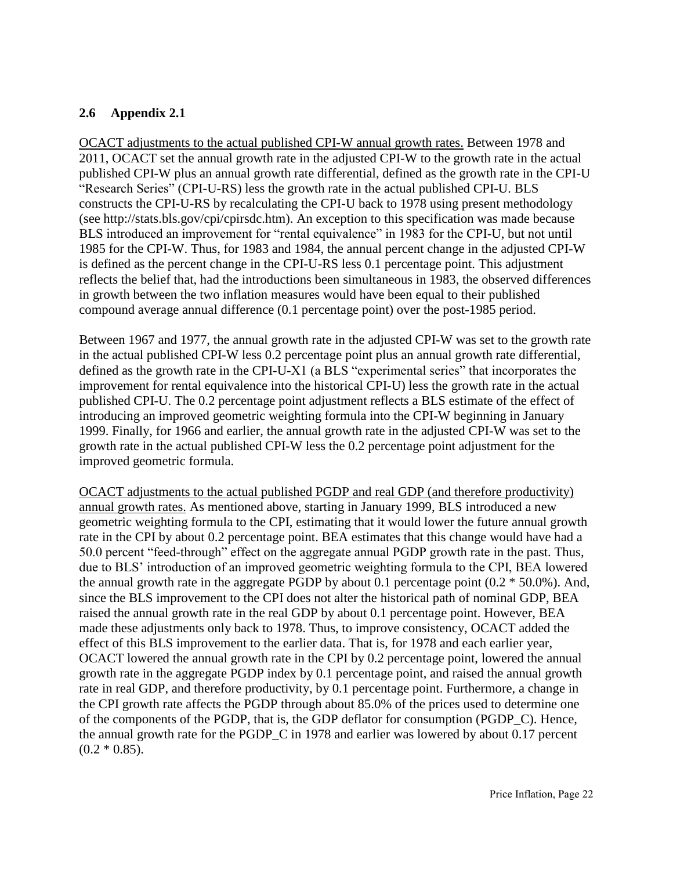#### **2.6 Appendix 2.1**

OCACT adjustments to the actual published CPI-W annual growth rates. Between 1978 and 2011, OCACT set the annual growth rate in the adjusted CPI-W to the growth rate in the actual published CPI-W plus an annual growth rate differential, defined as the growth rate in the CPI-U "Research Series" (CPI-U-RS) less the growth rate in the actual published CPI-U. BLS constructs the CPI-U-RS by recalculating the CPI-U back to 1978 using present methodology (see http://stats.bls.gov/cpi/cpirsdc.htm). An exception to this specification was made because BLS introduced an improvement for "rental equivalence" in 1983 for the CPI-U, but not until 1985 for the CPI-W. Thus, for 1983 and 1984, the annual percent change in the adjusted CPI-W is defined as the percent change in the CPI-U-RS less 0.1 percentage point. This adjustment reflects the belief that, had the introductions been simultaneous in 1983, the observed differences in growth between the two inflation measures would have been equal to their published compound average annual difference (0.1 percentage point) over the post-1985 period.

Between 1967 and 1977, the annual growth rate in the adjusted CPI-W was set to the growth rate in the actual published CPI-W less 0.2 percentage point plus an annual growth rate differential, defined as the growth rate in the CPI-U-X1 (a BLS "experimental series" that incorporates the improvement for rental equivalence into the historical CPI-U) less the growth rate in the actual published CPI-U. The 0.2 percentage point adjustment reflects a BLS estimate of the effect of introducing an improved geometric weighting formula into the CPI-W beginning in January 1999. Finally, for 1966 and earlier, the annual growth rate in the adjusted CPI-W was set to the growth rate in the actual published CPI-W less the 0.2 percentage point adjustment for the improved geometric formula.

OCACT adjustments to the actual published PGDP and real GDP (and therefore productivity) annual growth rates. As mentioned above, starting in January 1999, BLS introduced a new geometric weighting formula to the CPI, estimating that it would lower the future annual growth rate in the CPI by about 0.2 percentage point. BEA estimates that this change would have had a 50.0 percent "feed-through" effect on the aggregate annual PGDP growth rate in the past. Thus, due to BLS' introduction of an improved geometric weighting formula to the CPI, BEA lowered the annual growth rate in the aggregate PGDP by about 0.1 percentage point  $(0.2 * 50.0\%)$ . And, since the BLS improvement to the CPI does not alter the historical path of nominal GDP, BEA raised the annual growth rate in the real GDP by about 0.1 percentage point. However, BEA made these adjustments only back to 1978. Thus, to improve consistency, OCACT added the effect of this BLS improvement to the earlier data. That is, for 1978 and each earlier year, OCACT lowered the annual growth rate in the CPI by 0.2 percentage point, lowered the annual growth rate in the aggregate PGDP index by 0.1 percentage point, and raised the annual growth rate in real GDP, and therefore productivity, by 0.1 percentage point. Furthermore, a change in the CPI growth rate affects the PGDP through about 85.0% of the prices used to determine one of the components of the PGDP, that is, the GDP deflator for consumption (PGDP\_C). Hence, the annual growth rate for the PGDP\_C in 1978 and earlier was lowered by about 0.17 percent  $(0.2 * 0.85)$ .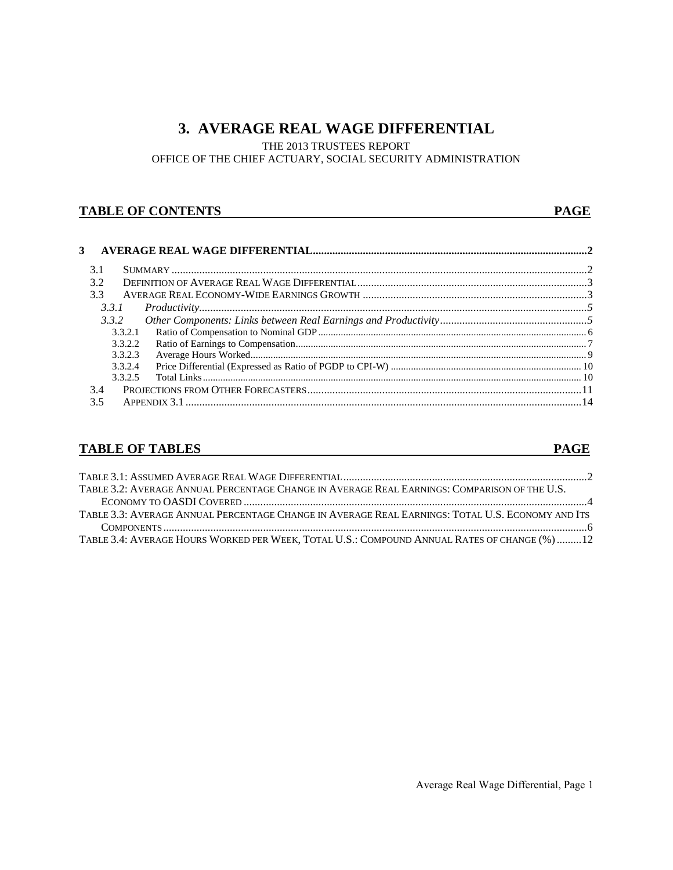## **3. AVERAGE REAL WAGE DIFFERENTIAL**

THE 2013 TRUSTEES REPORT

OFFICE OF THE CHIEF ACTUARY, SOCIAL SECURITY ADMINISTRATION

#### **TABLE OF CONTENTS** PAGE

| 3 |         |  |
|---|---------|--|
|   |         |  |
|   | 3.1     |  |
|   | 3.2     |  |
|   | 3.3     |  |
|   | 3.3.1   |  |
|   | 3.3.2   |  |
|   | 3.3.2.1 |  |
|   | 3.3.2.2 |  |
|   | 3.3.2.3 |  |
|   | 3.3.2.4 |  |
|   | 3.3.2.5 |  |
|   | 3.4     |  |
|   | 3.5     |  |
|   |         |  |

#### **TABLE OF TABLES** PAGE

| TABLE 3.2: AVERAGE ANNUAL PERCENTAGE CHANGE IN AVERAGE REAL EARNINGS: COMPARISON OF THE U.S.     |  |
|--------------------------------------------------------------------------------------------------|--|
|                                                                                                  |  |
| TABLE 3.3: AVERAGE ANNUAL PERCENTAGE CHANGE IN AVERAGE REAL EARNINGS: TOTAL U.S. ECONOMY AND ITS |  |
|                                                                                                  |  |
| TABLE 3.4: AVERAGE HOURS WORKED PER WEEK, TOTAL U.S.: COMPOUND ANNUAL RATES OF CHANGE (%) 12     |  |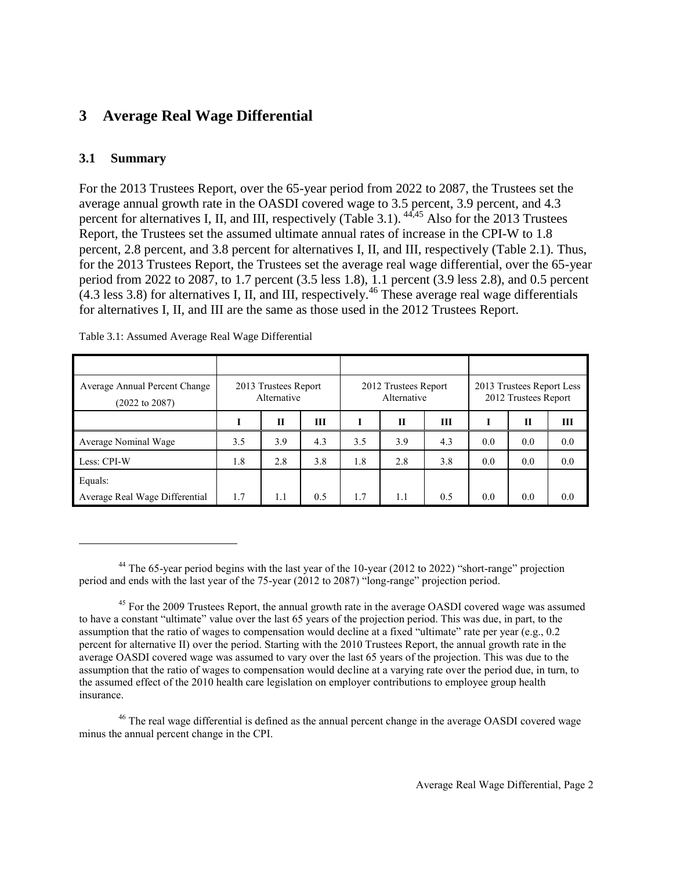## **3 Average Real Wage Differential**

#### **3.1 Summary**

l

For the 2013 Trustees Report, over the 65-year period from 2022 to 2087, the Trustees set the average annual growth rate in the OASDI covered wage to 3.5 percent, 3.9 percent, and 4.3 percent for alternatives I, II, and III, respectively (Table 3.1). 44,45 Also for the 2013 Trustees Report, the Trustees set the assumed ultimate annual rates of increase in the CPI-W to 1.8 percent, 2.8 percent, and 3.8 percent for alternatives I, II, and III, respectively (Table 2.1). Thus, for the 2013 Trustees Report, the Trustees set the average real wage differential, over the 65-year period from 2022 to 2087, to 1.7 percent (3.5 less 1.8), 1.1 percent (3.9 less 2.8), and 0.5 percent  $(4.3$  less 3.8) for alternatives I, II, and III, respectively.<sup>46</sup> These average real wage differentials for alternatives I, II, and III are the same as those used in the 2012 Trustees Report.

| Average Annual Percent Change<br>(2022 to 2087) |     | 2013 Trustees Report<br>Alternative |     |     | 2012 Trustees Report<br>Alternative |     |     | 2013 Trustees Report Less<br>2012 Trustees Report |     |
|-------------------------------------------------|-----|-------------------------------------|-----|-----|-------------------------------------|-----|-----|---------------------------------------------------|-----|
|                                                 |     | П                                   | Ш   | I   | $\mathbf{H}$                        | Ш   | I   | П                                                 | Ш   |
| Average Nominal Wage                            | 3.5 | 3.9                                 | 4.3 | 3.5 | 3.9                                 | 4.3 | 0.0 | 0.0                                               | 0.0 |
| Less: CPI-W                                     | 1.8 | 2.8                                 | 3.8 | 1.8 | 2.8                                 | 3.8 | 0.0 | 0.0                                               | 0.0 |
| Equals:                                         |     |                                     |     |     |                                     |     |     |                                                   |     |
| Average Real Wage Differential                  | 1.7 | 1.1                                 | 0.5 | 1.7 | 1.1                                 | 0.5 | 0.0 | 0.0                                               | 0.0 |

Table 3.1: Assumed Average Real Wage Differential

<sup>44</sup> The 65-year period begins with the last year of the 10-year (2012 to 2022) "short-range" projection period and ends with the last year of the 75-year (2012 to 2087) "long-range" projection period.

<sup>45</sup> For the 2009 Trustees Report, the annual growth rate in the average OASDI covered wage was assumed to have a constant "ultimate" value over the last 65 years of the projection period. This was due, in part, to the assumption that the ratio of wages to compensation would decline at a fixed "ultimate" rate per year (e.g., 0.2 percent for alternative II) over the period. Starting with the 2010 Trustees Report, the annual growth rate in the average OASDI covered wage was assumed to vary over the last 65 years of the projection. This was due to the assumption that the ratio of wages to compensation would decline at a varying rate over the period due, in turn, to the assumed effect of the 2010 health care legislation on employer contributions to employee group health insurance.

<sup>46</sup> The real wage differential is defined as the annual percent change in the average OASDI covered wage minus the annual percent change in the CPI.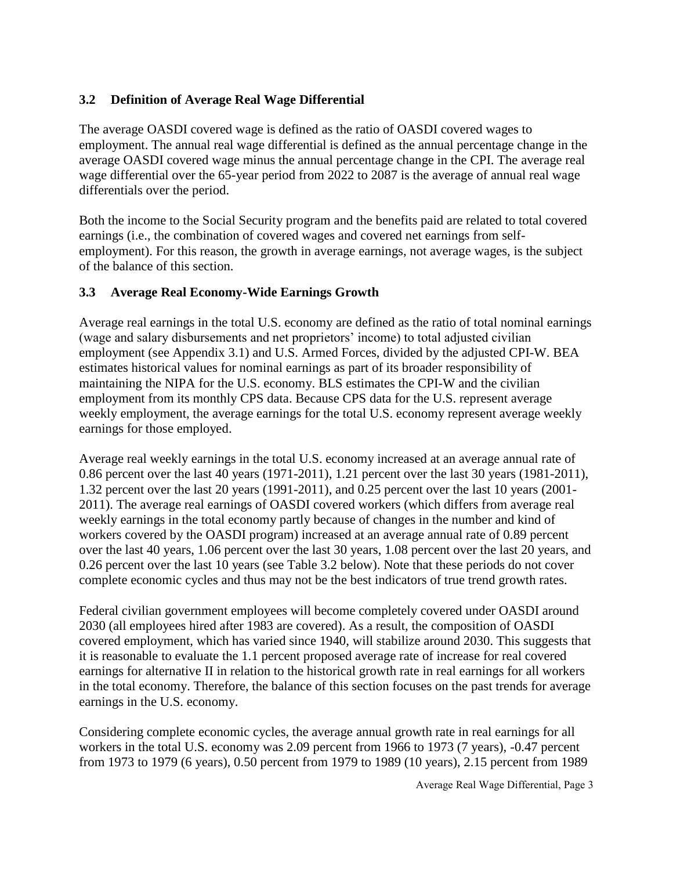#### **3.2 Definition of Average Real Wage Differential**

The average OASDI covered wage is defined as the ratio of OASDI covered wages to employment. The annual real wage differential is defined as the annual percentage change in the average OASDI covered wage minus the annual percentage change in the CPI. The average real wage differential over the 65-year period from 2022 to 2087 is the average of annual real wage differentials over the period.

Both the income to the Social Security program and the benefits paid are related to total covered earnings (i.e., the combination of covered wages and covered net earnings from selfemployment). For this reason, the growth in average earnings, not average wages, is the subject of the balance of this section.

#### **3.3 Average Real Economy-Wide Earnings Growth**

Average real earnings in the total U.S. economy are defined as the ratio of total nominal earnings (wage and salary disbursements and net proprietors' income) to total adjusted civilian employment (see Appendix 3.1) and U.S. Armed Forces, divided by the adjusted CPI-W. BEA estimates historical values for nominal earnings as part of its broader responsibility of maintaining the NIPA for the U.S. economy. BLS estimates the CPI-W and the civilian employment from its monthly CPS data. Because CPS data for the U.S. represent average weekly employment, the average earnings for the total U.S. economy represent average weekly earnings for those employed.

Average real weekly earnings in the total U.S. economy increased at an average annual rate of 0.86 percent over the last 40 years (1971-2011), 1.21 percent over the last 30 years (1981-2011), 1.32 percent over the last 20 years (1991-2011), and 0.25 percent over the last 10 years (2001- 2011). The average real earnings of OASDI covered workers (which differs from average real weekly earnings in the total economy partly because of changes in the number and kind of workers covered by the OASDI program) increased at an average annual rate of 0.89 percent over the last 40 years, 1.06 percent over the last 30 years, 1.08 percent over the last 20 years, and 0.26 percent over the last 10 years (see Table 3.2 below). Note that these periods do not cover complete economic cycles and thus may not be the best indicators of true trend growth rates.

Federal civilian government employees will become completely covered under OASDI around 2030 (all employees hired after 1983 are covered). As a result, the composition of OASDI covered employment, which has varied since 1940, will stabilize around 2030. This suggests that it is reasonable to evaluate the 1.1 percent proposed average rate of increase for real covered earnings for alternative II in relation to the historical growth rate in real earnings for all workers in the total economy. Therefore, the balance of this section focuses on the past trends for average earnings in the U.S. economy.

Considering complete economic cycles, the average annual growth rate in real earnings for all workers in the total U.S. economy was 2.09 percent from 1966 to 1973 (7 years), -0.47 percent from 1973 to 1979 (6 years), 0.50 percent from 1979 to 1989 (10 years), 2.15 percent from 1989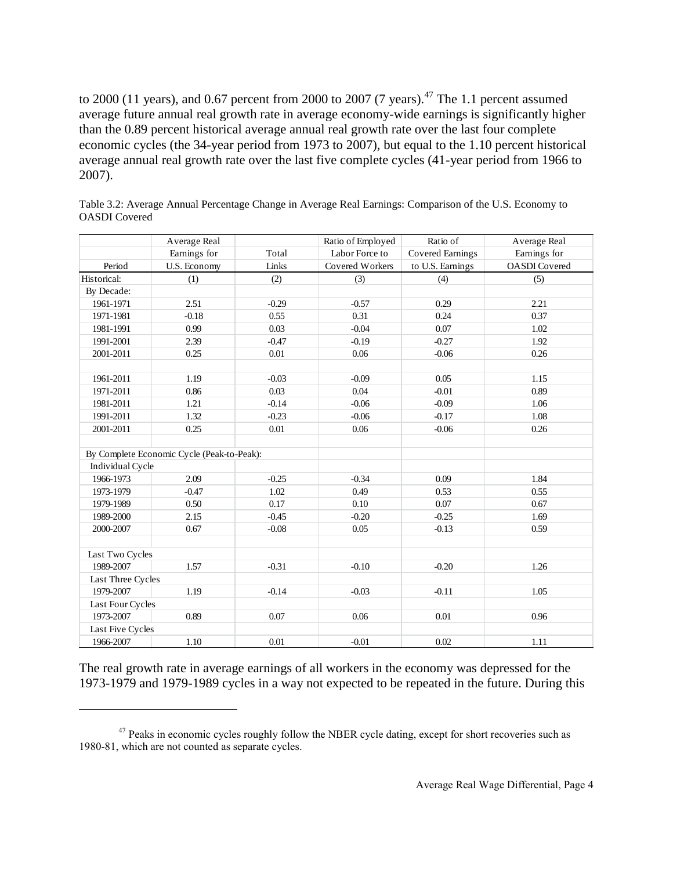to 2000 (11 years), and 0.67 percent from 2000 to 2007 (7 years).<sup>47</sup> The 1.1 percent assumed average future annual real growth rate in average economy-wide earnings is significantly higher than the 0.89 percent historical average annual real growth rate over the last four complete economic cycles (the 34-year period from 1973 to 2007), but equal to the 1.10 percent historical average annual real growth rate over the last five complete cycles (41-year period from 1966 to 2007).

|                   | Average Real                               |         | Ratio of Employed      | Ratio of         | Average Real         |
|-------------------|--------------------------------------------|---------|------------------------|------------------|----------------------|
|                   | Earnings for                               | Total   | Labor Force to         | Covered Earnings | Earnings for         |
| Period            | U.S. Economy                               | Links   | <b>Covered Workers</b> | to U.S. Earnings | <b>OASDI</b> Covered |
| Historical:       | (1)                                        | (2)     | (3)                    | (4)              | (5)                  |
| By Decade:        |                                            |         |                        |                  |                      |
| 1961-1971         | 2.51                                       | $-0.29$ | $-0.57$                | 0.29             | 2.21                 |
| 1971-1981         | $-0.18$                                    | 0.55    | 0.31                   | 0.24             | 0.37                 |
| 1981-1991         | 0.99                                       | 0.03    | $-0.04$                | 0.07             | 1.02                 |
| 1991-2001         | 2.39                                       | $-0.47$ | $-0.19$                | $-0.27$          | 1.92                 |
| 2001-2011         | 0.25                                       | 0.01    | 0.06                   | $-0.06$          | 0.26                 |
|                   |                                            |         |                        |                  |                      |
| 1961-2011         | 1.19                                       | $-0.03$ | $-0.09$                | 0.05             | 1.15                 |
| 1971-2011         | 0.86                                       | 0.03    | 0.04                   | $-0.01$          | 0.89                 |
| 1981-2011         | 1.21                                       | $-0.14$ | $-0.06$                | $-0.09$          | 1.06                 |
| 1991-2011         | 1.32                                       | $-0.23$ | $-0.06$                | $-0.17$          | 1.08                 |
| 2001-2011         | 0.25                                       | 0.01    | 0.06                   | $-0.06$          | 0.26                 |
|                   |                                            |         |                        |                  |                      |
|                   | By Complete Economic Cycle (Peak-to-Peak): |         |                        |                  |                      |
| Individual Cycle  |                                            |         |                        |                  |                      |
| 1966-1973         | 2.09                                       | $-0.25$ | $-0.34$                | 0.09             | 1.84                 |
| 1973-1979         | $-0.47$                                    | 1.02    | 0.49                   | 0.53             | 0.55                 |
| 1979-1989         | 0.50                                       | 0.17    | 0.10                   | 0.07             | 0.67                 |
| 1989-2000         | 2.15                                       | $-0.45$ | $-0.20$                | $-0.25$          | 1.69                 |
| 2000-2007         | 0.67                                       | $-0.08$ | 0.05                   | $-0.13$          | 0.59                 |
|                   |                                            |         |                        |                  |                      |
| Last Two Cycles   |                                            |         |                        |                  |                      |
| 1989-2007         | 1.57                                       | $-0.31$ | $-0.10$                | $-0.20$          | 1.26                 |
| Last Three Cycles |                                            |         |                        |                  |                      |
| 1979-2007         | 1.19                                       | $-0.14$ | $-0.03$                | $-0.11$          | 1.05                 |
| Last Four Cycles  |                                            |         |                        |                  |                      |
| 1973-2007         | 0.89                                       | 0.07    | 0.06                   | 0.01             | 0.96                 |
| Last Five Cycles  |                                            |         |                        |                  |                      |
| 1966-2007         | $1.10\,$                                   | 0.01    | $-0.01$                | 0.02             | 1.11                 |

Table 3.2: Average Annual Percentage Change in Average Real Earnings: Comparison of the U.S. Economy to OASDI Covered

The real growth rate in average earnings of all workers in the economy was depressed for the 1973-1979 and 1979-1989 cycles in a way not expected to be repeated in the future. During this

 $\overline{a}$ 

 $47$  Peaks in economic cycles roughly follow the NBER cycle dating, except for short recoveries such as 1980-81, which are not counted as separate cycles.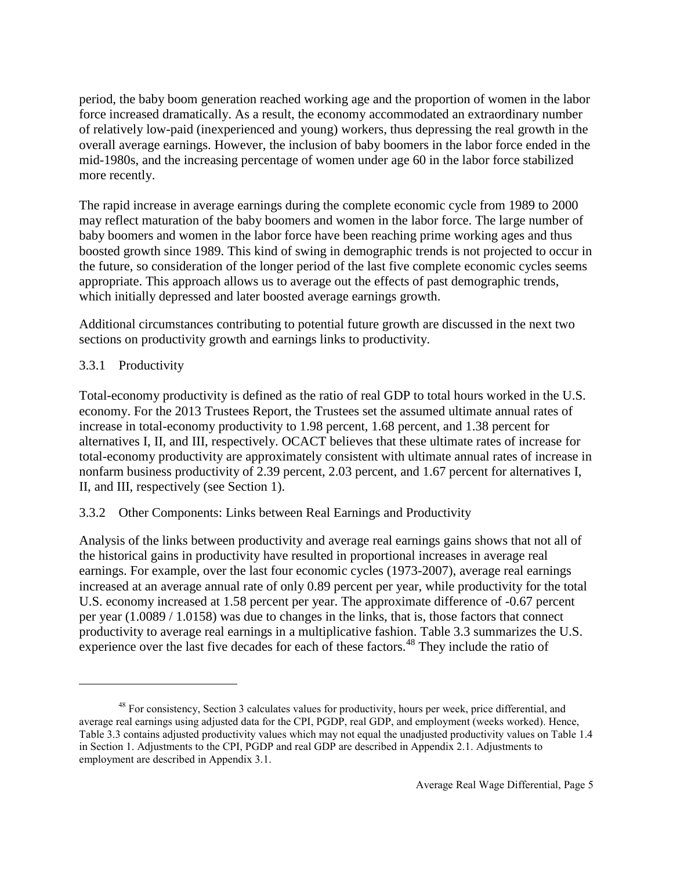period, the baby boom generation reached working age and the proportion of women in the labor force increased dramatically. As a result, the economy accommodated an extraordinary number of relatively low-paid (inexperienced and young) workers, thus depressing the real growth in the overall average earnings. However, the inclusion of baby boomers in the labor force ended in the mid-1980s, and the increasing percentage of women under age 60 in the labor force stabilized more recently.

The rapid increase in average earnings during the complete economic cycle from 1989 to 2000 may reflect maturation of the baby boomers and women in the labor force. The large number of baby boomers and women in the labor force have been reaching prime working ages and thus boosted growth since 1989. This kind of swing in demographic trends is not projected to occur in the future, so consideration of the longer period of the last five complete economic cycles seems appropriate. This approach allows us to average out the effects of past demographic trends, which initially depressed and later boosted average earnings growth.

Additional circumstances contributing to potential future growth are discussed in the next two sections on productivity growth and earnings links to productivity.

## 3.3.1 Productivity

 $\overline{a}$ 

Total-economy productivity is defined as the ratio of real GDP to total hours worked in the U.S. economy. For the 2013 Trustees Report, the Trustees set the assumed ultimate annual rates of increase in total-economy productivity to 1.98 percent, 1.68 percent, and 1.38 percent for alternatives I, II, and III, respectively. OCACT believes that these ultimate rates of increase for total-economy productivity are approximately consistent with ultimate annual rates of increase in nonfarm business productivity of 2.39 percent, 2.03 percent, and 1.67 percent for alternatives I, II, and III, respectively (see Section 1).

## 3.3.2 Other Components: Links between Real Earnings and Productivity

Analysis of the links between productivity and average real earnings gains shows that not all of the historical gains in productivity have resulted in proportional increases in average real earnings. For example, over the last four economic cycles (1973-2007), average real earnings increased at an average annual rate of only 0.89 percent per year, while productivity for the total U.S. economy increased at 1.58 percent per year. The approximate difference of -0.67 percent per year (1.0089 / 1.0158) was due to changes in the links, that is, those factors that connect productivity to average real earnings in a multiplicative fashion. Table 3.3 summarizes the U.S. experience over the last five decades for each of these factors.<sup>48</sup> They include the ratio of

<sup>&</sup>lt;sup>48</sup> For consistency, Section 3 calculates values for productivity, hours per week, price differential, and average real earnings using adjusted data for the CPI, PGDP, real GDP, and employment (weeks worked). Hence, Table 3.3 contains adjusted productivity values which may not equal the unadjusted productivity values on Table 1.4 in Section 1. Adjustments to the CPI, PGDP and real GDP are described in Appendix 2.1. Adjustments to employment are described in Appendix 3.1.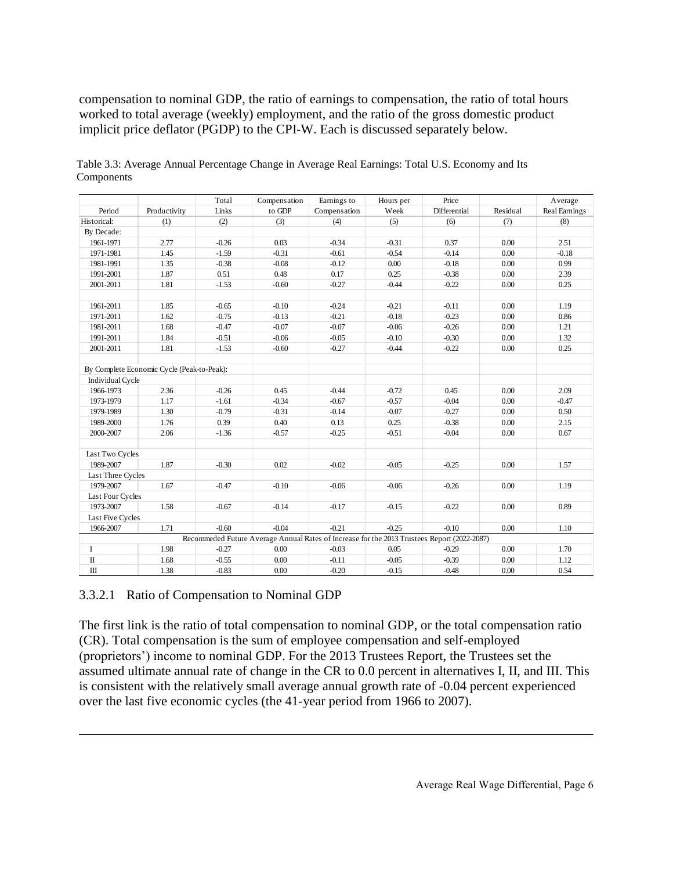compensation to nominal GDP, the ratio of earnings to compensation, the ratio of total hours worked to total average (weekly) employment, and the ratio of the gross domestic product implicit price deflator (PGDP) to the CPI-W. Each is discussed separately below.

|                   |                                            | Total   | Compensation | Earnings to                                                                                 | Hours per | Price        |          | Average       |
|-------------------|--------------------------------------------|---------|--------------|---------------------------------------------------------------------------------------------|-----------|--------------|----------|---------------|
| Period            | Productivity                               | Links   | to GDP       | Compensation                                                                                | Week      | Differential | Residual | Real Earnings |
| Historical:       | (1)                                        | (2)     | (3)          | (4)                                                                                         | (5)       | (6)          | (7)      | (8)           |
| By Decade:        |                                            |         |              |                                                                                             |           |              |          |               |
| 1961-1971         | 2.77                                       | $-0.26$ | 0.03         | $-0.34$                                                                                     | $-0.31$   | 0.37         | 0.00     | 2.51          |
| 1971-1981         | 1.45                                       | $-1.59$ | $-0.31$      | $-0.61$                                                                                     | $-0.54$   | $-0.14$      | 0.00     | $-0.18$       |
| 1981-1991         | 1.35                                       | $-0.38$ | $-0.08$      | $-0.12$                                                                                     | 0.00      | $-0.18$      | 0.00     | 0.99          |
| 1991-2001         | 1.87                                       | 0.51    | 0.48         | 0.17                                                                                        | 0.25      | $-0.38$      | 0.00     | 2.39          |
| 2001-2011         | 1.81                                       | $-1.53$ | $-0.60$      | $-0.27$                                                                                     | $-0.44$   | $-0.22$      | 0.00     | 0.25          |
|                   |                                            |         |              |                                                                                             |           |              |          |               |
| 1961-2011         | 1.85                                       | $-0.65$ | $-0.10$      | $-0.24$                                                                                     | $-0.21$   | $-0.11$      | 0.00     | 1.19          |
| 1971-2011         | 1.62                                       | $-0.75$ | $-0.13$      | $-0.21$                                                                                     | $-0.18$   | $-0.23$      | 0.00     | 0.86          |
| 1981-2011         | 1.68                                       | $-0.47$ | $-0.07$      | $-0.07$                                                                                     | $-0.06$   | $-0.26$      | 0.00     | 1.21          |
| 1991-2011         | 1.84                                       | $-0.51$ | $-0.06$      | $-0.05$                                                                                     | $-0.10$   | $-0.30$      | 0.00     | 1.32          |
| 2001-2011         | 1.81                                       | $-1.53$ | $-0.60$      | $-0.27$                                                                                     | $-0.44$   | $-0.22$      | 0.00     | 0.25          |
|                   |                                            |         |              |                                                                                             |           |              |          |               |
|                   | By Complete Economic Cycle (Peak-to-Peak): |         |              |                                                                                             |           |              |          |               |
| Individual Cycle  |                                            |         |              |                                                                                             |           |              |          |               |
| 1966-1973         | 2.36                                       | $-0.26$ | 0.45         | $-0.44$                                                                                     | $-0.72$   | 0.45         | 0.00     | 2.09          |
| 1973-1979         | 1.17                                       | $-1.61$ | $-0.34$      | $-0.67$                                                                                     | $-0.57$   | $-0.04$      | 0.00     | $-0.47$       |
| 1979-1989         | 1.30                                       | $-0.79$ | $-0.31$      | $-0.14$                                                                                     | $-0.07$   | $-0.27$      | 0.00     | 0.50          |
| 1989-2000         | 1.76                                       | 0.39    | 0.40         | 0.13                                                                                        | 0.25      | $-0.38$      | 0.00     | 2.15          |
| 2000-2007         | 2.06                                       | $-1.36$ | $-0.57$      | $-0.25$                                                                                     | $-0.51$   | $-0.04$      | 0.00     | 0.67          |
|                   |                                            |         |              |                                                                                             |           |              |          |               |
| Last Two Cycles   |                                            |         |              |                                                                                             |           |              |          |               |
| 1989-2007         | 1.87                                       | $-0.30$ | 0.02         | $-0.02$                                                                                     | $-0.05$   | $-0.25$      | 0.00     | 1.57          |
| Last Three Cycles |                                            |         |              |                                                                                             |           |              |          |               |
| 1979-2007         | 1.67                                       | $-0.47$ | $-0.10$      | $-0.06$                                                                                     | $-0.06$   | $-0.26$      | 0.00     | 1.19          |
| Last Four Cycles  |                                            |         |              |                                                                                             |           |              |          |               |
| 1973-2007         | 1.58                                       | $-0.67$ | $-0.14$      | $-0.17$                                                                                     | $-0.15$   | $-0.22$      | 0.00     | 0.89          |
| Last Five Cycles  |                                            |         |              |                                                                                             |           |              |          |               |
| 1966-2007         | 1.71                                       | $-0.60$ | $-0.04$      | $-0.21$                                                                                     | $-0.25$   | $-0.10$      | 0.00     | 1.10          |
|                   |                                            |         |              | Recommeded Future Average Annual Rates of Increase for the 2013 Trustees Report (2022-2087) |           |              |          |               |
| $\bf{I}$          | 1.98                                       | $-0.27$ | 0.00         | $-0.03$                                                                                     | 0.05      | $-0.29$      | 0.00     | 1.70          |
| $\rm II$          | 1.68                                       | $-0.55$ | 0.00         | $-0.11$                                                                                     | $-0.05$   | $-0.39$      | 0.00     | 1.12          |
| Ш                 | 1.38                                       | $-0.83$ | 0.00         | $-0.20$                                                                                     | $-0.15$   | $-0.48$      | 0.00     | 0.54          |

Table 3.3: Average Annual Percentage Change in Average Real Earnings: Total U.S. Economy and Its Components

#### 3.3.2.1 Ratio of Compensation to Nominal GDP

l

The first link is the ratio of total compensation to nominal GDP, or the total compensation ratio (CR). Total compensation is the sum of employee compensation and self-employed (proprietors') income to nominal GDP. For the 2013 Trustees Report, the Trustees set the assumed ultimate annual rate of change in the CR to 0.0 percent in alternatives I, II, and III. This is consistent with the relatively small average annual growth rate of -0.04 percent experienced over the last five economic cycles (the 41-year period from 1966 to 2007).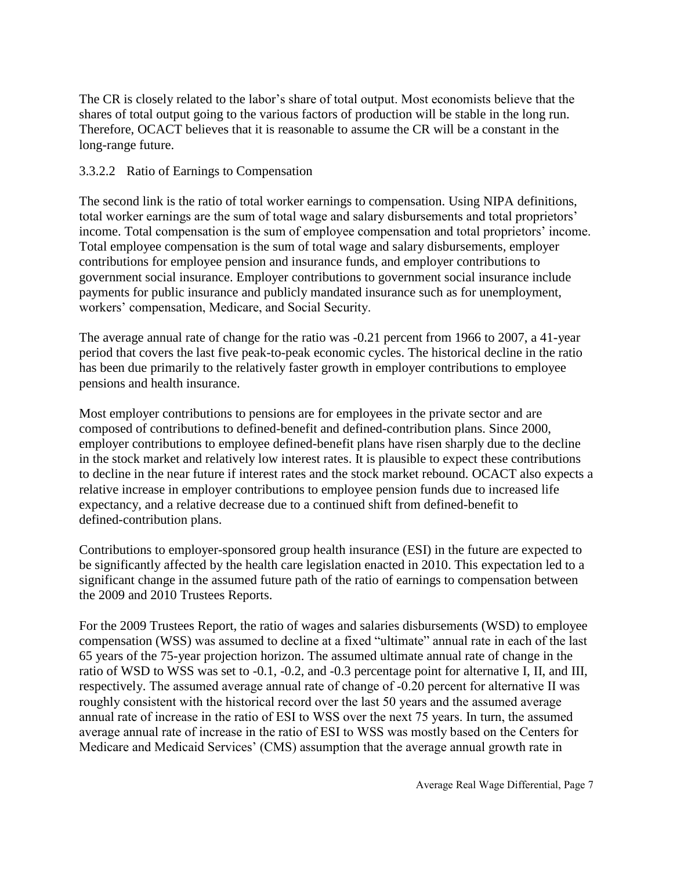The CR is closely related to the labor's share of total output. Most economists believe that the shares of total output going to the various factors of production will be stable in the long run. Therefore, OCACT believes that it is reasonable to assume the CR will be a constant in the long-range future.

#### 3.3.2.2 Ratio of Earnings to Compensation

The second link is the ratio of total worker earnings to compensation. Using NIPA definitions, total worker earnings are the sum of total wage and salary disbursements and total proprietors' income. Total compensation is the sum of employee compensation and total proprietors' income. Total employee compensation is the sum of total wage and salary disbursements, employer contributions for employee pension and insurance funds, and employer contributions to government social insurance. Employer contributions to government social insurance include payments for public insurance and publicly mandated insurance such as for unemployment, workers' compensation, Medicare, and Social Security.

The average annual rate of change for the ratio was -0.21 percent from 1966 to 2007, a 41-year period that covers the last five peak-to-peak economic cycles. The historical decline in the ratio has been due primarily to the relatively faster growth in employer contributions to employee pensions and health insurance.

Most employer contributions to pensions are for employees in the private sector and are composed of contributions to defined-benefit and defined-contribution plans. Since 2000, employer contributions to employee defined-benefit plans have risen sharply due to the decline in the stock market and relatively low interest rates. It is plausible to expect these contributions to decline in the near future if interest rates and the stock market rebound. OCACT also expects a relative increase in employer contributions to employee pension funds due to increased life expectancy, and a relative decrease due to a continued shift from defined-benefit to defined-contribution plans.

Contributions to employer-sponsored group health insurance (ESI) in the future are expected to be significantly affected by the health care legislation enacted in 2010. This expectation led to a significant change in the assumed future path of the ratio of earnings to compensation between the 2009 and 2010 Trustees Reports.

For the 2009 Trustees Report, the ratio of wages and salaries disbursements (WSD) to employee compensation (WSS) was assumed to decline at a fixed "ultimate" annual rate in each of the last 65 years of the 75-year projection horizon. The assumed ultimate annual rate of change in the ratio of WSD to WSS was set to -0.1, -0.2, and -0.3 percentage point for alternative I, II, and III, respectively. The assumed average annual rate of change of -0.20 percent for alternative II was roughly consistent with the historical record over the last 50 years and the assumed average annual rate of increase in the ratio of ESI to WSS over the next 75 years. In turn, the assumed average annual rate of increase in the ratio of ESI to WSS was mostly based on the Centers for Medicare and Medicaid Services' (CMS) assumption that the average annual growth rate in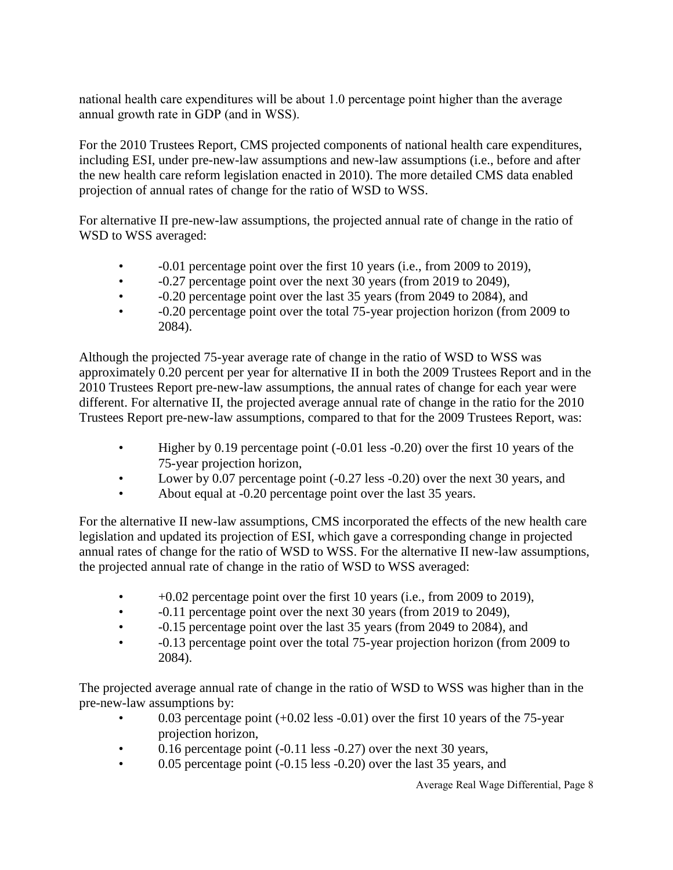national health care expenditures will be about 1.0 percentage point higher than the average annual growth rate in GDP (and in WSS).

For the 2010 Trustees Report, CMS projected components of national health care expenditures, including ESI, under pre-new-law assumptions and new-law assumptions (i.e., before and after the new health care reform legislation enacted in 2010). The more detailed CMS data enabled projection of annual rates of change for the ratio of WSD to WSS.

For alternative II pre-new-law assumptions, the projected annual rate of change in the ratio of WSD to WSS averaged:

- -0.01 percentage point over the first 10 years (i.e., from 2009 to 2019),
- $-0.27$  percentage point over the next 30 years (from 2019 to 2049),
- -0.20 percentage point over the last 35 years (from 2049 to 2084), and
- -0.20 percentage point over the total 75-year projection horizon (from 2009 to 2084).

Although the projected 75-year average rate of change in the ratio of WSD to WSS was approximately 0.20 percent per year for alternative II in both the 2009 Trustees Report and in the 2010 Trustees Report pre-new-law assumptions, the annual rates of change for each year were different. For alternative II, the projected average annual rate of change in the ratio for the 2010 Trustees Report pre-new-law assumptions, compared to that for the 2009 Trustees Report, was:

- Higher by 0.19 percentage point (-0.01 less -0.20) over the first 10 years of the 75-year projection horizon,
- Lower by 0.07 percentage point (-0.27 less -0.20) over the next 30 years, and
- About equal at -0.20 percentage point over the last 35 years.

For the alternative II new-law assumptions, CMS incorporated the effects of the new health care legislation and updated its projection of ESI, which gave a corresponding change in projected annual rates of change for the ratio of WSD to WSS. For the alternative II new-law assumptions, the projected annual rate of change in the ratio of WSD to WSS averaged:

- $+0.02$  percentage point over the first 10 years (i.e., from 2009 to 2019),
- $-0.11$  percentage point over the next 30 years (from 2019 to 2049),
- -0.15 percentage point over the last 35 years (from 2049 to 2084), and
- -0.13 percentage point over the total 75-year projection horizon (from 2009 to 2084).

The projected average annual rate of change in the ratio of WSD to WSS was higher than in the pre-new-law assumptions by:

- 0.03 percentage point  $(+0.02$  less  $-0.01$ ) over the first 10 years of the 75-year projection horizon,
- 0.16 percentage point (-0.11 less -0.27) over the next 30 years,
- 0.05 percentage point (-0.15 less -0.20) over the last 35 years, and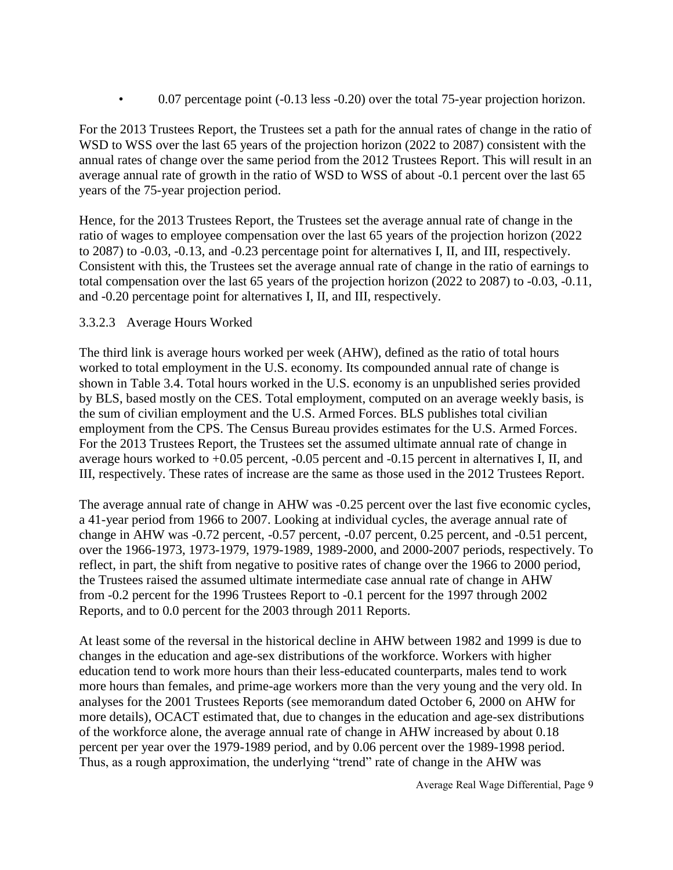• 0.07 percentage point (-0.13 less -0.20) over the total 75-year projection horizon.

For the 2013 Trustees Report, the Trustees set a path for the annual rates of change in the ratio of WSD to WSS over the last 65 years of the projection horizon (2022 to 2087) consistent with the annual rates of change over the same period from the 2012 Trustees Report. This will result in an average annual rate of growth in the ratio of WSD to WSS of about -0.1 percent over the last 65 years of the 75-year projection period.

Hence, for the 2013 Trustees Report, the Trustees set the average annual rate of change in the ratio of wages to employee compensation over the last 65 years of the projection horizon (2022 to 2087) to -0.03, -0.13, and -0.23 percentage point for alternatives I, II, and III, respectively. Consistent with this, the Trustees set the average annual rate of change in the ratio of earnings to total compensation over the last 65 years of the projection horizon (2022 to 2087) to -0.03, -0.11, and -0.20 percentage point for alternatives I, II, and III, respectively.

#### 3.3.2.3 Average Hours Worked

The third link is average hours worked per week (AHW), defined as the ratio of total hours worked to total employment in the U.S. economy. Its compounded annual rate of change is shown in Table 3.4. Total hours worked in the U.S. economy is an unpublished series provided by BLS, based mostly on the CES. Total employment, computed on an average weekly basis, is the sum of civilian employment and the U.S. Armed Forces. BLS publishes total civilian employment from the CPS. The Census Bureau provides estimates for the U.S. Armed Forces. For the 2013 Trustees Report, the Trustees set the assumed ultimate annual rate of change in average hours worked to +0.05 percent, -0.05 percent and -0.15 percent in alternatives I, II, and III, respectively. These rates of increase are the same as those used in the 2012 Trustees Report.

The average annual rate of change in AHW was -0.25 percent over the last five economic cycles, a 41-year period from 1966 to 2007. Looking at individual cycles, the average annual rate of change in AHW was -0.72 percent, -0.57 percent, -0.07 percent, 0.25 percent, and -0.51 percent, over the 1966-1973, 1973-1979, 1979-1989, 1989-2000, and 2000-2007 periods, respectively. To reflect, in part, the shift from negative to positive rates of change over the 1966 to 2000 period, the Trustees raised the assumed ultimate intermediate case annual rate of change in AHW from -0.2 percent for the 1996 Trustees Report to -0.1 percent for the 1997 through 2002 Reports, and to 0.0 percent for the 2003 through 2011 Reports.

At least some of the reversal in the historical decline in AHW between 1982 and 1999 is due to changes in the education and age-sex distributions of the workforce. Workers with higher education tend to work more hours than their less-educated counterparts, males tend to work more hours than females, and prime-age workers more than the very young and the very old. In analyses for the 2001 Trustees Reports (see memorandum dated October 6, 2000 on AHW for more details), OCACT estimated that, due to changes in the education and age-sex distributions of the workforce alone, the average annual rate of change in AHW increased by about 0.18 percent per year over the 1979-1989 period, and by 0.06 percent over the 1989-1998 period. Thus, as a rough approximation, the underlying "trend" rate of change in the AHW was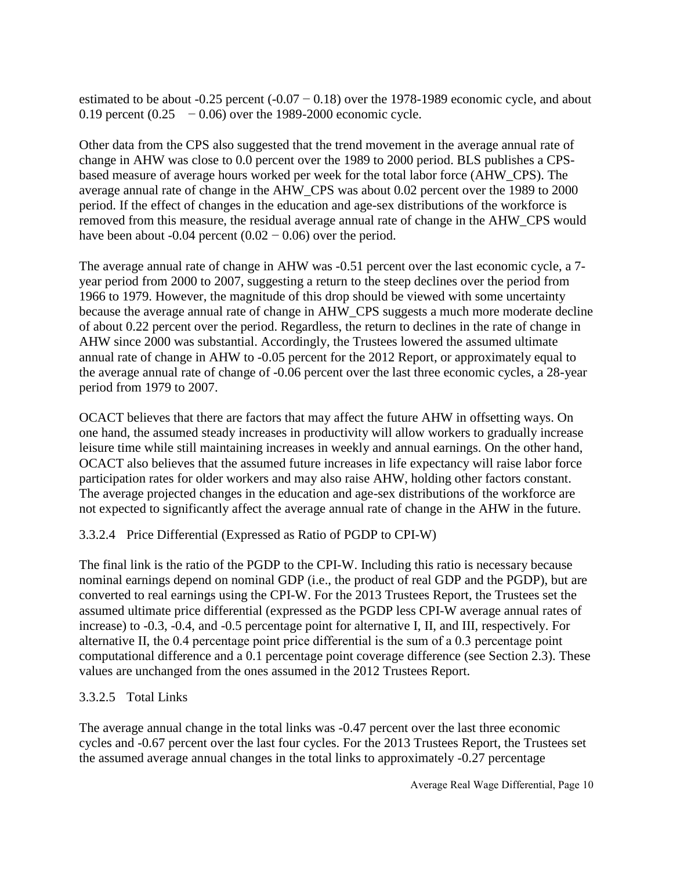estimated to be about  $-0.25$  percent  $(-0.07 - 0.18)$  over the 1978-1989 economic cycle, and about 0.19 percent  $(0.25 - 0.06)$  over the 1989-2000 economic cycle.

Other data from the CPS also suggested that the trend movement in the average annual rate of change in AHW was close to 0.0 percent over the 1989 to 2000 period. BLS publishes a CPSbased measure of average hours worked per week for the total labor force (AHW\_CPS). The average annual rate of change in the AHW\_CPS was about 0.02 percent over the 1989 to 2000 period. If the effect of changes in the education and age-sex distributions of the workforce is removed from this measure, the residual average annual rate of change in the AHW\_CPS would have been about -0.04 percent  $(0.02 - 0.06)$  over the period.

The average annual rate of change in AHW was -0.51 percent over the last economic cycle, a 7 year period from 2000 to 2007, suggesting a return to the steep declines over the period from 1966 to 1979. However, the magnitude of this drop should be viewed with some uncertainty because the average annual rate of change in AHW\_CPS suggests a much more moderate decline of about 0.22 percent over the period. Regardless, the return to declines in the rate of change in AHW since 2000 was substantial. Accordingly, the Trustees lowered the assumed ultimate annual rate of change in AHW to -0.05 percent for the 2012 Report, or approximately equal to the average annual rate of change of -0.06 percent over the last three economic cycles, a 28-year period from 1979 to 2007.

OCACT believes that there are factors that may affect the future AHW in offsetting ways. On one hand, the assumed steady increases in productivity will allow workers to gradually increase leisure time while still maintaining increases in weekly and annual earnings. On the other hand, OCACT also believes that the assumed future increases in life expectancy will raise labor force participation rates for older workers and may also raise AHW, holding other factors constant. The average projected changes in the education and age-sex distributions of the workforce are not expected to significantly affect the average annual rate of change in the AHW in the future.

#### 3.3.2.4 Price Differential (Expressed as Ratio of PGDP to CPI-W)

The final link is the ratio of the PGDP to the CPI-W. Including this ratio is necessary because nominal earnings depend on nominal GDP (i.e., the product of real GDP and the PGDP), but are converted to real earnings using the CPI-W. For the 2013 Trustees Report, the Trustees set the assumed ultimate price differential (expressed as the PGDP less CPI-W average annual rates of increase) to -0.3, -0.4, and -0.5 percentage point for alternative I, II, and III, respectively. For alternative II, the 0.4 percentage point price differential is the sum of a 0.3 percentage point computational difference and a 0.1 percentage point coverage difference (see Section 2.3). These values are unchanged from the ones assumed in the 2012 Trustees Report.

#### 3.3.2.5 Total Links

The average annual change in the total links was -0.47 percent over the last three economic cycles and -0.67 percent over the last four cycles. For the 2013 Trustees Report, the Trustees set the assumed average annual changes in the total links to approximately -0.27 percentage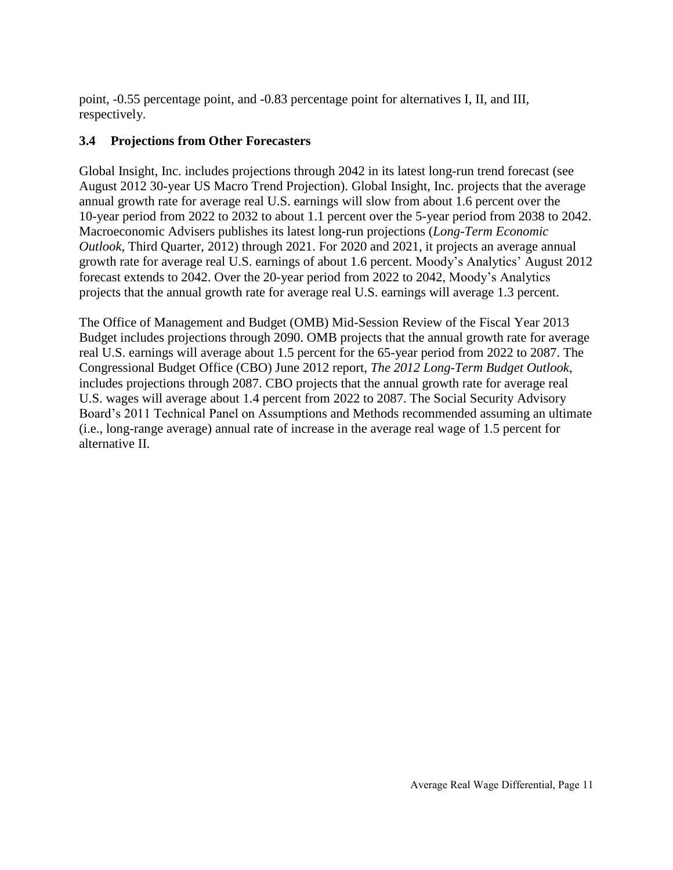point, -0.55 percentage point, and -0.83 percentage point for alternatives I, II, and III, respectively.

#### **3.4 Projections from Other Forecasters**

Global Insight, Inc. includes projections through 2042 in its latest long-run trend forecast (see August 2012 30-year US Macro Trend Projection). Global Insight, Inc. projects that the average annual growth rate for average real U.S. earnings will slow from about 1.6 percent over the 10-year period from 2022 to 2032 to about 1.1 percent over the 5-year period from 2038 to 2042. Macroeconomic Advisers publishes its latest long-run projections (*Long-Term Economic Outlook*, Third Quarter, 2012) through 2021. For 2020 and 2021, it projects an average annual growth rate for average real U.S. earnings of about 1.6 percent. Moody's Analytics' August 2012 forecast extends to 2042. Over the 20-year period from 2022 to 2042, Moody's Analytics projects that the annual growth rate for average real U.S. earnings will average 1.3 percent.

The Office of Management and Budget (OMB) Mid-Session Review of the Fiscal Year 2013 Budget includes projections through 2090. OMB projects that the annual growth rate for average real U.S. earnings will average about 1.5 percent for the 65-year period from 2022 to 2087. The Congressional Budget Office (CBO) June 2012 report, *The 2012 Long-Term Budget Outlook*, includes projections through 2087. CBO projects that the annual growth rate for average real U.S. wages will average about 1.4 percent from 2022 to 2087. The Social Security Advisory Board's 2011 Technical Panel on Assumptions and Methods recommended assuming an ultimate (i.e., long-range average) annual rate of increase in the average real wage of 1.5 percent for alternative II.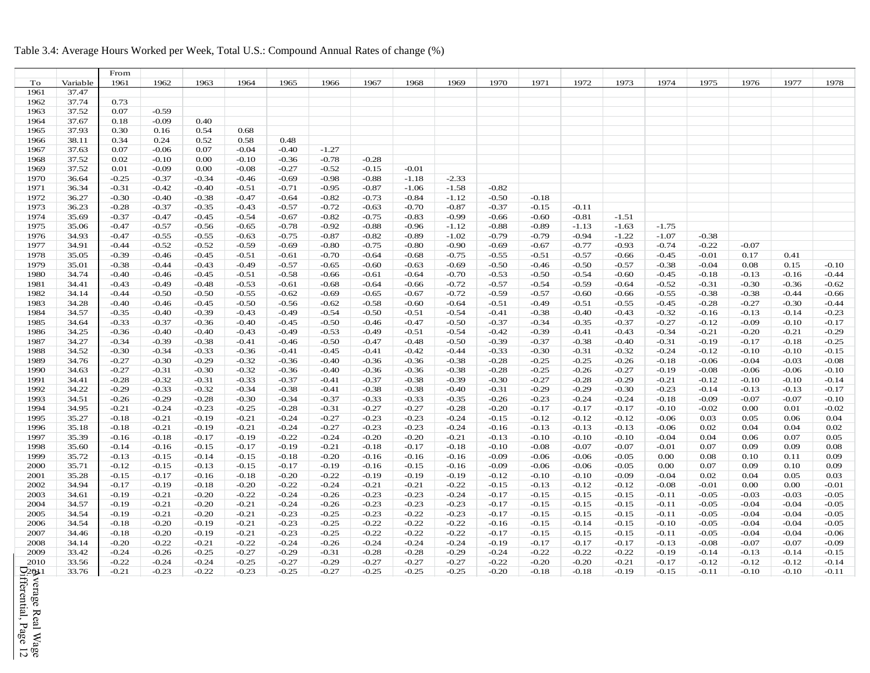#### Table 3.4: Average Hours Worked per Week, Total U.S.: Compound Annual Rates of change (%)

|                 |          | From    |         |         |         |         |         |         |         |         |         |         |         |         |         |         |         |         |         |
|-----------------|----------|---------|---------|---------|---------|---------|---------|---------|---------|---------|---------|---------|---------|---------|---------|---------|---------|---------|---------|
| To              | Variable | 1961    | 1962    | 1963    | 1964    | 1965    | 1966    | 1967    | 1968    | 1969    | 1970    | 1971    | 1972    | 1973    | 1974    | 1975    | 1976    | 1977    | 1978    |
| 1961            | 37.47    |         |         |         |         |         |         |         |         |         |         |         |         |         |         |         |         |         |         |
| 1962            | 37.74    | 0.73    |         |         |         |         |         |         |         |         |         |         |         |         |         |         |         |         |         |
| 1963            | 37.52    | 0.07    | $-0.59$ |         |         |         |         |         |         |         |         |         |         |         |         |         |         |         |         |
| 1964            | 37.67    | 0.18    | $-0.09$ | 0.40    |         |         |         |         |         |         |         |         |         |         |         |         |         |         |         |
| 1965            | 37.93    | 0.30    | 0.16    | 0.54    | 0.68    |         |         |         |         |         |         |         |         |         |         |         |         |         |         |
| 1966            | 38.11    | 0.34    | 0.24    | 0.52    | 0.58    | 0.48    |         |         |         |         |         |         |         |         |         |         |         |         |         |
| 1967            | 37.63    | 0.07    | $-0.06$ | 0.07    | $-0.04$ | $-0.40$ | $-1.27$ |         |         |         |         |         |         |         |         |         |         |         |         |
| 1968            | 37.52    | 0.02    | $-0.10$ | 0.00    | $-0.10$ | $-0.36$ | $-0.78$ | $-0.28$ |         |         |         |         |         |         |         |         |         |         |         |
| 1969            | 37.52    | 0.01    | $-0.09$ | 0.00    | $-0.08$ | $-0.27$ | $-0.52$ | $-0.15$ | $-0.01$ |         |         |         |         |         |         |         |         |         |         |
| 1970            | 36.64    | $-0.25$ | $-0.37$ | $-0.34$ | $-0.46$ | $-0.69$ | $-0.98$ | $-0.88$ | $-1.18$ | $-2.33$ |         |         |         |         |         |         |         |         |         |
| 1971            | 36.34    | $-0.31$ | $-0.42$ | $-0.40$ | $-0.51$ | $-0.71$ | $-0.95$ | $-0.87$ | $-1.06$ | $-1.58$ | $-0.82$ |         |         |         |         |         |         |         |         |
| 1972            | 36.27    | $-0.30$ | $-0.40$ | $-0.38$ | $-0.47$ | $-0.64$ | $-0.82$ | $-0.73$ | $-0.84$ | $-1.12$ | $-0.50$ | $-0.18$ |         |         |         |         |         |         |         |
| 1973            | 36.23    | $-0.28$ | $-0.37$ | $-0.35$ | $-0.43$ | $-0.57$ | $-0.72$ | $-0.63$ | $-0.70$ | $-0.87$ | $-0.37$ | $-0.15$ | $-0.11$ |         |         |         |         |         |         |
| 1974            | 35.69    | $-0.37$ | $-0.47$ | $-0.45$ | $-0.54$ | $-0.67$ | $-0.82$ | $-0.75$ | $-0.83$ | $-0.99$ | $-0.66$ | $-0.60$ | $-0.81$ | $-1.51$ |         |         |         |         |         |
| 1975            | 35.06    | $-0.47$ | $-0.57$ | $-0.56$ | $-0.65$ | $-0.78$ | $-0.92$ | $-0.88$ | $-0.96$ | $-1.12$ | $-0.88$ | $-0.89$ | $-1.13$ | $-1.63$ | $-1.75$ |         |         |         |         |
| 1976            | 34.93    | $-0.47$ | $-0.55$ | $-0.55$ | $-0.63$ | $-0.75$ | $-0.87$ | $-0.82$ | $-0.89$ | $-1.02$ | $-0.79$ | $-0.79$ | $-0.94$ | $-1.22$ | $-1.07$ | $-0.38$ |         |         |         |
| 1977            | 34.91    | $-0.44$ | $-0.52$ | $-0.52$ | $-0.59$ | $-0.69$ | $-0.80$ | $-0.75$ | $-0.80$ | $-0.90$ | $-0.69$ | $-0.67$ | $-0.77$ | $-0.93$ | $-0.74$ | $-0.22$ | $-0.07$ |         |         |
| 1978            | 35.05    | $-0.39$ | $-0.46$ | $-0.45$ | $-0.51$ | $-0.61$ | $-0.70$ | $-0.64$ | $-0.68$ | $-0.75$ | $-0.55$ | $-0.51$ | $-0.57$ | $-0.66$ | $-0.45$ | $-0.01$ | 0.17    | 0.41    |         |
| 1979            | 35.01    | $-0.38$ | $-0.44$ | $-0.43$ | $-0.49$ | $-0.57$ | $-0.65$ | $-0.60$ | $-0.63$ | $-0.69$ | $-0.50$ | $-0.46$ | $-0.50$ | $-0.57$ | $-0.38$ | $-0.04$ | 0.08    | 0.15    | $-0.10$ |
| 1980            | 34.74    | $-0.40$ | $-0.46$ | $-0.45$ | $-0.51$ | $-0.58$ | $-0.66$ | $-0.61$ | $-0.64$ | $-0.70$ | $-0.53$ | $-0.50$ | $-0.54$ | $-0.60$ | $-0.45$ | $-0.18$ | $-0.13$ | $-0.16$ | $-0.44$ |
|                 |          |         |         |         |         |         |         |         |         |         |         |         | $-0.59$ |         |         |         |         |         |         |
| 1981            | 34.41    | $-0.43$ | $-0.49$ | $-0.48$ | $-0.53$ | $-0.61$ | $-0.68$ | $-0.64$ | $-0.66$ | $-0.72$ | $-0.57$ | $-0.54$ |         | $-0.64$ | $-0.52$ | $-0.31$ | $-0.30$ | $-0.36$ | $-0.62$ |
| 1982            | 34.14    | $-0.44$ | $-0.50$ | $-0.50$ | $-0.55$ | $-0.62$ | $-0.69$ | $-0.65$ | $-0.67$ | $-0.72$ | $-0.59$ | $-0.57$ | $-0.60$ | $-0.66$ | $-0.55$ | $-0.38$ | $-0.38$ | $-0.44$ | $-0.66$ |
| 1983            | 34.28    | $-0.40$ | $-0.46$ | $-0.45$ | $-0.50$ | $-0.56$ | $-0.62$ | $-0.58$ | $-0.60$ | $-0.64$ | $-0.51$ | $-0.49$ | $-0.51$ | $-0.55$ | $-0.45$ | $-0.28$ | $-0.27$ | $-0.30$ | $-0.44$ |
| 1984            | 34.57    | $-0.35$ | $-0.40$ | $-0.39$ | $-0.43$ | $-0.49$ | $-0.54$ | $-0.50$ | $-0.51$ | $-0.54$ | $-0.41$ | $-0.38$ | $-0.40$ | $-0.43$ | $-0.32$ | $-0.16$ | $-0.13$ | $-0.14$ | $-0.23$ |
| 1985            | 34.64    | $-0.33$ | $-0.37$ | $-0.36$ | $-0.40$ | $-0.45$ | $-0.50$ | $-0.46$ | $-0.47$ | $-0.50$ | $-0.37$ | $-0.34$ | $-0.35$ | $-0.37$ | $-0.27$ | $-0.12$ | $-0.09$ | $-0.10$ | $-0.17$ |
| 1986            | 34.25    | $-0.36$ | $-0.40$ | $-0.40$ | $-0.43$ | $-0.49$ | $-0.53$ | $-0.49$ | $-0.51$ | $-0.54$ | $-0.42$ | $-0.39$ | $-0.41$ | $-0.43$ | $-0.34$ | $-0.21$ | $-0.20$ | $-0.21$ | $-0.29$ |
| 1987            | 34.27    | $-0.34$ | $-0.39$ | $-0.38$ | $-0.41$ | $-0.46$ | $-0.50$ | $-0.47$ | $-0.48$ | $-0.50$ | $-0.39$ | $-0.37$ | $-0.38$ | $-0.40$ | $-0.31$ | $-0.19$ | $-0.17$ | $-0.18$ | $-0.25$ |
| 1988            | 34.52    | $-0.30$ | $-0.34$ | $-0.33$ | $-0.36$ | $-0.41$ | $-0.45$ | $-0.41$ | $-0.42$ | $-0.44$ | $-0.33$ | $-0.30$ | $-0.31$ | $-0.32$ | $-0.24$ | $-0.12$ | $-0.10$ | $-0.10$ | $-0.15$ |
| 1989            | 34.76    | $-0.27$ | $-0.30$ | $-0.29$ | $-0.32$ | $-0.36$ | $-0.40$ | $-0.36$ | $-0.36$ | $-0.38$ | $-0.28$ | $-0.25$ | $-0.25$ | $-0.26$ | $-0.18$ | $-0.06$ | $-0.04$ | $-0.03$ | $-0.08$ |
| 1990            | 34.63    | $-0.27$ | $-0.31$ | $-0.30$ | $-0.32$ | $-0.36$ | $-0.40$ | $-0.36$ | $-0.36$ | $-0.38$ | $-0.28$ | $-0.25$ | $-0.26$ | $-0.27$ | $-0.19$ | $-0.08$ | $-0.06$ | $-0.06$ | $-0.10$ |
| 1991            | 34.41    | $-0.28$ | $-0.32$ | $-0.31$ | $-0.33$ | $-0.37$ | $-0.41$ | $-0.37$ | $-0.38$ | $-0.39$ | $-0.30$ | $-0.27$ | $-0.28$ | $-0.29$ | $-0.21$ | $-0.12$ | $-0.10$ | $-0.10$ | $-0.14$ |
| 1992            | 34.22    | $-0.29$ | $-0.33$ | $-0.32$ | $-0.34$ | $-0.38$ | $-0.41$ | $-0.38$ | $-0.38$ | $-0.40$ | $-0.31$ | $-0.29$ | $-0.29$ | $-0.30$ | $-0.23$ | $-0.14$ | $-0.13$ | $-0.13$ | $-0.17$ |
| 1993            | 34.51    | $-0.26$ | $-0.29$ | $-0.28$ | $-0.30$ | $-0.34$ | $-0.37$ | $-0.33$ | $-0.33$ | $-0.35$ | $-0.26$ | $-0.23$ | $-0.24$ | $-0.24$ | $-0.18$ | $-0.09$ | $-0.07$ | $-0.07$ | $-0.10$ |
| 1994            | 34.95    | $-0.21$ | $-0.24$ | $-0.23$ | $-0.25$ | $-0.28$ | $-0.31$ | $-0.27$ | $-0.27$ | $-0.28$ | $-0.20$ | $-0.17$ | $-0.17$ | $-0.17$ | $-0.10$ | $-0.02$ | 0.00    | 0.01    | $-0.02$ |
| 1995            | 35.27    | $-0.18$ | $-0.21$ | $-0.19$ | $-0.21$ | $-0.24$ | $-0.27$ | $-0.23$ | $-0.23$ | $-0.24$ | $-0.15$ | $-0.12$ | $-0.12$ | $-0.12$ | $-0.06$ | 0.03    | 0.05    | 0.06    | 0.04    |
| 1996            | 35.18    | $-0.18$ | $-0.21$ | $-0.19$ | $-0.21$ | $-0.24$ | $-0.27$ | $-0.23$ | $-0.23$ | $-0.24$ | $-0.16$ | $-0.13$ | $-0.13$ | $-0.13$ | $-0.06$ | 0.02    | 0.04    | 0.04    | 0.02    |
| 1997            | 35.39    | $-0.16$ | $-0.18$ | $-0.17$ | $-0.19$ | $-0.22$ | $-0.24$ | $-0.20$ | $-0.20$ | $-0.21$ | $-0.13$ | $-0.10$ | $-0.10$ | $-0.10$ | $-0.04$ | 0.04    | 0.06    | 0.07    | 0.05    |
| 1998            | 35.60    | $-0.14$ | $-0.16$ | $-0.15$ | $-0.17$ | $-0.19$ | $-0.21$ | $-0.18$ | $-0.17$ | $-0.18$ | $-0.10$ | $-0.08$ | $-0.07$ | $-0.07$ | $-0.01$ | 0.07    | 0.09    | 0.09    | 0.08    |
| 1999            | 35.72    | $-0.13$ | $-0.15$ | $-0.14$ | $-0.15$ | $-0.18$ | $-0.20$ | $-0.16$ | $-0.16$ | $-0.16$ | $-0.09$ | $-0.06$ | $-0.06$ | $-0.05$ | 0.00    | 0.08    | 0.10    | 0.11    | 0.09    |
| 2000            | 35.71    | $-0.12$ | $-0.15$ | $-0.13$ | $-0.15$ | $-0.17$ | $-0.19$ | $-0.16$ | $-0.15$ | $-0.16$ | $-0.09$ | $-0.06$ | $-0.06$ | $-0.05$ | 0.00    | 0.07    | 0.09    | 0.10    | 0.09    |
| 2001            | 35.28    | $-0.15$ | $-0.17$ | $-0.16$ | $-0.18$ | $-0.20$ | $-0.22$ | $-0.19$ | $-0.19$ | $-0.19$ | $-0.12$ | $-0.10$ | $-0.10$ | $-0.09$ | $-0.04$ | 0.02    | 0.04    | 0.05    | 0.03    |
| 2002            | 34.94    | $-0.17$ | $-0.19$ | $-0.18$ | $-0.20$ | $-0.22$ | $-0.24$ | $-0.21$ | $-0.21$ | $-0.22$ | $-0.15$ | $-0.13$ | $-0.12$ | $-0.12$ | $-0.08$ | $-0.01$ | 0.00    | 0.00    | $-0.01$ |
| 2003            | 34.61    | $-0.19$ | $-0.21$ | $-0.20$ | $-0.22$ | $-0.24$ | $-0.26$ | $-0.23$ | $-0.23$ | $-0.24$ | $-0.17$ | $-0.15$ | $-0.15$ | $-0.15$ | $-0.11$ | $-0.05$ | $-0.03$ | $-0.03$ | $-0.05$ |
| 2004            | 34.57    | $-0.19$ | $-0.21$ | $-0.20$ | $-0.21$ | $-0.24$ | $-0.26$ | $-0.23$ | $-0.23$ | $-0.23$ | $-0.17$ | $-0.15$ | $-0.15$ | $-0.15$ | $-0.11$ | $-0.05$ | $-0.04$ | $-0.04$ | $-0.05$ |
| 2005            | 34.54    | $-0.19$ | $-0.21$ | $-0.20$ | $-0.21$ | $-0.23$ | $-0.25$ | $-0.23$ | $-0.22$ | $-0.23$ | $-0.17$ | $-0.15$ | $-0.15$ | $-0.15$ | $-0.11$ | $-0.05$ | $-0.04$ | $-0.04$ | $-0.05$ |
| 2006            | 34.54    | $-0.18$ | $-0.20$ | $-0.19$ | $-0.21$ | $-0.23$ | $-0.25$ | $-0.22$ | $-0.22$ | $-0.22$ | $-0.16$ | $-0.15$ | $-0.14$ | $-0.15$ | $-0.10$ | $-0.05$ | $-0.04$ | $-0.04$ | $-0.05$ |
| 2007            | 34.46    | $-0.18$ | $-0.20$ | $-0.19$ | $-0.21$ | $-0.23$ | $-0.25$ | $-0.22$ | $-0.22$ | $-0.22$ | $-0.17$ | $-0.15$ | $-0.15$ | $-0.15$ | $-0.11$ | $-0.05$ | $-0.04$ | $-0.04$ | $-0.06$ |
| 2008            | 34.14    | $-0.20$ | $-0.22$ | $-0.21$ | $-0.22$ | $-0.24$ | $-0.26$ | $-0.24$ | $-0.24$ | $-0.24$ | $-0.19$ | $-0.17$ | $-0.17$ | $-0.17$ | $-0.13$ | $-0.08$ | $-0.07$ | $-0.07$ | $-0.09$ |
| 2009            | 33.42    | $-0.24$ | $-0.26$ | $-0.25$ | $-0.27$ | $-0.29$ | $-0.31$ | $-0.28$ | $-0.28$ | $-0.29$ | $-0.24$ | $-0.22$ | $-0.22$ | $-0.22$ | $-0.19$ | $-0.14$ | $-0.13$ | $-0.14$ | $-0.15$ |
| 2010            | 33.56    | $-0.22$ | $-0.24$ | $-0.24$ | $-0.25$ | $-0.27$ | $-0.29$ | $-0.27$ | $-0.27$ | $-0.27$ | $-0.22$ | $-0.20$ | $-0.20$ | $-0.21$ | $-0.17$ | $-0.12$ | $-0.12$ | $-0.12$ | $-0.14$ |
| $\nabla_{2011}$ | 33.76    | $-0.21$ | $-0.23$ | $-0.22$ | $-0.23$ | $-0.25$ | $-0.27$ | $-0.25$ | $-0.25$ | $-0.25$ | $-0.20$ | $-0.18$ | $-0.18$ | $-0.19$ | $-0.15$ | $-0.11$ | $-0.10$ | $-0.10$ | $-0.11$ |
| コマ              |          |         |         |         |         |         |         |         |         |         |         |         |         |         |         |         |         |         |         |

Differential, Page Average Real Wage verage Real Wage<br>|fferential, Page 12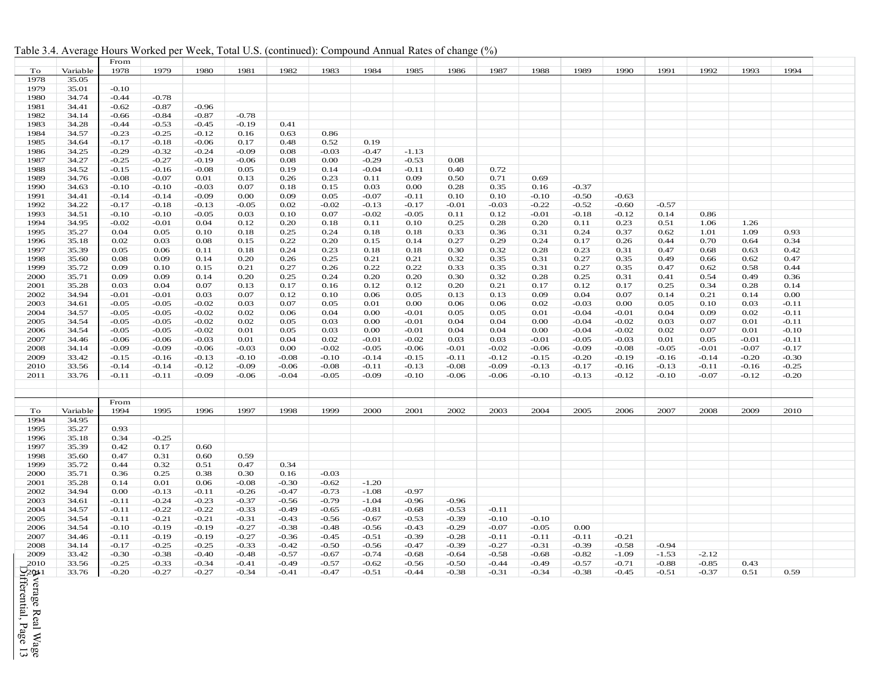| Table 3.4. Average Hours Worked per Week, Total U.S. (continued): Compound Annual Rates of change (%) |  |  |
|-------------------------------------------------------------------------------------------------------|--|--|
|                                                                                                       |  |  |

|                    |          | From    |         |         |         |              |         |         |         |         |         |         |              |         |              |         |         |         |  |
|--------------------|----------|---------|---------|---------|---------|--------------|---------|---------|---------|---------|---------|---------|--------------|---------|--------------|---------|---------|---------|--|
| To                 | Variable | 1978    | 1979    | 1980    | 1981    | 1982         | 1983    | 1984    | 1985    | 1986    | 1987    | 1988    | 1989         | 1990    | 1991         | 1992    | 1993    | 1994    |  |
| 1978               | 35.05    |         |         |         |         |              |         |         |         |         |         |         |              |         |              |         |         |         |  |
| 1979               | 35.01    | $-0.10$ |         |         |         |              |         |         |         |         |         |         |              |         |              |         |         |         |  |
| 1980               | 34.74    | $-0.44$ | $-0.78$ |         |         |              |         |         |         |         |         |         |              |         |              |         |         |         |  |
| 1981               | 34.41    | $-0.62$ | $-0.87$ | $-0.96$ |         |              |         |         |         |         |         |         |              |         |              |         |         |         |  |
| 1982               | 34.14    | $-0.66$ | $-0.84$ | $-0.87$ | $-0.78$ |              |         |         |         |         |         |         |              |         |              |         |         |         |  |
| 1983               | 34.28    | $-0.44$ | $-0.53$ | $-0.45$ | $-0.19$ | 0.41         |         |         |         |         |         |         |              |         |              |         |         |         |  |
| 1984               | 34.57    | $-0.23$ | $-0.25$ | $-0.12$ | 0.16    | 0.63         | 0.86    |         |         |         |         |         |              |         |              |         |         |         |  |
| 1985               | 34.64    | $-0.17$ | $-0.18$ | $-0.06$ | 0.17    | 0.48         | 0.52    | 0.19    |         |         |         |         |              |         |              |         |         |         |  |
| 1986               | 34.25    | $-0.29$ | $-0.32$ | $-0.24$ | $-0.09$ | 0.08         | $-0.03$ | $-0.47$ | $-1.13$ |         |         |         |              |         |              |         |         |         |  |
| 1987               | 34.27    | $-0.25$ | $-0.27$ | $-0.19$ | $-0.06$ | 0.08         | 0.00    | $-0.29$ | $-0.53$ | 0.08    |         |         |              |         |              |         |         |         |  |
| 1988               | 34.52    | $-0.15$ | $-0.16$ | $-0.08$ | 0.05    | 0.19         | 0.14    | $-0.04$ | $-0.11$ | 0.40    | 0.72    |         |              |         |              |         |         |         |  |
| 1989               | 34.76    | $-0.08$ | $-0.07$ | 0.01    | 0.13    | 0.26         | 0.23    | 0.11    | 0.09    | 0.50    | 0.71    | 0.69    |              |         |              |         |         |         |  |
| 1990               | 34.63    | $-0.10$ | $-0.10$ | $-0.03$ | 0.07    | 0.18         | 0.15    | 0.03    | 0.00    | 0.28    | 0.35    | 0.16    | $-0.37$      |         |              |         |         |         |  |
| 1991               | 34.41    | $-0.14$ | $-0.14$ | $-0.09$ | 0.00    | 0.09         | 0.05    | $-0.07$ | $-0.11$ | 0.10    | 0.10    | $-0.10$ | $-0.50$      | $-0.63$ |              |         |         |         |  |
| 1992               | 34.22    | $-0.17$ | $-0.18$ | $-0.13$ | $-0.05$ | 0.02         | $-0.02$ | $-0.13$ | $-0.17$ | $-0.01$ | $-0.03$ | $-0.22$ | $-0.52$      | $-0.60$ | $-0.57$      |         |         |         |  |
| 1993               | 34.51    | $-0.10$ | $-0.10$ | $-0.05$ | 0.03    | 0.10         | 0.07    | $-0.02$ | $-0.05$ | 0.11    | 0.12    | $-0.01$ | $-0.18$      | $-0.12$ | 0.14         | 0.86    |         |         |  |
| 1994               | 34.95    | $-0.02$ | $-0.01$ | 0.04    | 0.12    | 0.20         | 0.18    | 0.11    | 0.10    | 0.25    | 0.28    | 0.20    | 0.11         | 0.23    | 0.51         | 1.06    | 1.26    |         |  |
| 1995               | 35.27    | 0.04    | 0.05    | 0.10    | 0.18    | 0.25         | 0.24    | 0.18    | 0.18    | 0.33    | 0.36    | 0.31    | 0.24         | 0.37    | 0.62         | 1.01    | 1.09    | 0.93    |  |
| 1996               | 35.18    | 0.02    | 0.03    | 0.08    | 0.15    | 0.22         | 0.20    | 0.15    | 0.14    | 0.27    | 0.29    | 0.24    | 0.17         | 0.26    | 0.44         | 0.70    | 0.64    | 0.34    |  |
| 1997               | 35.39    | 0.05    | 0.06    | 0.11    | 0.18    | 0.24         | 0.23    | 0.18    | 0.18    | 0.30    | 0.32    | 0.28    | 0.23         | 0.31    | 0.47         | 0.68    | 0.63    | 0.42    |  |
| 1998               | 35.60    | 0.08    | 0.09    | 0.14    | 0.20    | 0.26         | 0.25    | 0.21    | 0.21    | 0.32    | 0.35    | 0.31    | 0.27         | 0.35    | 0.49         | 0.66    | 0.62    | 0.47    |  |
| 1999               | 35.72    | 0.09    | 0.10    | 0.15    | 0.21    | 0.27         | 0.26    | 0.22    | 0.22    | 0.33    | 0.35    | 0.31    | 0.27         | 0.35    | 0.47         | 0.62    | 0.58    | 0.44    |  |
|                    |          |         |         |         |         |              |         |         |         |         |         |         |              |         |              |         |         |         |  |
| 2000               | 35.71    | 0.09    | 0.09    | 0.14    | 0.20    | 0.25<br>0.17 | 0.24    | 0.20    | 0.20    | 0.30    | 0.32    | 0.28    | 0.25<br>0.12 | 0.31    | 0.41<br>0.25 | 0.54    | 0.49    | 0.36    |  |
| 2001               | 35.28    | 0.03    | 0.04    | 0.07    | 0.13    |              | 0.16    | 0.12    | 0.12    | 0.20    | 0.21    | 0.17    |              | 0.17    |              | 0.34    | 0.28    | 0.14    |  |
| 2002               | 34.94    | $-0.01$ | $-0.01$ | 0.03    | 0.07    | 0.12         | 0.10    | 0.06    | 0.05    | 0.13    | 0.13    | 0.09    | 0.04         | 0.07    | 0.14         | 0.21    | 0.14    | 0.00    |  |
| 2003               | 34.61    | $-0.05$ | $-0.05$ | $-0.02$ | 0.03    | 0.07         | 0.05    | 0.01    | 0.00    | 0.06    | 0.06    | 0.02    | $-0.03$      | 0.00    | 0.05         | 0.10    | 0.03    | $-0.11$ |  |
| 2004               | 34.57    | $-0.05$ | $-0.05$ | $-0.02$ | 0.02    | 0.06         | 0.04    | 0.00    | $-0.01$ | 0.05    | 0.05    | 0.01    | $-0.04$      | $-0.01$ | 0.04         | 0.09    | 0.02    | $-0.11$ |  |
| 2005               | 34.54    | $-0.05$ | $-0.05$ | $-0.02$ | 0.02    | 0.05         | 0.03    | 0.00    | $-0.01$ | 0.04    | 0.04    | 0.00    | $-0.04$      | $-0.02$ | 0.03         | 0.07    | 0.01    | $-0.11$ |  |
| 2006               | 34.54    | $-0.05$ | $-0.05$ | $-0.02$ | 0.01    | 0.05         | 0.03    | 0.00    | $-0.01$ | 0.04    | 0.04    | 0.00    | $-0.04$      | $-0.02$ | 0.02         | 0.07    | 0.01    | $-0.10$ |  |
| 2007               | 34.46    | $-0.06$ | $-0.06$ | $-0.03$ | 0.01    | 0.04         | 0.02    | $-0.01$ | $-0.02$ | 0.03    | 0.03    | $-0.01$ | $-0.05$      | $-0.03$ | 0.01         | 0.05    | $-0.01$ | $-0.11$ |  |
| 2008               | 34.14    | $-0.09$ | $-0.09$ | $-0.06$ | $-0.03$ | 0.00         | $-0.02$ | $-0.05$ | $-0.06$ | $-0.01$ | $-0.02$ | $-0.06$ | $-0.09$      | $-0.08$ | $-0.05$      | $-0.01$ | $-0.07$ | $-0.17$ |  |
| 2009               | 33.42    | $-0.15$ | $-0.16$ | $-0.13$ | $-0.10$ | $-0.08$      | $-0.10$ | $-0.14$ | $-0.15$ | $-0.11$ | $-0.12$ | $-0.15$ | $-0.20$      | $-0.19$ | $-0.16$      | $-0.14$ | $-0.20$ | $-0.30$ |  |
| 2010               | 33.56    | $-0.14$ | $-0.14$ | $-0.12$ | $-0.09$ | $-0.06$      | $-0.08$ | $-0.11$ | $-0.13$ | $-0.08$ | $-0.09$ | $-0.13$ | $-0.17$      | $-0.16$ | $-0.13$      | $-0.11$ | $-0.16$ | $-0.25$ |  |
| 2011               | 33.76    | $-0.11$ | $-0.11$ | $-0.09$ | $-0.06$ | $-0.04$      | $-0.05$ | $-0.09$ | $-0.10$ | $-0.06$ | $-0.06$ | $-0.10$ | $-0.13$      | $-0.12$ | $-0.10$      | $-0.07$ | $-0.12$ | $-0.20$ |  |
|                    |          |         |         |         |         |              |         |         |         |         |         |         |              |         |              |         |         |         |  |
|                    |          |         |         |         |         |              |         |         |         |         |         |         |              |         |              |         |         |         |  |
|                    |          | From    |         |         |         |              |         |         |         |         |         |         |              |         |              |         |         |         |  |
| To                 | Variable | 1994    | 1995    | 1996    | 1997    | 1998         | 1999    | 2000    | 2001    | 2002    | 2003    | 2004    | 2005         | 2006    | 2007         | 2008    | 2009    | 2010    |  |
| 1994               | 34.95    |         |         |         |         |              |         |         |         |         |         |         |              |         |              |         |         |         |  |
| 1995               | 35.27    | 0.93    |         |         |         |              |         |         |         |         |         |         |              |         |              |         |         |         |  |
| 1996               | 35.18    | 0.34    | $-0.25$ |         |         |              |         |         |         |         |         |         |              |         |              |         |         |         |  |
| 1997               | 35.39    | 0.42    | 0.17    | 0.60    |         |              |         |         |         |         |         |         |              |         |              |         |         |         |  |
| 1998               | 35.60    | 0.47    | 0.31    | 0.60    | 0.59    |              |         |         |         |         |         |         |              |         |              |         |         |         |  |
| 1999               | 35.72    | 0.44    | 0.32    | 0.51    | 0.47    | 0.34         |         |         |         |         |         |         |              |         |              |         |         |         |  |
| 2000               | 35.71    | 0.36    | 0.25    | 0.38    | 0.30    | 0.16         | $-0.03$ |         |         |         |         |         |              |         |              |         |         |         |  |
| 2001               | 35.28    | 0.14    | 0.01    | 0.06    | $-0.08$ | $-0.30$      | $-0.62$ | $-1.20$ |         |         |         |         |              |         |              |         |         |         |  |
| 2002               | 34.94    | 0.00    | $-0.13$ | -0.11   | $-0.26$ | $-0.47$      | $-0.73$ | $-1.08$ | $-0.97$ |         |         |         |              |         |              |         |         |         |  |
| 2003               | 34.61    | $-0.11$ | $-0.24$ | $-0.23$ | $-0.37$ | $-0.56$      | $-0.79$ | $-1.04$ | $-0.96$ | $-0.96$ |         |         |              |         |              |         |         |         |  |
| 2004               | 34.57    | $-0.11$ | $-0.22$ | $-0.22$ | $-0.33$ | $-0.49$      | $-0.65$ | $-0.81$ | $-0.68$ | $-0.53$ | $-0.11$ |         |              |         |              |         |         |         |  |
| 2005               | 34.54    | $-0.11$ | $-0.21$ | $-0.21$ | $-0.31$ | $-0.43$      | $-0.56$ | $-0.67$ | $-0.53$ | $-0.39$ | $-0.10$ | $-0.10$ |              |         |              |         |         |         |  |
| 2006               | 34.54    | $-0.10$ | $-0.19$ | $-0.19$ | $-0.27$ | $-0.38$      | $-0.48$ | $-0.56$ | $-0.43$ | $-0.29$ | $-0.07$ | $-0.05$ | 0.00         |         |              |         |         |         |  |
| 2007               | 34.46    | $-0.11$ | $-0.19$ | $-0.19$ | $-0.27$ | $-0.36$      | $-0.45$ | $-0.51$ | $-0.39$ | $-0.28$ | $-0.11$ | $-0.11$ | $-0.11$      | $-0.21$ |              |         |         |         |  |
| 2008               | 34.14    | $-0.17$ | $-0.25$ | $-0.25$ | $-0.33$ | $-0.42$      | $-0.50$ | $-0.56$ | $-0.47$ | $-0.39$ | $-0.27$ | $-0.31$ | $-0.39$      | $-0.58$ | $-0.94$      |         |         |         |  |
| 2009               | 33.42    | $-0.30$ | $-0.38$ | $-0.40$ | $-0.48$ | $-0.57$      | $-0.67$ | $-0.74$ | $-0.68$ | $-0.64$ | $-0.58$ | $-0.68$ | $-0.82$      | $-1.09$ | $-1.53$      | $-2.12$ |         |         |  |
| 2010               | 33.56    | $-0.25$ | $-0.33$ | $-0.34$ | $-0.41$ | $-0.49$      | $-0.57$ | $-0.62$ | $-0.56$ | $-0.50$ | $-0.44$ | $-0.49$ | $-0.57$      | $-0.71$ | $-0.88$      | $-0.85$ | 0.43    |         |  |
| $\frac{1}{2}$ 20±1 | 33.76    | $-0.20$ | $-0.27$ | $-0.27$ | $-0.34$ | $-0.41$      | $-0.47$ | $-0.51$ | $-0.44$ | $-0.38$ | $-0.31$ | $-0.34$ | $-0.38$      | $-0.45$ | $-0.51$      | $-0.37$ | 0.51    | 0.59    |  |
|                    |          |         |         |         |         |              |         |         |         |         |         |         |              |         |              |         |         |         |  |

Differential, Page Average Real Wage verage Real Wage<br>|fferential, Page 13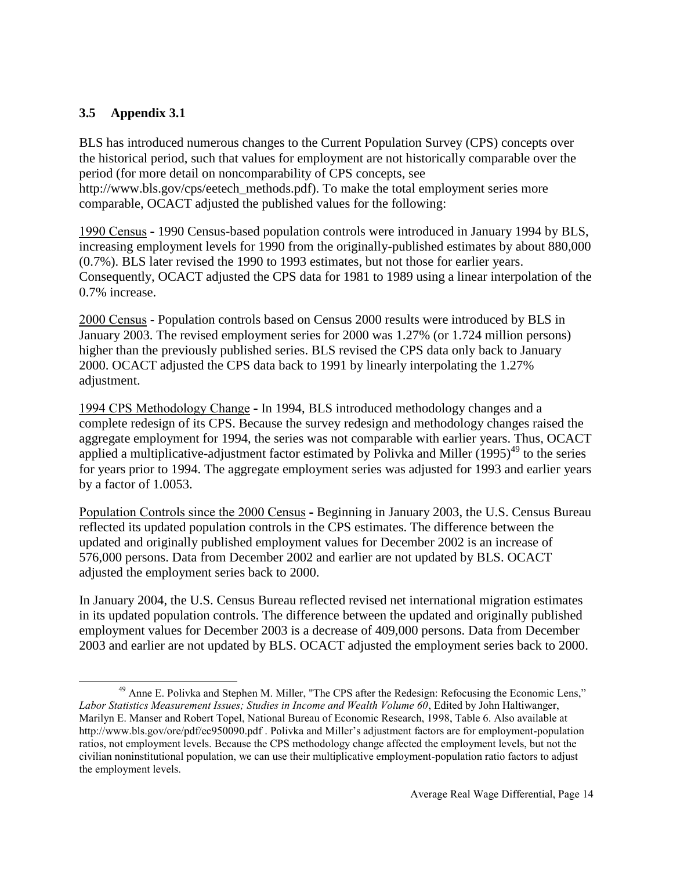#### **3.5 Appendix 3.1**

l

BLS has introduced numerous changes to the Current Population Survey (CPS) concepts over the historical period, such that values for employment are not historically comparable over the period (for more detail on noncomparability of CPS concepts, see http://www.bls.gov/cps/eetech\_methods.pdf). To make the total employment series more comparable, OCACT adjusted the published values for the following:

1990 Census **-** 1990 Census-based population controls were introduced in January 1994 by BLS, increasing employment levels for 1990 from the originally-published estimates by about 880,000 (0.7%). BLS later revised the 1990 to 1993 estimates, but not those for earlier years. Consequently, OCACT adjusted the CPS data for 1981 to 1989 using a linear interpolation of the 0.7% increase.

2000 Census - Population controls based on Census 2000 results were introduced by BLS in January 2003. The revised employment series for 2000 was 1.27% (or 1.724 million persons) higher than the previously published series. BLS revised the CPS data only back to January 2000. OCACT adjusted the CPS data back to 1991 by linearly interpolating the 1.27% adjustment.

1994 CPS Methodology Change **-** In 1994, BLS introduced methodology changes and a complete redesign of its CPS. Because the survey redesign and methodology changes raised the aggregate employment for 1994, the series was not comparable with earlier years. Thus, OCACT applied a multiplicative-adjustment factor estimated by Polivka and Miller  $(1995)^{49}$  to the series for years prior to 1994. The aggregate employment series was adjusted for 1993 and earlier years by a factor of 1.0053.

Population Controls since the 2000 Census **-** Beginning in January 2003, the U.S. Census Bureau reflected its updated population controls in the CPS estimates. The difference between the updated and originally published employment values for December 2002 is an increase of 576,000 persons. Data from December 2002 and earlier are not updated by BLS. OCACT adjusted the employment series back to 2000.

In January 2004, the U.S. Census Bureau reflected revised net international migration estimates in its updated population controls. The difference between the updated and originally published employment values for December 2003 is a decrease of 409,000 persons. Data from December 2003 and earlier are not updated by BLS. OCACT adjusted the employment series back to 2000.

<sup>&</sup>lt;sup>49</sup> Anne E. Polivka and Stephen M. Miller, "The CPS after the Redesign: Refocusing the Economic Lens," *Labor Statistics Measurement Issues; Studies in Income and Wealth Volume 60*, Edited by John Haltiwanger, Marilyn E. Manser and Robert Topel, National Bureau of Economic Research, 1998, Table 6. Also available at http://www.bls.gov/ore/pdf/ec950090.pdf . Polivka and Miller's adjustment factors are for employment-population ratios, not employment levels. Because the CPS methodology change affected the employment levels, but not the civilian noninstitutional population, we can use their multiplicative employment-population ratio factors to adjust the employment levels.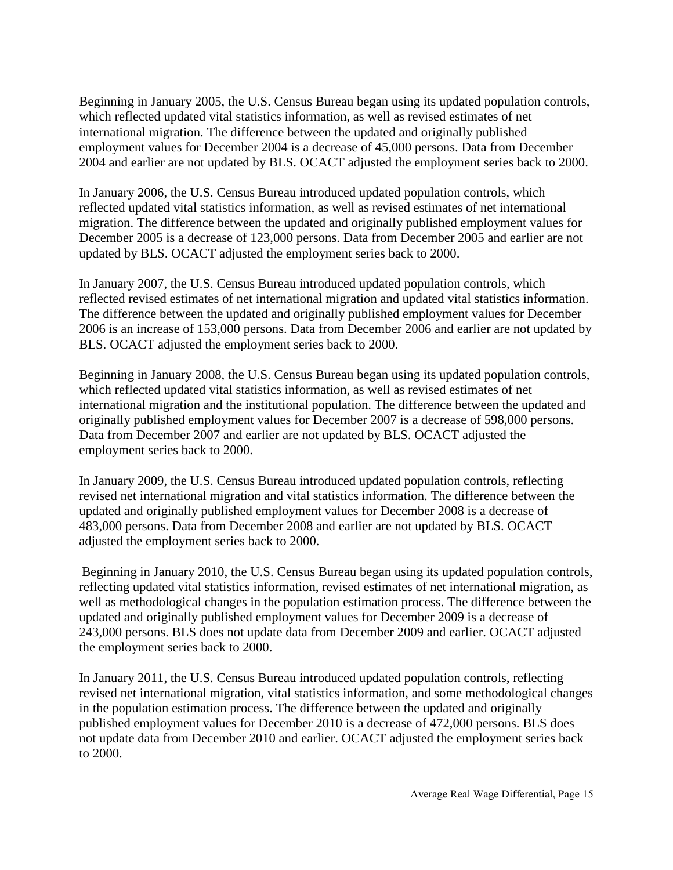Beginning in January 2005, the U.S. Census Bureau began using its updated population controls, which reflected updated vital statistics information, as well as revised estimates of net international migration. The difference between the updated and originally published employment values for December 2004 is a decrease of 45,000 persons. Data from December 2004 and earlier are not updated by BLS. OCACT adjusted the employment series back to 2000.

In January 2006, the U.S. Census Bureau introduced updated population controls, which reflected updated vital statistics information, as well as revised estimates of net international migration. The difference between the updated and originally published employment values for December 2005 is a decrease of 123,000 persons. Data from December 2005 and earlier are not updated by BLS. OCACT adjusted the employment series back to 2000.

In January 2007, the U.S. Census Bureau introduced updated population controls, which reflected revised estimates of net international migration and updated vital statistics information. The difference between the updated and originally published employment values for December 2006 is an increase of 153,000 persons. Data from December 2006 and earlier are not updated by BLS. OCACT adjusted the employment series back to 2000.

Beginning in January 2008, the U.S. Census Bureau began using its updated population controls, which reflected updated vital statistics information, as well as revised estimates of net international migration and the institutional population. The difference between the updated and originally published employment values for December 2007 is a decrease of 598,000 persons. Data from December 2007 and earlier are not updated by BLS. OCACT adjusted the employment series back to 2000.

In January 2009, the U.S. Census Bureau introduced updated population controls, reflecting revised net international migration and vital statistics information. The difference between the updated and originally published employment values for December 2008 is a decrease of 483,000 persons. Data from December 2008 and earlier are not updated by BLS. OCACT adjusted the employment series back to 2000.

Beginning in January 2010, the U.S. Census Bureau began using its updated population controls, reflecting updated vital statistics information, revised estimates of net international migration, as well as methodological changes in the population estimation process. The difference between the updated and originally published employment values for December 2009 is a decrease of 243,000 persons. BLS does not update data from December 2009 and earlier. OCACT adjusted the employment series back to 2000.

In January 2011, the U.S. Census Bureau introduced updated population controls, reflecting revised net international migration, vital statistics information, and some methodological changes in the population estimation process. The difference between the updated and originally published employment values for December 2010 is a decrease of 472,000 persons. BLS does not update data from December 2010 and earlier. OCACT adjusted the employment series back to 2000.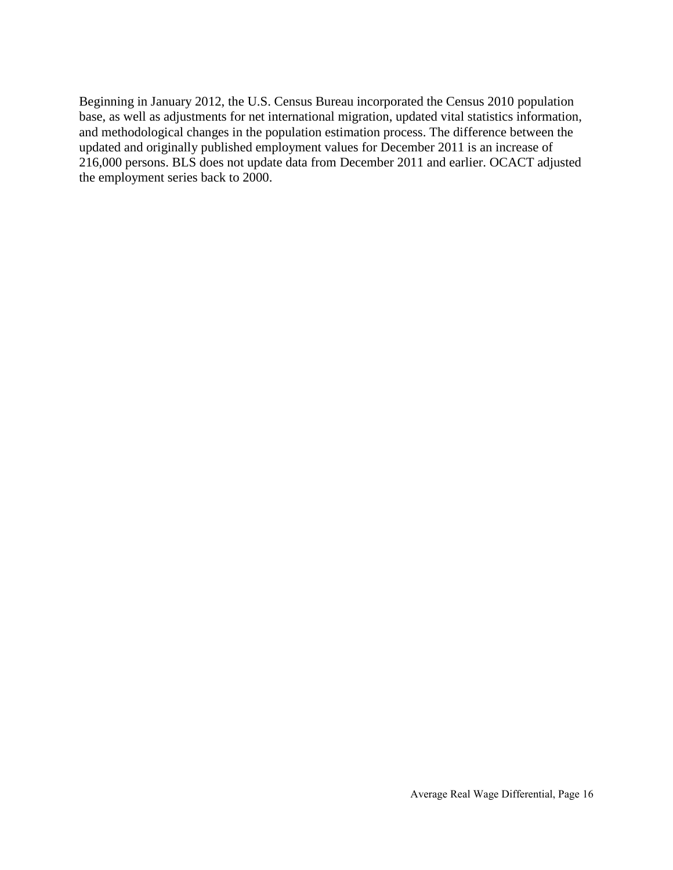Beginning in January 2012, the U.S. Census Bureau incorporated the Census 2010 population base, as well as adjustments for net international migration, updated vital statistics information, and methodological changes in the population estimation process. The difference between the updated and originally published employment values for December 2011 is an increase of 216,000 persons. BLS does not update data from December 2011 and earlier. OCACT adjusted the employment series back to 2000.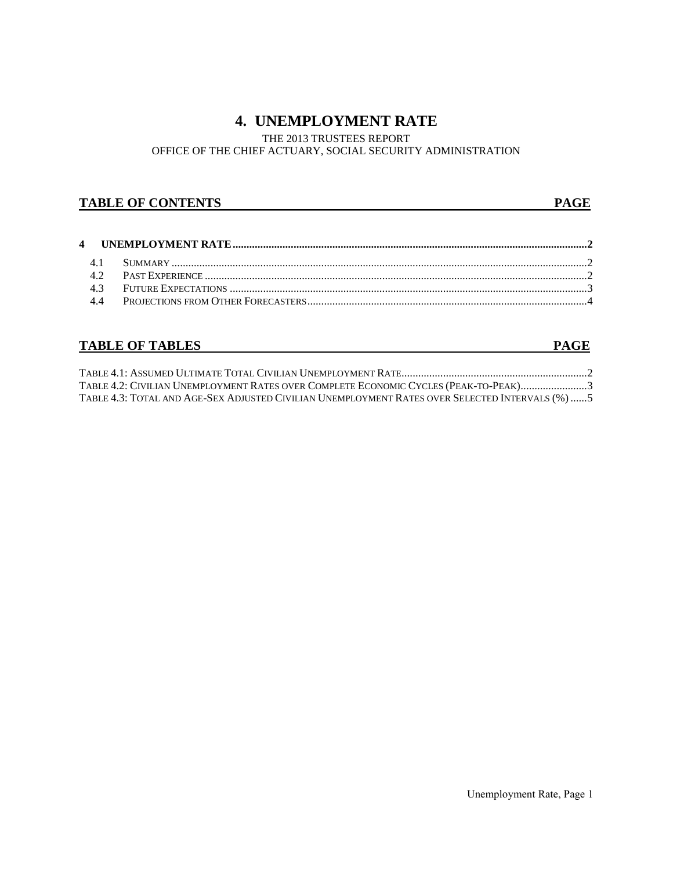## **4. UNEMPLOYMENT RATE**

## THE 2013 TRUSTEES REPORT

#### OFFICE OF THE CHIEF ACTUARY, SOCIAL SECURITY ADMINISTRATION

#### **TABLE OF CONTENTS** PAGE

#### **4 UNEMPLOYMENT RATE................................................................................................................................2** 4.1 SUMMARY ......................................................................................................................................................2 4.2 PAST EXPERIENCE ..........................................................................................................................................2 4.3 FUTURE EXPECTATIONS .................................................................................................................................3 4.4 PROJECTIONS FROM OTHER FORECASTERS.....................................................................................................4

## **TABLE OF TABLES** PAGE

| TABLE 4.2: CIVILIAN UNEMPLOYMENT RATES OVER COMPLETE ECONOMIC CYCLES (PEAK-TO-PEAK)3             |  |
|--------------------------------------------------------------------------------------------------|--|
| TABLE 4.3: TOTAL AND AGE-SEX ADJUSTED CIVILIAN UNEMPLOYMENT RATES OVER SELECTED INTERVALS (%)  5 |  |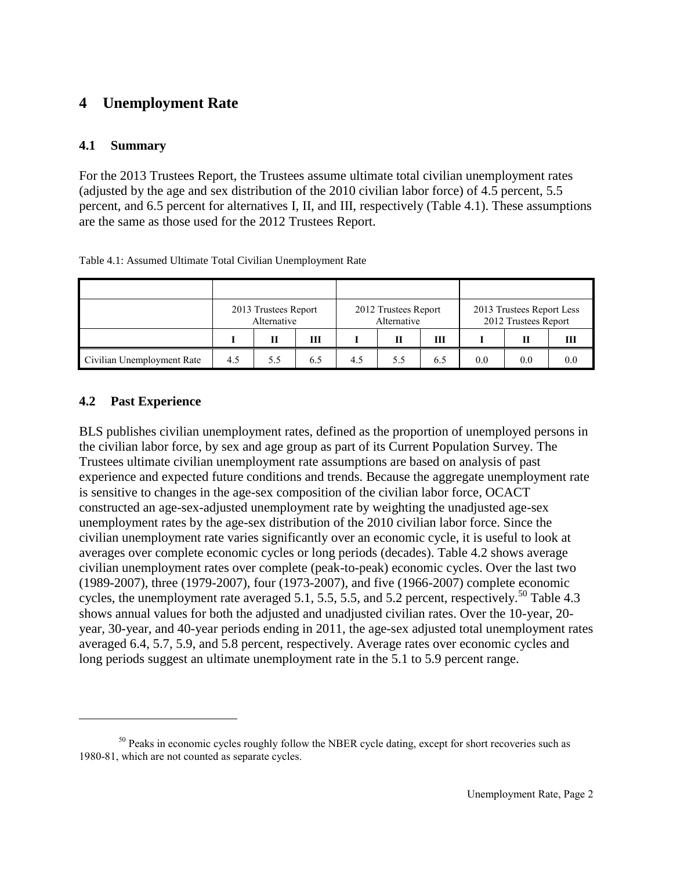## **4 Unemployment Rate**

#### **4.1 Summary**

For the 2013 Trustees Report, the Trustees assume ultimate total civilian unemployment rates (adjusted by the age and sex distribution of the 2010 civilian labor force) of 4.5 percent, 5.5 percent, and 6.5 percent for alternatives I, II, and III, respectively (Table 4.1). These assumptions are the same as those used for the 2012 Trustees Report.

|                            |     | 2013 Trustees Report<br>Alternative |     |     | 2012 Trustees Report<br>Alternative |     | 2013 Trustees Report Less<br>2012 Trustees Report |     |     |  |
|----------------------------|-----|-------------------------------------|-----|-----|-------------------------------------|-----|---------------------------------------------------|-----|-----|--|
|                            |     | Н                                   | ш   |     | Н                                   | ш   |                                                   |     |     |  |
| Civilian Unemployment Rate | 4.5 | 5.5                                 | 6.5 | 4.5 | 5.5                                 | 6.5 | 0.0                                               | 0.0 | 0.0 |  |

Table 4.1: Assumed Ultimate Total Civilian Unemployment Rate

#### **4.2 Past Experience**

 $\overline{a}$ 

BLS publishes civilian unemployment rates, defined as the proportion of unemployed persons in the civilian labor force, by sex and age group as part of its Current Population Survey. The Trustees ultimate civilian unemployment rate assumptions are based on analysis of past experience and expected future conditions and trends. Because the aggregate unemployment rate is sensitive to changes in the age-sex composition of the civilian labor force, OCACT constructed an age-sex-adjusted unemployment rate by weighting the unadjusted age-sex unemployment rates by the age-sex distribution of the 2010 civilian labor force. Since the civilian unemployment rate varies significantly over an economic cycle, it is useful to look at averages over complete economic cycles or long periods (decades). Table 4.2 shows average civilian unemployment rates over complete (peak-to-peak) economic cycles. Over the last two (1989-2007), three (1979-2007), four (1973-2007), and five (1966-2007) complete economic cycles, the unemployment rate averaged 5.1, 5.5, 5.5, and 5.2 percent, respectively.<sup>50</sup> Table 4.3 shows annual values for both the adjusted and unadjusted civilian rates. Over the 10-year, 20 year, 30-year, and 40-year periods ending in 2011, the age-sex adjusted total unemployment rates averaged 6.4, 5.7, 5.9, and 5.8 percent, respectively. Average rates over economic cycles and long periods suggest an ultimate unemployment rate in the 5.1 to 5.9 percent range.

<sup>&</sup>lt;sup>50</sup> Peaks in economic cycles roughly follow the NBER cycle dating, except for short recoveries such as 1980-81, which are not counted as separate cycles.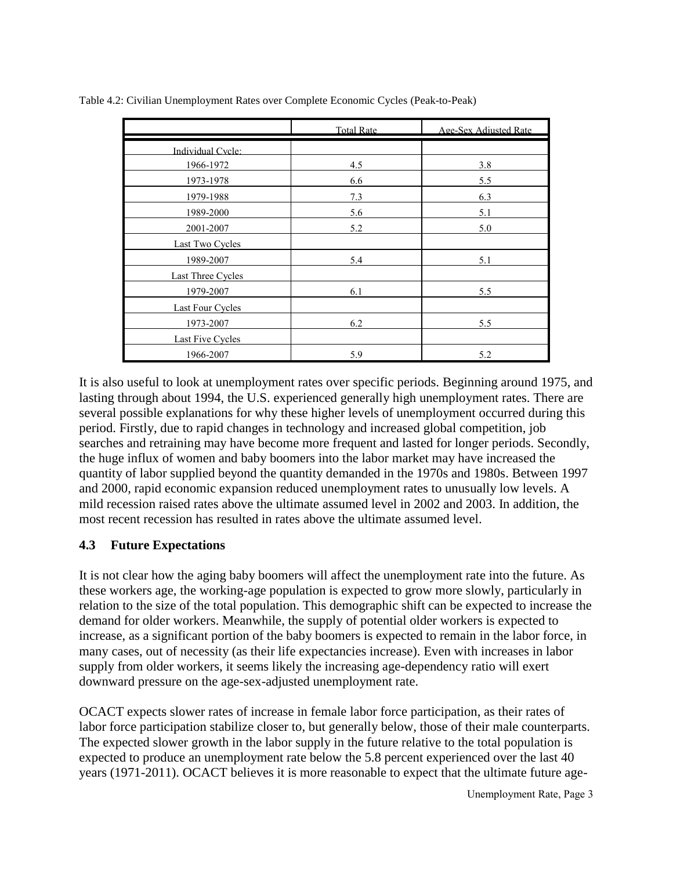|                         | <b>Total Rate</b> | Age-Sex Adjusted Rate |
|-------------------------|-------------------|-----------------------|
| Individual Cycle:       |                   |                       |
| 1966-1972               | 4.5               | 3.8                   |
| 1973-1978               | 6.6               | 5.5                   |
| 1979-1988               | 7.3               | 6.3                   |
| 1989-2000               | 5.6               | 5.1                   |
| 2001-2007               | 5.2               | 5.0                   |
| Last Two Cycles         |                   |                       |
| 1989-2007               | 5.4               | 5.1                   |
| Last Three Cycles       |                   |                       |
| 1979-2007               | 6.1               | 5.5                   |
| Last Four Cycles        |                   |                       |
| 1973-2007               | 6.2               | 5.5                   |
| <b>Last Five Cycles</b> |                   |                       |
| 1966-2007               | 5.9               | 5.2                   |

Table 4.2: Civilian Unemployment Rates over Complete Economic Cycles (Peak-to-Peak)

It is also useful to look at unemployment rates over specific periods. Beginning around 1975, and lasting through about 1994, the U.S. experienced generally high unemployment rates. There are several possible explanations for why these higher levels of unemployment occurred during this period. Firstly, due to rapid changes in technology and increased global competition, job searches and retraining may have become more frequent and lasted for longer periods. Secondly, the huge influx of women and baby boomers into the labor market may have increased the quantity of labor supplied beyond the quantity demanded in the 1970s and 1980s. Between 1997 and 2000, rapid economic expansion reduced unemployment rates to unusually low levels. A mild recession raised rates above the ultimate assumed level in 2002 and 2003. In addition, the most recent recession has resulted in rates above the ultimate assumed level.

#### **4.3 Future Expectations**

It is not clear how the aging baby boomers will affect the unemployment rate into the future. As these workers age, the working-age population is expected to grow more slowly, particularly in relation to the size of the total population. This demographic shift can be expected to increase the demand for older workers. Meanwhile, the supply of potential older workers is expected to increase, as a significant portion of the baby boomers is expected to remain in the labor force, in many cases, out of necessity (as their life expectancies increase). Even with increases in labor supply from older workers, it seems likely the increasing age-dependency ratio will exert downward pressure on the age-sex-adjusted unemployment rate.

OCACT expects slower rates of increase in female labor force participation, as their rates of labor force participation stabilize closer to, but generally below, those of their male counterparts. The expected slower growth in the labor supply in the future relative to the total population is expected to produce an unemployment rate below the 5.8 percent experienced over the last 40 years (1971-2011). OCACT believes it is more reasonable to expect that the ultimate future age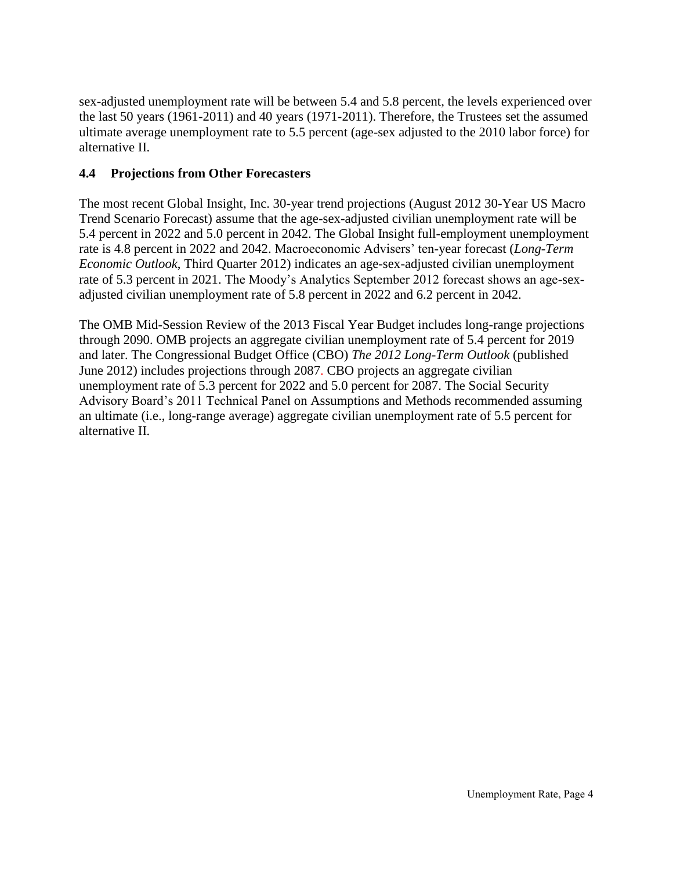sex-adjusted unemployment rate will be between 5.4 and 5.8 percent, the levels experienced over the last 50 years (1961-2011) and 40 years (1971-2011). Therefore, the Trustees set the assumed ultimate average unemployment rate to 5.5 percent (age-sex adjusted to the 2010 labor force) for alternative II.

#### **4.4 Projections from Other Forecasters**

The most recent Global Insight, Inc. 30-year trend projections (August 2012 30-Year US Macro Trend Scenario Forecast) assume that the age-sex-adjusted civilian unemployment rate will be 5.4 percent in 2022 and 5.0 percent in 2042. The Global Insight full-employment unemployment rate is 4.8 percent in 2022 and 2042. Macroeconomic Advisers' ten-year forecast (*Long-Term Economic Outlook*, Third Quarter 2012) indicates an age-sex-adjusted civilian unemployment rate of 5.3 percent in 2021. The Moody's Analytics September 2012 forecast shows an age-sexadjusted civilian unemployment rate of 5.8 percent in 2022 and 6.2 percent in 2042.

The OMB Mid-Session Review of the 2013 Fiscal Year Budget includes long-range projections through 2090. OMB projects an aggregate civilian unemployment rate of 5.4 percent for 2019 and later. The Congressional Budget Office (CBO) *The 2012 Long-Term Outlook* (published June 2012) includes projections through 2087. CBO projects an aggregate civilian unemployment rate of 5.3 percent for 2022 and 5.0 percent for 2087. The Social Security Advisory Board's 2011 Technical Panel on Assumptions and Methods recommended assuming an ultimate (i.e., long-range average) aggregate civilian unemployment rate of 5.5 percent for alternative II.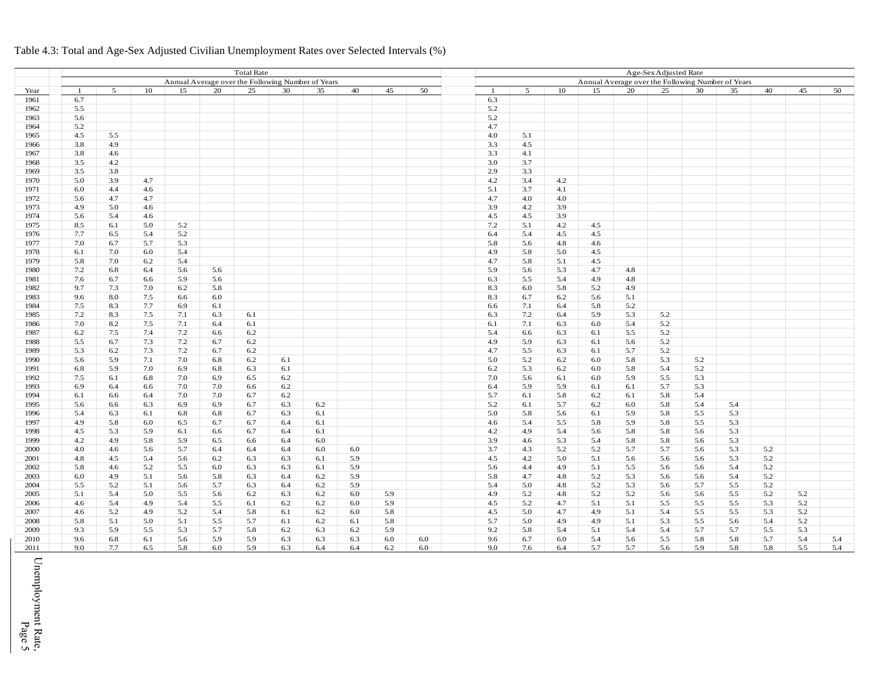|      | <b>Total Rate</b><br>Annual Average over the Following Number of Years |         |     |     |     |     |     |     |     |     | Age-Sex Adjusted Rate |                                                   |     |     |     |     |     |     |     |     |     |     |
|------|------------------------------------------------------------------------|---------|-----|-----|-----|-----|-----|-----|-----|-----|-----------------------|---------------------------------------------------|-----|-----|-----|-----|-----|-----|-----|-----|-----|-----|
|      |                                                                        |         |     |     |     |     |     |     |     |     |                       | Annual Average over the Following Number of Years |     |     |     |     |     |     |     |     |     |     |
| Year |                                                                        | 5       | 10  | 15  | 20  | 25  | 30  | 35  | 40  | 45  | 50                    | - 1                                               | 5   | 10  | 15  | 20  | 25  | 30  | 35  | 40  | 45  | 50  |
| 1961 | 6.7                                                                    |         |     |     |     |     |     |     |     |     |                       | 6.3                                               |     |     |     |     |     |     |     |     |     |     |
| 1962 | 5.5                                                                    |         |     |     |     |     |     |     |     |     |                       | 5.2                                               |     |     |     |     |     |     |     |     |     |     |
| 1963 | 5.6                                                                    |         |     |     |     |     |     |     |     |     |                       | 5.2                                               |     |     |     |     |     |     |     |     |     |     |
| 1964 | 5.2                                                                    |         |     |     |     |     |     |     |     |     |                       | 4.7                                               |     |     |     |     |     |     |     |     |     |     |
| 1965 | 4.5                                                                    | 5.5     |     |     |     |     |     |     |     |     |                       | 4.0                                               | 5.1 |     |     |     |     |     |     |     |     |     |
| 1966 | 3.8                                                                    | 4.9     |     |     |     |     |     |     |     |     |                       | 3.3                                               | 4.5 |     |     |     |     |     |     |     |     |     |
| 1967 | 3.8                                                                    | 4.6     |     |     |     |     |     |     |     |     |                       | 3.3                                               | 4.1 |     |     |     |     |     |     |     |     |     |
| 1968 | 3.5                                                                    | 4.2     |     |     |     |     |     |     |     |     |                       | 3.0                                               | 3.7 |     |     |     |     |     |     |     |     |     |
| 1969 | 3.5                                                                    | 3.8     |     |     |     |     |     |     |     |     |                       | 2.9                                               | 3.3 |     |     |     |     |     |     |     |     |     |
| 1970 | 5.0                                                                    | 3.9     | 4.7 |     |     |     |     |     |     |     |                       | 4.2                                               | 3.4 | 4.2 |     |     |     |     |     |     |     |     |
| 1971 | 6.0                                                                    | 4.4     | 4.6 |     |     |     |     |     |     |     |                       | 5.1                                               | 3.7 | 4.1 |     |     |     |     |     |     |     |     |
| 1972 | 5.6                                                                    | 4.7     | 4.7 |     |     |     |     |     |     |     |                       | 4.7                                               | 4.0 | 4.0 |     |     |     |     |     |     |     |     |
| 1973 | 4.9                                                                    | 5.0     | 4.6 |     |     |     |     |     |     |     |                       | 3.9                                               | 4.2 | 3.9 |     |     |     |     |     |     |     |     |
| 1974 | 5.6                                                                    | 5.4     | 4.6 |     |     |     |     |     |     |     |                       | 4.5                                               | 4.5 | 3.9 |     |     |     |     |     |     |     |     |
| 1975 | 8.5                                                                    | 6.1     | 5.0 | 5.2 |     |     |     |     |     |     |                       | 7.2                                               | 5.1 | 4.2 | 4.5 |     |     |     |     |     |     |     |
| 1976 | 7.7                                                                    | 6.5     | 5.4 | 5.2 |     |     |     |     |     |     |                       | 6.4                                               | 5.4 | 4.5 | 4.5 |     |     |     |     |     |     |     |
| 1977 | 7.0                                                                    | 6.7     | 5.7 | 5.3 |     |     |     |     |     |     |                       | 5.8                                               | 5.6 | 4.8 | 4.6 |     |     |     |     |     |     |     |
| 1978 | 6.1                                                                    | 7.0     | 6.0 | 5.4 |     |     |     |     |     |     |                       | 4.9                                               | 5.8 | 5.0 | 4.5 |     |     |     |     |     |     |     |
| 1979 | 5.8                                                                    | 7.0     | 6.2 | 5.4 |     |     |     |     |     |     |                       | 4.7                                               | 5.8 | 5.1 | 4.5 |     |     |     |     |     |     |     |
| 1980 | 7.2                                                                    | 6.8     | 6.4 | 5.6 | 5.6 |     |     |     |     |     |                       | 5.9                                               | 5.6 | 5.3 | 4.7 | 4.8 |     |     |     |     |     |     |
| 1981 | 7.6                                                                    | 6.7     | 6.6 | 5.9 | 5.6 |     |     |     |     |     |                       | 6.3                                               | 5.5 | 5.4 | 4.9 | 4.8 |     |     |     |     |     |     |
| 1982 | 9.7                                                                    | 7.3     | 7.0 | 6.2 | 5.8 |     |     |     |     |     |                       | 8.3                                               | 6.0 | 5.8 | 5.2 | 4.9 |     |     |     |     |     |     |
| 1983 | 9.6                                                                    | $8.0\,$ | 7.5 | 6.6 | 6.0 |     |     |     |     |     |                       | 8.3                                               | 6.7 | 6.2 | 5.6 | 5.1 |     |     |     |     |     |     |
| 1984 | 7.5                                                                    | 8.3     | 7.7 | 6.9 | 6.1 |     |     |     |     |     |                       | 6.6                                               | 7.1 | 6.4 | 5.8 | 5.2 |     |     |     |     |     |     |
| 1985 | 7.2                                                                    | 8.3     | 7.5 | 7.1 | 6.3 | 6.1 |     |     |     |     |                       | 6.3                                               | 7.2 | 6.4 | 5.9 | 5.3 | 5.2 |     |     |     |     |     |
| 1986 | 7.0                                                                    | 8.2     | 7.5 | 7.1 | 6.4 | 6.1 |     |     |     |     |                       | 6.1                                               | 7.1 | 6.3 | 6.0 | 5.4 | 5.2 |     |     |     |     |     |
| 1987 | 6.2                                                                    | 7.5     | 7.4 | 7.2 | 6.6 | 6.2 |     |     |     |     |                       | 5.4                                               | 6.6 | 6.3 | 6.1 | 5.5 | 5.2 |     |     |     |     |     |
| 1988 | 5.5                                                                    | 6.7     | 7.3 | 7.2 | 6.7 | 6.2 |     |     |     |     |                       | 4.9                                               | 5.9 | 6.3 | 6.1 | 5.6 | 5.2 |     |     |     |     |     |
| 1989 | 5.3                                                                    | 6.2     | 7.3 | 7.2 | 6.7 | 6.2 |     |     |     |     |                       | 4.7                                               | 5.5 | 6.3 | 6.1 | 5.7 | 5.2 |     |     |     |     |     |
| 1990 | 5.6                                                                    | 5.9     | 7.1 | 7.0 | 6.8 | 6.2 | 6.1 |     |     |     |                       | 5.0                                               | 5.2 | 6.2 | 6.0 | 5.8 | 5.3 | 5.2 |     |     |     |     |
| 1991 | 6.8                                                                    | 5.9     | 7.0 | 6.9 | 6.8 | 6.3 | 6.1 |     |     |     |                       | 6.2                                               | 5.3 | 6.2 | 6.0 | 5.8 | 5.4 | 5.2 |     |     |     |     |
| 1992 | 7.5                                                                    | 6.1     | 6.8 | 7.0 | 6.9 | 6.5 | 6.2 |     |     |     |                       | 7.0                                               | 5.6 | 6.1 | 6.0 | 5.9 | 5.5 | 5.3 |     |     |     |     |
| 1993 | 6.9                                                                    | 6.4     | 6.6 | 7.0 | 7.0 | 6.6 | 6.2 |     |     |     |                       | 6.4                                               | 5.9 | 5.9 | 6.1 | 6.1 | 5.7 | 5.3 |     |     |     |     |
| 1994 | 6.1                                                                    | 6.6     | 6.4 | 7.0 | 7.0 | 6.7 | 6.2 |     |     |     |                       | 5.7                                               | 6.1 | 5.8 | 6.2 | 6.1 | 5.8 | 5.4 |     |     |     |     |
| 1995 | 5.6                                                                    | 6.6     | 6.3 | 6.9 | 6.9 | 6.7 | 6.3 | 6.2 |     |     |                       | 5.2                                               | 6.1 | 5.7 | 6.2 | 6.0 | 5.8 | 5.4 | 5.4 |     |     |     |
| 1996 | 5.4                                                                    | 6.3     | 6.1 | 6.8 | 6.8 | 6.7 | 6.3 | 6.1 |     |     |                       | 5.0                                               | 5.8 | 5.6 | 6.1 | 5.9 | 5.8 | 5.5 | 5.3 |     |     |     |
| 1997 | 4.9                                                                    | 5.8     | 6.0 | 6.5 | 6.7 | 6.7 | 6.4 | 6.1 |     |     |                       | 4.6                                               | 5.4 | 5.5 | 5.8 | 5.9 | 5.8 | 5.5 | 5.3 |     |     |     |
| 1998 | 4.5                                                                    | 5.3     | 5.9 | 6.1 | 6.6 | 6.7 | 6.4 | 6.1 |     |     |                       | 4.2                                               | 4.9 | 5.4 | 5.6 | 5.8 | 5.8 | 5.6 | 5.3 |     |     |     |
| 1999 | 4.2                                                                    | 4.9     | 5.8 | 5.9 | 6.5 | 6.6 | 6.4 | 6.0 |     |     |                       | 3.9                                               | 4.6 | 5.3 | 5.4 | 5.8 | 5.8 | 5.6 | 5.3 |     |     |     |
| 2000 | 4.0                                                                    | 4.6     | 5.6 | 5.7 | 6.4 | 6.4 | 6.4 | 6.0 | 6.0 |     |                       | 3.7                                               | 4.3 | 5.2 | 5.2 | 5.7 | 5.7 | 5.6 | 5.3 | 5.2 |     |     |
| 2001 | 4.8                                                                    | 4.5     | 5.4 | 5.6 | 6.2 | 6.3 | 6.3 | 6.1 | 5.9 |     |                       | 4.5                                               | 4.2 | 5.0 | 5.1 | 5.6 | 5.6 | 5.6 | 5.3 | 5.2 |     |     |
| 2002 | 5.8                                                                    | 4.6     | 5.2 | 5.5 | 6.0 | 6.3 | 6.3 | 6.1 | 5.9 |     |                       | 5.6                                               | 4.4 | 4.9 | 5.1 | 5.5 | 5.6 | 5.6 | 5.4 | 5.2 |     |     |
| 2003 | 6.0                                                                    | 4.9     | 5.1 | 5.6 | 5.8 | 6.3 | 6.4 | 6.2 | 5.9 |     |                       | 5.8                                               | 4.7 | 4.8 | 5.2 | 5.3 | 5.6 | 5.6 | 5.4 | 5.2 |     |     |
| 2004 | 5.5                                                                    | 5.2     | 5.1 | 5.6 | 5.7 | 6.3 | 6.4 | 6.2 | 5.9 |     |                       | 5.4                                               | 5.0 | 4.8 | 5.2 | 5.3 | 5.6 | 5.7 | 5.5 | 5.2 |     |     |
| 2005 | 5.1                                                                    | 5.4     | 5.0 | 5.5 | 5.6 | 6.2 | 6.3 | 6.2 | 6.0 | 5.9 |                       | 4.9                                               | 5.2 | 4.8 | 5.2 | 5.2 | 5.6 | 5.6 | 5.5 | 5.2 | 5.2 |     |
| 2006 | 4.6                                                                    | 5.4     | 4.9 | 5.4 | 5.5 | 6.1 | 6.2 | 6.2 | 6.0 | 5.9 |                       | 4.5                                               | 5.2 | 4.7 | 5.1 | 5.1 | 5.5 | 5.5 | 5.5 | 5.3 | 5.2 |     |
| 2007 | 4.6                                                                    | 5.2     | 4.9 | 5.2 | 5.4 | 5.8 | 6.1 | 6.2 | 6.0 | 5.8 |                       | 4.5                                               | 5.0 | 4.7 | 4.9 | 5.1 | 5.4 | 5.5 | 5.5 | 5.3 | 5.2 |     |
| 2008 | 5.8                                                                    | 5.1     | 5.0 | 5.1 | 5.5 | 5.7 | 6.1 | 6.2 | 6.1 | 5.8 |                       | 5.7                                               | 5.0 | 4.9 | 4.9 | 5.1 | 5.3 | 5.5 | 5.6 | 5.4 | 5.2 |     |
| 2009 | 9.3                                                                    | 5.9     | 5.5 | 5.3 | 5.7 | 5.8 | 6.2 | 6.3 | 6.2 | 5.9 |                       | 9.2                                               | 5.8 | 5.4 | 5.1 | 5.4 | 5.4 | 5.7 | 5.7 | 5.5 | 5.3 |     |
| 2010 | 9.6                                                                    | 6.8     | 6.1 | 5.6 | 5.9 | 5.9 | 6.3 | 6.3 | 6.3 | 6.0 | 6.0                   | 9.6                                               | 6.7 | 6.0 | 5.4 | 5.6 | 5.5 | 5.8 | 5.8 | 5.7 | 5.4 | 5.4 |
| 2011 | 9.0                                                                    | 7.7     | 6.5 | 5.8 | 6.0 | 5.9 | 6.3 | 6.4 | 6.4 | 6.2 | 6.0                   | 9.0                                               | 7.6 | 6.4 | 5.7 | 5.7 | 5.6 | 5.9 |     |     | 5.5 | 5.4 |
|      |                                                                        |         |     |     |     |     |     |     |     |     |                       |                                                   |     |     |     |     |     |     | 5.8 | 5.8 |     |     |

#### Table 4.3: Total and Age-Sex Adjusted Civilian Unemployment Rates over Selected Intervals (%)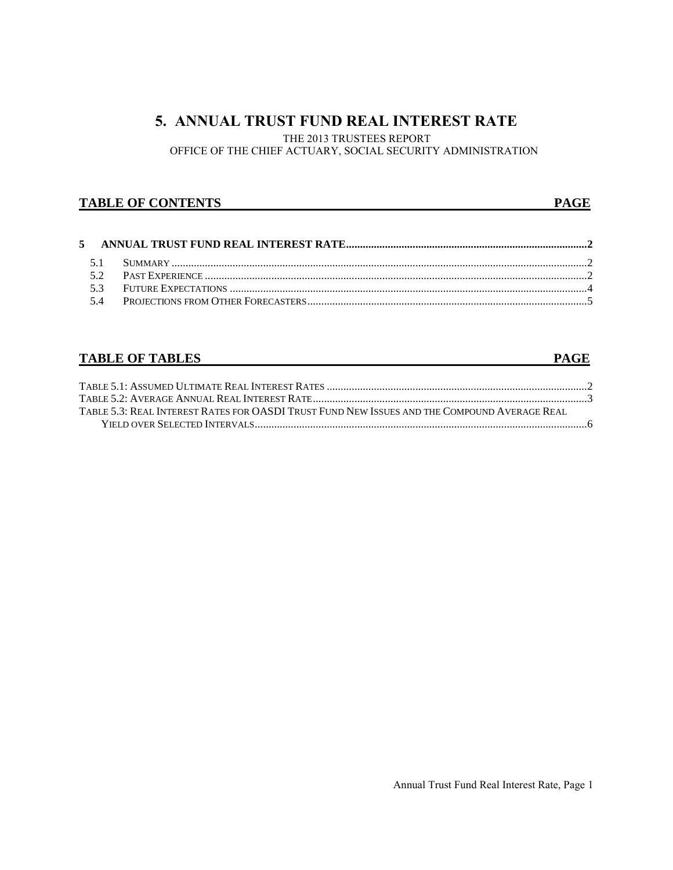## **5. ANNUAL TRUST FUND REAL INTEREST RATE**

THE 2013 TRUSTEES REPORT

OFFICE OF THE CHIEF ACTUARY, SOCIAL SECURITY ADMINISTRATION

#### **TABLE OF CONTENTS** PAGE

## **TABLE OF TABLES** PAGE

| Table 5.3: Real Interest Rates for OASDI Trust Fund New Issues and the Compound Average Real. |  |
|-----------------------------------------------------------------------------------------------|--|
|                                                                                               |  |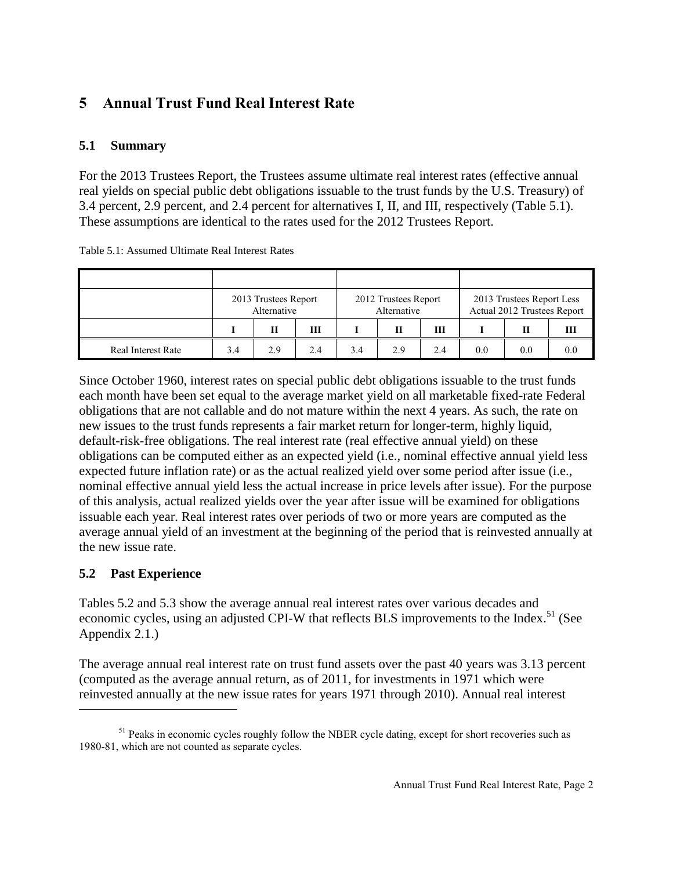# **5 Annual Trust Fund Real Interest Rate**

## **5.1 Summary**

For the 2013 Trustees Report, the Trustees assume ultimate real interest rates (effective annual real yields on special public debt obligations issuable to the trust funds by the U.S. Treasury) of 3.4 percent, 2.9 percent, and 2.4 percent for alternatives I, II, and III, respectively (Table 5.1). These assumptions are identical to the rates used for the 2012 Trustees Report.

|                           |     | 2013 Trustees Report<br>Alternative |     |     | 2012 Trustees Report<br>Alternative |     | 2013 Trustees Report Less<br>Actual 2012 Trustees Report |     |   |  |
|---------------------------|-----|-------------------------------------|-----|-----|-------------------------------------|-----|----------------------------------------------------------|-----|---|--|
|                           |     | Н                                   | Ш   |     | Н                                   | Ш   |                                                          |     | Ш |  |
| <b>Real Interest Rate</b> | 3.4 | 2.9                                 | 2.4 | 3.4 | 2.9                                 | 2.4 | 0.0                                                      | 0.0 |   |  |

Table 5.1: Assumed Ultimate Real Interest Rates

Since October 1960, interest rates on special public debt obligations issuable to the trust funds each month have been set equal to the average market yield on all marketable fixed-rate Federal obligations that are not callable and do not mature within the next 4 years. As such, the rate on new issues to the trust funds represents a fair market return for longer-term, highly liquid, default-risk-free obligations. The real interest rate (real effective annual yield) on these obligations can be computed either as an expected yield (i.e., nominal effective annual yield less expected future inflation rate) or as the actual realized yield over some period after issue (i.e., nominal effective annual yield less the actual increase in price levels after issue). For the purpose of this analysis, actual realized yields over the year after issue will be examined for obligations issuable each year. Real interest rates over periods of two or more years are computed as the average annual yield of an investment at the beginning of the period that is reinvested annually at the new issue rate.

## **5.2 Past Experience**

 $\overline{a}$ 

Tables 5.2 and 5.3 show the average annual real interest rates over various decades and economic cycles, using an adjusted CPI-W that reflects BLS improvements to the Index.<sup>51</sup> (See Appendix 2.1.)

The average annual real interest rate on trust fund assets over the past 40 years was 3.13 percent (computed as the average annual return, as of 2011, for investments in 1971 which were reinvested annually at the new issue rates for years 1971 through 2010). Annual real interest

 $<sup>51</sup>$  Peaks in economic cycles roughly follow the NBER cycle dating, except for short recoveries such as</sup> 1980-81, which are not counted as separate cycles.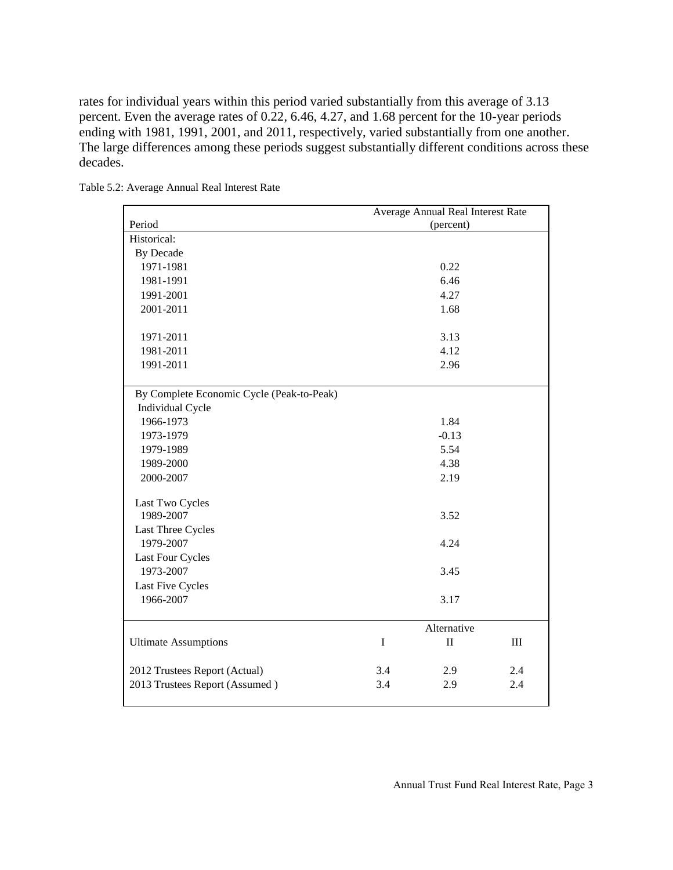rates for individual years within this period varied substantially from this average of 3.13 percent. Even the average rates of 0.22, 6.46, 4.27, and 1.68 percent for the 10-year periods ending with 1981, 1991, 2001, and 2011, respectively, varied substantially from one another. The large differences among these periods suggest substantially different conditions across these decades.

|                                           |         | Average Annual Real Interest Rate |     |
|-------------------------------------------|---------|-----------------------------------|-----|
| Period                                    |         | (percent)                         |     |
| Historical:                               |         |                                   |     |
| <b>By Decade</b>                          |         |                                   |     |
| 1971-1981                                 |         | 0.22                              |     |
| 1981-1991                                 |         | 6.46                              |     |
| 1991-2001                                 |         | 4.27                              |     |
| 2001-2011                                 |         | 1.68                              |     |
|                                           |         |                                   |     |
| 1971-2011                                 |         | 3.13                              |     |
| 1981-2011                                 |         | 4.12                              |     |
| 1991-2011                                 |         | 2.96                              |     |
|                                           |         |                                   |     |
| By Complete Economic Cycle (Peak-to-Peak) |         |                                   |     |
| Individual Cycle                          |         |                                   |     |
| 1966-1973                                 |         | 1.84                              |     |
| 1973-1979                                 |         | $-0.13$                           |     |
| 1979-1989                                 |         | 5.54                              |     |
| 1989-2000                                 |         | 4.38                              |     |
| 2000-2007                                 |         | 2.19                              |     |
|                                           |         |                                   |     |
| Last Two Cycles                           |         |                                   |     |
| 1989-2007                                 |         | 3.52                              |     |
| Last Three Cycles                         |         |                                   |     |
| 1979-2007                                 |         | 4.24                              |     |
| Last Four Cycles                          |         |                                   |     |
| 1973-2007                                 |         | 3.45                              |     |
| Last Five Cycles                          |         |                                   |     |
| 1966-2007                                 |         | 3.17                              |     |
|                                           |         |                                   |     |
|                                           |         | Alternative                       |     |
| <b>Ultimate Assumptions</b>               | $\bf I$ | $\mathbf{I}$                      | III |
|                                           |         |                                   |     |
| 2012 Trustees Report (Actual)             | 3.4     | 2.9                               | 2.4 |
| 2013 Trustees Report (Assumed)            | 3.4     | 2.9                               | 2.4 |
|                                           |         |                                   |     |

Table 5.2: Average Annual Real Interest Rate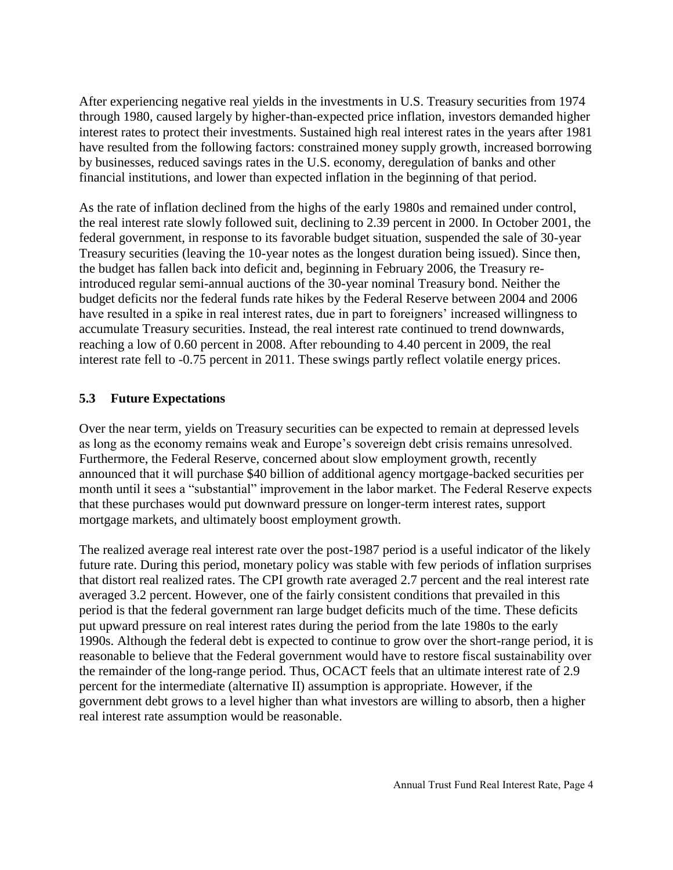After experiencing negative real yields in the investments in U.S. Treasury securities from 1974 through 1980, caused largely by higher-than-expected price inflation, investors demanded higher interest rates to protect their investments. Sustained high real interest rates in the years after 1981 have resulted from the following factors: constrained money supply growth, increased borrowing by businesses, reduced savings rates in the U.S. economy, deregulation of banks and other financial institutions, and lower than expected inflation in the beginning of that period.

As the rate of inflation declined from the highs of the early 1980s and remained under control, the real interest rate slowly followed suit, declining to 2.39 percent in 2000. In October 2001, the federal government, in response to its favorable budget situation, suspended the sale of 30-year Treasury securities (leaving the 10-year notes as the longest duration being issued). Since then, the budget has fallen back into deficit and, beginning in February 2006, the Treasury reintroduced regular semi-annual auctions of the 30-year nominal Treasury bond. Neither the budget deficits nor the federal funds rate hikes by the Federal Reserve between 2004 and 2006 have resulted in a spike in real interest rates, due in part to foreigners' increased willingness to accumulate Treasury securities. Instead, the real interest rate continued to trend downwards, reaching a low of 0.60 percent in 2008. After rebounding to 4.40 percent in 2009, the real interest rate fell to -0.75 percent in 2011. These swings partly reflect volatile energy prices.

#### **5.3 Future Expectations**

Over the near term, yields on Treasury securities can be expected to remain at depressed levels as long as the economy remains weak and Europe's sovereign debt crisis remains unresolved. Furthermore, the Federal Reserve, concerned about slow employment growth, recently announced that it will purchase \$40 billion of additional agency mortgage-backed securities per month until it sees a "substantial" improvement in the labor market. The Federal Reserve expects that these purchases would put downward pressure on longer-term interest rates, support mortgage markets, and ultimately boost employment growth.

The realized average real interest rate over the post-1987 period is a useful indicator of the likely future rate. During this period, monetary policy was stable with few periods of inflation surprises that distort real realized rates. The CPI growth rate averaged 2.7 percent and the real interest rate averaged 3.2 percent. However, one of the fairly consistent conditions that prevailed in this period is that the federal government ran large budget deficits much of the time. These deficits put upward pressure on real interest rates during the period from the late 1980s to the early 1990s. Although the federal debt is expected to continue to grow over the short-range period, it is reasonable to believe that the Federal government would have to restore fiscal sustainability over the remainder of the long-range period. Thus, OCACT feels that an ultimate interest rate of 2.9 percent for the intermediate (alternative II) assumption is appropriate. However, if the government debt grows to a level higher than what investors are willing to absorb, then a higher real interest rate assumption would be reasonable.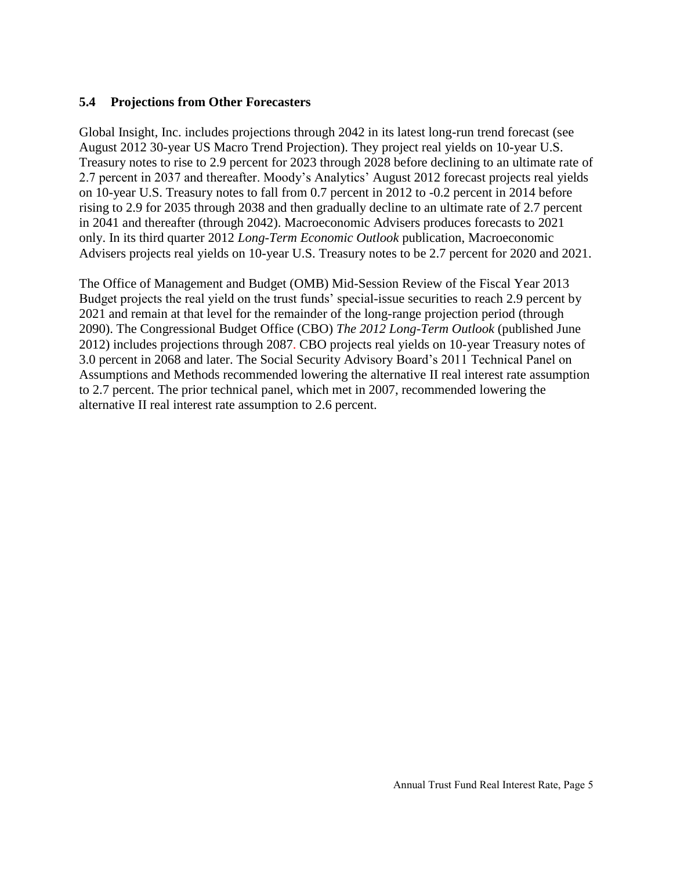#### **5.4 Projections from Other Forecasters**

Global Insight, Inc. includes projections through 2042 in its latest long-run trend forecast (see August 2012 30-year US Macro Trend Projection). They project real yields on 10-year U.S. Treasury notes to rise to 2.9 percent for 2023 through 2028 before declining to an ultimate rate of 2.7 percent in 2037 and thereafter. Moody's Analytics' August 2012 forecast projects real yields on 10-year U.S. Treasury notes to fall from 0.7 percent in 2012 to -0.2 percent in 2014 before rising to 2.9 for 2035 through 2038 and then gradually decline to an ultimate rate of 2.7 percent in 2041 and thereafter (through 2042). Macroeconomic Advisers produces forecasts to 2021 only. In its third quarter 2012 *Long-Term Economic Outlook* publication, Macroeconomic Advisers projects real yields on 10-year U.S. Treasury notes to be 2.7 percent for 2020 and 2021.

The Office of Management and Budget (OMB) Mid-Session Review of the Fiscal Year 2013 Budget projects the real yield on the trust funds' special-issue securities to reach 2.9 percent by 2021 and remain at that level for the remainder of the long-range projection period (through 2090). The Congressional Budget Office (CBO) *The 2012 Long-Term Outlook* (published June 2012) includes projections through 2087. CBO projects real yields on 10-year Treasury notes of 3.0 percent in 2068 and later. The Social Security Advisory Board's 2011 Technical Panel on Assumptions and Methods recommended lowering the alternative II real interest rate assumption to 2.7 percent. The prior technical panel, which met in 2007, recommended lowering the alternative II real interest rate assumption to 2.6 percent.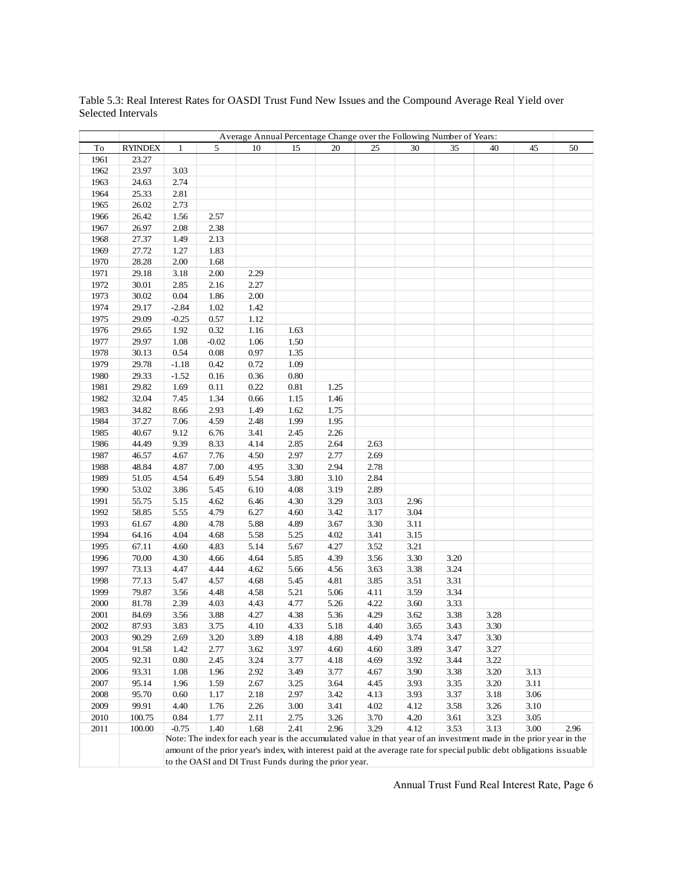|      |                |              |          |                                                       |      |      |      | Average Annual Percentage Change over the Following Number of Years: |      |                                                                                                                       |      |      |
|------|----------------|--------------|----------|-------------------------------------------------------|------|------|------|----------------------------------------------------------------------|------|-----------------------------------------------------------------------------------------------------------------------|------|------|
| To   | <b>RYINDEX</b> | $\mathbf{1}$ | 5        | 10                                                    | 15   | 20   | 25   | 30                                                                   | 35   | 40                                                                                                                    | 45   | 50   |
| 1961 | 23.27          |              |          |                                                       |      |      |      |                                                                      |      |                                                                                                                       |      |      |
| 1962 | 23.97          | 3.03         |          |                                                       |      |      |      |                                                                      |      |                                                                                                                       |      |      |
| 1963 | 24.63          | 2.74         |          |                                                       |      |      |      |                                                                      |      |                                                                                                                       |      |      |
| 1964 | 25.33          | 2.81         |          |                                                       |      |      |      |                                                                      |      |                                                                                                                       |      |      |
| 1965 | 26.02          | 2.73         |          |                                                       |      |      |      |                                                                      |      |                                                                                                                       |      |      |
| 1966 | 26.42          | 1.56         | 2.57     |                                                       |      |      |      |                                                                      |      |                                                                                                                       |      |      |
| 1967 | 26.97          | 2.08         | 2.38     |                                                       |      |      |      |                                                                      |      |                                                                                                                       |      |      |
| 1968 | 27.37          | 1.49         | 2.13     |                                                       |      |      |      |                                                                      |      |                                                                                                                       |      |      |
| 1969 | 27.72          | 1.27         | 1.83     |                                                       |      |      |      |                                                                      |      |                                                                                                                       |      |      |
| 1970 | 28.28          | 2.00         | 1.68     |                                                       |      |      |      |                                                                      |      |                                                                                                                       |      |      |
| 1971 | 29.18          | 3.18         | $2.00\,$ | 2.29                                                  |      |      |      |                                                                      |      |                                                                                                                       |      |      |
| 1972 | 30.01          | 2.85         | 2.16     | 2.27                                                  |      |      |      |                                                                      |      |                                                                                                                       |      |      |
| 1973 | 30.02          | $0.04\,$     | 1.86     | 2.00                                                  |      |      |      |                                                                      |      |                                                                                                                       |      |      |
| 1974 | 29.17          | $-2.84$      | 1.02     | 1.42                                                  |      |      |      |                                                                      |      |                                                                                                                       |      |      |
| 1975 | 29.09          | $-0.25$      | 0.57     | $1.12\,$                                              |      |      |      |                                                                      |      |                                                                                                                       |      |      |
| 1976 | 29.65          | 1.92         | 0.32     | 1.16                                                  | 1.63 |      |      |                                                                      |      |                                                                                                                       |      |      |
| 1977 | 29.97          | 1.08         | $-0.02$  | 1.06                                                  | 1.50 |      |      |                                                                      |      |                                                                                                                       |      |      |
| 1978 | 30.13          | 0.54         | $0.08\,$ | 0.97                                                  | 1.35 |      |      |                                                                      |      |                                                                                                                       |      |      |
| 1979 | 29.78          | $-1.18$      | 0.42     | 0.72                                                  | 1.09 |      |      |                                                                      |      |                                                                                                                       |      |      |
| 1980 | 29.33          | $-1.52$      | 0.16     | 0.36                                                  | 0.80 |      |      |                                                                      |      |                                                                                                                       |      |      |
| 1981 | 29.82          | 1.69         | 0.11     | 0.22                                                  | 0.81 | 1.25 |      |                                                                      |      |                                                                                                                       |      |      |
| 1982 | 32.04          | 7.45         | 1.34     | 0.66                                                  | 1.15 | 1.46 |      |                                                                      |      |                                                                                                                       |      |      |
| 1983 | 34.82          | 8.66         | 2.93     | 1.49                                                  | 1.62 | 1.75 |      |                                                                      |      |                                                                                                                       |      |      |
| 1984 | 37.27          | 7.06         | 4.59     | 2.48                                                  | 1.99 | 1.95 |      |                                                                      |      |                                                                                                                       |      |      |
| 1985 | 40.67          | 9.12         | 6.76     | 3.41                                                  | 2.45 | 2.26 |      |                                                                      |      |                                                                                                                       |      |      |
| 1986 | 44.49          | 9.39         | 8.33     | 4.14                                                  | 2.85 | 2.64 | 2.63 |                                                                      |      |                                                                                                                       |      |      |
| 1987 | 46.57          | 4.67         | 7.76     | 4.50                                                  | 2.97 | 2.77 | 2.69 |                                                                      |      |                                                                                                                       |      |      |
| 1988 | 48.84          | 4.87         | 7.00     | 4.95                                                  | 3.30 | 2.94 | 2.78 |                                                                      |      |                                                                                                                       |      |      |
| 1989 | 51.05          | 4.54         | 6.49     | 5.54                                                  | 3.80 | 3.10 | 2.84 |                                                                      |      |                                                                                                                       |      |      |
| 1990 | 53.02          | 3.86         | 5.45     | 6.10                                                  | 4.08 | 3.19 | 2.89 |                                                                      |      |                                                                                                                       |      |      |
| 1991 | 55.75          | 5.15         | 4.62     | 6.46                                                  | 4.30 | 3.29 | 3.03 | 2.96                                                                 |      |                                                                                                                       |      |      |
| 1992 | 58.85          | 5.55         | 4.79     | 6.27                                                  | 4.60 | 3.42 | 3.17 | 3.04                                                                 |      |                                                                                                                       |      |      |
| 1993 | 61.67          | 4.80         | 4.78     | 5.88                                                  | 4.89 | 3.67 | 3.30 | 3.11                                                                 |      |                                                                                                                       |      |      |
| 1994 | 64.16          | 4.04         | 4.68     | 5.58                                                  | 5.25 | 4.02 | 3.41 | 3.15                                                                 |      |                                                                                                                       |      |      |
| 1995 | 67.11          | 4.60         | 4.83     | 5.14                                                  | 5.67 | 4.27 | 3.52 | 3.21                                                                 |      |                                                                                                                       |      |      |
| 1996 | 70.00          | 4.30         | 4.66     | 4.64                                                  | 5.85 | 4.39 | 3.56 | 3.30                                                                 | 3.20 |                                                                                                                       |      |      |
| 1997 | 73.13          | 4.47         | 4.44     | 4.62                                                  | 5.66 | 4.56 | 3.63 | 3.38                                                                 | 3.24 |                                                                                                                       |      |      |
| 1998 | 77.13          | 5.47         | 4.57     | 4.68                                                  | 5.45 | 4.81 | 3.85 | 3.51                                                                 | 3.31 |                                                                                                                       |      |      |
| 1999 | 79.87          | 3.56         | 4.48     | 4.58                                                  | 5.21 | 5.06 | 4.11 | 3.59                                                                 | 3.34 |                                                                                                                       |      |      |
| 2000 | 81.78          | 2.39         | 4.03     | 4.43                                                  | 4.77 | 5.26 | 4.22 | 3.60                                                                 | 3.33 |                                                                                                                       |      |      |
| 2001 | 84.69          | 3.56         | 3.88     | 4.27                                                  | 4.38 | 5.36 | 4.29 | 3.62                                                                 | 3.38 | 3.28                                                                                                                  |      |      |
| 2002 | 87.93          | 3.83         | 3.75     | 4.10                                                  | 4.33 | 5.18 | 4.40 | 3.65                                                                 | 3.43 | 3.30                                                                                                                  |      |      |
| 2003 | 90.29          | 2.69         | 3.20     | 3.89                                                  | 4.18 | 4.88 | 4.49 | 3.74                                                                 | 3.47 | 3.30                                                                                                                  |      |      |
| 2004 | 91.58          | 1.42         | 2.77     | 3.62                                                  | 3.97 | 4.60 | 4.60 | 3.89                                                                 | 3.47 | 3.27                                                                                                                  |      |      |
| 2005 | 92.31          | $0.80\,$     | 2.45     | 3.24                                                  | 3.77 | 4.18 | 4.69 | 3.92                                                                 | 3.44 | 3.22                                                                                                                  |      |      |
| 2006 | 93.31          | 1.08         | 1.96     | 2.92                                                  | 3.49 | 3.77 | 4.67 | 3.90                                                                 | 3.38 | 3.20                                                                                                                  | 3.13 |      |
| 2007 | 95.14          | 1.96         | 1.59     | 2.67                                                  | 3.25 | 3.64 | 4.45 | 3.93                                                                 | 3.35 | 3.20                                                                                                                  | 3.11 |      |
| 2008 | 95.70          | $0.60\,$     | 1.17     | 2.18                                                  | 2.97 | 3.42 | 4.13 | 3.93                                                                 | 3.37 | 3.18                                                                                                                  | 3.06 |      |
| 2009 | 99.91          | 4.40         | 1.76     | 2.26                                                  | 3.00 | 3.41 | 4.02 | 4.12                                                                 | 3.58 | 3.26                                                                                                                  | 3.10 |      |
| 2010 | 100.75         | 0.84         | 1.77     | 2.11                                                  | 2.75 | 3.26 | 3.70 | 4.20                                                                 | 3.61 | 3.23                                                                                                                  | 3.05 |      |
| 2011 | 100.00         | $-0.75$      | 1.40     | 1.68                                                  | 2.41 | 2.96 | 3.29 | 4.12                                                                 | 3.53 | 3.13                                                                                                                  | 3.00 | 2.96 |
|      |                |              |          |                                                       |      |      |      |                                                                      |      | Note: The index for each year is the accumulated value in that year of an investment made in the prior year in the    |      |      |
|      |                |              |          |                                                       |      |      |      |                                                                      |      | amount of the prior year's index, with interest paid at the average rate for special public debt obligations issuable |      |      |
|      |                |              |          | to the OASI and DI Trust Funds during the prior year. |      |      |      |                                                                      |      |                                                                                                                       |      |      |

Table 5.3: Real Interest Rates for OASDI Trust Fund New Issues and the Compound Average Real Yield over Selected Intervals

Annual Trust Fund Real Interest Rate, Page 6